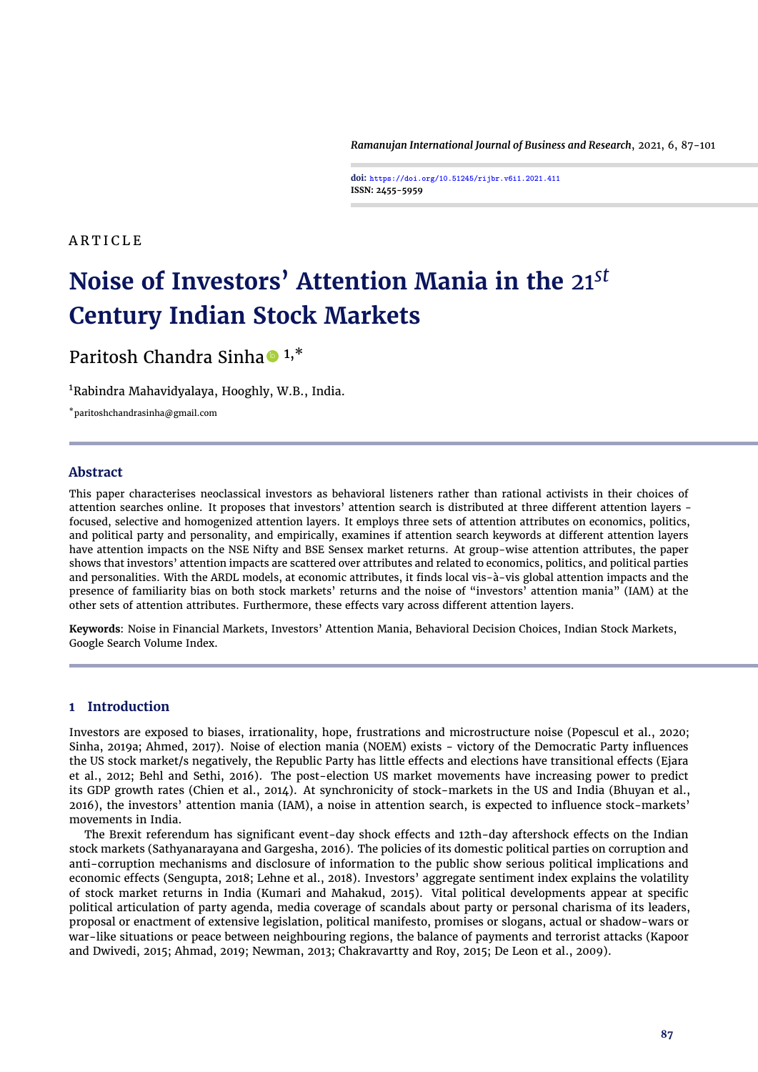*Ramanujan International Journal of Business and Research*, 2021, 6, 87[-101](#page-14-0)

**doi: https://doi.org/10.51245/rijbr.v6i1.2021.411 ISSN: 2455-5959**

#### **ARTICLE**

# **Noise of Investors' Attention Mania in the** 21*st* **Century Indian Stock Markets**

# Paritosh Chandra Sinha  $\bullet$  1,\*

<sup>1</sup>Rabindra Mahavidyalaya, Hooghly, W.B., India.

\*paritoshchandrasinha@gmail.com

#### **Abstract**

This paper characterises neoclassical investors as behavioral listeners rather than rational activists in their choices of attention searches online. It proposes that investors' attention search is distributed at three different attention layers focused, selective and homogenized attention layers. It employs three sets of attention attributes on economics, politics, and political party and personality, and empirically, examines if attention search keywords at different attention layers have attention impacts on the NSE Nifty and BSE Sensex market returns. At group-wise attention attributes, the paper shows that investors' attention impacts are scattered over attributes and related to economics, politics, and political parties and personalities. With the ARDL models, at economic attributes, it finds local vis-à-vis global attention impacts and the presence of familiarity bias on both stock markets' returns and the noise of "investors' attention mania" (IAM) at the other sets of attention attributes. Furthermore, these effects vary across different attention layers.

**Keywords**: Noise in Financial Markets, Investors' Attention Mania, Behavioral Decision Choices, Indian Stock Markets, Google Search Volume Index.

#### **1 Introduction**

Investors are exposed to biases, irrationality, hope, frustrations and microstructure noise [\(Popescul et al.,](#page-13-0) [2020;](#page-13-0) [Sinha,](#page-14-1) [2019a;](#page-14-1) [Ahmed,](#page-12-0) [2017\)](#page-12-0). Noise of election mania (NOEM) exists - victory of the Democratic Party influences the US stock market/s negatively, the Republic Party has little effects and elections have transitional effects [\(Ejara](#page-13-1) [et al.,](#page-13-1) [2012;](#page-13-1) [Behl and Sethi,](#page-12-1) [2016\)](#page-12-1). The post-election US market movements have increasing power to predict its GDP growth rates [\(Chien et al.,](#page-12-2) [2014\)](#page-12-2). At synchronicity of stock-markets in the US and India [\(Bhuyan et al.,](#page-12-3) [2016\)](#page-12-3), the investors' attention mania (IAM), a noise in attention search, is expected to influence stock-markets' movements in India.

The Brexit referendum has significant event-day shock effects and 12th-day aftershock effects on the Indian stock markets [\(Sathyanarayana and Gargesha,](#page-14-2) [2016\)](#page-14-2). The policies of its domestic political parties on corruption and anti-corruption mechanisms and disclosure of information to the public show serious political implications and economic effects [\(Sengupta,](#page-14-3) [2018;](#page-14-3) [Lehne et al.,](#page-13-2) [2018\)](#page-13-2). Investors' aggregate sentiment index explains the volatility of stock market returns in India [\(Kumari and Mahakud,](#page-13-3) [2015\)](#page-13-3). Vital political developments appear at specific political articulation of party agenda, media coverage of scandals about party or personal charisma of its leaders, proposal or enactment of extensive legislation, political manifesto, promises or slogans, actual or shadow-wars or war-like situations or peace between neighbouring regions, the balance of payments and terrorist attacks [\(Kapoor](#page-13-4) [and Dwivedi,](#page-13-4) [2015;](#page-13-4) [Ahmad,](#page-12-4) [2019;](#page-12-4) [Newman,](#page-13-5) [2013;](#page-13-5) [Chakravartty and Roy,](#page-12-5) [2015;](#page-12-5) [De Leon et al.,](#page-12-6) [2009\)](#page-12-6).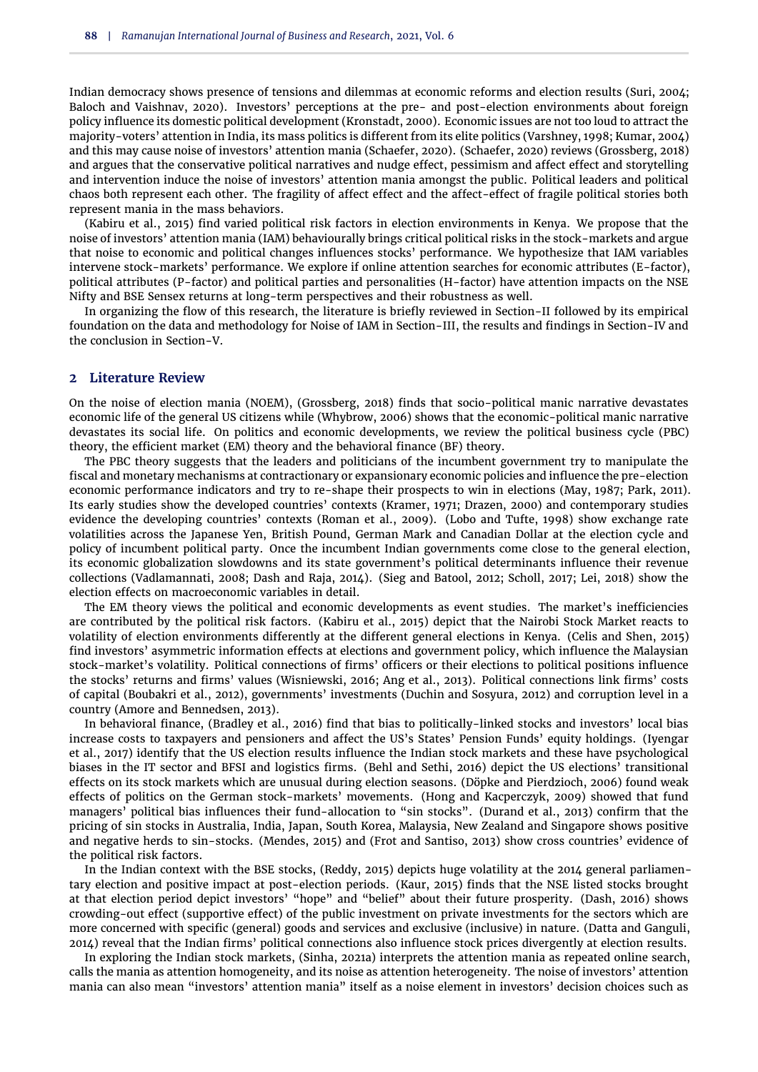Indian democracy shows presence of tensions and dilemmas at economic reforms and election results [\(Suri,](#page-14-4) [2004;](#page-14-4) [Baloch and Vaishnav,](#page-12-7) [2020\)](#page-12-7). Investors' perceptions at the pre- and post-election environments about foreign policy influence its domestic political development [\(Kronstadt,](#page-13-6) [2000\)](#page-13-6). Economic issues are not too loud to attract the majority-voters' attention in India, its mass politics is different from its elite politics [\(Varshney,](#page-14-5) [1998;](#page-14-5) [Kumar,](#page-13-7) [2004\)](#page-13-7) and this may cause noise of investors' attention mania [\(Schaefer,](#page-14-6) [2020\)](#page-14-6). [\(Schaefer,](#page-14-6) [2020\)](#page-14-6) reviews [\(Grossberg,](#page-13-8) [2018\)](#page-13-8) and argues that the conservative political narratives and nudge effect, pessimism and affect effect and storytelling and intervention induce the noise of investors' attention mania amongst the public. Political leaders and political chaos both represent each other. The fragility of affect effect and the affect-effect of fragile political stories both represent mania in the mass behaviors.

[\(Kabiru et al.,](#page-13-9) [2015\)](#page-13-9) find varied political risk factors in election environments in Kenya. We propose that the noise of investors' attention mania (IAM) behaviourally brings critical political risks in the stock-markets and argue that noise to economic and political changes influences stocks' performance. We hypothesize that IAM variables intervene stock-markets' performance. We explore if online attention searches for economic attributes (E-factor), political attributes (P-factor) and political parties and personalities (H-factor) have attention impacts on the NSE Nifty and BSE Sensex returns at long-term perspectives and their robustness as well.

In organizing the flow of this research, the literature is briefly reviewed in Section-II followed by its empirical foundation on the data and methodology for Noise of IAM in Section-III, the results and findings in Section-IV and the conclusion in Section-V.

#### **2 Literature Review**

On the noise of election mania (NOEM), [\(Grossberg,](#page-13-8) [2018\)](#page-13-8) finds that socio-political manic narrative devastates economic life of the general US citizens while [\(Whybrow,](#page-14-7) [2006\)](#page-14-7) shows that the economic-political manic narrative devastates its social life. On politics and economic developments, we review the political business cycle (PBC) theory, the efficient market (EM) theory and the behavioral finance (BF) theory.

The PBC theory suggests that the leaders and politicians of the incumbent government try to manipulate the fiscal and monetary mechanisms at contractionary or expansionary economic policies and influence the pre-election economic performance indicators and try to re-shape their prospects to win in elections [\(May,](#page-13-10) [1987;](#page-13-10) [Park,](#page-13-11) [2011\)](#page-13-11). Its early studies show the developed countries' contexts [\(Kramer,](#page-13-12) [1971;](#page-13-12) [Drazen,](#page-12-8) [2000\)](#page-12-8) and contemporary studies evidence the developing countries' contexts [\(Roman et al.,](#page-14-8) [2009\)](#page-14-8). [\(Lobo and Tufte,](#page-13-13) [1998\)](#page-13-13) show exchange rate volatilities across the Japanese Yen, British Pound, German Mark and Canadian Dollar at the election cycle and policy of incumbent political party. Once the incumbent Indian governments come close to the general election, its economic globalization slowdowns and its state government's political determinants influence their revenue collections [\(Vadlamannati,](#page-14-9) [2008;](#page-14-9) [Dash and Raja,](#page-12-9) [2014\)](#page-12-9). [\(Sieg and Batool,](#page-14-10) [2012;](#page-14-10) [Scholl,](#page-14-11) [2017;](#page-14-11) [Lei,](#page-13-14) [2018\)](#page-13-14) show the election effects on macroeconomic variables in detail.

The EM theory views the political and economic developments as event studies. The market's inefficiencies are contributed by the political risk factors. [\(Kabiru et al.,](#page-13-9) [2015\)](#page-13-9) depict that the Nairobi Stock Market reacts to volatility of election environments differently at the different general elections in Kenya. [\(Celis and Shen,](#page-12-10) [2015\)](#page-12-10) find investors' asymmetric information effects at elections and government policy, which influence the Malaysian stock-market's volatility. Political connections of firms' officers or their elections to political positions influence the stocks' returns and firms' values [\(Wisniewski,](#page-14-12) [2016;](#page-14-12) [Ang et al.,](#page-12-11) [2013\)](#page-12-11). Political connections link firms' costs of capital [\(Boubakri et al.,](#page-12-12) [2012\)](#page-12-12), governments' investments [\(Duchin and Sosyura,](#page-13-15) [2012\)](#page-13-15) and corruption level in a country [\(Amore and Bennedsen,](#page-12-13) [2013\)](#page-12-13).

In behavioral finance, [\(Bradley et al.,](#page-12-14) [2016\)](#page-12-14) find that bias to politically-linked stocks and investors' local bias increase costs to taxpayers and pensioners and affect the US's States' Pension Funds' equity holdings. [\(Iyengar](#page-13-16) [et al.,](#page-13-16) [2017\)](#page-13-16) identify that the US election results influence the Indian stock markets and these have psychological biases in the IT sector and BFSI and logistics firms. [\(Behl and Sethi,](#page-12-1) [2016\)](#page-12-1) depict the US elections' transitional effects on its stock markets which are unusual during election seasons. [\(Döpke and Pierdzioch,](#page-13-17) [2006\)](#page-13-17) found weak effects of politics on the German stock-markets' movements. [\(Hong and Kacperczyk,](#page-13-18) [2009\)](#page-13-18) showed that fund managers' political bias influences their fund-allocation to "sin stocks". [\(Durand et al.,](#page-13-19) [2013\)](#page-13-19) confirm that the pricing of sin stocks in Australia, India, Japan, South Korea, Malaysia, New Zealand and Singapore shows positive and negative herds to sin-stocks. [\(Mendes,](#page-13-20) [2015\)](#page-13-20) and [\(Frot and Santiso,](#page-13-21) [2013\)](#page-13-21) show cross countries' evidence of the political risk factors.

In the Indian context with the BSE stocks, [\(Reddy,](#page-13-22) [2015\)](#page-13-22) depicts huge volatility at the 2014 general parliamentary election and positive impact at post-election periods. [\(Kaur,](#page-13-23) [2015\)](#page-13-23) finds that the NSE listed stocks brought at that election period depict investors' "hope" and "belief" about their future prosperity. [\(Dash,](#page-12-15) [2016\)](#page-12-15) shows crowding-out effect (supportive effect) of the public investment on private investments for the sectors which are more concerned with specific (general) goods and services and exclusive (inclusive) in nature. [\(Datta and Ganguli,](#page-12-16) [2014\)](#page-12-16) reveal that the Indian firms' political connections also influence stock prices divergently at election results.

In exploring the Indian stock markets, [\(Sinha,](#page-14-13) [2021a\)](#page-14-13) interprets the attention mania as repeated online search, calls the mania as attention homogeneity, and its noise as attention heterogeneity. The noise of investors' attention mania can also mean "investors' attention mania" itself as a noise element in investors' decision choices such as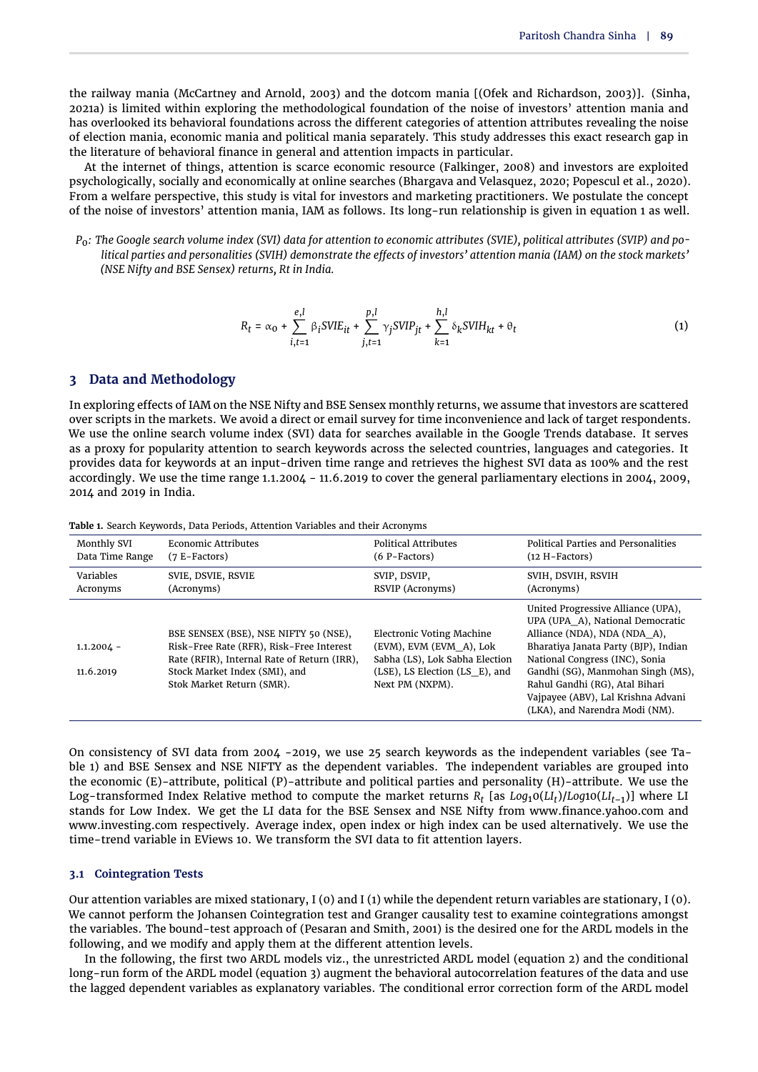the railway mania [\(McCartney and Arnold,](#page-13-24) [2003\)](#page-13-24) and the dotcom mania [[\(Ofek and Richardson,](#page-13-25) [2003\)](#page-13-25)]. [\(Sinha,](#page-14-13) [2021a\)](#page-14-13) is limited within exploring the methodological foundation of the noise of investors' attention mania and has overlooked its behavioral foundations across the different categories of attention attributes revealing the noise of election mania, economic mania and political mania separately. This study addresses this exact research gap in the literature of behavioral finance in general and attention impacts in particular.

At the internet of things, attention is scarce economic resource [\(Falkinger,](#page-13-26) [2008\)](#page-13-26) and investors are exploited psychologically, socially and economically at online searches [\(Bhargava and Velasquez,](#page-12-17) [2020;](#page-12-17) [Popescul et al.,](#page-13-0) [2020\)](#page-13-0). From a welfare perspective, this study is vital for investors and marketing practitioners. We postulate the concept of the noise of investors' attention mania, IAM as follows. Its long-run relationship is given in [equation 1](#page-2-0) as well.

*P*0*: The Google search volume index (SVI) data for attention to economic attributes (SVIE), political attributes (SVIP) and political parties and personalities (SVIH) demonstrate the effects of investors' attention mania (IAM) on the stock markets' (NSE Nifty and BSE Sensex) returns, Rt in India.*

<span id="page-2-0"></span>
$$
R_t = \alpha_0 + \sum_{i,t=1}^{e,l} \beta_i \text{SVE}_{it} + \sum_{j,t=1}^{p,l} \gamma_j \text{SVP}_{jt} + \sum_{k=1}^{h,l} \delta_k \text{SVIH}_{kt} + \theta_t
$$
 (1)

#### **3 Data and Methodology**

In exploring effects of IAM on the NSE Nifty and BSE Sensex monthly returns, we assume that investors are scattered over scripts in the markets. We avoid a direct or email survey for time inconvenience and lack of target respondents. We use the online search volume index (SVI) data for searches available in the Google Trends database. It serves as a proxy for popularity attention to search keywords across the selected countries, languages and categories. It provides data for keywords at an input-driven time range and retrieves the highest SVI data as 100% and the rest accordingly. We use the time range 1.1.2004 - 11.6.2019 to cover the general parliamentary elections in 2004, 2009, 2014 and 2019 in India.

| Monthly SVI               | Economic Attributes                                                                                                                                                                            | <b>Political Attributes</b>                                                                                                                 | <b>Political Parties and Personalities</b>                                                                                                                                                                                                                                                                                      |
|---------------------------|------------------------------------------------------------------------------------------------------------------------------------------------------------------------------------------------|---------------------------------------------------------------------------------------------------------------------------------------------|---------------------------------------------------------------------------------------------------------------------------------------------------------------------------------------------------------------------------------------------------------------------------------------------------------------------------------|
| Data Time Range           | $(7 E-Factors)$                                                                                                                                                                                | $(6 P-Factors)$                                                                                                                             | $(12 H-Factors)$                                                                                                                                                                                                                                                                                                                |
| <b>Variables</b>          | SVIE, DSVIE, RSVIE                                                                                                                                                                             | SVIP, DSVIP,                                                                                                                                | SVIH, DSVIH, RSVIH                                                                                                                                                                                                                                                                                                              |
| Acronyms                  | (Acronyms)                                                                                                                                                                                     | RSVIP (Acronyms)                                                                                                                            | (Acronyms)                                                                                                                                                                                                                                                                                                                      |
| $1.1.2004 -$<br>11.6.2019 | BSE SENSEX (BSE), NSE NIFTY 50 (NSE),<br>Risk-Free Rate (RFR), Risk-Free Interest<br>Rate (RFIR), Internal Rate of Return (IRR),<br>Stock Market Index (SMI), and<br>Stok Market Return (SMR). | Electronic Voting Machine<br>(EVM), EVM (EVM A), Lok<br>Sabha (LS), Lok Sabha Election<br>(LSE), LS Election (LS E), and<br>Next PM (NXPM). | United Progressive Alliance (UPA),<br>UPA (UPA A), National Democratic<br>Alliance (NDA), NDA (NDA A),<br>Bharatiya Janata Party (BJP), Indian<br>National Congress (INC), Sonia<br>Gandhi (SG), Manmohan Singh (MS),<br>Rahul Gandhi (RG), Atal Bihari<br>Vajpayee (ABV), Lal Krishna Advani<br>(LKA), and Narendra Modi (NM). |

<span id="page-2-1"></span>**Table 1.** Search Keywords, Data Periods, Attention Variables and their Acronyms

On consistency of SVI data from 2004 -2019, we use 25 search keywords as the independent variables (see [Ta](#page-2-1)[ble 1\)](#page-2-1) and BSE Sensex and NSE NIFTY as the dependent variables. The independent variables are grouped into the economic (E)-attribute, political (P)-attribute and political parties and personality (H)-attribute. We use the Log-transformed Index Relative method to compute the market returns *R<sup>t</sup>* [as *Log*10(*LI<sup>t</sup>* )/*Log*10(*LIt*–1)] where LI stands for Low Index. We get the LI data for the BSE Sensex and NSE Nifty from www.finance.yahoo.com and www.investing.com respectively. Average index, open index or high index can be used alternatively. We use the time-trend variable in EViews 10. We transform the SVI data to fit attention layers.

#### **3.1 Cointegration Tests**

Our attention variables are mixed stationary,  $I(0)$  and  $I(1)$  while the dependent return variables are stationary,  $I(0)$ . We cannot perform the Johansen Cointegration test and Granger causality test to examine cointegrations amongst the variables. The bound-test approach of [\(Pesaran and Smith,](#page-13-27) [2001\)](#page-13-27) is the desired one for the ARDL models in the following, and we modify and apply them at the different attention levels.

In the following, the first two ARDL models viz., the unrestricted ARDL model [\(equation 2\)](#page-3-0) and the conditional long-run form of the ARDL model [\(equation 3\)](#page-3-1) augment the behavioral autocorrelation features of the data and use the lagged dependent variables as explanatory variables. The conditional error correction form of the ARDL model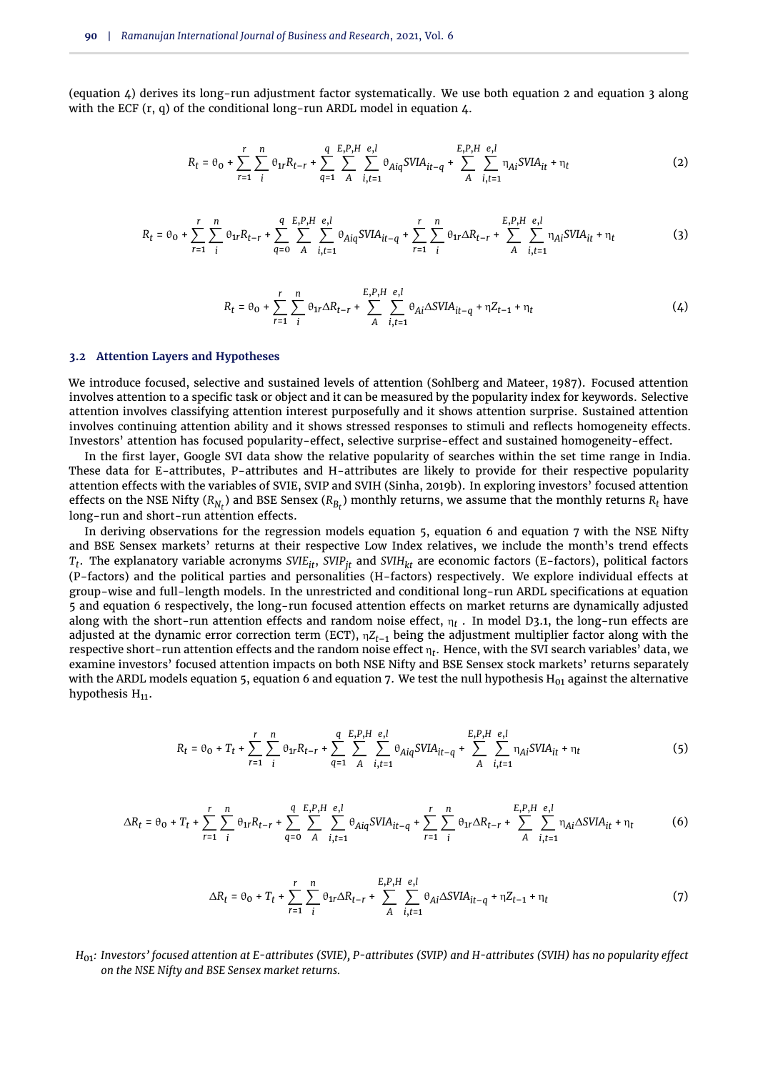(equation  $\Delta$ ) derives its long-run adjustment factor systematically. We use both [equation 2](#page-3-0) and [equation 3](#page-3-1) along with the ECF  $(r, q)$  of the conditional long-run ARDL model in equation  $4$ .

<span id="page-3-0"></span>
$$
R_{t} = \theta_{0} + \sum_{r=1}^{r} \sum_{i}^{n} \theta_{1r} R_{t-r} + \sum_{q=1}^{q} \sum_{A}^{E,P,H} \sum_{i,t=1}^{e,l} \theta_{Aiq} SVIA_{it-q} + \sum_{A}^{E,P,H} \sum_{i,t=1}^{e,l} \eta_{Ai} SVIA_{it} + \eta_{t}
$$
(2)

<span id="page-3-1"></span>
$$
R_{t} = \theta_{0} + \sum_{r=1}^{r} \sum_{i}^{n} \theta_{1r} R_{t-r} + \sum_{q=0}^{q} \sum_{A}^{E, P, H} \sum_{i, t=1}^{e, l} \theta_{Aiq} SVIA_{it-q} + \sum_{r=1}^{r} \sum_{i}^{n} \theta_{1r} \Delta R_{t-r} + \sum_{A}^{E, P, H} \sum_{i, t=1}^{e, l} \eta_{Ai} SVIA_{it} + \eta_{t}
$$
(3)

<span id="page-3-2"></span>
$$
R_{t} = \theta_{0} + \sum_{r=1}^{r} \sum_{i}^{n} \theta_{1r} \Delta R_{t-r} + \sum_{A}^{E, P, H} \sum_{i, t=1}^{e, l} \theta_{Ai} \Delta SVIA_{it-q} + \eta Z_{t-1} + \eta_{t}
$$
(4)

#### **3.2 Attention Layers and Hypotheses**

We introduce focused, selective and sustained levels of attention [\(Sohlberg and Mateer,](#page-14-14) [1987\)](#page-14-14). Focused attention involves attention to a specific task or object and it can be measured by the popularity index for keywords. Selective attention involves classifying attention interest purposefully and it shows attention surprise. Sustained attention involves continuing attention ability and it shows stressed responses to stimuli and reflects homogeneity effects. Investors' attention has focused popularity-effect, selective surprise-effect and sustained homogeneity-effect.

In the first layer, Google SVI data show the relative popularity of searches within the set time range in India. These data for E-attributes, P-attributes and H-attributes are likely to provide for their respective popularity attention effects with the variables of SVIE, SVIP and SVIH [\(Sinha,](#page-14-15) [2019b\)](#page-14-15). In exploring investors' focused attention effects on the NSE Nifty ( $R_{N_t}$ ) and BSE Sensex ( $R_{B_t}$ ) monthly returns, we assume that the monthly returns  $R_t$  have long-run and short-run attention effects.

In deriving observations for the regression models [equation 5,](#page-3-3) [equation 6](#page-3-4) and [equation 7](#page-3-5) with the NSE Nifty and BSE Sensex markets' returns at their respective Low Index relatives, we include the month's trend effects *Tt* . The explanatory variable acronyms *SVIEit*, *SVIPjt* and *SVIHkt* are economic factors (E-factors), political factors (P-factors) and the political parties and personalities (H-factors) respectively. We explore individual effects at group-wise and full-length models. In the unrestricted and conditional long-run ARDL specifications at [equation](#page-3-3) [5](#page-3-3) and [equation 6](#page-3-4) respectively, the long-run focused attention effects on market returns are dynamically adjusted along with the short-run attention effects and random noise effect, η*<sup>t</sup>* . In model D3.1, the long-run effects are adjusted at the dynamic error correction term (ECT), η*Zt*–1 being the adjustment multiplier factor along with the respective short-run attention effects and the random noise effect η*<sup>t</sup>* . Hence, with the SVI search variables' data, we examine investors' focused attention impacts on both NSE Nifty and BSE Sensex stock markets' returns separately with the ARDL models [equation 5,](#page-3-3) [equation 6](#page-3-4) and [equation 7.](#page-3-5) We test the null hypothesis  $H_{01}$  $H_{01}$  against the alternative hypothesis  $H_{11}$  $H_{11}$ .

<span id="page-3-3"></span>
$$
R_{t} = \theta_{0} + T_{t} + \sum_{r=1}^{r} \sum_{i}^{n} \theta_{1r} R_{t-r} + \sum_{q=1}^{q} \sum_{A}^{E, P, H} \sum_{i,t=1}^{e, l} \theta_{Aiq} SVIA_{it-q} + \sum_{A}^{E, P, H} \sum_{i,t=1}^{e, l} \eta_{Ai} SVIA_{it} + \eta_{t}
$$
(5)

<span id="page-3-4"></span>
$$
\Delta R_t = \theta_0 + T_t + \sum_{r=1}^r \sum_{i}^{n} \theta_{1r} R_{t-r} + \sum_{q=0}^q \sum_{A}^{E, P, H} \sum_{i, t=1}^{e, l} \theta_{Aiq} SVIA_{it-q} + \sum_{r=1}^r \sum_{i}^{n} \theta_{1r} \Delta R_{t-r} + \sum_{A}^{E, P, H} \sum_{i, t=1}^{e, l} \eta_{Ai} \Delta SVIA_{it} + \eta_t
$$
(6)

<span id="page-3-5"></span>
$$
\Delta R_t = \theta_0 + T_t + \sum_{r=1}^r \sum_{i}^n \theta_{1r} \Delta R_{t-r} + \sum_{A}^{E,P,H} \sum_{i,t=1}^{e,l} \theta_{Ai} \Delta SVIA_{it-q} + \eta Z_{t-1} + \eta_t
$$
 (7)

*H*01*: Investors' focused attention at E-attributes (SVIE), P-attributes (SVIP) and H-attributes (SVIH) has no popularity effect on the NSE Nifty and BSE Sensex market returns.*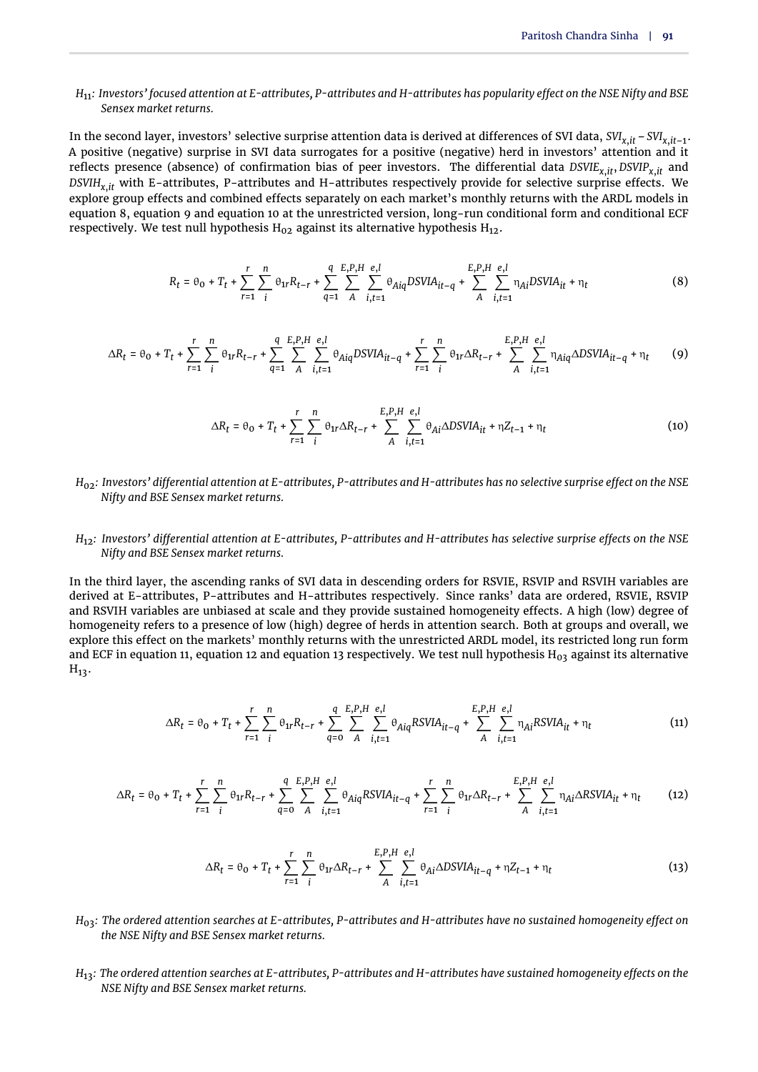#### *H*11*: Investors' focused attention at E-attributes, P-attributes and H-attributes has popularity effect on the NSE Nifty and BSE Sensex market returns.*

In the second layer, investors' selective surprise attention data is derived at differences of SVI data, *SVIx*,*it* –*SVIx*,*it*–1. A positive (negative) surprise in SVI data surrogates for a positive (negative) herd in investors' attention and it reflects presence (absence) of confirmation bias of peer investors. The differential data *DSVIEx*,*it*, *DSVIPx*,*it* and *DSVIHx*,*it* with E-attributes, P-attributes and H-attributes respectively provide for selective surprise effects. We explore group effects and combined effects separately on each market's monthly returns with the ARDL models in [equation 8,](#page-4-0) [equation 9](#page-4-1) and [equation 10](#page-4-2) at the unrestricted version, long-run conditional form and conditional ECF respectively. We test null hypothesis  $H_{02}$  $H_{02}$  $H_{02}$  against its alternative hypothesis  $H_{12}$  $H_{12}$ .

<span id="page-4-0"></span>
$$
R_{t} = \theta_{0} + T_{t} + \sum_{r=1}^{r} \sum_{i}^{n} \theta_{1r} R_{t-r} + \sum_{q=1}^{q} \sum_{A}^{E, P, H} \sum_{i, t=1}^{e, l} \theta_{Aiq} DSVIA_{it-q} + \sum_{A}^{E, P, H} \sum_{i, t=1}^{e, l} \eta_{Ai} DSVIA_{it} + \eta_{t}
$$
(8)

<span id="page-4-1"></span>
$$
\Delta R_t = \theta_0 + T_t + \sum_{r=1}^r \sum_{i}^{n} \theta_{1r} R_{t-r} + \sum_{q=1}^q \sum_{A}^{E, P, H} \sum_{i, t=1}^{e, l} \theta_{Aiq} DSVIA_{it-q} + \sum_{r=1}^r \sum_{i}^{n} \theta_{1r} \Delta R_{t-r} + \sum_{A}^{E, P, H} \sum_{i, t=1}^{e, l} \eta_{Aiq} \Delta DSVIA_{it-q} + \eta_t
$$
(9)

<span id="page-4-2"></span>
$$
\Delta R_t = \theta_0 + T_t + \sum_{r=1}^r \sum_{i}^{n} \theta_{1r} \Delta R_{t-r} + \sum_{A}^{E,P,H} \sum_{i,t=1}^{e,l} \theta_{Ai} \Delta DSVIA_{it} + \eta Z_{t-1} + \eta_t
$$
(10)

#### *H*02*: Investors' differential attention at E-attributes, P-attributes and H-attributes has no selective surprise effect on the NSE Nifty and BSE Sensex market returns.*

#### *H*12*: Investors' differential attention at E-attributes, P-attributes and H-attributes has selective surprise effects on the NSE Nifty and BSE Sensex market returns.*

In the third layer, the ascending ranks of SVI data in descending orders for RSVIE, RSVIP and RSVIH variables are derived at E-attributes, P-attributes and H-attributes respectively. Since ranks' data are ordered, RSVIE, RSVIP and RSVIH variables are unbiased at scale and they provide sustained homogeneity effects. A high (low) degree of homogeneity refers to a presence of low (high) degree of herds in attention search. Both at groups and overall, we explore this effect on the markets' monthly returns with the unrestricted ARDL model, its restricted long run form and ECF in [equation 11,](#page-4-3) [equation 12](#page-4-4) and [equation 13](#page-4-5) respectively. We test null hypothesis  $H_{03}$  $H_{03}$  against its alternative  $H_{13}$  $H_{13}$ .

<span id="page-4-3"></span>
$$
\Delta R_t = \theta_0 + T_t + \sum_{r=1}^r \sum_{i}^n \theta_{1r} R_{t-r} + \sum_{q=0}^q \sum_{A}^{\sum_{i} P_{i} H} \sum_{i,t=1}^{e,l} \theta_{Aiq} RSVIA_{it-q} + \sum_{A}^{E,P,H} \sum_{i,t=1}^{e,l} \eta_{Ai} RSVIA_{it} + \eta_t
$$
(11)

<span id="page-4-4"></span>
$$
\Delta R_t = \theta_0 + T_t + \sum_{r=1}^r \sum_{i}^n \theta_{1r} R_{t-r} + \sum_{q=0}^q \sum_{A}^{\text{E,P,H}} \sum_{i,t=1}^{e,l} \theta_{Aiq} RSVIA_{it-q} + \sum_{r=1}^r \sum_{i}^n \theta_{1r} \Delta R_{t-r} + \sum_{A}^{\text{E,P,H}} \sum_{i,t=1}^{e,l} \eta_{Ai} \Delta RSVIA_{it} + \eta_t
$$
 (12)

<span id="page-4-5"></span>
$$
\Delta R_t = \theta_0 + T_t + \sum_{r=1}^r \sum_{i}^{n} \theta_{1r} \Delta R_{t-r} + \sum_{A}^{E,P,H} \sum_{i,t=1}^{e,l} \theta_{Ai} \Delta DSVIA_{it-q} + \eta Z_{t-1} + \eta_t
$$
\n(13)

- *H*03*: The ordered attention searches at E-attributes, P-attributes and H-attributes have no sustained homogeneity effect on the NSE Nifty and BSE Sensex market returns.*
- *H*13*: The ordered attention searches at E-attributes, P-attributes and H-attributes have sustained homogeneity effects on the NSE Nifty and BSE Sensex market returns.*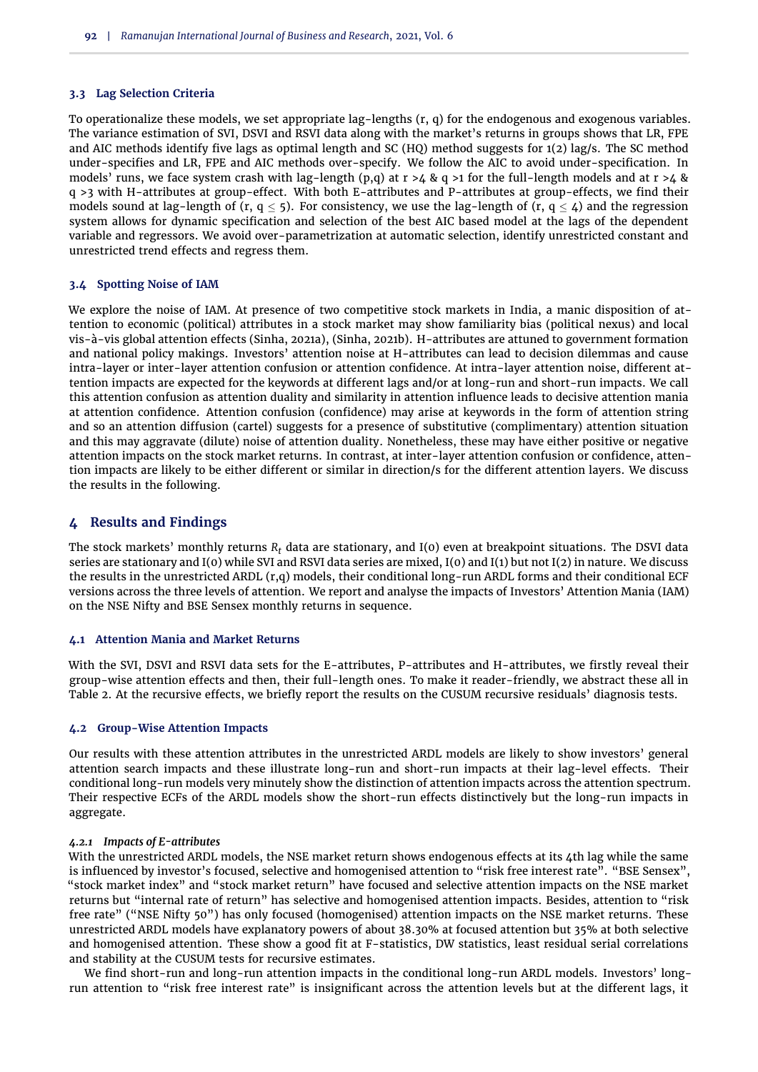#### **3.3 Lag Selection Criteria**

To operationalize these models, we set appropriate lag-lengths (r, q) for the endogenous and exogenous variables. The variance estimation of SVI, DSVI and RSVI data along with the market's returns in groups shows that LR, FPE and AIC methods identify five lags as optimal length and SC (HQ) method suggests for 1(2) lag/s. The SC method under-specifies and LR, FPE and AIC methods over-specify. We follow the AIC to avoid under-specification. In models' runs, we face system crash with lag-length (p,q) at  $r > 4$  & q  $>1$  for the full-length models and at  $r > 4$  & q >3 with H-attributes at group-effect. With both E-attributes and P-attributes at group-effects, we find their models sound at lag-length of (r, q < 5). For consistency, we use the lag-length of (r, q <  $\mu$ ) and the regression system allows for dynamic specification and selection of the best AIC based model at the lags of the dependent variable and regressors. We avoid over-parametrization at automatic selection, identify unrestricted constant and unrestricted trend effects and regress them.

#### **3.4 Spotting Noise of IAM**

We explore the noise of IAM. At presence of two competitive stock markets in India, a manic disposition of attention to economic (political) attributes in a stock market may show familiarity bias (political nexus) and local vis-à-vis global attention effects [\(Sinha,](#page-14-13) [2021a\)](#page-14-13), [\(Sinha,](#page-14-16) [2021b\)](#page-14-16). H-attributes are attuned to government formation and national policy makings. Investors' attention noise at H-attributes can lead to decision dilemmas and cause intra-layer or inter-layer attention confusion or attention confidence. At intra-layer attention noise, different attention impacts are expected for the keywords at different lags and/or at long-run and short-run impacts. We call this attention confusion as attention duality and similarity in attention influence leads to decisive attention mania at attention confidence. Attention confusion (confidence) may arise at keywords in the form of attention string and so an attention diffusion (cartel) suggests for a presence of substitutive (complimentary) attention situation and this may aggravate (dilute) noise of attention duality. Nonetheless, these may have either positive or negative attention impacts on the stock market returns. In contrast, at inter-layer attention confusion or confidence, attention impacts are likely to be either different or similar in direction/s for the different attention layers. We discuss the results in the following.

#### **4 Results and Findings**

The stock markets' monthly returns *R<sup>t</sup>* data are stationary, and I(0) even at breakpoint situations. The DSVI data series are stationary and I(0) while SVI and RSVI data series are mixed, I(0) and I(1) but not I(2) in nature. We discuss the results in the unrestricted ARDL (r,q) models, their conditional long-run ARDL forms and their conditional ECF versions across the three levels of attention. We report and analyse the impacts of Investors' Attention Mania (IAM) on the NSE Nifty and BSE Sensex monthly returns in sequence.

#### **4.1 Attention Mania and Market Returns**

With the SVI, DSVI and RSVI data sets for the E-attributes, P-attributes and H-attributes, we firstly reveal their group-wise attention effects and then, their full-length ones. To make it reader-friendly, we abstract these all in Table 2. At the recursive effects, we briefly report the results on the CUSUM recursive residuals' diagnosis tests.

#### **4.2 Group-Wise Attention Impacts**

Our results with these attention attributes in the unrestricted ARDL models are likely to show investors' general attention search impacts and these illustrate long-run and short-run impacts at their lag-level effects. Their conditional long-run models very minutely show the distinction of attention impacts across the attention spectrum. Their respective ECFs of the ARDL models show the short-run effects distinctively but the long-run impacts in aggregate.

#### *4.2.1 Impacts of E-attributes*

With the unrestricted ARDL models, the NSE market return shows endogenous effects at its 4th lag while the same is influenced by investor's focused, selective and homogenised attention to "risk free interest rate". "BSE Sensex", "stock market index" and "stock market return" have focused and selective attention impacts on the NSE market returns but "internal rate of return" has selective and homogenised attention impacts. Besides, attention to "risk free rate" ("NSE Nifty 50") has only focused (homogenised) attention impacts on the NSE market returns. These unrestricted ARDL models have explanatory powers of about 38.30% at focused attention but 35% at both selective and homogenised attention. These show a good fit at F-statistics, DW statistics, least residual serial correlations and stability at the CUSUM tests for recursive estimates.

We find short-run and long-run attention impacts in the conditional long-run ARDL models. Investors' longrun attention to "risk free interest rate" is insignificant across the attention levels but at the different lags, it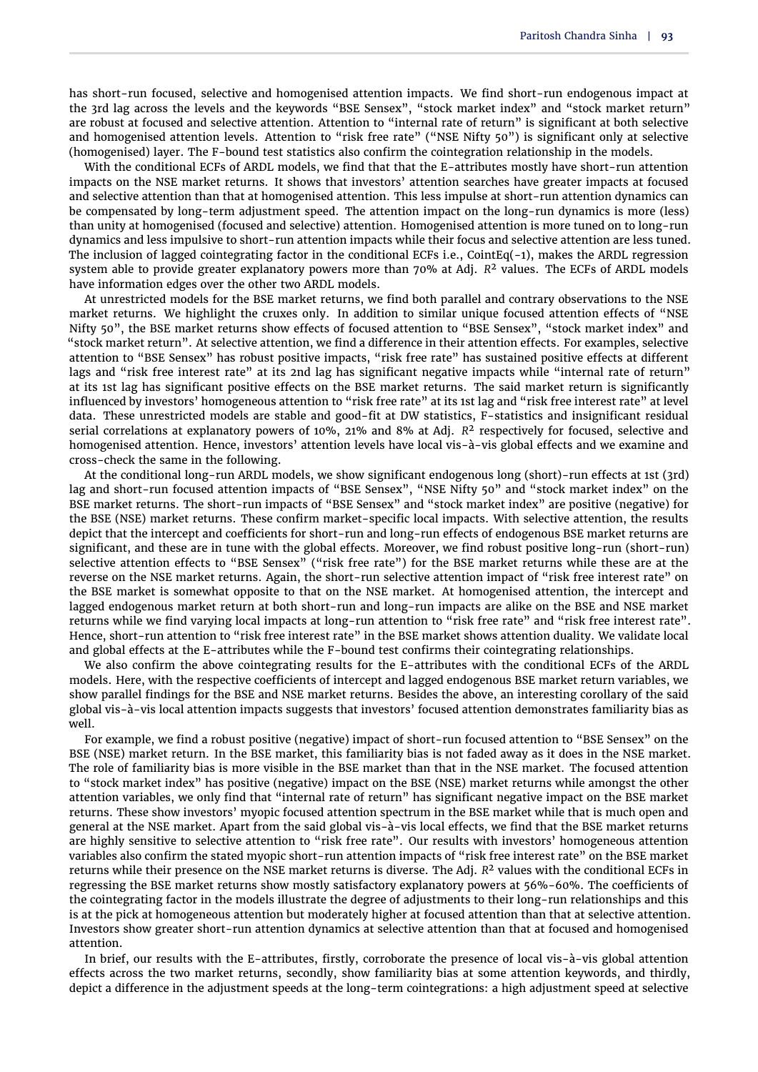has short-run focused, selective and homogenised attention impacts. We find short-run endogenous impact at the 3rd lag across the levels and the keywords "BSE Sensex", "stock market index" and "stock market return" are robust at focused and selective attention. Attention to "internal rate of return" is significant at both selective and homogenised attention levels. Attention to "risk free rate" ("NSE Nifty 50") is significant only at selective (homogenised) layer. The F-bound test statistics also confirm the cointegration relationship in the models.

With the conditional ECFs of ARDL models, we find that that the E-attributes mostly have short-run attention impacts on the NSE market returns. It shows that investors' attention searches have greater impacts at focused and selective attention than that at homogenised attention. This less impulse at short-run attention dynamics can be compensated by long-term adjustment speed. The attention impact on the long-run dynamics is more (less) than unity at homogenised (focused and selective) attention. Homogenised attention is more tuned on to long-run dynamics and less impulsive to short-run attention impacts while their focus and selective attention are less tuned. The inclusion of lagged cointegrating factor in the conditional ECFs i.e., CointEq(-1), makes the ARDL regression system able to provide greater explanatory powers more than 70% at Adj. *R* <sup>2</sup> values. The ECFs of ARDL models have information edges over the other two ARDL models.

At unrestricted models for the BSE market returns, we find both parallel and contrary observations to the NSE market returns. We highlight the cruxes only. In addition to similar unique focused attention effects of "NSE Nifty 50", the BSE market returns show effects of focused attention to "BSE Sensex", "stock market index" and "stock market return". At selective attention, we find a difference in their attention effects. For examples, selective attention to "BSE Sensex" has robust positive impacts, "risk free rate" has sustained positive effects at different lags and "risk free interest rate" at its 2nd lag has significant negative impacts while "internal rate of return" at its 1st lag has significant positive effects on the BSE market returns. The said market return is significantly influenced by investors' homogeneous attention to "risk free rate" at its 1st lag and "risk free interest rate" at level data. These unrestricted models are stable and good-fit at DW statistics, F-statistics and insignificant residual serial correlations at explanatory powers of 10%, 21% and 8% at Adj. *R* <sup>2</sup> respectively for focused, selective and homogenised attention. Hence, investors' attention levels have local vis-à-vis global effects and we examine and cross-check the same in the following.

At the conditional long-run ARDL models, we show significant endogenous long (short)-run effects at 1st (3rd) lag and short-run focused attention impacts of "BSE Sensex", "NSE Nifty 50" and "stock market index" on the BSE market returns. The short-run impacts of "BSE Sensex" and "stock market index" are positive (negative) for the BSE (NSE) market returns. These confirm market-specific local impacts. With selective attention, the results depict that the intercept and coefficients for short-run and long-run effects of endogenous BSE market returns are significant, and these are in tune with the global effects. Moreover, we find robust positive long-run (short-run) selective attention effects to "BSE Sensex" ("risk free rate") for the BSE market returns while these are at the reverse on the NSE market returns. Again, the short-run selective attention impact of "risk free interest rate" on the BSE market is somewhat opposite to that on the NSE market. At homogenised attention, the intercept and lagged endogenous market return at both short-run and long-run impacts are alike on the BSE and NSE market returns while we find varying local impacts at long-run attention to "risk free rate" and "risk free interest rate". Hence, short-run attention to "risk free interest rate" in the BSE market shows attention duality. We validate local and global effects at the E-attributes while the F-bound test confirms their cointegrating relationships.

We also confirm the above cointegrating results for the E-attributes with the conditional ECFs of the ARDL models. Here, with the respective coefficients of intercept and lagged endogenous BSE market return variables, we show parallel findings for the BSE and NSE market returns. Besides the above, an interesting corollary of the said global vis-à-vis local attention impacts suggests that investors' focused attention demonstrates familiarity bias as well.

For example, we find a robust positive (negative) impact of short-run focused attention to "BSE Sensex" on the BSE (NSE) market return. In the BSE market, this familiarity bias is not faded away as it does in the NSE market. The role of familiarity bias is more visible in the BSE market than that in the NSE market. The focused attention to "stock market index" has positive (negative) impact on the BSE (NSE) market returns while amongst the other attention variables, we only find that "internal rate of return" has significant negative impact on the BSE market returns. These show investors' myopic focused attention spectrum in the BSE market while that is much open and general at the NSE market. Apart from the said global vis-à-vis local effects, we find that the BSE market returns are highly sensitive to selective attention to "risk free rate". Our results with investors' homogeneous attention variables also confirm the stated myopic short-run attention impacts of "risk free interest rate" on the BSE market returns while their presence on the NSE market returns is diverse. The Adj. *R* <sup>2</sup> values with the conditional ECFs in regressing the BSE market returns show mostly satisfactory explanatory powers at 56%-60%. The coefficients of the cointegrating factor in the models illustrate the degree of adjustments to their long-run relationships and this is at the pick at homogeneous attention but moderately higher at focused attention than that at selective attention. Investors show greater short-run attention dynamics at selective attention than that at focused and homogenised attention.

In brief, our results with the E-attributes, firstly, corroborate the presence of local vis-à-vis global attention effects across the two market returns, secondly, show familiarity bias at some attention keywords, and thirdly, depict a difference in the adjustment speeds at the long-term cointegrations: a high adjustment speed at selective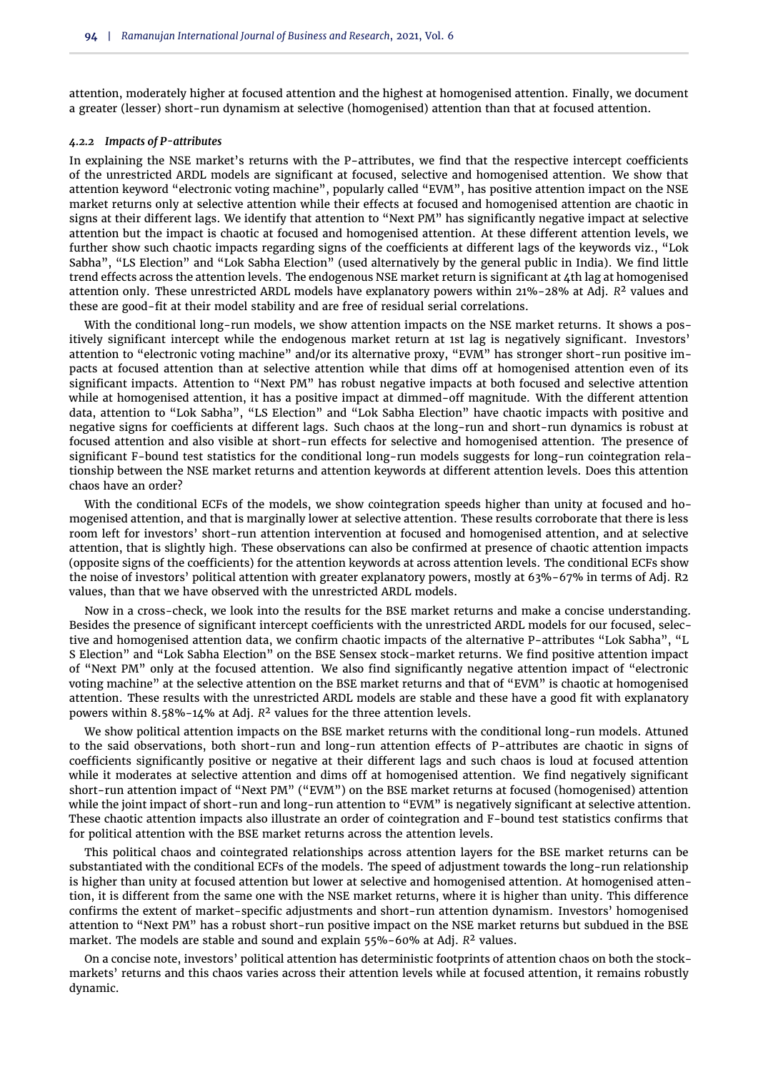attention, moderately higher at focused attention and the highest at homogenised attention. Finally, we document a greater (lesser) short-run dynamism at selective (homogenised) attention than that at focused attention.

#### *4.2.2 Impacts of P-attributes*

In explaining the NSE market's returns with the P-attributes, we find that the respective intercept coefficients of the unrestricted ARDL models are significant at focused, selective and homogenised attention. We show that attention keyword "electronic voting machine", popularly called "EVM", has positive attention impact on the NSE market returns only at selective attention while their effects at focused and homogenised attention are chaotic in signs at their different lags. We identify that attention to "Next PM" has significantly negative impact at selective attention but the impact is chaotic at focused and homogenised attention. At these different attention levels, we further show such chaotic impacts regarding signs of the coefficients at different lags of the keywords viz., "Lok Sabha", "LS Election" and "Lok Sabha Election" (used alternatively by the general public in India). We find little trend effects across the attention levels. The endogenous NSE market return is significant at 4th lag at homogenised attention only. These unrestricted ARDL models have explanatory powers within 21%-28% at Adj. *R* <sup>2</sup> values and these are good-fit at their model stability and are free of residual serial correlations.

With the conditional long-run models, we show attention impacts on the NSE market returns. It shows a positively significant intercept while the endogenous market return at 1st lag is negatively significant. Investors' attention to "electronic voting machine" and/or its alternative proxy, "EVM" has stronger short-run positive impacts at focused attention than at selective attention while that dims off at homogenised attention even of its significant impacts. Attention to "Next PM" has robust negative impacts at both focused and selective attention while at homogenised attention, it has a positive impact at dimmed-off magnitude. With the different attention data, attention to "Lok Sabha", "LS Election" and "Lok Sabha Election" have chaotic impacts with positive and negative signs for coefficients at different lags. Such chaos at the long-run and short-run dynamics is robust at focused attention and also visible at short-run effects for selective and homogenised attention. The presence of significant F-bound test statistics for the conditional long-run models suggests for long-run cointegration relationship between the NSE market returns and attention keywords at different attention levels. Does this attention chaos have an order?

With the conditional ECFs of the models, we show cointegration speeds higher than unity at focused and homogenised attention, and that is marginally lower at selective attention. These results corroborate that there is less room left for investors' short-run attention intervention at focused and homogenised attention, and at selective attention, that is slightly high. These observations can also be confirmed at presence of chaotic attention impacts (opposite signs of the coefficients) for the attention keywords at across attention levels. The conditional ECFs show the noise of investors' political attention with greater explanatory powers, mostly at 63%-67% in terms of Adj. R2 values, than that we have observed with the unrestricted ARDL models.

Now in a cross-check, we look into the results for the BSE market returns and make a concise understanding. Besides the presence of significant intercept coefficients with the unrestricted ARDL models for our focused, selective and homogenised attention data, we confirm chaotic impacts of the alternative P-attributes "Lok Sabha", "L S Election" and "Lok Sabha Election" on the BSE Sensex stock-market returns. We find positive attention impact of "Next PM" only at the focused attention. We also find significantly negative attention impact of "electronic voting machine" at the selective attention on the BSE market returns and that of "EVM" is chaotic at homogenised attention. These results with the unrestricted ARDL models are stable and these have a good fit with explanatory powers within 8.58%-14% at Adj. *R* <sup>2</sup> values for the three attention levels.

We show political attention impacts on the BSE market returns with the conditional long-run models. Attuned to the said observations, both short-run and long-run attention effects of P-attributes are chaotic in signs of coefficients significantly positive or negative at their different lags and such chaos is loud at focused attention while it moderates at selective attention and dims off at homogenised attention. We find negatively significant short-run attention impact of "Next PM" ("EVM") on the BSE market returns at focused (homogenised) attention while the joint impact of short-run and long-run attention to "EVM" is negatively significant at selective attention. These chaotic attention impacts also illustrate an order of cointegration and F-bound test statistics confirms that for political attention with the BSE market returns across the attention levels.

This political chaos and cointegrated relationships across attention layers for the BSE market returns can be substantiated with the conditional ECFs of the models. The speed of adjustment towards the long-run relationship is higher than unity at focused attention but lower at selective and homogenised attention. At homogenised attention, it is different from the same one with the NSE market returns, where it is higher than unity. This difference confirms the extent of market-specific adjustments and short-run attention dynamism. Investors' homogenised attention to "Next PM" has a robust short-run positive impact on the NSE market returns but subdued in the BSE market. The models are stable and sound and explain 55%-60% at Adj. *R* <sup>2</sup> values.

On a concise note, investors' political attention has deterministic footprints of attention chaos on both the stockmarkets' returns and this chaos varies across their attention levels while at focused attention, it remains robustly dynamic.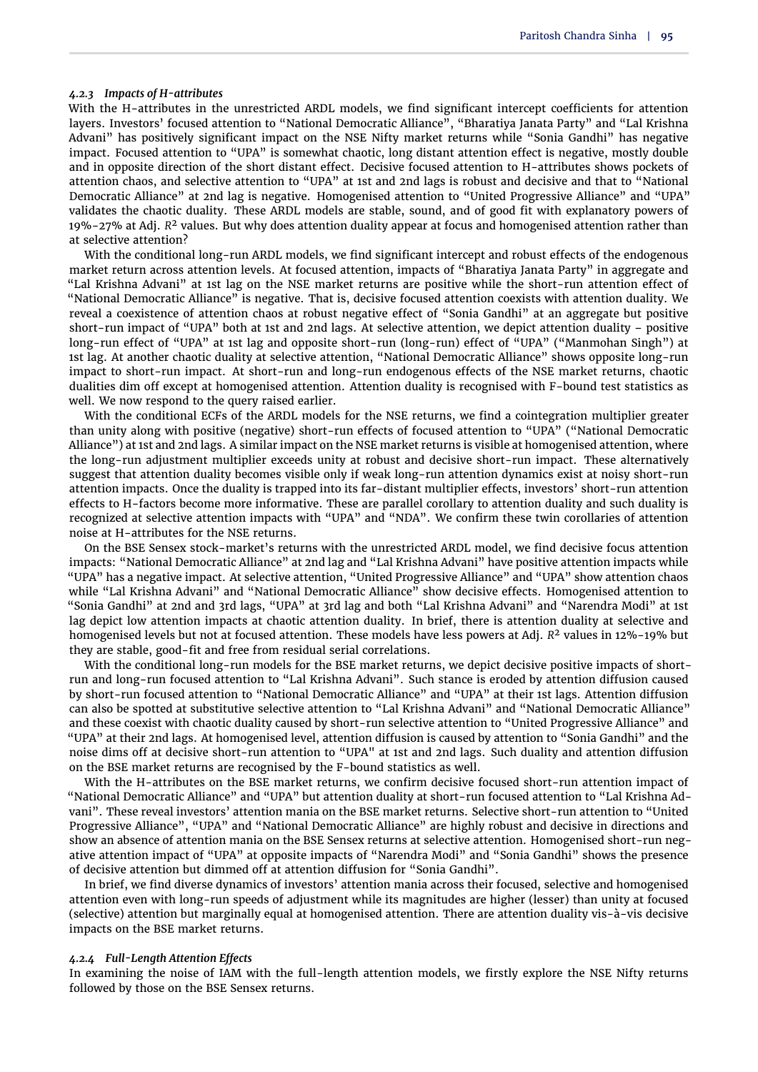#### *4.2.3 Impacts of H-attributes*

With the H-attributes in the unrestricted ARDL models, we find significant intercept coefficients for attention layers. Investors' focused attention to "National Democratic Alliance", "Bharatiya Janata Party" and "Lal Krishna Advani" has positively significant impact on the NSE Nifty market returns while "Sonia Gandhi" has negative impact. Focused attention to "UPA" is somewhat chaotic, long distant attention effect is negative, mostly double and in opposite direction of the short distant effect. Decisive focused attention to H-attributes shows pockets of attention chaos, and selective attention to "UPA" at 1st and 2nd lags is robust and decisive and that to "National Democratic Alliance" at 2nd lag is negative. Homogenised attention to "United Progressive Alliance" and "UPA" validates the chaotic duality. These ARDL models are stable, sound, and of good fit with explanatory powers of 19%-27% at Adj. *R* <sup>2</sup> values. But why does attention duality appear at focus and homogenised attention rather than at selective attention?

With the conditional long-run ARDL models, we find significant intercept and robust effects of the endogenous market return across attention levels. At focused attention, impacts of "Bharatiya Janata Party" in aggregate and "Lal Krishna Advani" at 1st lag on the NSE market returns are positive while the short-run attention effect of "National Democratic Alliance" is negative. That is, decisive focused attention coexists with attention duality. We reveal a coexistence of attention chaos at robust negative effect of "Sonia Gandhi" at an aggregate but positive short-run impact of "UPA" both at 1st and 2nd lags. At selective attention, we depict attention duality – positive long-run effect of "UPA" at 1st lag and opposite short-run (long-run) effect of "UPA" ("Manmohan Singh") at 1st lag. At another chaotic duality at selective attention, "National Democratic Alliance" shows opposite long-run impact to short-run impact. At short-run and long-run endogenous effects of the NSE market returns, chaotic dualities dim off except at homogenised attention. Attention duality is recognised with F-bound test statistics as well. We now respond to the query raised earlier.

With the conditional ECFs of the ARDL models for the NSE returns, we find a cointegration multiplier greater than unity along with positive (negative) short-run effects of focused attention to "UPA" ("National Democratic Alliance") at 1st and 2nd lags. A similar impact on the NSE market returns is visible at homogenised attention, where the long-run adjustment multiplier exceeds unity at robust and decisive short-run impact. These alternatively suggest that attention duality becomes visible only if weak long-run attention dynamics exist at noisy short-run attention impacts. Once the duality is trapped into its far-distant multiplier effects, investors' short-run attention effects to H-factors become more informative. These are parallel corollary to attention duality and such duality is recognized at selective attention impacts with "UPA" and "NDA". We confirm these twin corollaries of attention noise at H-attributes for the NSE returns.

On the BSE Sensex stock-market's returns with the unrestricted ARDL model, we find decisive focus attention impacts: "National Democratic Alliance" at 2nd lag and "Lal Krishna Advani" have positive attention impacts while "UPA" has a negative impact. At selective attention, "United Progressive Alliance" and "UPA" show attention chaos while "Lal Krishna Advani" and "National Democratic Alliance" show decisive effects. Homogenised attention to "Sonia Gandhi" at 2nd and 3rd lags, "UPA" at 3rd lag and both "Lal Krishna Advani" and "Narendra Modi" at 1st lag depict low attention impacts at chaotic attention duality. In brief, there is attention duality at selective and homogenised levels but not at focused attention. These models have less powers at Adj. *R* <sup>2</sup> values in 12%-19% but they are stable, good-fit and free from residual serial correlations.

With the conditional long-run models for the BSE market returns, we depict decisive positive impacts of shortrun and long-run focused attention to "Lal Krishna Advani". Such stance is eroded by attention diffusion caused by short-run focused attention to "National Democratic Alliance" and "UPA" at their 1st lags. Attention diffusion can also be spotted at substitutive selective attention to "Lal Krishna Advani" and "National Democratic Alliance" and these coexist with chaotic duality caused by short-run selective attention to "United Progressive Alliance" and "UPA" at their 2nd lags. At homogenised level, attention diffusion is caused by attention to "Sonia Gandhi" and the noise dims off at decisive short-run attention to "UPA" at 1st and 2nd lags. Such duality and attention diffusion on the BSE market returns are recognised by the F-bound statistics as well.

With the H-attributes on the BSE market returns, we confirm decisive focused short-run attention impact of "National Democratic Alliance" and "UPA" but attention duality at short-run focused attention to "Lal Krishna Advani". These reveal investors' attention mania on the BSE market returns. Selective short-run attention to "United Progressive Alliance", "UPA" and "National Democratic Alliance" are highly robust and decisive in directions and show an absence of attention mania on the BSE Sensex returns at selective attention. Homogenised short-run negative attention impact of "UPA" at opposite impacts of "Narendra Modi" and "Sonia Gandhi" shows the presence of decisive attention but dimmed off at attention diffusion for "Sonia Gandhi".

In brief, we find diverse dynamics of investors' attention mania across their focused, selective and homogenised attention even with long-run speeds of adjustment while its magnitudes are higher (lesser) than unity at focused (selective) attention but marginally equal at homogenised attention. There are attention duality vis-à-vis decisive impacts on the BSE market returns.

#### *4.2.4 Full-Length Attention Effects*

In examining the noise of IAM with the full-length attention models, we firstly explore the NSE Nifty returns followed by those on the BSE Sensex returns.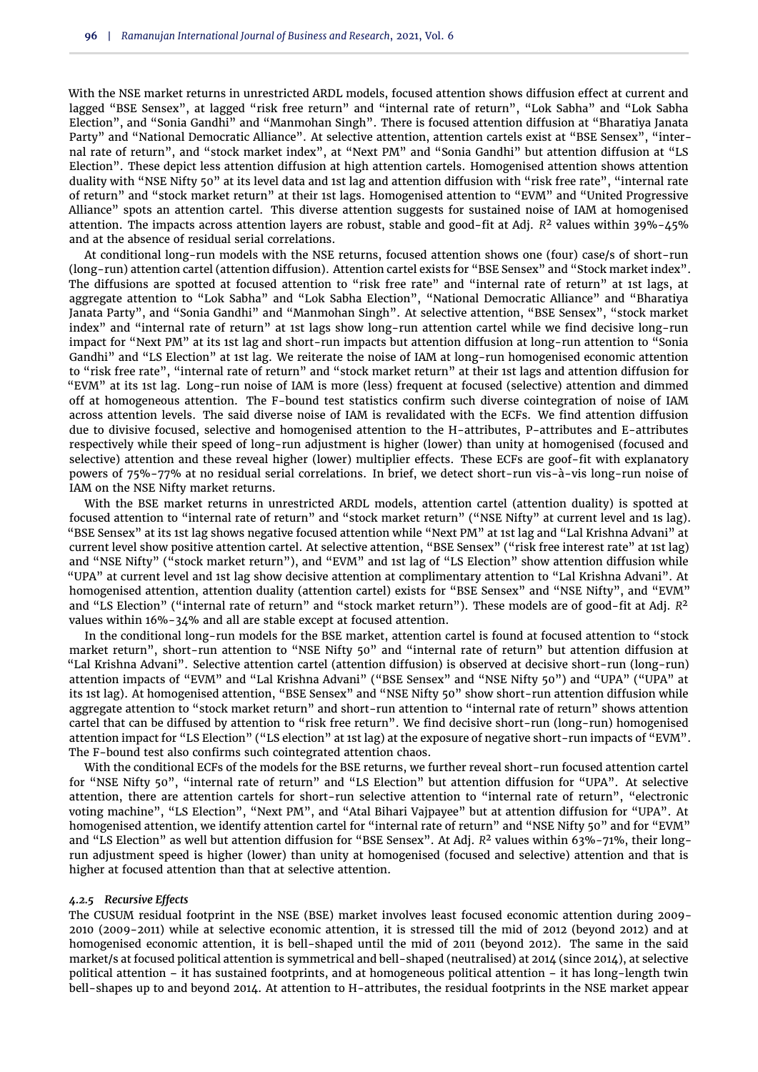With the NSE market returns in unrestricted ARDL models, focused attention shows diffusion effect at current and lagged "BSE Sensex", at lagged "risk free return" and "internal rate of return", "Lok Sabha" and "Lok Sabha Election", and "Sonia Gandhi" and "Manmohan Singh". There is focused attention diffusion at "Bharatiya Janata Party" and "National Democratic Alliance". At selective attention, attention cartels exist at "BSE Sensex", "internal rate of return", and "stock market index", at "Next PM" and "Sonia Gandhi" but attention diffusion at "LS Election". These depict less attention diffusion at high attention cartels. Homogenised attention shows attention duality with "NSE Nifty 50" at its level data and 1st lag and attention diffusion with "risk free rate", "internal rate of return" and "stock market return" at their 1st lags. Homogenised attention to "EVM" and "United Progressive Alliance" spots an attention cartel. This diverse attention suggests for sustained noise of IAM at homogenised attention. The impacts across attention layers are robust, stable and good-fit at Adj. *R* <sup>2</sup> values within 39%-45% and at the absence of residual serial correlations.

At conditional long-run models with the NSE returns, focused attention shows one (four) case/s of short-run (long-run) attention cartel (attention diffusion). Attention cartel exists for "BSE Sensex" and "Stock market index". The diffusions are spotted at focused attention to "risk free rate" and "internal rate of return" at 1st lags, at aggregate attention to "Lok Sabha" and "Lok Sabha Election", "National Democratic Alliance" and "Bharatiya Janata Party", and "Sonia Gandhi" and "Manmohan Singh". At selective attention, "BSE Sensex", "stock market index" and "internal rate of return" at 1st lags show long-run attention cartel while we find decisive long-run impact for "Next PM" at its 1st lag and short-run impacts but attention diffusion at long-run attention to "Sonia Gandhi" and "LS Election" at 1st lag. We reiterate the noise of IAM at long-run homogenised economic attention to "risk free rate", "internal rate of return" and "stock market return" at their 1st lags and attention diffusion for "EVM" at its 1st lag. Long-run noise of IAM is more (less) frequent at focused (selective) attention and dimmed off at homogeneous attention. The F-bound test statistics confirm such diverse cointegration of noise of IAM across attention levels. The said diverse noise of IAM is revalidated with the ECFs. We find attention diffusion due to divisive focused, selective and homogenised attention to the H-attributes, P-attributes and E-attributes respectively while their speed of long-run adjustment is higher (lower) than unity at homogenised (focused and selective) attention and these reveal higher (lower) multiplier effects. These ECFs are goof-fit with explanatory powers of 75%-77% at no residual serial correlations. In brief, we detect short-run vis-à-vis long-run noise of IAM on the NSE Nifty market returns.

With the BSE market returns in unrestricted ARDL models, attention cartel (attention duality) is spotted at focused attention to "internal rate of return" and "stock market return" ("NSE Nifty" at current level and 1s lag). "BSE Sensex" at its 1st lag shows negative focused attention while "Next PM" at 1st lag and "Lal Krishna Advani" at current level show positive attention cartel. At selective attention, "BSE Sensex" ("risk free interest rate" at 1st lag) and "NSE Nifty" ("stock market return"), and "EVM" and 1st lag of "LS Election" show attention diffusion while "UPA" at current level and 1st lag show decisive attention at complimentary attention to "Lal Krishna Advani". At homogenised attention, attention duality (attention cartel) exists for "BSE Sensex" and "NSE Nifty", and "EVM" and "LS Election" ("internal rate of return" and "stock market return"). These models are of good-fit at Adj. *R* 2 values within 16%-34% and all are stable except at focused attention.

In the conditional long-run models for the BSE market, attention cartel is found at focused attention to "stock market return", short-run attention to "NSE Nifty 50" and "internal rate of return" but attention diffusion at "Lal Krishna Advani". Selective attention cartel (attention diffusion) is observed at decisive short-run (long-run) attention impacts of "EVM" and "Lal Krishna Advani" ("BSE Sensex" and "NSE Nifty 50") and "UPA" ("UPA" at its 1st lag). At homogenised attention, "BSE Sensex" and "NSE Nifty 50" show short-run attention diffusion while aggregate attention to "stock market return" and short-run attention to "internal rate of return" shows attention cartel that can be diffused by attention to "risk free return". We find decisive short-run (long-run) homogenised attention impact for "LS Election" ("LS election" at 1st lag) at the exposure of negative short-run impacts of "EVM". The F-bound test also confirms such cointegrated attention chaos.

With the conditional ECFs of the models for the BSE returns, we further reveal short-run focused attention cartel for "NSE Nifty 50", "internal rate of return" and "LS Election" but attention diffusion for "UPA". At selective attention, there are attention cartels for short-run selective attention to "internal rate of return", "electronic voting machine", "LS Election", "Next PM", and "Atal Bihari Vajpayee" but at attention diffusion for "UPA". At homogenised attention, we identify attention cartel for "internal rate of return" and "NSE Nifty 50" and for "EVM" and "LS Election" as well but attention diffusion for "BSE Sensex". At Adj. *R* <sup>2</sup> values within 63%-71%, their longrun adjustment speed is higher (lower) than unity at homogenised (focused and selective) attention and that is higher at focused attention than that at selective attention.

#### *4.2.5 Recursive Effects*

The CUSUM residual footprint in the NSE (BSE) market involves least focused economic attention during 2009- 2010 (2009-2011) while at selective economic attention, it is stressed till the mid of 2012 (beyond 2012) and at homogenised economic attention, it is bell-shaped until the mid of 2011 (beyond 2012). The same in the said market/s at focused political attention is symmetrical and bell-shaped (neutralised) at 2014 (since 2014), at selective political attention – it has sustained footprints, and at homogeneous political attention – it has long-length twin bell-shapes up to and beyond 2014. At attention to H-attributes, the residual footprints in the NSE market appear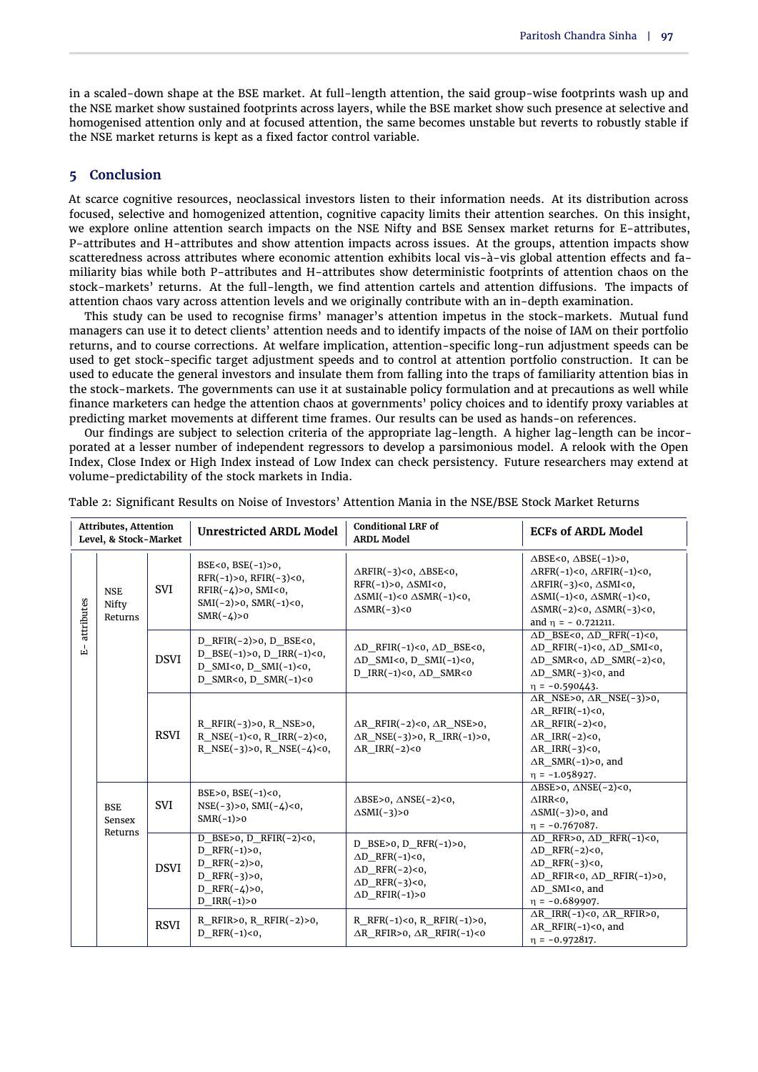in a scaled-down shape at the BSE market. At full-length attention, the said group-wise footprints wash up and the NSE market show sustained footprints across layers, while the BSE market show such presence at selective and homogenised attention only and at focused attention, the same becomes unstable but reverts to robustly stable if the NSE market returns is kept as a fixed factor control variable.

#### **5 Conclusion**

At scarce cognitive resources, neoclassical investors listen to their information needs. At its distribution across focused, selective and homogenized attention, cognitive capacity limits their attention searches. On this insight, we explore online attention search impacts on the NSE Nifty and BSE Sensex market returns for E-attributes, P-attributes and H-attributes and show attention impacts across issues. At the groups, attention impacts show scatteredness across attributes where economic attention exhibits local vis-à-vis global attention effects and familiarity bias while both P-attributes and H-attributes show deterministic footprints of attention chaos on the stock-markets' returns. At the full-length, we find attention cartels and attention diffusions. The impacts of attention chaos vary across attention levels and we originally contribute with an in-depth examination.

This study can be used to recognise firms' manager's attention impetus in the stock-markets. Mutual fund managers can use it to detect clients' attention needs and to identify impacts of the noise of IAM on their portfolio returns, and to course corrections. At welfare implication, attention-specific long-run adjustment speeds can be used to get stock-specific target adjustment speeds and to control at attention portfolio construction. It can be used to educate the general investors and insulate them from falling into the traps of familiarity attention bias in the stock-markets. The governments can use it at sustainable policy formulation and at precautions as well while finance marketers can hedge the attention chaos at governments' policy choices and to identify proxy variables at predicting market movements at different time frames. Our results can be used as hands-on references.

Our findings are subject to selection criteria of the appropriate lag-length. A higher lag-length can be incorporated at a lesser number of independent regressors to develop a parsimonious model. A relook with the Open Index, Close Index or High Index instead of Low Index can check persistency. Future researchers may extend at volume-predictability of the stock markets in India.

|            | <b>Attributes, Attention</b><br>Level, & Stock-Market |             | <b>Unrestricted ARDL Model</b>                                                                                                        | <b>Conditional LRF of</b><br><b>ARDL Model</b>                                                                                                               | <b>ECFs of ARDL Model</b>                                                                                                                                                                                                                                                           |
|------------|-------------------------------------------------------|-------------|---------------------------------------------------------------------------------------------------------------------------------------|--------------------------------------------------------------------------------------------------------------------------------------------------------------|-------------------------------------------------------------------------------------------------------------------------------------------------------------------------------------------------------------------------------------------------------------------------------------|
| attributes | <b>NSE</b><br>Nifty<br>Returns                        | SVI         | BSE<0, BSE $(-1) > 0$ ,<br>$RFR(-1) > 0$ , $RFIR(-3) < 0$ ,<br>RFIR(-4)>0, SMI<0,<br>$SMI(-2) > 0$ , $SMR(-1) < 0$ ,<br>$SMR(-4) > 0$ | $\triangle$ RFIR(-3)<0, $\triangle$ BSE<0,<br>$RFR(-1) > 0$ , $\triangle SMI < 0$ ,<br>$\triangle$ SMI(-1)<0 $\triangle$ SMR(-1)<0,<br>$\triangle$ SMR(-3)<0 | $\triangle BSE < 0$ , $\triangle BSE(-1) > 0$ ,<br>$\triangle RFR(-1) < 0$ , $\triangle RFIR(-1) < 0$ ,<br>$\triangle$ RFIR(-3)<0, $\triangle$ SMI<0,<br>$\triangle$ SMI(-1)<0, $\triangle$ SMR(-1)<0,<br>$\triangle$ SMR(-2)<0, $\triangle$ SMR(-3)<0,<br>and $\eta = -0.721211$ . |
| વ          |                                                       | <b>DSVI</b> | D RFIR $(-2) > 0$ , D BSE<0,<br>$D_BSE(-1) > 0$ , $D_RR(-1) < 0$ ,<br>D SMI<0, D SMI $(-1)$ <0,<br>D SMR<0, D SMR(-1)<0               | $\triangle D$ RFIR(-1)<0, $\triangle D$ BSE<0,<br>$\triangle D$ SMI<0, D SMI(-1)<0,<br>D IRR(-1)<0, $\triangle$ D SMR<0                                      | $\triangle D$ BSE<0, $\triangle D$ RFR(-1)<0,<br>$\triangle D$ RFIR(-1)<0, $\triangle D$ SMI<0,<br>$\triangle D$ SMR<0, $\triangle D$ SMR(-2)<0,<br>$\triangle D$ SMR(-3)<0, and<br>$\eta = -0.590443.$                                                                             |
|            |                                                       | <b>RSVI</b> | R RFIR $(-3) > 0$ , R NSE $> 0$ ,<br>R NSE $(-1)$ <0, R IRR $(-2)$ <0,<br>R_NSE(-3)>0, R_NSE(-4)<0,                                   | $\Delta R$ RFIR(-2)<0, $\Delta R$ NSE>0,<br>$\triangle R$ _NSE(-3)>0, R_IRR(-1)>0,<br>$\triangle$ R IRR(-2)<0                                                | $\triangle$ R NSE>0, $\triangle$ R NSE(-3)>0,<br>$\triangle$ R RFIR(-1)<0,<br>$\triangle$ R RFIR(-2)<0,<br>$\triangle$ R IRR(-2)<0,<br>$\triangle R$ IRR(-3)<0,<br>$\triangle$ R SMR(-1)>0, and<br>$\eta = -1.058927.$                                                              |
|            | <b>BSE</b><br>Sensex                                  | <b>SVI</b>  | $BSE>0$ , $BSE(-1) < 0$ ,<br>$NSE(-3) > 0$ , $SMI(-4) < 0$ ,<br>$SMR(-1) > 0$                                                         | $\triangle BSE>0$ , $\triangle NSE(-2)<0$ ,<br>$\triangle$ SMI(-3)>0                                                                                         | $\triangle BSE>0$ , $\triangle NSE(-2)<0$ ,<br>$\triangle$ IRR<0,<br>$\triangle$ SMI(-3)>0, and<br>$\eta = -0.767087.$                                                                                                                                                              |
|            | Returns                                               | <b>DSVI</b> | D BSE>0, D RFIR $(-2)$ <0,<br>D RFR $(-1) > 0$ ,<br>D RFR $(-2) > 0$ ,<br>D RFR $(-3) > 0$ ,<br>D RFR $(-4) > 0$ ,<br>D $IRR(-1) > 0$ | D BSE>0, D RFR $(-1)$ >0,<br>$\triangle D$ RFR $(-1)$ <0,<br>$\triangle D$ RFR(-2)<0,<br>$\triangle D$ RFR(-3)<0,<br>$\triangle D$ RFIR(-1)>0                | $\Delta D$ RFR>0, $\Delta D$ RFR(-1)<0,<br>$\triangle D$ RFR(-2)<0,<br>$\triangle D$ RFR(-3)<0,<br>$\triangle$ D RFIR<0, $\triangle$ D RFIR(-1)>0,<br>$\triangle$ D SMI<0, and<br>$\eta = -0.689907.$                                                                               |
|            |                                                       | <b>RSVI</b> | R_RFIR>0, R_RFIR(-2)>0,<br>D RFR $(-1)$ <0,                                                                                           | R RFR $(-1)$ <0, R RFIR $(-1)$ >0,<br>$\triangle$ R RFIR>0, $\triangle$ R RFIR(-1)<0                                                                         | $\triangle R$ IRR(-1)<0, $\triangle R$ RFIR>0,<br>$\triangle$ R RFIR(-1)<0, and<br>$\eta = -0.972817.$                                                                                                                                                                              |

Table 2: Significant Results on Noise of Investors' Attention Mania in the NSE/BSE Stock Market Returns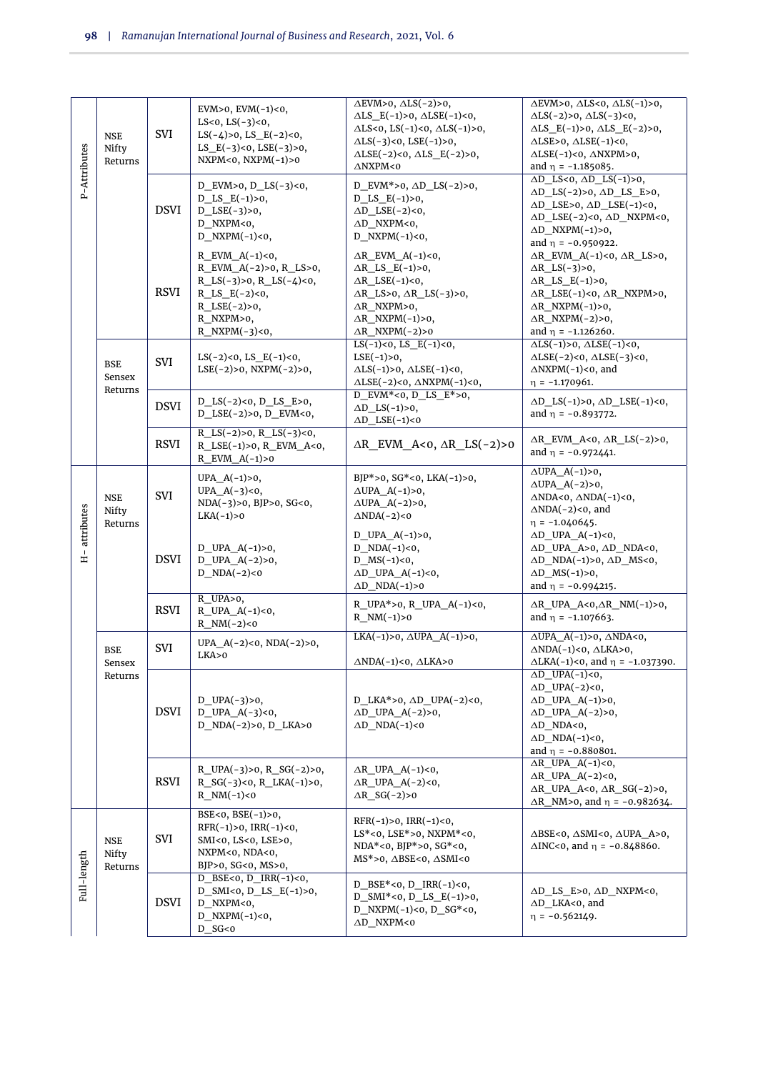| P-Attributes        | <b>NSE</b><br>Nifty<br>Returns  | SVI         | EVM>0, EVM $(-1)$ <0,<br>LS<0, LS $(-3)$ <0,<br>LS $(-4) > 0$ , LS E $(-2) < 0$ ,<br>LS_E $(-3)$ <0, LSE $(-3)$ >0,<br>NXPM<0, NXPM $(-1)$ >0                                       | $\overline{\triangle EVM>0, \triangle LS(-2)>0,}$<br>$\triangle LS$ $E(-1) > 0$ , $\triangle LSE(-1) < 0$ ,<br>$\triangle$ LS<0, LS(-1)<0, $\triangle$ LS(-1)>0,<br>$\Delta LS(-3) < 0$ , $LSE(-1) > 0$ ,<br>$\triangle LSE(-2)<0, \triangle LS_E(-2)>0,$<br>$\triangle$ NXPM<0 | $\overline{\triangle EVM>0, \triangle LS<0, \triangle LS(-1)}>0,$<br>$\Delta LS(-2) > 0$ , $\Delta LS(-3) < 0$ ,<br>$\triangle LS_E(-1) > 0$ , $\triangle LS_E(-2) > 0$ ,<br>$\triangle LSE>0$ , $\triangle LSE(-1)<0$ ,<br>$\triangle LSE(-1) < 0$ , $\triangle NXPM>0$ ,<br>and $\eta = -1.185085$ . |
|---------------------|---------------------------------|-------------|-------------------------------------------------------------------------------------------------------------------------------------------------------------------------------------|---------------------------------------------------------------------------------------------------------------------------------------------------------------------------------------------------------------------------------------------------------------------------------|--------------------------------------------------------------------------------------------------------------------------------------------------------------------------------------------------------------------------------------------------------------------------------------------------------|
|                     |                                 | <b>DSVI</b> | $D$ EVM $>0$ , $D$ LS $(-3)$ <0,<br>D LS $E(-1) > 0$ ,<br>$D$ _LSE(-3)>0,<br>D NXPM<0,<br>$D_NXPM(-1)<0,$                                                                           | $D$ _EVM*>0, $\Delta D$ _LS(-2)>0,<br>D LS $E(-1) > 0$ ,<br>$\Delta D$ _LSE(-2)<0,<br>$\triangle D$ NXPM<0,<br>$D$ NXPM $(-1)$ <0,                                                                                                                                              | $\triangle D$ LS<0, $\triangle D$ LS(-1)>0,<br>$\Delta D$ <sub>_</sub> LS(-2)>0, $\Delta D$ <sub>_</sub> LS_E>0,<br>$\triangle D$ LSE>0, $\triangle D$ LSE(-1)<0,<br>$\Delta D$ _LSE(-2)<0, $\Delta D$ _NXPM<0,<br>$\triangle D$ NXPM(-1)>0,<br>and $\eta = -0.950922$ .                               |
|                     |                                 | <b>RSVI</b> | R EVM $A(-1) < 0$ ,<br>R_EVM_A(-2)>0, R_LS>0,<br>$R_{LS}(-3) > 0$ , $R_{LS}(-4) < 0$ ,<br>$R$ <sub>LS</sub> $_E(-2) < 0$ ,<br>$R$ _LSE $(-2) > 0$ ,<br>R_NXPM>0,<br>$R_NXPM(-3)<0,$ | $\Delta R$ EVM $A(-1) < 0$ ,<br>$\triangle R$ <sub>LS</sub> $E(-1) > 0$ ,<br>$\triangle R$ LSE(-1)<0,<br>$\Delta R$ <sub>LS</sub> >0, $\Delta R$ <sub>LS</sub> (-3)>0,<br>$\triangle$ R NXPM>0,<br>$\triangle$ R NXPM(-1)>0,<br>$\triangle$ R NXPM(-2)>0                        | $\triangle R$ EVM $A(-1) < 0$ , $\triangle R$ LS>0,<br>$\triangle R$ <sub>LS</sub> $(-3)$ >0,<br>$\triangle R$ LS $E(-1) > 0$ ,<br>$\Delta R$ _LSE(-1)<0, $\Delta R$ _NXPM>0,<br>$\triangle R$ NXPM(-1)>0,<br>$\triangle$ R NXPM(-2)>0,<br>and $\eta = -1.126260$ .                                    |
|                     | <b>BSE</b><br>Sensex<br>Returns | SVI         | LS $(-2)$ <0, LS $_E(-1)$ <0,<br>LSE(-2)>0, NXPM(-2)>0,                                                                                                                             | LS $(-1)$ <0, LS $_E(-1)$ <0,<br>$LSE(-1) > 0$ ,<br>$\Delta LS(-1) > 0$ , $\Delta LSE(-1) < 0$ ,<br>$\triangle LSE(-2)<0, \triangle NXPM(-1)<0,$                                                                                                                                | $\triangle LS(-1) > 0$ , $\triangle LSE(-1) < 0$ ,<br>$\triangle LSE(-2)<0$ , $\triangle LSE(-3)<0$ ,<br>$\triangle$ NXPM(-1)<0, and<br>$\eta$ = -1.170961.                                                                                                                                            |
|                     |                                 | <b>DSVI</b> | D LS $(-2)$ <0, D LS E>0,<br>$D$ _LSE(-2)>0, D_EVM<0,                                                                                                                               | $D$ EVM*<0, D LS E*>0,<br>$\triangle D$ LS(-1)>0,<br>$\triangle D$ _LSE(-1)<0                                                                                                                                                                                                   | $\Delta D$ <sub>LS</sub> $(-1)$ >0, $\Delta D$ <sub>LSE</sub> $(-1)$ <0,<br>and $\eta = -0.893772$ .                                                                                                                                                                                                   |
|                     |                                 | <b>RSVI</b> | R LS(-2)>0, R LS(-3)<0,<br>R_LSE(-1)>0, R_EVM_A<0,<br>R EVM $A(-1) > 0$                                                                                                             | $\triangle R$ EVM $\triangle$ <0, $\triangle R$ LS(-2)>0                                                                                                                                                                                                                        | $\triangle R$ EVM $A < 0$ , $\triangle R$ LS(-2)>0,<br>and $\eta = -0.972441$ .                                                                                                                                                                                                                        |
|                     | <b>NSE</b><br>Nifty             | SVI         | $UPA_A(-1) > 0$ ,<br>$UPA_A(-3)0$ ,<br>NDA(-3)>0, BJP>0, SG<0,<br>$LKA(-1) > 0$                                                                                                     | $BJP*>0$ , $SG*<0$ , LKA(-1)>0,<br>$\triangle$ UPA $A(-1) > 0$ ,<br>$\triangle$ UPA $_A$ (-2)>0,<br>$\triangle NDA(-2)0$                                                                                                                                                        | $\triangle$ UPA $A(-1) > 0$ ,<br>$\triangle$ UPA $_A$ (-2)>0,<br>$\triangle NDA<0$ , $\triangle NDA(-1)<0$ ,<br>$\triangle NDA(-2) < 0$ , and<br>$\eta = -1.040645.$                                                                                                                                   |
| attributes<br>$\pm$ | Returns                         | <b>DSVI</b> | D UPA $A(-1) > 0$ ,<br>$D$ _UPA_A(-2)>0,<br>$D$ NDA $(-2)$ <0                                                                                                                       | $D$ UPA $A(-1) > 0$ ,<br>D $NDA(-1) < 0$ ,<br>$D_MS(-1) < 0$ ,<br>$\triangle$ D_UPA_A(-1)<0,<br>$\triangle$ D NDA(-1)>0                                                                                                                                                         | $\Delta D$ UPA $A(-1) < 0$ ,<br>$\triangle$ D UPA A>0, $\triangle$ D NDA<0,<br>$\Delta D \text{ } NDA(-1) > 0, \ \Delta D \text{ } MS < 0,$<br>$\triangle D$ MS(-1)>0,<br>and $\eta = -0.994215$ .                                                                                                     |
|                     |                                 | <b>RSVI</b> | $R$ UPA $>0$ ,<br>$R$ _UPA_A(-1)<0,<br>R $NM(-2) < 0$                                                                                                                               | R_UPA*>0, R_UPA_A(-1)<0,<br>R $NM(-1)>0$                                                                                                                                                                                                                                        | $\triangle R$ _UPA_A<0, $\triangle R$ _NM(-1)>0,<br>and $\eta = -1.107663$ .                                                                                                                                                                                                                           |
|                     | <b>BSE</b><br>Sensex            | SVI         | UPA_A(-2)<0, NDA(-2)>0,<br>LKA>0                                                                                                                                                    | LKA(-1)>0, $\triangle$ UPA_A(-1)>0,<br>$\triangle NDA(-1)0, \triangle LKA>0$                                                                                                                                                                                                    | $\triangle$ UPA $A(-1) > 0$ , $\triangle$ NDA<0,<br>$\triangle NDA(-1)<0$ , $\triangle LKA>0$ ,<br>$\triangle LKA(-1)<0$ , and $\eta = -1.037390$ .                                                                                                                                                    |
|                     | Returns                         | <b>DSVI</b> | D UPA $(-3) > 0$ ,<br>$D$ _UPA_A(-3)<0,<br>D_NDA(-2)>0, D_LKA>0                                                                                                                     | D LKA*>0, $\triangle$ D UPA(-2)<0,<br>$\Delta D$ UPA $A(-2) > 0$ ,<br>$\Delta D$ NDA(-1)<0                                                                                                                                                                                      | $\triangle$ D_UPA(-1)<0,<br>$\triangle$ D_UPA(-2)<0,<br>$\triangle$ D_UPA_A(-1)>0,<br>$\triangle$ D UPA A(-2)>0,<br>$\triangle$ D NDA<0,<br>$\triangle D$ NDA(-1)<0,<br>and $\eta = -0.880801$ .                                                                                                       |
|                     |                                 | <b>RSVI</b> | R_UPA $(-3) > 0$ , R_SG $(-2) > 0$ ,<br>$R_S(G(-3) < 0, R_LKA(-1) > 0,$<br>$R$ NM(-1)<0                                                                                             | $\triangle$ R UPA A $(-1)$ <0,<br>$\triangle R$ UPA $A(-2) < 0$ ,<br>$\triangle R_S(G(-2)>0$                                                                                                                                                                                    | $\triangle R$ _UPA_A(-1)<0,<br>$\triangle R$ _UPA_A(-2)<0,<br>$\Delta R$ _UPA_A<0, $\Delta R$ _SG(-2)>0,<br>$\Delta R$ NM>0, and $\eta$ = -0.982634.                                                                                                                                                   |
|                     | <b>NSE</b><br>Nifty<br>Returns  | SVI         | BSE<0, BSE(-1)>0,<br>$RFR(-1) > 0$ , $IRR(-1) < 0$ ,<br>SMI<0, LS<0, LSE>0,<br>NXPM<0, NDA<0,<br>BJP>0, SG<0, MS>0,                                                                 | $RFR(-1) > 0$ , $IRR(-1) < 0$ ,<br>$LS^* < 0$ , $LSE^* > 0$ , $NXPM^* < 0$ ,<br>$NDA*<0$ , $BIP*>0$ , $SG*<0$ ,<br>$MS* > 0$ , $\triangle BSE < 0$ , $\triangle SMI < 0$                                                                                                        | $\triangle BSE < 0$ , $\triangle SMI < 0$ , $\triangle UPA$ A>0,<br>$\triangle$ INC<0, and $\eta = -0.848860$ .                                                                                                                                                                                        |
| Full-length         |                                 | <b>DSVI</b> | $D_BSE < 0, D_RR(-1) < 0,$<br>$D$ _SMI<0, D_LS_E(-1)>0,<br>D NXPM<0,<br>$D_NXPM(-1)<0,$<br>$D_SG<0$                                                                                 | $D_BSE*<0$ , $D_RRR(-1)<0$ ,<br>D SMI*<0, D LS $E(-1) > 0$ ,<br>$D_NXPM(-1) < 0$ , $D_SG^* < 0$ ,<br>$\triangle D$ NXPM<0                                                                                                                                                       | $\Delta D$ LS E>0, $\Delta D$ NXPM<0,<br>$\triangle$ D LKA<0, and<br>$\eta = -0.562149.$                                                                                                                                                                                                               |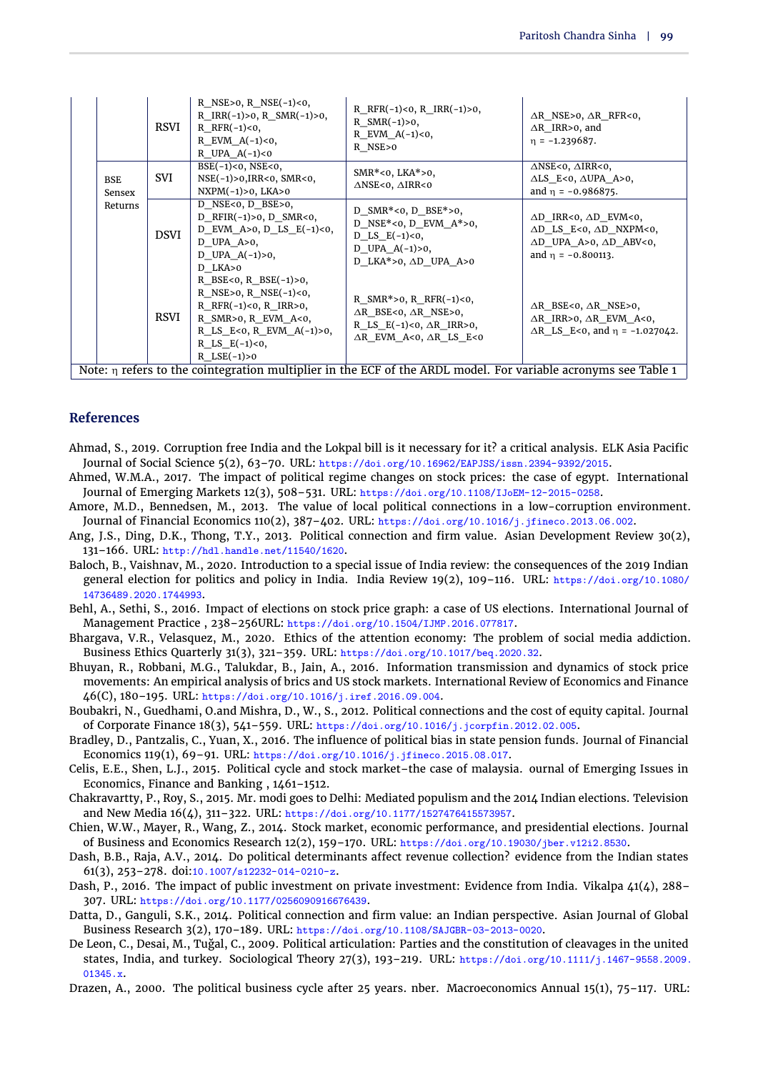|                      | RSVI        | R NSE>0, R NSE $(-1)$ <0,<br>R $IRR(-1) > 0$ , R $SMR(-1) > 0$ ,<br>R $RFR(-1) < 0$ ,<br>R EVM $A(-1) < 0$ ,<br>R UPA $A(-1) < 0$                                                                    | R RFR $(-1)$ <0, R IRR $(-1)$ >0,<br>R $SMR(-1) > 0$ ,<br>R EVM $A(-1) < 0$ ,<br>R NSE>0                                                                | $\triangle$ R NSE>0, $\triangle$ R RFR<0,<br>$\triangle$ R IRR>0, and<br>$n = -1.239687$ .                                                                     |
|----------------------|-------------|------------------------------------------------------------------------------------------------------------------------------------------------------------------------------------------------------|---------------------------------------------------------------------------------------------------------------------------------------------------------|----------------------------------------------------------------------------------------------------------------------------------------------------------------|
| <b>BSE</b><br>Sensex | SVI         | $BSE(-1) < 0$ , NSE $< 0$ ,<br>$NSE(-1) > 0, IRR < 0, SMR < 0,$<br>$NXPM(-1) > 0$ , LKA $> 0$                                                                                                        | $SMR*<0$ , LKA $*>0$ ,<br>$\triangle$ NSE<0, $\triangle$ IRR<0                                                                                          | $\triangle$ NSE<0, $\triangle$ IRR<0,<br>$\triangle$ LS E<0, $\triangle$ UPA A>0,<br>and $\eta = -0.986875$ .                                                  |
| Returns              | <b>DSVI</b> | $D$ NSE<0, $D$ BSE>0,<br>D RFIR $(-1) > 0$ , D SMR<0,<br>D EVM A>0, D LS $E(-1) < 0$ ,<br>$D$ UPA $A>0$ ,<br>D UPA $A(-1) > 0$ ,<br>D LKA>0                                                          | D SMR*<0, D BSE*>0,<br>D NSE*<0, D EVM $A^*>0$ ,<br>D LS $E(-1) < 0$ ,<br>D UPA $A(-1) > 0$ ,<br>D LKA*>0, $\triangle$ D UPA A>0                        | $\triangle$ D IRR<0, $\triangle$ D EVM<0,<br>$\Delta D$ LS_E<0, $\Delta D$ _NXPM<0,<br>$\triangle$ D UPA A>0, $\triangle$ D ABV<0,<br>and $\eta = -0.800113$ . |
|                      | RSVI        | R BSE<0, R BSE $(-1) > 0$ ,<br>R NSE>0, R NSE $(-1)$ <0,<br>R $RFR(-1) < 0$ , R $IRR > 0$ ,<br>R SMR> $o$ , R EVM A< $o$ ,<br>R LS E<0, R EVM $A(-1) > 0$ ,<br>R LS $E(-1) < 0$ ,<br>R $LSE(-1) > 0$ | R_SMR*>0, R_RFR(-1)<0,<br>$\triangle$ R BSE<0, $\triangle$ R NSE>0,<br>R LS $E(-1) < 0$ , $\triangle R$ IRR>0,<br>$\Delta R$ EVM A<0, $\Delta R$ LS E<0 | $\triangle$ R BSE<0, $\triangle$ R NSE>0,<br>$\Delta$ R IRR>0, $\Delta$ R EVM A<0,<br>$\triangle$ R LS E<0, and $\eta$ = -1.027042.                            |
|                      |             |                                                                                                                                                                                                      | Note: $\eta$ refers to the cointegration multiplier in the ECF of the ARDL model. For variable acronyms see Table 1                                     |                                                                                                                                                                |

#### **References**

- <span id="page-12-4"></span>Ahmad, S., 2019. Corruption free India and the Lokpal bill is it necessary for it? a critical analysis. ELK Asia Pacific Journal of Social Science 5(2), 63–70. URL: https://doi.org/10.16962/EAPJSS/issn.2394-9392/2015.
- <span id="page-12-0"></span>Ahmed, W.M.A., 2017. The impact of political regime changes on stock prices: the case of egypt. International Journal of Emerging Markets 12(3), 508–531. URL: https://doi.org/10.1108/IJoEM-12-2015-0258.
- <span id="page-12-13"></span>Amore, M.D., Bennedsen, M., 2013. The value of local political connections in a low-corruption environment. Journal of Financial Economics 110(2), 387–402. URL: https://doi.org/10.1016/j.jfineco.2013.06.002.
- <span id="page-12-11"></span>Ang, J.S., Ding, D.K., Thong, T.Y., 2013. Political connection and firm value. Asian Development Review 30(2), 131–166. URL: http://hdl.handle.net/11540/1620.
- <span id="page-12-7"></span>Baloch, B., Vaishnav, M., 2020. Introduction to a special issue of India review: the consequences of the 2019 Indian general election for politics and policy in India. India Review 19(2), 109–116. URL: https://doi.org/10.1080/ 14736489.2020.1744993.
- <span id="page-12-1"></span>Behl, A., Sethi, S., 2016. Impact of elections on stock price graph: a case of US elections. International Journal of Management Practice , 238–256URL: https://doi.org/10.1504/IJMP.2016.077817.
- <span id="page-12-17"></span>Bhargava, V.R., Velasquez, M., 2020. Ethics of the attention economy: The problem of social media addiction. Business Ethics Quarterly 31(3), 321–359. URL: https://doi.org/10.1017/beq.2020.32.
- <span id="page-12-3"></span>Bhuyan, R., Robbani, M.G., Talukdar, B., Jain, A., 2016. Information transmission and dynamics of stock price movements: An empirical analysis of brics and US stock markets. International Review of Economics and Finance 46(C), 180–195. URL: https://doi.org/10.1016/j.iref.2016.09.004.
- <span id="page-12-12"></span>Boubakri, N., Guedhami, O.and Mishra, D., W., S., 2012. Political connections and the cost of equity capital. Journal of Corporate Finance 18(3), 541–559. URL: https://doi.org/10.1016/j.jcorpfin.2012.02.005.
- <span id="page-12-14"></span>Bradley, D., Pantzalis, C., Yuan, X., 2016. The influence of political bias in state pension funds. Journal of Financial Economics 119(1), 69–91. URL: https://doi.org/10.1016/j.jfineco.2015.08.017.
- <span id="page-12-10"></span>Celis, E.E., Shen, L.J., 2015. Political cycle and stock market–the case of malaysia. ournal of Emerging Issues in Economics, Finance and Banking , 1461–1512.
- <span id="page-12-5"></span>Chakravartty, P., Roy, S., 2015. Mr. modi goes to Delhi: Mediated populism and the 2014 Indian elections. Television and New Media 16(4), 311–322. URL: https://doi.org/10.1177/1527476415573957.
- <span id="page-12-2"></span>Chien, W.W., Mayer, R., Wang, Z., 2014. Stock market, economic performance, and presidential elections. Journal of Business and Economics Research 12(2), 159–170. URL: https://doi.org/10.19030/jber.v12i2.8530.
- <span id="page-12-9"></span>Dash, B.B., Raja, A.V., 2014. Do political determinants affect revenue collection? evidence from the Indian states 61(3), 253–278. doi:10.1007/s12232-014-0210-z.
- <span id="page-12-15"></span>Dash, P., 2016. The impact of public investment on private investment: Evidence from India. Vikalpa  $\mathcal{L}1(\mathcal{L})$ , 288– 307. URL: https://doi.org/10.1177/0256090916676439.
- <span id="page-12-16"></span>Datta, D., Ganguli, S.K., 2014. Political connection and firm value: an Indian perspective. Asian Journal of Global Business Research 3(2), 170–189. URL: https://doi.org/10.1108/SAJGBR-03-2013-0020.
- <span id="page-12-6"></span>De Leon, C., Desai, M., Tuğal, C., 2009. Political articulation: Parties and the constitution of cleavages in the united states, India, and turkey. Sociological Theory 27(3), 193–219. URL: https://doi.org/10.1111/j.1467-9558.2009.  $01345 x$

<span id="page-12-8"></span>Drazen, A., 2000. The political business cycle after 25 years. nber. Macroeconomics Annual 15(1), 75–117. URL: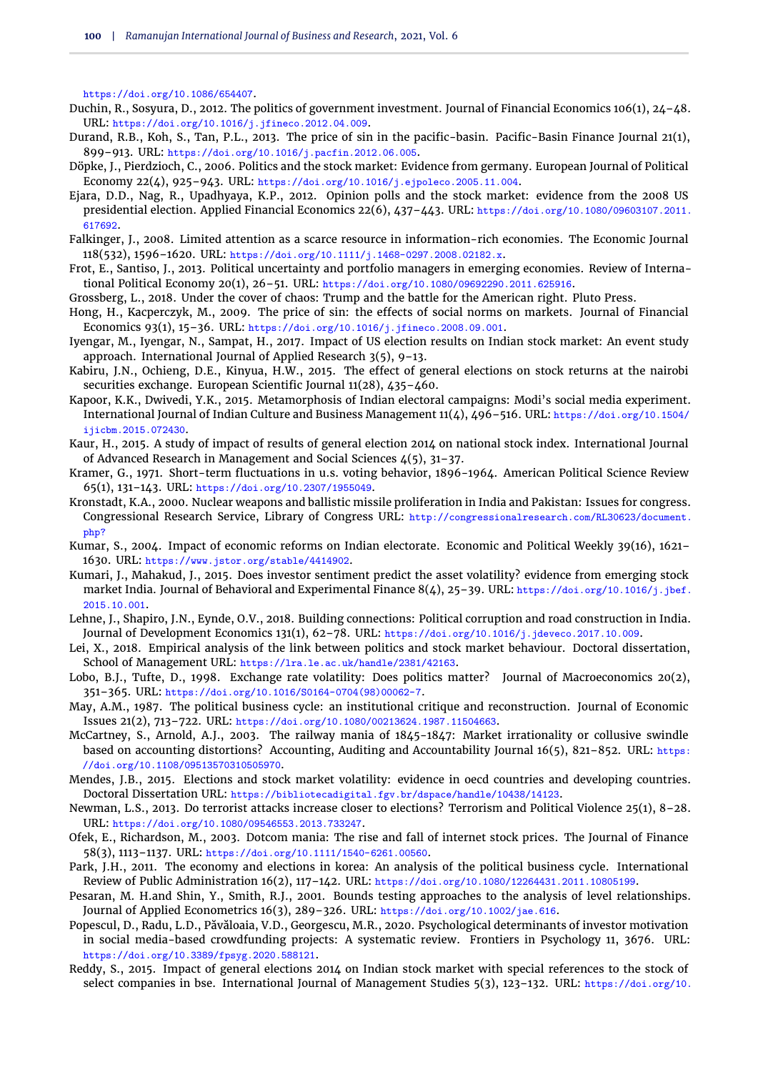https://doi.org/10.1086/654407.

- <span id="page-13-15"></span>Duchin, R., Sosyura, D., 2012. The politics of government investment. Journal of Financial Economics 106(1), 24–48. URL: https://doi.org/10.1016/j.jfineco.2012.04.009.
- <span id="page-13-19"></span>Durand, R.B., Koh, S., Tan, P.L., 2013. The price of sin in the pacific-basin. Pacific-Basin Finance Journal 21(1), 899–913. URL: https://doi.org/10.1016/j.pacfin.2012.06.005.
- <span id="page-13-17"></span>Döpke, J., Pierdzioch, C., 2006. Politics and the stock market: Evidence from germany. European Journal of Political Economy 22(4), 925–943. URL: https://doi.org/10.1016/j.ejpoleco.2005.11.004.
- <span id="page-13-1"></span>Ejara, D.D., Nag, R., Upadhyaya, K.P., 2012. Opinion polls and the stock market: evidence from the 2008 US presidential election. Applied Financial Economics 22(6), 437–443. URL: https://doi.org/10.1080/09603107.2011. 617692.
- <span id="page-13-26"></span>Falkinger, J., 2008. Limited attention as a scarce resource in information-rich economies. The Economic Journal 118(532), 1596–1620. URL: https://doi.org/10.1111/j.1468-0297.2008.02182.x.
- <span id="page-13-21"></span>Frot, E., Santiso, J., 2013. Political uncertainty and portfolio managers in emerging economies. Review of International Political Economy 20(1), 26–51. URL: https://doi.org/10.1080/09692290.2011.625916.
- <span id="page-13-8"></span>Grossberg, L., 2018. Under the cover of chaos: Trump and the battle for the American right. Pluto Press.
- <span id="page-13-18"></span>Hong, H., Kacperczyk, M., 2009. The price of sin: the effects of social norms on markets. Journal of Financial Economics 93(1), 15–36. URL: https://doi.org/10.1016/j.jfineco.2008.09.001.
- <span id="page-13-16"></span>Iyengar, M., Iyengar, N., Sampat, H., 2017. Impact of US election results on Indian stock market: An event study approach. International Journal of Applied Research 3(5), 9–13.
- <span id="page-13-9"></span>Kabiru, J.N., Ochieng, D.E., Kinyua, H.W., 2015. The effect of general elections on stock returns at the nairobi securities exchange. European Scientific Journal 11(28), 435–460.
- <span id="page-13-4"></span>Kapoor, K.K., Dwivedi, Y.K., 2015. Metamorphosis of Indian electoral campaigns: Modi's social media experiment. International Journal of Indian Culture and Business Management 11(4), 496–516. URL: https://doi.org/10.1504/ ijicbm.2015.072430.
- <span id="page-13-23"></span>Kaur, H., 2015. A study of impact of results of general election 2014 on national stock index. International Journal of Advanced Research in Management and Social Sciences 4(5), 31–37.
- <span id="page-13-12"></span>Kramer, G., 1971. Short-term fluctuations in u.s. voting behavior, 1896-1964. American Political Science Review 65(1), 131–143. URL: https://doi.org/10.2307/1955049.
- <span id="page-13-6"></span>Kronstadt, K.A., 2000. Nuclear weapons and ballistic missile proliferation in India and Pakistan: Issues for congress. Congressional Research Service, Library of Congress URL: http://congressionalresearch.com/RL30623/document. php?
- <span id="page-13-7"></span>Kumar, S., 2004. Impact of economic reforms on Indian electorate. Economic and Political Weekly 39(16), 1621– 1630. URL: https://www.jstor.org/stable/4414902.
- <span id="page-13-3"></span>Kumari, J., Mahakud, J., 2015. Does investor sentiment predict the asset volatility? evidence from emerging stock market India. Journal of Behavioral and Experimental Finance 8(4), 25-39. URL: https://doi.org/10.1016/j.jbef. 2015.10.001.
- <span id="page-13-2"></span>Lehne, J., Shapiro, J.N., Eynde, O.V., 2018. Building connections: Political corruption and road construction in India. Journal of Development Economics 131(1), 62–78. URL: https://doi.org/10.1016/j.jdeveco.2017.10.009.
- <span id="page-13-14"></span>Lei, X., 2018. Empirical analysis of the link between politics and stock market behaviour. Doctoral dissertation, School of Management URL: https://lra.le.ac.uk/handle/2381/42163.
- <span id="page-13-13"></span>Lobo, B.J., Tufte, D., 1998. Exchange rate volatility: Does politics matter? Journal of Macroeconomics 20(2), 351–365. URL: https://doi.org/10.1016/S0164-0704(98)00062-7.
- <span id="page-13-10"></span>May, A.M., 1987. The political business cycle: an institutional critique and reconstruction. Journal of Economic Issues 21(2), 713–722. URL: https://doi.org/10.1080/00213624.1987.11504663.
- <span id="page-13-24"></span>McCartney, S., Arnold, A.J., 2003. The railway mania of 1845-1847: Market irrationality or collusive swindle based on accounting distortions? Accounting, Auditing and Accountability Journal 16(5), 821–852. URL: https: //doi.org/10.1108/09513570310505970.
- <span id="page-13-20"></span>Mendes, J.B., 2015. Elections and stock market volatility: evidence in oecd countries and developing countries. Doctoral Dissertation URL: https://bibliotecadigital.fgv.br/dspace/handle/10438/14123.
- <span id="page-13-5"></span>Newman, L.S., 2013. Do terrorist attacks increase closer to elections? Terrorism and Political Violence 25(1), 8–28. URL: https://doi.org/10.1080/09546553.2013.733247.
- <span id="page-13-25"></span>Ofek, E., Richardson, M., 2003. Dotcom mania: The rise and fall of internet stock prices. The Journal of Finance 58(3), 1113–1137. URL: https://doi.org/10.1111/1540-6261.00560.
- <span id="page-13-11"></span>Park, J.H., 2011. The economy and elections in korea: An analysis of the political business cycle. International Review of Public Administration 16(2), 117–142. URL: https://doi.org/10.1080/12264431.2011.10805199.
- <span id="page-13-27"></span>Pesaran, M. H.and Shin, Y., Smith, R.J., 2001. Bounds testing approaches to the analysis of level relationships. Journal of Applied Econometrics 16(3), 289–326. URL: https://doi.org/10.1002/jae.616.
- <span id="page-13-0"></span>Popescul, D., Radu, L.D., Păvăloaia, V.D., Georgescu, M.R., 2020. Psychological determinants of investor motivation in social media-based crowdfunding projects: A systematic review. Frontiers in Psychology 11, 3676. URL: https://doi.org/10.3389/fpsyg.2020.588121.
- <span id="page-13-22"></span>Reddy, S., 2015. Impact of general elections 2014 on Indian stock market with special references to the stock of select companies in bse. International Journal of Management Studies 5(3), 123-132. URL: https://doi.org/10.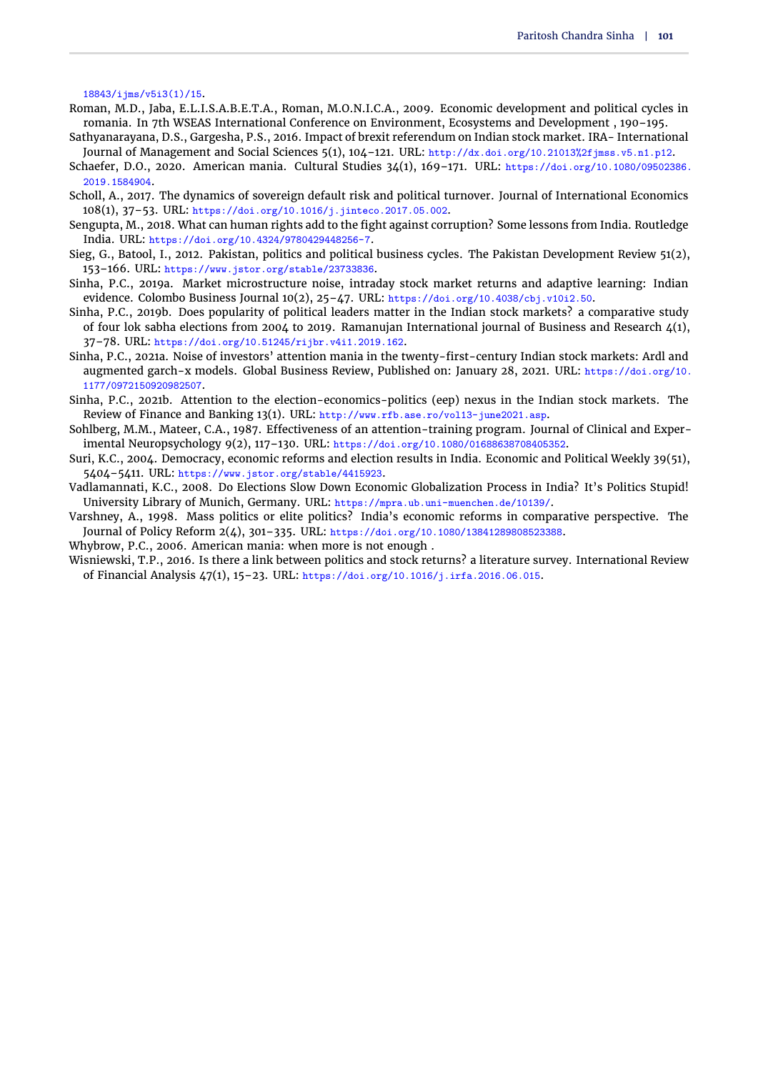<span id="page-14-0"></span>18843/ijms/v5i3(1)/15.

- <span id="page-14-8"></span>Roman, M.D., Jaba, E.L.I.S.A.B.E.T.A., Roman, M.O.N.I.C.A., 2009. Economic development and political cycles in romania. In 7th WSEAS International Conference on Environment, Ecosystems and Development , 190–195.
- <span id="page-14-2"></span>Sathyanarayana, D.S., Gargesha, P.S., 2016. Impact of brexit referendum on Indian stock market. IRA- International Journal of Management and Social Sciences 5(1), 104–121. URL: http://dx.doi.org/10.21013%2fjmss.v5.n1.p12.
- <span id="page-14-6"></span>Schaefer, D.O., 2020. American mania. Cultural Studies 34(1), 169–171. URL: https://doi.org/10.1080/09502386. 2019.1584904.
- <span id="page-14-11"></span>Scholl, A., 2017. The dynamics of sovereign default risk and political turnover. Journal of International Economics 108(1), 37–53. URL: https://doi.org/10.1016/j.jinteco.2017.05.002.
- <span id="page-14-3"></span>Sengupta, M., 2018. What can human rights add to the fight against corruption? Some lessons from India. Routledge India. URL: https://doi.org/10.4324/9780429448256-7.
- <span id="page-14-10"></span>Sieg, G., Batool, I., 2012. Pakistan, politics and political business cycles. The Pakistan Development Review 51(2), 153–166. URL: https://www.jstor.org/stable/23733836.
- <span id="page-14-1"></span>Sinha, P.C., 2019a. Market microstructure noise, intraday stock market returns and adaptive learning: Indian evidence. Colombo Business Journal 10(2), 25–47. URL: https://doi.org/10.4038/cbj.v10i2.50.
- <span id="page-14-15"></span>Sinha, P.C., 2019b. Does popularity of political leaders matter in the Indian stock markets? a comparative study of four lok sabha elections from 2004 to 2019. Ramanujan International journal of Business and Research 4(1), 37–78. URL: https://doi.org/10.51245/rijbr.v4i1.2019.162.
- <span id="page-14-13"></span>Sinha, P.C., 2021a. Noise of investors' attention mania in the twenty-first-century Indian stock markets: Ardl and augmented garch-x models. Global Business Review, Published on: January 28, 2021. URL: https://doi.org/10. 1177/0972150920982507.
- <span id="page-14-16"></span>Sinha, P.C., 2021b. Attention to the election-economics-politics (eep) nexus in the Indian stock markets. The Review of Finance and Banking 13(1). URL: http://www.rfb.ase.ro/vol13-june2021.asp.
- <span id="page-14-14"></span>Sohlberg, M.M., Mateer, C.A., 1987. Effectiveness of an attention-training program. Journal of Clinical and Experimental Neuropsychology 9(2), 117–130. URL: https://doi.org/10.1080/01688638708405352.
- <span id="page-14-4"></span>Suri, K.C., 2004. Democracy, economic reforms and election results in India. Economic and Political Weekly 39(51), 5404–5411. URL: https://www.jstor.org/stable/4415923.
- <span id="page-14-9"></span>Vadlamannati, K.C., 2008. Do Elections Slow Down Economic Globalization Process in India? It's Politics Stupid! University Library of Munich, Germany. URL: https://mpra.ub.uni-muenchen.de/10139/.
- <span id="page-14-5"></span>Varshney, A., 1998. Mass politics or elite politics? India's economic reforms in comparative perspective. The Journal of Policy Reform 2(4), 301–335. URL: https://doi.org/10.1080/13841289808523388.
- <span id="page-14-7"></span>Whybrow, P.C., 2006. American mania: when more is not enough .
- <span id="page-14-12"></span>Wisniewski, T.P., 2016. Is there a link between politics and stock returns? a literature survey. International Review of Financial Analysis 47(1), 15–23. URL: https://doi.org/10.1016/j.irfa.2016.06.015.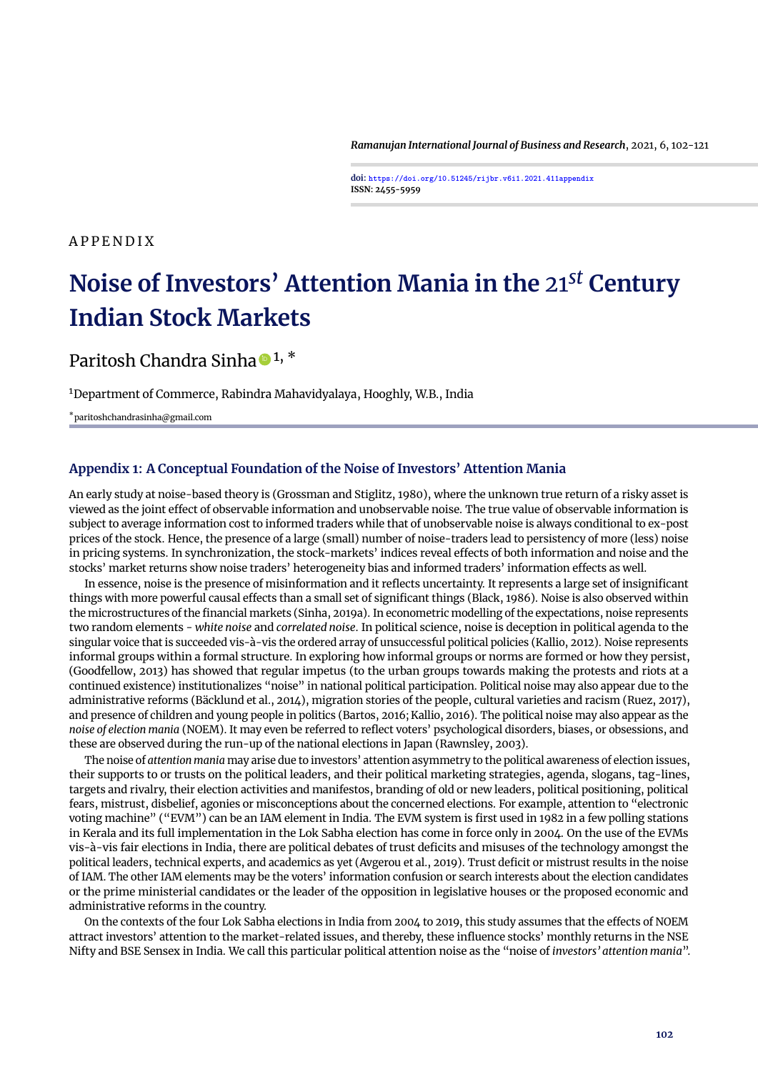*Ramanujan International Journal of Business and Research*, 2021, 6, 102[-121](#page-34-0)

**doi: https://doi.org/10.51245/rijbr.v6i1.2021.411appendix ISSN: 2455-5959**

A P P E N D I X

# **Noise of Investors' Attention Mania in the** 21*st* **Century Indian Stock Markets**

Paritosh Chandra Sinha  $\bullet$  1,  $^*$ 

<sup>1</sup>Department of Commerce, Rabindra Mahavidyalaya, Hooghly, W.B., India

\*paritoshchandrasinha@gmail.com

#### **Appendix 1: A Conceptual Foundation of the Noise of Investors' Attention Mania**

An early study at noise-based theory is [\(Grossman and Stiglitz,](#page-34-1) [1980\)](#page-34-1), where the unknown true return of a risky asset is viewed as the joint effect of observable information and unobservable noise. The true value of observable information is subject to average information cost to informed traders while that of unobservable noise is always conditional to ex-post prices of the stock. Hence, the presence of a large (small) number of noise-traders lead to persistency of more (less) noise in pricing systems. In synchronization, the stock-markets' indices reveal effects of both information and noise and the stocks' market returns show noise traders' heterogeneity bias and informed traders' information effects as well.

In essence, noise is the presence of misinformation and it reflects uncertainty. It represents a large set of insignificant things with more powerful causal effects than a small set of significant things [\(Black,](#page-34-2) [1986\)](#page-34-2). Noise is also observed within the microstructures of the financial markets (Sinha, 2019a). In econometric modelling of the expectations, noise represents two random elements - *white noise* and *correlated noise*. In political science, noise is deception in political agenda to the singular voice that is succeeded vis-à-vis the ordered array of unsuccessful political policies [\(Kallio,](#page-34-3) [2012\)](#page-34-3). Noise represents informal groups within a formal structure. In exploring how informal groups or norms are formed or how they persist, [\(Goodfellow,](#page-34-4) [2013\)](#page-34-4) has showed that regular impetus (to the urban groups towards making the protests and riots at a continued existence) institutionalizes "noise" in national political participation. Political noise may also appear due to the administrative reforms [\(Bäcklund et al.,](#page-34-5) [2014\)](#page-34-5), migration stories of the people, cultural varieties and racism [\(Ruez,](#page-34-6) [2017\)](#page-34-6), and presence of children and young people in politics [\(Bartos,](#page-34-7) [2016;](#page-34-7) [Kallio,](#page-34-8) [2016\)](#page-34-8). The political noise may also appear as the *noise of election mania* (NOEM). It may even be referred to reflect voters' psychological disorders, biases, or obsessions, and these are observed during the run-up of the national elections in Japan [\(Rawnsley,](#page-34-9) [2003\)](#page-34-9).

The noise of *attention mania* may arise due to investors' attention asymmetry to the political awareness of election issues, their supports to or trusts on the political leaders, and their political marketing strategies, agenda, slogans, tag-lines, targets and rivalry, their election activities and manifestos, branding of old or new leaders, political positioning, political fears, mistrust, disbelief, agonies or misconceptions about the concerned elections. For example, attention to "electronic voting machine" ("EVM") can be an IAM element in India. The EVM system is first used in 1982 in a few polling stations in Kerala and its full implementation in the Lok Sabha election has come in force only in 2004. On the use of the EVMs vis-à-vis fair elections in India, there are political debates of trust deficits and misuses of the technology amongst the political leaders, technical experts, and academics as yet [\(Avgerou et al.,](#page-34-10) [2019\)](#page-34-10). Trust deficit or mistrust results in the noise of IAM. The other IAM elements may be the voters' information confusion or search interests about the election candidates or the prime ministerial candidates or the leader of the opposition in legislative houses or the proposed economic and administrative reforms in the country.

On the contexts of the four Lok Sabha elections in India from 2004 to 2019, this study assumes that the effects of NOEM attract investors' attention to the market-related issues, and thereby, these influence stocks' monthly returns in the NSE Nifty and BSE Sensex in India. We call this particular political attention noise as the "noise of *investors' attention mania*".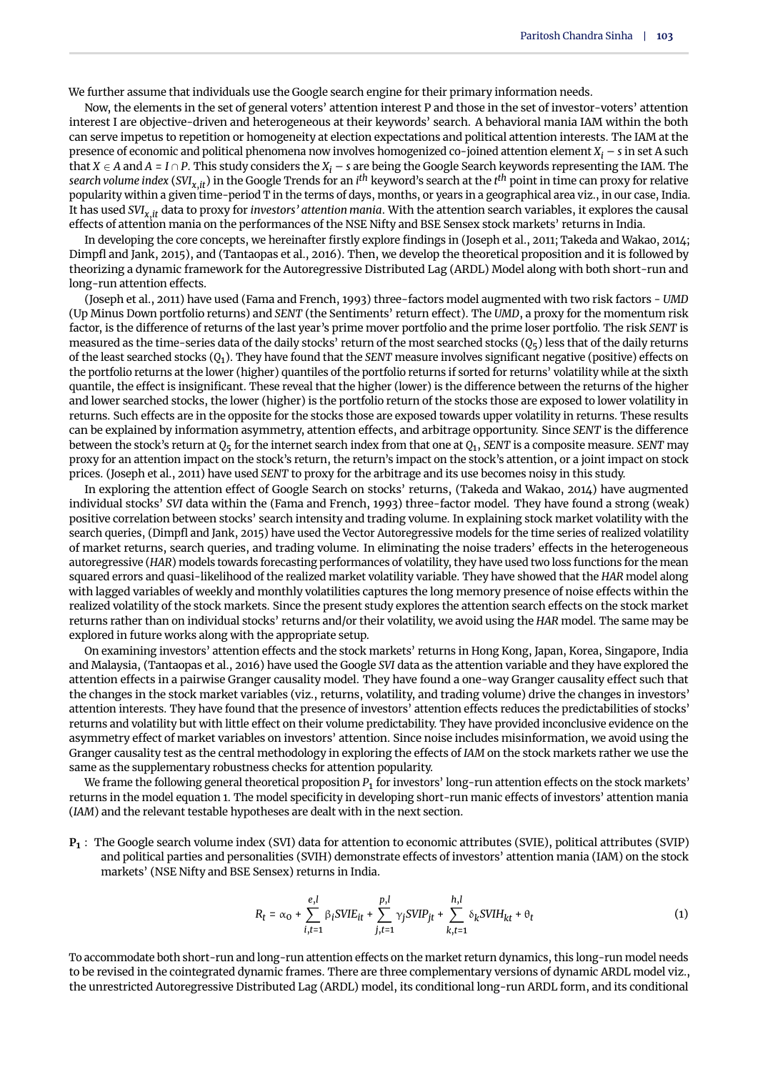We further assume that individuals use the Google search engine for their primary information needs.

Now, the elements in the set of general voters' attention interest P and those in the set of investor-voters' attention interest I are objective-driven and heterogeneous at their keywords' search. A behavioral mania IAM within the both can serve impetus to repetition or homogeneity at election expectations and political attention interests. The IAM at the presence of economic and political phenomena now involves homogenized co-joined attention element  $X_i$  – *s* in set A such that *X* ∈ *A* and *A* = *I* ∩ *P*. This study considers the  $X_i$  – *s* are being the Google Search keywords representing the IAM. The *search volume index* (*SVIx*,*it*) in the Google Trends for an *i th* keyword's search at the *t th* point in time can proxy for relative popularity within a given time-period T in the terms of days, months, or years in a geographical area viz., in our case, India. It has used *SVIx*,*it* data to proxy for *investors' attention mania*. With the attention search variables, it explores the causal effects of attention mania on the performances of the NSE Nifty and BSE Sensex stock markets' returns in India.

In developing the core concepts, we hereinafter firstly explore findings in [\(Joseph et al.,](#page-34-11) [2011;](#page-34-11) [Takeda and Wakao,](#page-34-12) [2014;](#page-34-12) [Dimpfl and Jank,](#page-34-13) [2015\)](#page-34-13), and [\(Tantaopas et al.,](#page-34-14) [2016\)](#page-34-14). Then, we develop the theoretical proposition and it is followed by theorizing a dynamic framework for the Autoregressive Distributed Lag (ARDL) Model along with both short-run and long-run attention effects.

[\(Joseph et al.,](#page-34-11) [2011\)](#page-34-11) have used [\(Fama and French,](#page-34-15) [1993\)](#page-34-15) three-factors model augmented with two risk factors - *UMD* (Up Minus Down portfolio returns) and *SENT* (the Sentiments' return effect). The *UMD*, a proxy for the momentum risk factor, is the difference of returns of the last year's prime mover portfolio and the prime loser portfolio. The risk *SENT* is measured as the time-series data of the daily stocks' return of the most searched stocks (*Q*5) less that of the daily returns of the least searched stocks (*Q*1). They have found that the *SENT* measure involves significant negative (positive) effects on the portfolio returns at the lower (higher) quantiles of the portfolio returns if sorted for returns' volatility while at the sixth quantile, the effect is insignificant. These reveal that the higher (lower) is the difference between the returns of the higher and lower searched stocks, the lower (higher) is the portfolio return of the stocks those are exposed to lower volatility in returns. Such effects are in the opposite for the stocks those are exposed towards upper volatility in returns. These results can be explained by information asymmetry, attention effects, and arbitrage opportunity. Since *SENT* is the difference between the stock's return at *Q*5 for the internet search index from that one at *Q*1 , *SENT* is a composite measure. *SENT* may proxy for an attention impact on the stock's return, the return's impact on the stock's attention, or a joint impact on stock prices. [\(Joseph et al.,](#page-34-11) [2011\)](#page-34-11) have used *SENT* to proxy for the arbitrage and its use becomes noisy in this study.

In exploring the attention effect of Google Search on stocks' returns, [\(Takeda and Wakao,](#page-34-12) [2014\)](#page-34-12) have augmented individual stocks' *SVI* data within the [\(Fama and French,](#page-34-15) [1993\)](#page-34-15) three-factor model. They have found a strong (weak) positive correlation between stocks' search intensity and trading volume. In explaining stock market volatility with the search queries, [\(Dimpfl and Jank,](#page-34-13) [2015\)](#page-34-13) have used the Vector Autoregressive models for the time series of realized volatility of market returns, search queries, and trading volume. In eliminating the noise traders' effects in the heterogeneous autoregressive (*HAR*) models towards forecasting performances of volatility, they have used two loss functions for the mean squared errors and quasi-likelihood of the realized market volatility variable. They have showed that the *HAR* model along with lagged variables of weekly and monthly volatilities captures the long memory presence of noise effects within the realized volatility of the stock markets. Since the present study explores the attention search effects on the stock market returns rather than on individual stocks' returns and/or their volatility, we avoid using the *HAR* model. The same may be explored in future works along with the appropriate setup.

On examining investors' attention effects and the stock markets' returns in Hong Kong, Japan, Korea, Singapore, India and Malaysia, [\(Tantaopas et al.,](#page-34-14) [2016\)](#page-34-14) have used the Google *SVI* data as the attention variable and they have explored the attention effects in a pairwise Granger causality model. They have found a one-way Granger causality effect such that the changes in the stock market variables (viz., returns, volatility, and trading volume) drive the changes in investors' attention interests. They have found that the presence of investors' attention effects reduces the predictabilities of stocks' returns and volatility but with little effect on their volume predictability. They have provided inconclusive evidence on the asymmetry effect of market variables on investors' attention. Since noise includes misinformation, we avoid using the Granger causality test as the central methodology in exploring the effects of *IAM* on the stock markets rather we use the same as the supplementary robustness checks for attention popularity.

We frame the following general theoretical proposition  $P_1$  for investors' long-run attention effects on the stock markets' returns in the model [equation 1.](#page-16-0) The model specificity in developing short-run manic effects of investors' attention mania (*IAM*) and the relevant testable hypotheses are dealt with in the next section.

**P1** : The Google search volume index (SVI) data for attention to economic attributes (SVIE), political attributes (SVIP) and political parties and personalities (SVIH) demonstrate effects of investors' attention mania (IAM) on the stock markets' (NSE Nifty and BSE Sensex) returns in India.

<span id="page-16-0"></span>
$$
R_t = \alpha_0 + \sum_{i,t=1}^{e,l} \beta_i \text{SVE}_{it} + \sum_{j,t=1}^{p,l} \gamma_j \text{SVP}_{jt} + \sum_{k,t=1}^{h,l} \delta_k \text{SVIH}_{kt} + \theta_t \tag{1}
$$

To accommodate both short-run and long-run attention effects on the market return dynamics, this long-run model needs to be revised in the cointegrated dynamic frames. There are three complementary versions of dynamic ARDL model viz., the unrestricted Autoregressive Distributed Lag (ARDL) model, its conditional long-run ARDL form, and its conditional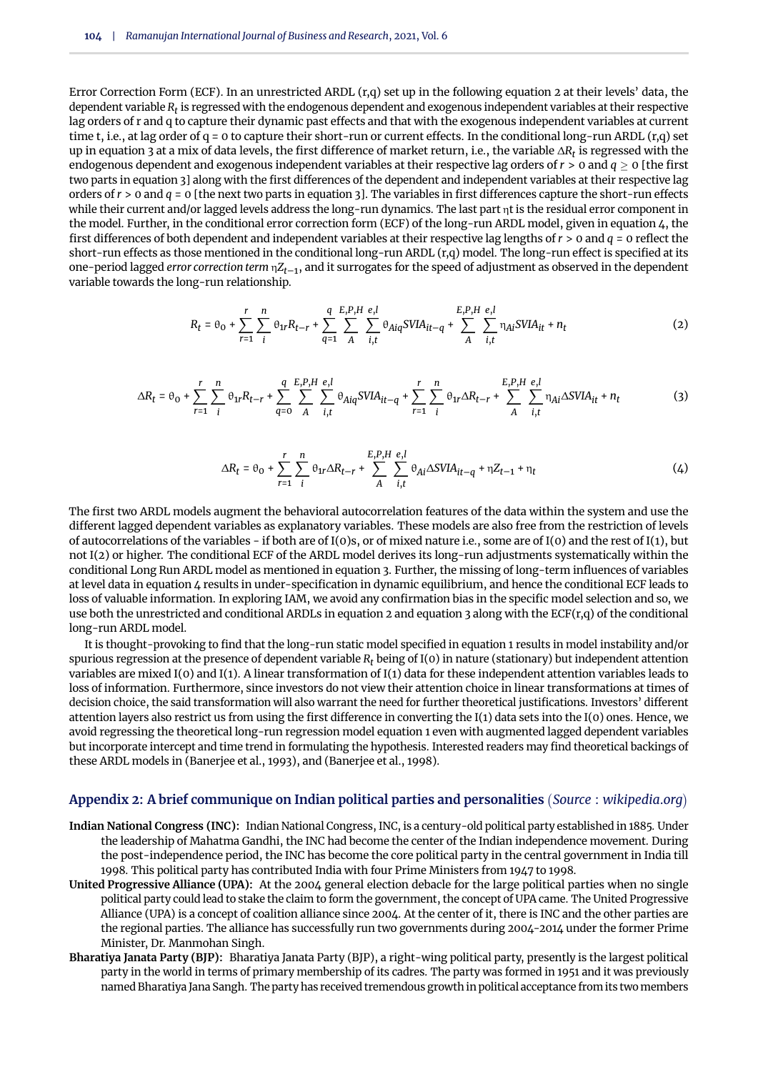Error Correction Form (ECF). In an unrestricted ARDL  $(r,q)$  set up in the following [equation 2](#page-17-0) at their levels' data, the dependent variable  $R_t$  is regressed with the endogenous dependent and exogenous independent variables at their respective lag orders of r and q to capture their dynamic past effects and that with the exogenous independent variables at current time t, i.e., at lag order of  $q = 0$  to capture their short-run or current effects. In the conditional long-run ARDL  $(r,q)$  set up in [equation 3](#page-17-1) at a mix of data levels, the first difference of market return, i.e., the variable ∆*R<sup>t</sup>* is regressed with the endogenous dependent and exogenous independent variables at their respective lag orders of *r* > 0 and *q* ≥ 0 [the first two parts in [equation 3\]](#page-17-1) along with the first differences of the dependent and independent variables at their respective lag orders of *r* > 0 and *q* = 0 [the next two parts in [equation 3\]](#page-17-1). The variables in first differences capture the short-run effects while their current and/or lagged levels address the long-run dynamics. The last part  $\eta t$  is the residual error component in the model. Further, in the conditional error correction form (ECF) of the long-run ARDL model, given in [equation 4,](#page-17-2) the first differences of both dependent and independent variables at their respective lag lengths of *r* > 0 and *q* = 0 reflect the short-run effects as those mentioned in the conditional long-run ARDL (r,q) model. The long-run effect is specified at its one-period lagged *error correction term* η*Zt*–1, and it surrogates for the speed of adjustment as observed in the dependent variable towards the long-run relationship.

<span id="page-17-0"></span>
$$
R_{t} = \theta_{0} + \sum_{r=1}^{r} \sum_{i}^{n} \theta_{1r} R_{t-r} + \sum_{q=1}^{q} \sum_{A}^{E, P, H} \sum_{i,t}^{e, l} \theta_{Aiq} SVIA_{it-q} + \sum_{A}^{E, P, H} \sum_{i,t}^{e, l} \eta_{Ai} SVIA_{it} + n_{t}
$$
(2)

<span id="page-17-1"></span>
$$
\Delta R_t = \theta_0 + \sum_{r=1}^r \sum_{i}^n \theta_{1r} R_{t-r} + \sum_{q=0}^q \sum_{A}^{E,P,H} \sum_{i,t}^{e,l} \theta_{Aiq} SVIA_{it-q} + \sum_{r=1}^r \sum_{i}^n \theta_{1r} \Delta R_{t-r} + \sum_{A}^{E,P,H} \sum_{i,t}^{e,l} \eta_{Ai} \Delta SVIA_{it} + n_t
$$
(3)

<span id="page-17-2"></span>
$$
\Delta R_t = \theta_0 + \sum_{r=1}^r \sum_{i}^n \theta_{1r} \Delta R_{t-r} + \sum_{A}^{E,P,H} \sum_{i,t}^{\varrho, l} \theta_{Ai} \Delta SVIA_{it-q} + \eta Z_{t-1} + \eta_t
$$
\n(4)

The first two ARDL models augment the behavioral autocorrelation features of the data within the system and use the different lagged dependent variables as explanatory variables. These models are also free from the restriction of levels of autocorrelations of the variables - if both are of  $I(0)$ s, or of mixed nature i.e., some are of  $I(0)$  and the rest of  $I(1)$ , but not I(2) or higher. The conditional ECF of the ARDL model derives its long-run adjustments systematically within the conditional Long Run ARDL model as mentioned in [equation 3.](#page-17-1) Further, the missing of long-term influences of variables at level data in [equation 4](#page-17-2) results in under-specification in dynamic equilibrium, and hence the conditional ECF leads to loss of valuable information. In exploring IAM, we avoid any confirmation bias in the specific model selection and so, we use both the unrestricted and conditional ARDLs in [equation 2](#page-17-0) and [equation 3](#page-17-1) along with the  $ECF(r,q)$  of the conditional long-run ARDL model.

It is thought-provoking to find that the long-run static model specified in [equation 1](#page-16-0) results in model instability and/or spurious regression at the presence of dependent variable *R<sup>t</sup>* being of I(0) in nature (stationary) but independent attention variables are mixed I(0) and I(1). A linear transformation of I(1) data for these independent attention variables leads to loss of information. Furthermore, since investors do not view their attention choice in linear transformations at times of decision choice, the said transformation will also warrant the need for further theoretical justifications. Investors' different attention layers also restrict us from using the first difference in converting the I(1) data sets into the I(0) ones. Hence, we avoid regressing the theoretical long-run regression model [equation 1](#page-16-0) even with augmented lagged dependent variables but incorporate intercept and time trend in formulating the hypothesis. Interested readers may find theoretical backings of these ARDL models in [\(Banerjee et al.,](#page-34-16) [1993\)](#page-34-16), and [\(Banerjee et al.,](#page-34-17) [1998\)](#page-34-17).

#### **Appendix 2: A brief communique on Indian political parties and personalities** *Source* : *wikipedia*.*org*

- **Indian National Congress (INC):** Indian National Congress, INC, is a century-old political party established in 1885. Under the leadership of Mahatma Gandhi, the INC had become the center of the Indian independence movement. During the post-independence period, the INC has become the core political party in the central government in India till 1998. This political party has contributed India with four Prime Ministers from 1947 to 1998.
- **United Progressive Alliance (UPA):** At the 2004 general election debacle for the large political parties when no single political party could lead to stake the claim to form the government, the concept of UPA came. The United Progressive Alliance (UPA) is a concept of coalition alliance since 2004. At the center of it, there is INC and the other parties are the regional parties. The alliance has successfully run two governments during 2004-2014 under the former Prime Minister, Dr. Manmohan Singh.
- **Bharatiya Janata Party (BJP):** Bharatiya Janata Party (BJP), a right-wing political party, presently is the largest political party in the world in terms of primary membership of its cadres. The party was formed in 1951 and it was previously named Bharatiya Jana Sangh. The party has received tremendous growth in political acceptance from its two members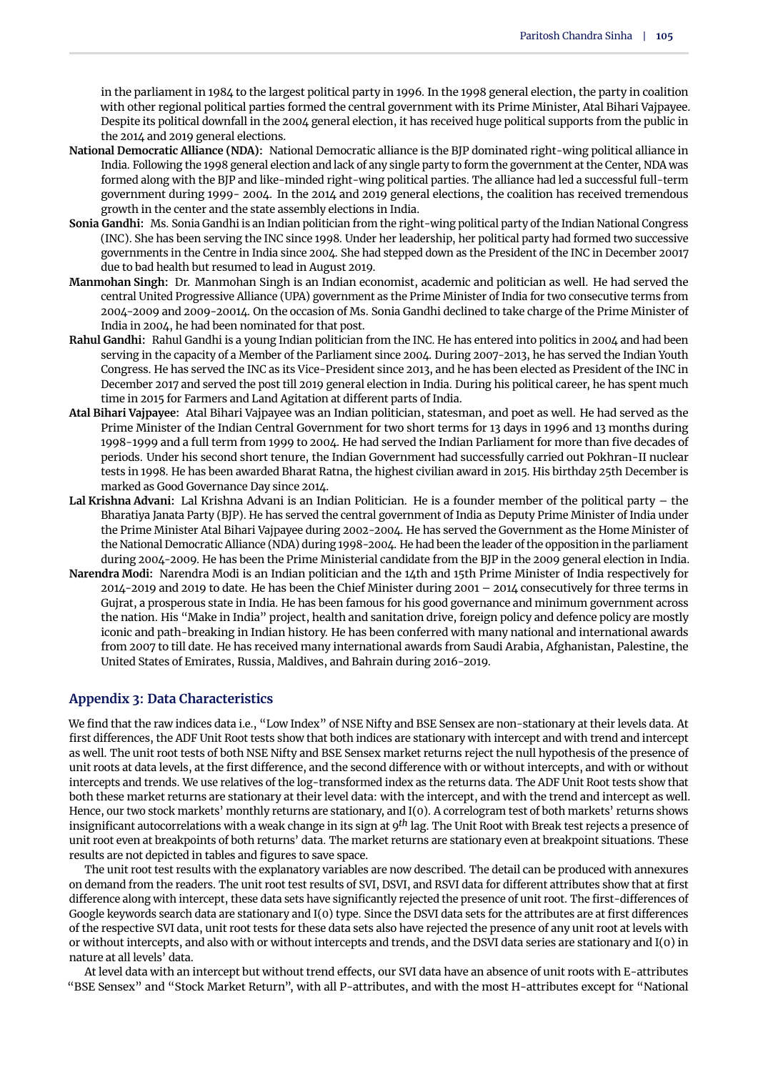in the parliament in 1984 to the largest political party in 1996. In the 1998 general election, the party in coalition with other regional political parties formed the central government with its Prime Minister, Atal Bihari Vajpayee. Despite its political downfall in the 2004 general election, it has received huge political supports from the public in the 2014 and 2019 general elections.

- **National Democratic Alliance (NDA):** National Democratic alliance is the BJP dominated right-wing political alliance in India. Following the 1998 general election and lack of any single party to form the government at the Center, NDA was formed along with the BJP and like-minded right-wing political parties. The alliance had led a successful full-term government during 1999- 2004. In the 2014 and 2019 general elections, the coalition has received tremendous growth in the center and the state assembly elections in India.
- **Sonia Gandhi:** Ms. Sonia Gandhi is an Indian politician from the right-wing political party of the Indian National Congress (INC). She has been serving the INC since 1998. Under her leadership, her political party had formed two successive governments in the Centre in India since 2004. She had stepped down as the President of the INC in December 20017 due to bad health but resumed to lead in August 2019.
- **Manmohan Singh:** Dr. Manmohan Singh is an Indian economist, academic and politician as well. He had served the central United Progressive Alliance (UPA) government as the Prime Minister of India for two consecutive terms from 2004-2009 and 2009-20014. On the occasion of Ms. Sonia Gandhi declined to take charge of the Prime Minister of India in 2004, he had been nominated for that post.
- **Rahul Gandhi:** Rahul Gandhi is a young Indian politician from the INC. He has entered into politics in 2004 and had been serving in the capacity of a Member of the Parliament since 2004. During 2007-2013, he has served the Indian Youth Congress. He has served the INC as its Vice-President since 2013, and he has been elected as President of the INC in December 2017 and served the post till 2019 general election in India. During his political career, he has spent much time in 2015 for Farmers and Land Agitation at different parts of India.
- **Atal Bihari Vajpayee:** Atal Bihari Vajpayee was an Indian politician, statesman, and poet as well. He had served as the Prime Minister of the Indian Central Government for two short terms for 13 days in 1996 and 13 months during 1998-1999 and a full term from 1999 to 2004. He had served the Indian Parliament for more than five decades of periods. Under his second short tenure, the Indian Government had successfully carried out Pokhran-II nuclear tests in 1998. He has been awarded Bharat Ratna, the highest civilian award in 2015. His birthday 25th December is marked as Good Governance Day since 2014.
- **Lal Krishna Advani:** Lal Krishna Advani is an Indian Politician. He is a founder member of the political party the Bharatiya Janata Party (BJP). He has served the central government of India as Deputy Prime Minister of India under the Prime Minister Atal Bihari Vajpayee during 2002-2004. He has served the Government as the Home Minister of the National Democratic Alliance (NDA) during 1998-2004. He had been the leader of the opposition in the parliament during 2004-2009. He has been the Prime Ministerial candidate from the BJP in the 2009 general election in India.
- **Narendra Modi:** Narendra Modi is an Indian politician and the 14th and 15th Prime Minister of India respectively for 2014-2019 and 2019 to date. He has been the Chief Minister during 2001 – 2014 consecutively for three terms in Gujrat, a prosperous state in India. He has been famous for his good governance and minimum government across the nation. His "Make in India" project, health and sanitation drive, foreign policy and defence policy are mostly iconic and path-breaking in Indian history. He has been conferred with many national and international awards from 2007 to till date. He has received many international awards from Saudi Arabia, Afghanistan, Palestine, the United States of Emirates, Russia, Maldives, and Bahrain during 2016-2019.

#### **Appendix 3: Data Characteristics**

We find that the raw indices data i.e., "Low Index" of NSE Nifty and BSE Sensex are non-stationary at their levels data. At first differences, the ADF Unit Root tests show that both indices are stationary with intercept and with trend and intercept as well. The unit root tests of both NSE Nifty and BSE Sensex market returns reject the null hypothesis of the presence of unit roots at data levels, at the first difference, and the second difference with or without intercepts, and with or without intercepts and trends. We use relatives of the log-transformed index as the returns data. The ADF Unit Root tests show that both these market returns are stationary at their level data: with the intercept, and with the trend and intercept as well. Hence, our two stock markets' monthly returns are stationary, and I(0). A correlogram test of both markets' returns shows insignificant autocorrelations with a weak change in its sign at 9*th* lag. The Unit Root with Break test rejects a presence of unit root even at breakpoints of both returns' data. The market returns are stationary even at breakpoint situations. These results are not depicted in tables and figures to save space.

The unit root test results with the explanatory variables are now described. The detail can be produced with annexures on demand from the readers. The unit root test results of SVI, DSVI, and RSVI data for different attributes show that at first difference along with intercept, these data sets have significantly rejected the presence of unit root. The first-differences of Google keywords search data are stationary and I(0) type. Since the DSVI data sets for the attributes are at first differences of the respective SVI data, unit root tests for these data sets also have rejected the presence of any unit root at levels with or without intercepts, and also with or without intercepts and trends, and the DSVI data series are stationary and I(0) in nature at all levels' data.

At level data with an intercept but without trend effects, our SVI data have an absence of unit roots with E-attributes "BSE Sensex" and "Stock Market Return", with all P-attributes, and with the most H-attributes except for "National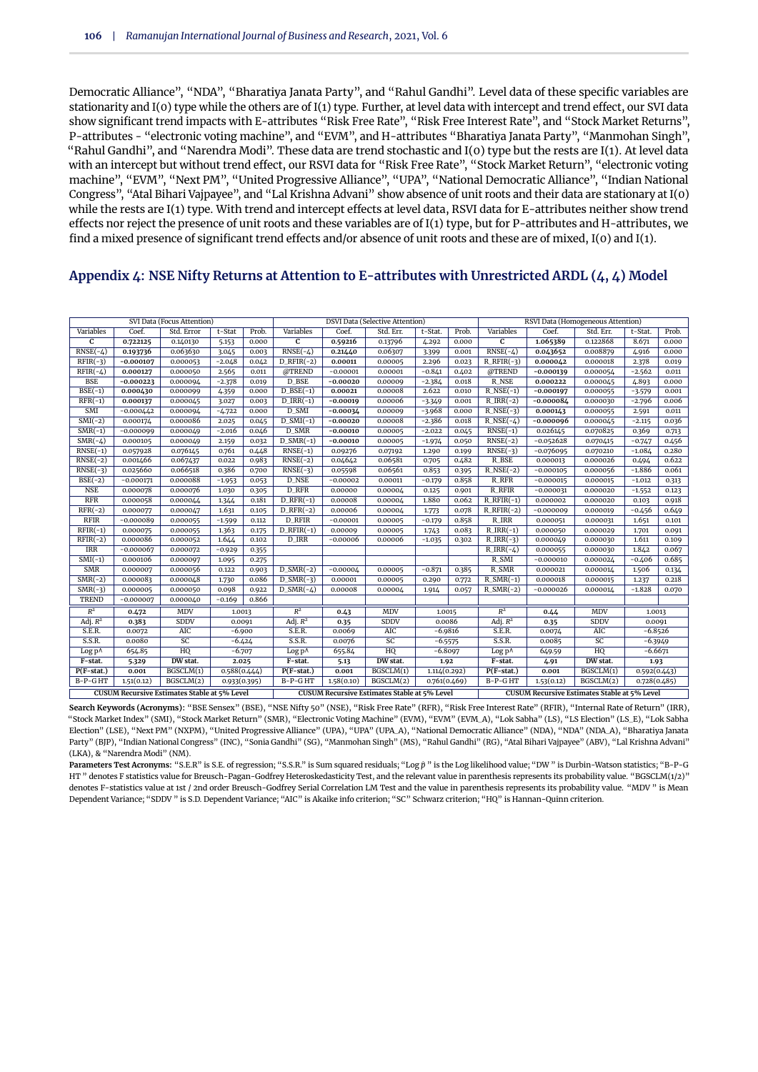Democratic Alliance", "NDA", "Bharatiya Janata Party", and "Rahul Gandhi". Level data of these specific variables are stationarity and I(0) type while the others are of I(1) type. Further, at level data with intercept and trend effect, our SVI data show significant trend impacts with E-attributes "Risk Free Rate", "Risk Free Interest Rate", and "Stock Market Returns", P-attributes - "electronic voting machine", and "EVM", and H-attributes "Bharatiya Janata Party", "Manmohan Singh", "Rahul Gandhi", and "Narendra Modi". These data are trend stochastic and I(0) type but the rests are I(1). At level data with an intercept but without trend effect, our RSVI data for "Risk Free Rate", "Stock Market Return", "electronic voting machine", "EVM", "Next PM", "United Progressive Alliance", "UPA", "National Democratic Alliance", "Indian National Congress", "Atal Bihari Vajpayee", and "Lal Krishna Advani" show absence of unit roots and their data are stationary at I(0) while the rests are I(1) type. With trend and intercept effects at level data, RSVI data for E-attributes neither show trend effects nor reject the presence of unit roots and these variables are of I(1) type, but for P-attributes and H-attributes, we find a mixed presence of significant trend effects and/or absence of unit roots and these are of mixed, I(0) and I(1).

#### SVI Data (Focus Attention) DSVI Data (Selective Attention) RSVI Data (Homogeneous Attention) Variables Coef. Std. Error t-Stat Prob. Variables Coef. Std. Err. t-Stat. Prob. Variables Coef. Std. Err. t-Stat. Prob. **C 0.722125** 0.140130 5.153 0.000 **C 0.59216** 0.13796 4.292 0.000 **C 1.065389** 0.122868 8.671 0.000 RNSE(-4) **0.193736** 0.063630 3.045 0.003 RNSE(-4) **0.21440** 0.06307 3.399 0.001 RNSE(-4) **0.043652** 0.008879 4.916 0.000 RFIR(-3) **-0.000107** 0.000053 -2.048 0.042 D\_RFIR(-2) **0.00011** 0.00005 2.296 0.023 R\_RFIR(-3) **0.000042** 0.000018 2.378 0.019 RFIR(-4) **0.000127** 0.000050 2.565 0.011 @TREND -0.00001 0.00001 -0.841 0.402 @TREND **-0.000139** 0.000054 -2.562 0.011 BSE **-0.000223** 0.000094 -2.378 0.019 D\_BSE **-0.00020** 0.00009 -2.384 0.018 R\_NSE **0.000222** 0.000045 4.893 0.000 BSE(-1) **0.000430** 0.000099 4.359 0.000 D\_BSE(-1) **0.00021** 0.00008 2.622 0.010 R\_NSE(-1) **-0.000197** 0.000055 -3.579 0.001 RFR(-1) **0.000137** 0.000045 3.027 0.003 D\_IRR(-1) **-0.00019** 0.00006 -3.349 0.001 R\_IRR(-2) **-0.000084** 0.000030 -2.796 0.006 SMI -0.000442 0.000094 -4.722 0.000 D\_SMI **-0.00034** 0.00009 -3.968 0.000 R\_NSE(-3) **0.000143** 0.000055 2.591 0.011 SMI(-2) 0.000174 0.000086 2.025 0.045 D\_SMI(-1) **-0.00020** 0.00008 -2.386 0.018 R\_NSE(-4) **-0.000096** 0.000045 -2.115 0.036 SMR(-1) -0.000099 0.000049 -2.016 0.046 D\_SMR **-0.00010** 0.00005 -2.022 0.045 RNSE(-1) 0.026145 0.070825 0.369 0.713 SMR(-4) 0.000105 0.000049 2.159 0.032 D\_SMR(-1) **-0.00010** 0.00005 -1.974 0.050 RNSE(-2) -0.052628 0.070415 -0.747 0.456 RNSE(-1) 0.057928 0.076145 0.761 0.448 RNSE(-1) 0.09276 0.07192 1.290 0.199 RNSE(-3) -0.076095 0.070210 -1.084 0.280 RNSE(-2) 0.001466 0.067437 0.022 0.983 RNSE(-2) 0.04642 0.06581 0.705 0.482 R\_BSE 0.000013 0.000026 0.494 0.622 RNSE(-3) | 0.025660 | 0.066518 | 0.386 | 0.700 | RNSE(-3) | 0.05598 | 0.06561 | 0.853 | 0.395 | R\_NSE(-2) | -0.000105 | 0.000056 | -1.886 | 0.061 BSE(-2) | -0.000171 | 0.000088 | -1.953 | 0.053 | D\_NSE | -0.00002 | 0.00011 | -0.179 | 0.858 | R\_RFR | -0.000015 | 0.000015 | -1.012 | 0.313 NSE | 0.000078 | 0.000076 | 1.030 | 0.305 | D\_RFR | 0.00000 | 0.00004 | 0.125 | 0.901 | R\_RFIR | -0.000031 | 0.000020 | -1.552 | 0.123 RFR | 0.000058 | 0.000044 | 1.344 | 0.181 | D\_RFR(-1) | 0.00008 | 0.00004 | 1.880 | 0.062 | R\_RFIR(-1) | 0.000002 | 0.000020 | 0.103 | 0.918 RFR(-2) | 0.000077 | 0.000047 | 1.631 | 0.105 | D\_RFR(-2) | 0.00006 | 0.00004 | 1.773 | 0.078 | R\_RFIR(-2) | -0.000009 | 0.000019 | -0.456 | 0.649 RFIR -0.000089 0.000055 -1.599 0.112 D\_RFIR -0.00001 0.00005 -0.179 0.858 R\_IRR 0.000051 0.000031 1.651 0.101 RFIR(-1) | 0.000075 | 0.000055 | 1.363 | 0.175 | D\_RFIR(-1) | 0.00009 | 0.00005 | 1.743 | 0.083 | R\_IRR(-1) | 0.000050 | 0.000029 | 1.701 | 0.091 RFIR(-2) | 0.000086 | 0.000052 | 1.644 | 0.102 | D\_IRR | -0.00006 | 0.00006 | -1.035 | 0.302 | R\_IRR(-3) | 0.000049 | 0.000030 | 1.611 | 0.109 IRR -0.000067 0.000072 -0.929 0.355 R\_IRR(-4) 0.000055 0.000030 1.842 0.067 SMI(-1) | 0.000106 | 0.000097 | 1.095 | 0.275 | | | | | | | R\_SMI | -0.000010 | 0.000024 | -0.406 | 0.685 SMR | 0.000007 | 0.000056 | 0.122 | 0.903 | D\_SMR(-2) | -0.00004 | 0.00005 | -0.871 | 0.385 | R\_SMR | 0.000021 | 0.000014 | 1.506 | 0.134 SMR(-2) | 0.000083 | 0.000048 | 1.730 | 0.086 | D\_SMR(-3) | 0.00001 | 0.00005 | 0.290 | 0.772 | R\_SMR(-1) | 0.000018 | 0.000015 | 1.237 | 0.218 SMR(-3) | 0.000005 | 0.000050 | 0.098 | 0.922 | D\_SMR(-4) | 0.00008 | 0.00004 | 1.914 | 0.057 | R\_SMR(-2) | -0.000026 | 0.000014 | -1.828 | 0.070 TREND -0.000007 0.000040 -0.169 0.866  $\overline{R}$ <sup>2</sup> **0.472** MDV 1.0013 *R* <sup>2</sup> **0.43** MDV 1.0015 *R* 0.44 MDV 1.0013<br>0.35 SDDV 0.0091 Adj. *R* **0.383** SDDV 0.0091 Adj.  $R^2$ <br>0.0072 AIC -6.900 S.E.R. <sup>2</sup> **0.35** SDDV 0.0086 Adj. *R* **0.35** SDDV 0.0091<br>0.0074 AIC -6.8526 S.E.R. | 0.0072 | AIC | -6.900 | S.E.R. | 0.0069 | AIC | -6.9816 | S.E.R. | 0.0074 | AIC | -6.8526 S.S.R. | 0.0080 | SC | -6.424 | S.S.R. | 0.0076 | SC | -6.5575 | S.S.R. | 0.0085 | SC | -6.3949 Log p^ 654.85 HQ -6.707 Log p^ 655.84 HQ -6.8097 Log p^ 649.59 HQ -6.6671 **F-stat. 5.329 DW stat. 2.025 F-stat. 5.13 DW stat. 1.92 F-stat. 4.91 DW stat. 1.93 P(F-stat.) 0.001** BGSCLM(1) 0.588(0.444) **P(F-stat.) 0.001** BGSCLM(1) 1.114(0.292) **P(F-stat.) 0.001** BGSCLM(1) 0.592(0.443) B-P-G HT 1.51(0.12) BGSCLM(2) 0.933(0.395) B-P-G HT 1.58(0.10) BGSCLM(2) 0.761(0.469) B-P-G HT 1.53(0.12) BGSCLM(2) 0.728(0.485) **CUSUM Recursive Estimates Stable at 5% Level CUSUM Recursive Estimates Stable at 5% Level CUSUM Recursive Estimates Stable at 5% Level**

#### **Appendix 4: NSE Nifty Returns at Attention to E-attributes with Unrestricted ARDL (4, 4) Model**

**Search Keywords (Acronyms):** "BSE Sensex" (BSE), "NSE Nifty 50" (NSE), "Risk Free Rate" (RFR), "Risk Free Interest Rate" (RFIR), "Internal Rate of Return" (IRR), "Stock Market Index" (SMI), "Stock Market Return" (SMR), "Electronic Voting Machine" (EVM), "EVM" (EVM\_A), "Lok Sabha" (LS), "LS Election" (LS\_E), "Lok Sabha Election" (LSE), "Next PM" (NXPM), "United Progressive Alliance" (UPA), "UPA" (UPA\_A), "National Democratic Alliance" (NDA), "NDA" (NDA\_A), "Bharatiya Janata Party" (BJP), "Indian National Congress" (INC), "Sonia Gandhi" (SG), "Manmohan Singh" (MS), "Rahul Gandhi" (RG), "Atal Bihari Vajpayee" (ABV), "Lal Krishna Advani" (LKA), & "Narendra Modi" (NM).

Parameters Test Acronyms: "S.E.R" is S.E. of regression; "S.S.R." is Sum squared residuals; "Log  $\hat{p}$  " is the Log likelihood value; "DW " is Durbin-Watson statistics; "B-P-G HT " denotes F statistics value for Breusch-Pagan-Godfrey Heteroskedasticity Test, and the relevant value in parenthesis represents its probability value. "BGSCLM(1/2)" denotes F-statistics value at 1st / 2nd order Breusch-Godfrey Serial Correlation LM Test and the value in parenthesis represents its probability value. "MDV " is Mean Dependent Variance; "SDDV " is S.D. Dependent Variance; "AIC" is Akaike info criterion; "SC" Schwarz criterion; "HQ" is Hannan-Quinn criterion.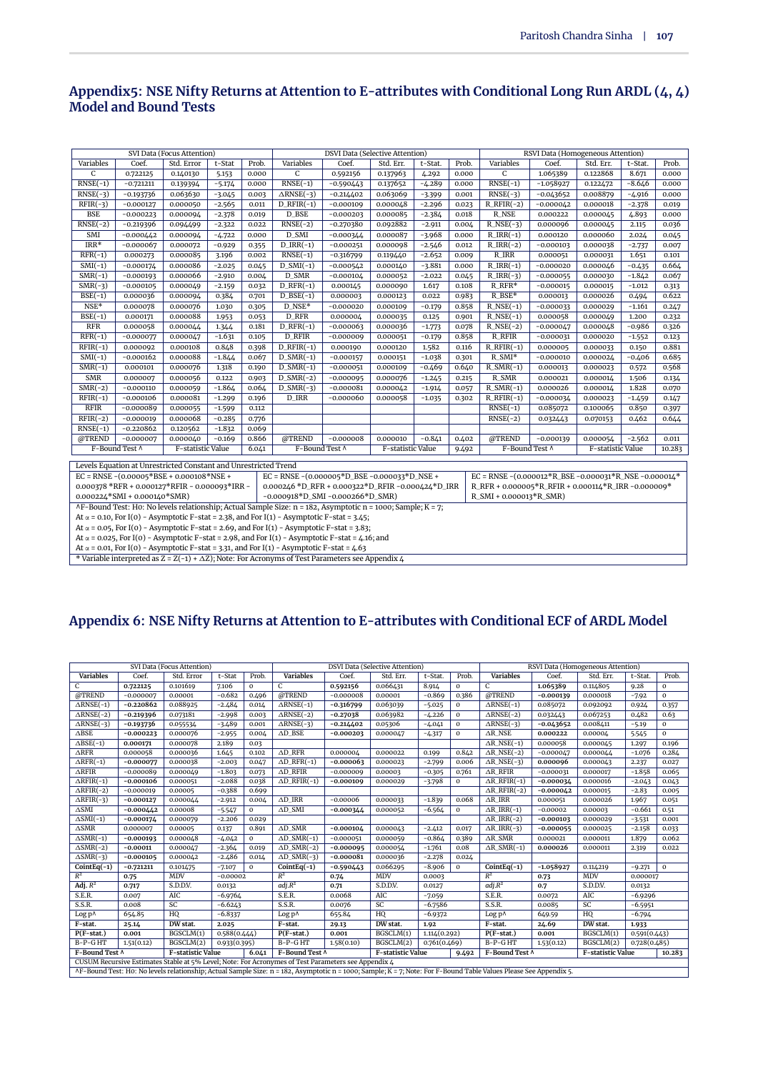#### **Appendix5: NSE Nifty Returns at Attention to E-attributes with Conditional Long Run ARDL (4, 4) Model and Bound Tests**

|                             |                                                                 | SVI Data (Focus Attention) |          | <b>DSVI Data (Selective Attention)</b> |                                                                                                                    |             |                   | RSVI Data (Homogeneous Attention) |       |                                                                                                |             |                   |          |        |
|-----------------------------|-----------------------------------------------------------------|----------------------------|----------|----------------------------------------|--------------------------------------------------------------------------------------------------------------------|-------------|-------------------|-----------------------------------|-------|------------------------------------------------------------------------------------------------|-------------|-------------------|----------|--------|
| Variables                   | Coef.                                                           | Std. Error                 | t-Stat   | Prob.                                  | Variables                                                                                                          | Coef.       | Std. Err.         | t-Stat.                           | Prob. | Variables                                                                                      | Coef.       | Std. Err.         | t-Stat.  | Prob.  |
| $\mathsf{C}$                | 0.722125                                                        | 0.140130                   | 5.153    | 0.000                                  | C                                                                                                                  | 0.592156    | 0.137963          | 4.292                             | 0.000 | $\mathsf{C}$                                                                                   | 1.065389    | 0.122868          | 8.671    | 0.000  |
| $RNSE(-1)$                  | $-0.721211$                                                     | 0.139394                   | $-5.174$ | 0.000                                  | $RNSE(-1)$                                                                                                         | $-0.590443$ | 0.137652          | $-4.289$                          | 0.000 | $RNSE(-1)$                                                                                     | $-1.058927$ | 0.122472          | $-8.646$ | 0.000  |
| $RNSE(-3)$                  | $-0.193736$                                                     | 0.063630                   | $-3.045$ | 0.003                                  | $\triangle$ RNSE(-3)                                                                                               | $-0.214402$ | 0.063069          | $-3.399$                          | 0.001 | $RNSE(-3)$                                                                                     | $-0.043652$ | 0.008879          | $-4.916$ | 0.000  |
| $RFIR(-3)$                  | $-0.000127$                                                     | 0.000050                   | $-2.565$ | 0.011                                  | $D_RFIR(-1)$                                                                                                       | $-0.000109$ | 0.000048          | $-2.296$                          | 0.023 | $R$ <sub>RFIR(-2)</sub>                                                                        | $-0.000042$ | 0.000018          | $-2.378$ | 0.019  |
| <b>BSE</b>                  | $-0.000223$                                                     | 0.000094                   | $-2.378$ | 0.019                                  | D_BSE                                                                                                              | $-0.000203$ | 0.000085          | $-2.384$                          | 0.018 | <b>R_NSE</b>                                                                                   | 0.000222    | 0.000045          | 4.893    | 0.000  |
| $RNSE(-2)$                  | $-0.219396$                                                     | 0.094499                   | $-2.322$ | 0.022                                  | $RNSE(-2)$                                                                                                         | $-0.270380$ | 0.092882          | $-2.911$                          | 0.004 | $R$ <sub>NSE</sub> $(-3)$                                                                      | 0.000096    | 0.000045          | 2.115    | 0.036  |
| SMI                         | $-0.000442$                                                     | 0.000094                   | $-4.722$ | 0.000                                  | $D$ _SMI                                                                                                           | $-0.000344$ | 0.000087          | $-3.968$                          | 0.000 | $R_IRR(-1)$                                                                                    | 0.000120    | 0.000060          | 2.024    | 0.045  |
| $IRR*$                      | $-0.000067$                                                     | 0.000072                   | $-0.929$ | 0.355                                  | $D_IRR(-1)$                                                                                                        | $-0.000251$ | 0.000098          | $-2.546$                          | 0.012 | $R_IRR(-2)$                                                                                    | $-0.000103$ | 0.000038          | $-2.737$ | 0.007  |
| $RFR(-1)$                   | 0.000273                                                        | 0.000085                   | 3.196    | 0.002                                  | $RNSE(-1)$                                                                                                         | $-0.316799$ | 0.119440          | $-2.652$                          | 0.009 | <b>R_IRR</b>                                                                                   | 0.000051    | 0.000031          | 1.651    | 0.101  |
| $SMI(-1)$                   | $-0.000174$                                                     | 0.000086                   | $-2.025$ | 0.045                                  | $D\_SMI(-1)$                                                                                                       | $-0.000542$ | 0.000140          | $-3.881$                          | 0.000 | $R$ IRR $(-1)$                                                                                 | $-0.000020$ | 0.000046          | $-0.435$ | 0.664  |
| $SMR(-1)$                   | $-0.000193$                                                     | 0.000066                   | $-2.910$ | 0.004                                  | D_SMR                                                                                                              | $-0.000104$ | 0.000052          | $-2.022$                          | 0.045 | $R_{IRR(-3)}$                                                                                  | $-0.000055$ | 0.000030          | $-1.842$ | 0.067  |
| $SMR(-3)$                   | $-0.000105$                                                     | 0.000049                   | $-2.159$ | 0.032                                  | $D_RFR(-1)$                                                                                                        | 0.000145    | 0.000090          | 1.617                             | 0.108 | $R_RFR*$                                                                                       | $-0.000015$ | 0.000015          | $-1.012$ | 0.313  |
| $\overline{\text{BSE}}(-1)$ | 0.000036                                                        | 0.000094                   | 0.384    | 0.701                                  | $D_BSE(-1)$                                                                                                        | 0.000003    | 0.000123          | 0.022                             | 0.983 | R_BSE*                                                                                         | 0.000013    | 0.000026          | 0.494    | 0.622  |
| $NSE*$                      | 0.000078                                                        | 0.000076                   | 1.030    | 0.305                                  | D_NSE*                                                                                                             | $-0.000020$ | 0.000109          | $-0.179$                          | 0.858 | $R$ <sub>NSE</sub> $(-1)$                                                                      | $-0.000033$ | 0.000029          | $-1.161$ | 0.247  |
| $BSE(-1)$                   | 0.000171                                                        | 0.000088                   | 1.953    | 0.053                                  | D_RFR                                                                                                              | 0.000004    | 0.000035          | 0.125                             | 0.901 | $R$ <sub>NSE</sub> $(-1)$                                                                      | 0.000058    | 0.000049          | 1.200    | 0.232  |
| RFR                         | 0.000058                                                        | 0.000044                   | 1.344    | 0.181                                  | $D_RFR(-1)$                                                                                                        | $-0.000063$ | 0.000036          | $-1.773$                          | 0.078 | $R$ <sub>NSE</sub> $(-2)$                                                                      | $-0.000047$ | 0.000048          | $-0.986$ | 0.326  |
| $RFR(-1)$                   | $-0.000077$                                                     | 0.000047                   | $-1.631$ | 0.105                                  | D RFIR                                                                                                             | $-0.000009$ | 0.000051          | $-0.179$                          | 0.858 | <b>R_RFIR</b>                                                                                  | $-0.000031$ | 0.000020          | $-1.552$ | 0.123  |
| $RFIR(-1)$                  | 0.000092                                                        | 0.000108                   | 0.848    | 0.398                                  | $D_RFIR(-1)$<br>$R_RFIR(-1)$<br>1.582<br>0.116<br>0.000190<br>0.000120<br>0.000005<br>0.000033<br>0.150            |             |                   |                                   |       |                                                                                                |             |                   | 0.881    |        |
| $SMI(-1)$                   | $-0.000162$                                                     | 0.000088                   | $-1.844$ | 0.067                                  | $D\_SMR(-1)$                                                                                                       | $-0.000157$ | 0.000151          | $-1.038$                          | 0.301 | R_SMI*                                                                                         | $-0.000010$ | 0.000024          | $-0.406$ | 0.685  |
| $SMR(-1)$                   | 0.000101                                                        | 0.000076                   | 1.318    | 0.190                                  | $D_{\_SMR(-1)}$                                                                                                    | $-0.000051$ | 0.000109          | $-0.469$                          | 0.640 | $R\_SMR(-1)$                                                                                   | 0.000013    | 0.000023          | 0.572    | 0.568  |
| <b>SMR</b>                  | 0.000007                                                        | 0.000056                   | 0.122    | 0.903                                  | $D_{SNR(-2)}$                                                                                                      | $-0.000095$ | 0.000076          | $-1.245$                          | 0.215 | <b>R_SMR</b>                                                                                   | 0.000021    | 0.000014          | 1.506    | 0.134  |
| $SMR(-2)$                   | $-0.000110$                                                     | 0.000059                   | $-1.864$ | 0.064                                  | $D_{\_SMR(-3)}$                                                                                                    | $-0.000081$ | 0.000042          | $-1.914$                          | 0.057 | $R\_SMR(-1)$                                                                                   | 0.000026    | 0.000014          | 1.828    | 0.070  |
| $RFIR(-1)$                  | $-0.000106$                                                     | 0.000081                   | $-1.299$ | 0.196                                  | D_IRR                                                                                                              | $-0.000060$ | 0.000058          | $-1.035$                          | 0.302 | $R$ <sub>RFIR(-1)</sub>                                                                        | $-0.000034$ | 0.000023          | $-1.459$ | 0.147  |
| <b>RFIR</b>                 | $-0.000089$                                                     | 0.000055                   | $-1.599$ | 0.112                                  |                                                                                                                    |             |                   |                                   |       | $RNSE(-1)$                                                                                     | 0.085072    | 0.100065          | 0.850    | 0.397  |
| $RFIR(-2)$                  | $-0.000019$                                                     | 0.000068                   | $-0.285$ | 0.776                                  |                                                                                                                    |             |                   |                                   |       | $RNSE(-2)$                                                                                     | 0.032443    | 0.070153          | 0.462    | 0.644  |
| $RNSE(-1)$                  | $-0.220862$                                                     | 0.120562                   | $-1.832$ | 0.069                                  |                                                                                                                    |             |                   |                                   |       |                                                                                                |             |                   |          |        |
| @TREND                      | $-0.000007$                                                     | 0.000040                   | $-0.169$ | 0.866                                  | @TREND                                                                                                             | $-0.000008$ | 0.000010          | $-0.841$                          | 0.402 | @TREND                                                                                         | $-0.000139$ | 0.000054          | $-2.562$ | 0.011  |
|                             | F-Bound Test ^                                                  | F-statistic Value          |          | 6.041                                  | F-Bound Test ^                                                                                                     |             | F-statistic Value |                                   | 9.492 | F-Bound Test ^                                                                                 |             | F-statistic Value |          | 10.283 |
|                             | Levels Equation at Unrestricted Constant and Unrestricted Trend |                            |          |                                        |                                                                                                                    |             |                   |                                   |       |                                                                                                |             |                   |          |        |
|                             | $EC = RNSE - (0.00005 * BSE + 0.000108 * NSE +$                 |                            |          |                                        | EC = RNSE - $(0.000005^*D_BSE - 0.000033^*D_BSE +$                                                                 |             |                   |                                   |       | EC = RNSE - $(0.000012$ <sup>*</sup> R_BSE -0.000031 <sup>*</sup> R_NSE -0.000014 <sup>*</sup> |             |                   |          |        |
|                             | 0.000378 *RFR + 0.000127*RFIR - 0.000093*IRR -                  |                            |          |                                        | 0.000246 *D RFR + 0.000322 *D RFIR -0.000424 *D IRR                                                                |             |                   |                                   |       | R_RFR + 0.000005*R_RFIR + 0.000114*R_IRR -0.000009*                                            |             |                   |          |        |
|                             | $0.000224*SMI + 0.000140*SMR)$                                  |                            |          |                                        | $-0.000918*D$ _SMI $-0.000266*D$ _SMR)                                                                             |             |                   |                                   |       | R_SMI + 0.000013*R_SMR)                                                                        |             |                   |          |        |
|                             |                                                                 |                            |          |                                        | $\land$ F-Bound Test: H0: No levels relationship; Actual Sample Size: n = 182, Asymptotic n = 1000; Sample; K = 7; |             |                   |                                   |       |                                                                                                |             |                   |          |        |
|                             |                                                                 |                            |          |                                        | At $\alpha$ = 0.10, For I(0) - Asymptotic F-stat = 2.38, and For I(1) - Asymptotic F-stat = 3.45;                  |             |                   |                                   |       |                                                                                                |             |                   |          |        |
|                             |                                                                 |                            |          |                                        | At $\alpha$ = 0.05, For I(0) – Asymptotic F-stat = 2.69, and For I(1) – Asymptotic F-stat = 3.83;                  |             |                   |                                   |       |                                                                                                |             |                   |          |        |
|                             |                                                                 |                            |          |                                        | At $\alpha$ = 0.025, For I(0) - Asymptotic F-stat = 2.98, and For I(1) - Asymptotic F-stat = 4.16; and             |             |                   |                                   |       |                                                                                                |             |                   |          |        |

At  $\alpha$  = 0.01, For I(0) - Asymptotic F-stat = 3.31, and For I(1) - Asymptotic F-stat = 4.63

\* Variable interpreted as  $Z = Z(-1) + \Delta Z$ ); Note: For Acronyms of Test Parameters see Appendix 4

# **Appendix 6: NSE Nifty Returns at Attention to E-attributes with Conditional ECF of ARDL Model**

|                                              |             | SVI Data (Focus Attention) |              |              |                                                                                                                                                                   |             | <b>DSVI Data (Selective Attention)</b> |              |              |                                     |             | RSVI Data (Homogeneous Attention) |              |              |
|----------------------------------------------|-------------|----------------------------|--------------|--------------|-------------------------------------------------------------------------------------------------------------------------------------------------------------------|-------------|----------------------------------------|--------------|--------------|-------------------------------------|-------------|-----------------------------------|--------------|--------------|
| <b>Variables</b>                             | Coef.       | Std. Error                 | t-Stat       | Prob.        | <b>Variables</b>                                                                                                                                                  | Coef.       | Std. Err.                              | t-Stat.      | Prob.        | <b>Variables</b>                    | Coef.       | Std. Err.                         | t-Stat.      | Prob.        |
| $\mathsf{C}$                                 | 0.722125    | 0.101619                   | 7.106        | 0            | $\mathsf{C}$                                                                                                                                                      | 0.592156    | 0.066431                               | 8.914        | $\mathbf{0}$ | C                                   | 1.065389    | 0.114805                          | 9.28         | $\mathbf 0$  |
| @TREND                                       | $-0.000007$ | 0.00001                    | $-0.682$     | 0.496        | @TREND                                                                                                                                                            | $-0.000008$ | 0.00001                                | $-0.869$     | 0.386        | @TREND                              | $-0.000139$ | 0.000018                          | $-7.92$      | $\mathbf 0$  |
| $\triangle$ RNSE(-1)                         | $-0.220862$ | 0.088925                   | $-2.484$     | 0.014        | $\triangle$ RNSE(-1)                                                                                                                                              | $-0.316799$ | 0.063039                               | $-5.025$     | $\mathbf{o}$ | $\triangle$ RNSE(-1)                | 0.085072    | 0.092092                          | 0.924        | 0.357        |
| $\triangle$ RNSE(-2)                         | $-0.219396$ | 0.073181                   | $-2.998$     | 0.003        | $\triangle$ RNSE(-2)                                                                                                                                              | $-0.27038$  | 0.063982                               | $-4.226$     | $\mathbf{o}$ | $\triangle$ RNSE(-2)                | 0.032443    | 0.067253                          | 0.482        | 0.63         |
| $\triangle$ RNSE(-3)                         | $-0.193736$ | 0.055534                   | $-3.489$     | 0.001        | $\triangle$ RNSE(-3)                                                                                                                                              | $-0.214402$ | 0.05306                                | $-4.041$     | $\mathbf{o}$ | $\overline{\triangle$ RNSE(-3)      | $-0.043652$ | 0.008411                          | $-5.19$      | $\mathbf{O}$ |
| $\triangle BSE$                              | $-0.000223$ | 0.000076                   | $-2.955$     | 0.004        | $AD$ BSE                                                                                                                                                          | $-0.000203$ | 0.000047                               | $-4.317$     | $\mathbf{O}$ | $\Delta$ R NSE                      | 0.000222    | 0.00004                           | 5.545        | $\mathbf 0$  |
| $\triangle BSE(-1)$                          | 0.000171    | 0.000078                   | 2.189        | 0.03         |                                                                                                                                                                   |             |                                        |              |              | $\triangle R$ <sub>NSE</sub> $(-1)$ | 0.000058    | 0.000045                          | 1.297        | 0.196        |
| $\triangle$ RFR                              | 0.000058    | 0.000036                   | 1.645        | 0.102        | $AD$ RFR                                                                                                                                                          | 0.000004    | 0.000022                               | 0.199        | 0.842        | $\triangle R$ <sub>NSE</sub> $(-2)$ | $-0.000047$ | 0.000044                          | $-1.076$     | 0.284        |
| $\overline{\triangle}$ RFR(-1)               | $-0.000077$ | 0.000038                   | $-2.003$     | 0.047        | $\triangle$ D_RFR(-1)                                                                                                                                             | $-0.000063$ | 0.000023                               | $-2.799$     | 0.006        | $\triangle R$ <sub>NSE</sub> $(-3)$ | 0.000096    | 0.000043                          | 2.237        | 0.027        |
| $\triangle$ RFIR                             | $-0.000089$ | 0.000049                   | $-1.803$     | 0.073        | $\triangle$ D_RFIR                                                                                                                                                | $-0.000009$ | 0.00003                                | $-0.305$     | 0.761        | $\triangle R$ RFIR                  | $-0.000031$ | 0.000017                          | $-1.858$     | 0.065        |
| $\triangle$ RFIR(-1)                         | $-0.000106$ | 0.000051                   | $-2.088$     | 0.038        | $\triangle$ D_RFIR(-1)                                                                                                                                            | $-0.000109$ | 0.000029                               | $-3.798$     | $\mathbf{o}$ | $\triangle$ R_RFIR(-1)              | $-0.000034$ | 0.000016                          | $-2.043$     | 0.043        |
| $\triangle$ RFIR(-2)                         | $-0.000019$ | 0.00005                    | $-0.388$     | 0.699        |                                                                                                                                                                   |             |                                        |              |              | $\triangle$ R_RFIR(-2)              | $-0.000042$ | 0.000015                          | $-2.83$      | 0.005        |
| $\triangle$ RFIR(-3)                         | $-0.000127$ | 0.000044                   | $-2.912$     | 0.004        | $AD$ IRR                                                                                                                                                          | $-0.00006$  | 0.000033                               | $-1.839$     | 0.068        | $\triangle$ R_IRR                   | 0.000051    | 0.000026                          | 1.967        | 0.051        |
| $\Delta \text{SMI}$                          | $-0.000442$ | 0.00008                    | $-5.547$     | $\Omega$     | $AD$ SMI                                                                                                                                                          | $-0.000344$ | 0.000052                               | $-6.564$     | $\Omega$     | $\triangle R$ IRR(-1)               | $-0.00002$  | 0.00003                           | $-0.661$     |              |
| $\triangle$ SMI(-1)                          | $-0.000174$ | 0.000079                   | $-2.206$     | 0.029        |                                                                                                                                                                   |             |                                        |              |              | $\triangle R$ IRR(-2)               | $-0.000103$ | 0.000029                          | $-3.531$     | 0.001        |
| $\triangle$ SMR                              | 0.000007    | 0.00005                    | 0.137        | 0.891        | $\triangle$ D_SMR                                                                                                                                                 | $-0.000104$ | 0.000043                               | $-2.412$     | 0.017        | $\triangle R$ IRR(-3)               | $-0.000055$ | 0.000025                          | $-2.158$     | 0.033        |
| $\triangle$ SMR(-1)                          | $-0.000193$ | 0.000048                   | $-4.042$     | $\mathbf{O}$ | $\triangle$ D_SMR(-1)                                                                                                                                             | $-0.000051$ | 0.000059                               | $-0.864$     | 0.389        | $\triangle R\_SMR$                  | 0.000021    | 0.000011                          | 1.879        | 0.062        |
| $\triangle$ SMR(-2)                          | $-0.00011$  | 0.000047                   | $-2.364$     | 0.019        | $\Delta$ D_SMR(-2)                                                                                                                                                | $-0.000095$ | 0.000054                               | $-1.761$     | 0.08         | $\Delta$ R_SMR(-1)                  | 0.000026    | 0.000011                          | 2.319        | 0.022        |
| $\triangle$ SMR(-3)                          | $-0.000105$ | 0.000042                   | $-2.486$     | 0.014        | $\triangle$ D_SMR(-3)                                                                                                                                             | $-0.000081$ | 0.000036                               | $-2.278$     | 0.024        |                                     |             |                                   |              |              |
| $CointEq(-1)$                                | $-0.721211$ | 0.101475                   | $-7.107$     | $\mathbf{O}$ | $CointEq(-1)$                                                                                                                                                     | $-0.590443$ | 0.066295                               | $-8.906$     | $\mathbf{o}$ | $CointEq(-1)$                       | $-1.058927$ | 0.114219                          | $-9.271$     | $\mathbf{o}$ |
| $R^2$                                        | 0.75        | MDV                        | $-0.00002$   |              | $R^2$                                                                                                                                                             | 0.74        | MDV                                    | 0.0003       |              | $R^2$                               | 0.73        | MDV                               | 0.000017     |              |
| Adj. $R^2$                                   | 0.717       | S.D.D.V.                   | 0.0132       |              | adj.R <sup>2</sup>                                                                                                                                                | 0.71        | S.D.D.V.                               | 0.0127       |              | adj.R <sup>2</sup>                  | 0.7         | S.D.D.V.                          | 0.0132       |              |
| S.E.R.                                       | 0.007       | AIC                        | $-6.9764$    |              | S.E.R.                                                                                                                                                            | 0.0068      | <b>AIC</b>                             | $-7.059$     |              | S.E.R.                              | 0.0072      | AIC                               | $-6.9296$    |              |
| S.S.R.                                       | 0.008       | SC                         | $-6.6243$    |              | S.S.R.                                                                                                                                                            | 0.0076      | <b>SC</b>                              | $-6.7586$    |              | S.S.R.                              | 0.0085      | <b>SC</b>                         | $-6.5951$    |              |
| Log p^                                       | 654.85      | HQ                         | $-6.8337$    |              | Log p^                                                                                                                                                            | 655.84      | HQ                                     | $-6.9372$    |              | Log p^                              | 649.59      | HQ                                | $-6.794$     |              |
| F-stat.                                      | 25.14       | DW stat.                   | 2.025        |              | DW stat.<br>F-stat.<br>F-stat.<br>1.92<br>29.13                                                                                                                   |             |                                        |              |              |                                     | 24.69       | DW stat.                          | 1.933        |              |
| $P(F-stat.)$                                 | 0.001       | BGSCLM(1)                  | 0.588(0.444) |              | $P(F-stat.)$                                                                                                                                                      | 0.001       | BGSCLM(1)                              | 1.114(0.292) |              | $\overline{P(F-stat.)}$             | 0.001       | BGSCLM(1)                         | 0.591(0.443) |              |
| B-P-GHT                                      | 1.51(0.12)  | BGSCLM(2)                  | 0.933(0.395) |              | B-P-GHT                                                                                                                                                           | 1.58(0.10)  | BGSCLM(2)                              | 0.761(0.469) |              | B-P-GHT                             | 1.53(0.12)  | BGSCLM(2)                         | 0.728(0.485) |              |
| F-Bound Test ^<br>F-statistic Value<br>6.041 |             |                            |              |              | F-Bound Test ^<br>F-statistic Value<br>F-Bound Test ^<br>F-statistic Value<br>9.492                                                                               |             |                                        |              |              |                                     | 10.283      |                                   |              |              |
|                                              |             |                            |              |              | CUSUM Recursive Estimates Stable at 5% Level; Note: For Acronymes of Test Parameters see Appendix 4                                                               |             |                                        |              |              |                                     |             |                                   |              |              |
|                                              |             |                            |              |              | AF-Bound Test: Ho: No levels relationship; Actual Sample Size: n = 182, Asymptotic n = 1000; Sample; K = 7; Note: For F-Bound Table Values Please See Appendix 5. |             |                                        |              |              |                                     |             |                                   |              |              |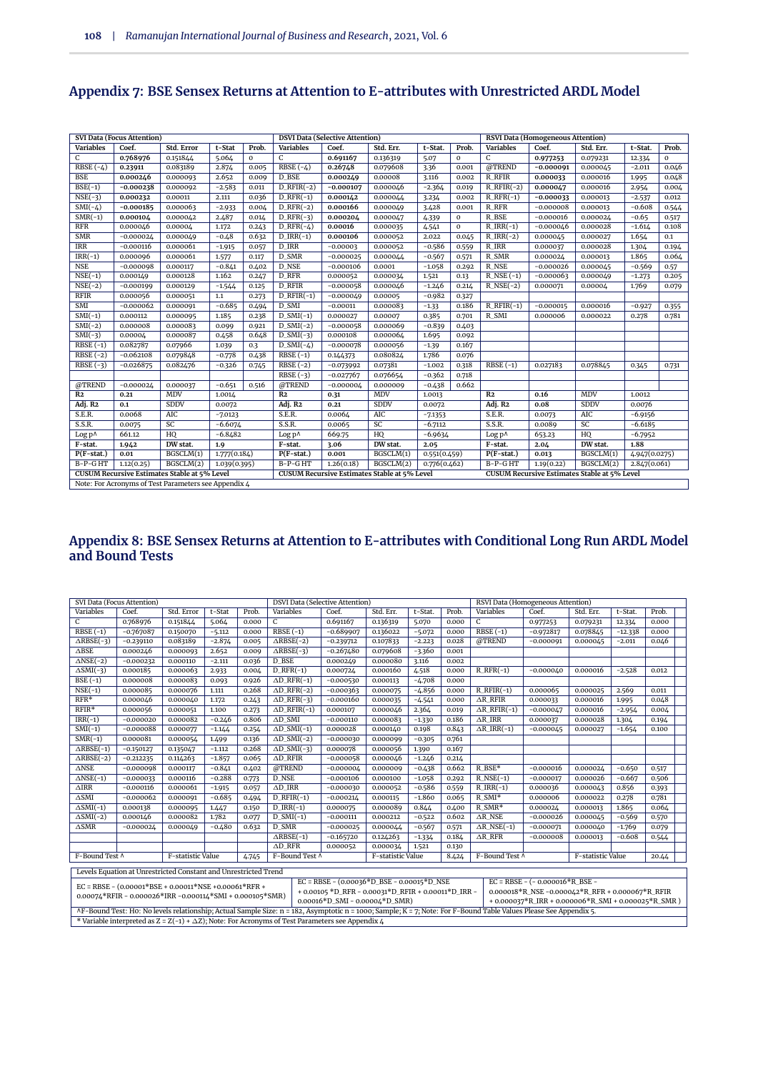|                                                                                                                                                                   | <b>SVI Data (Focus Attention)</b> |                                                      |              |             |                                                | <b>DSVI Data (Selective Attention)</b> |                 |              |              |                            | <b>RSVI Data (Homogeneous Attention)</b> |                 |               |              |
|-------------------------------------------------------------------------------------------------------------------------------------------------------------------|-----------------------------------|------------------------------------------------------|--------------|-------------|------------------------------------------------|----------------------------------------|-----------------|--------------|--------------|----------------------------|------------------------------------------|-----------------|---------------|--------------|
| <b>Variables</b>                                                                                                                                                  | Coef.                             | Std. Error                                           | t-Stat       | Prob.       | <b>Variables</b>                               | Coef.                                  | Std. Err.       | t-Stat.      | Prob.        | <b>Variables</b>           | Coef.                                    | Std. Err.       | t-Stat.       | Prob.        |
| C                                                                                                                                                                 | 0.768976                          | 0.151844                                             | 5.064        | $\mathbf 0$ | $\overline{c}$                                 | 0.691167                               | 0.136319        | 5.07         | $\mathbf{0}$ | C                          | 0.977253                                 | 0.079231        | 12.334        | $\mathbf{0}$ |
| RBSE $(-4)$                                                                                                                                                       | 0.23911                           | 0.083189                                             | 2.874        | 0.005       | RBSE $(-4)$                                    | 0.26748                                | 0.079608        | 3.36         | 0.001        | @TREND                     | $-0.000091$                              | 0.000045        | $-2.011$      | 0.046        |
| <b>BSE</b>                                                                                                                                                        | 0.000246                          | 0.000093                                             | 2.652        | 0.009       | D BSE                                          | 0.000249                               | 0.00008         | 3.116        | 0.002        | R RFIR                     | 0.000033                                 | 0.000016        | 1.995         | 0.048        |
| $BSE(-1)$                                                                                                                                                         | $-0.000238$                       | 0.000092                                             | $-2.583$     | 0.011       | $D_RFIR(-2)$                                   | $-0.000107$                            | 0.000046        | $-2.364$     | 0.019        | $R$ <sub>RFIR</sub> $(-2)$ | 0.000047                                 | 0.000016        | 2.954         | 0.004        |
| $NSE(-3)$                                                                                                                                                         | 0.000232                          | 0.00011                                              | 2.111        | 0.036       | $D_RFR(-1)$                                    | 0.000142                               | 0.000044        | 3.234        | 0.002        | $R_RFR(-1)$                | $-0.000033$                              | 0.000013        | $-2.537$      | 0.012        |
| $SMI(-4)$                                                                                                                                                         | $-0.000185$                       | 0.000063                                             | $-2.933$     | 0.004       | $D_RFR(-2)$                                    | 0.000166                               | 0.000049        | 3.428        | 0.001        | <b>R_RFR</b>               | $-0.000008$                              | 0.000013        | $-0.608$      | 0.544        |
| $SMR(-1)$                                                                                                                                                         | 0.000104                          | 0.000042                                             | 2.487        | 0.014       | $D_RFR(-3)$                                    | 0.000204                               | 0.000047        | 4.339        | $\mathbf 0$  | R BSE                      | $-0.000016$                              | 0.000024        | $-0.65$       | 0.517        |
| RFR                                                                                                                                                               | 0.000046                          | 0.00004                                              | 1.172        | 0.243       | $D_RFR(-4)$                                    | 0.00016                                | 0.000035        | 4.541        | $\mathbf{0}$ | $R$ IRR $(-1)$             | $-0.000046$                              | 0.000028        | $-1.614$      | 0.108        |
| <b>SMR</b>                                                                                                                                                        | $-0.000024$                       | 0.000049                                             | $-0.48$      | 0.632       | $DIRR(-1)$                                     | 0.000106                               | 0.000052        | 2.022        | 0.045        | $R$ IRR $(-2)$             | 0.000045                                 | 0.000027        | 1.654         | 0.1          |
| <b>IRR</b>                                                                                                                                                        | $-0.000116$                       | 0.000061                                             | $-1.915$     | 0.057       | D IRR                                          | $-0.00003$                             | 0.000052        | $-0.586$     | 0.559        | R_IRR                      | 0.000037                                 | 0.000028        | 1.304         | 0.194        |
| $IRR(-1)$                                                                                                                                                         | 0.000096                          | 0.000061                                             | 1.577        | 0.117       | D_SMR                                          | $-0.000025$                            | 0.000044        | $-0.567$     | 0.571        | <b>R_SMR</b>               | 0.000024                                 | 0.000013        | 1.865         | 0.064        |
| <b>NSE</b>                                                                                                                                                        | $-0.000098$                       | 0.000117                                             | $-0.841$     | 0.402       | D_NSE                                          | $-0.000106$                            | 0.0001          | $-1.058$     | 0.292        | R NSE                      | $-0.000026$                              | 0.000045        | $-0.569$      | 0.57         |
| $NSE(-1)$                                                                                                                                                         | 0.000149                          | 0.000128                                             | 1.162        | 0.247       | D_RFR                                          | 0.000052                               | 0.000034        | 1.521        | 0.13         | $R$ <sub>NSE</sub> $(-1)$  | $-0.000063$                              | 0.000049        | $-1.273$      | 0.205        |
| $NSE(-2)$                                                                                                                                                         | $-0.000199$                       | 0.000129                                             | $-1.544$     | 0.125       | D_RFIR                                         | $-0.000058$                            | 0.000046        | $-1.246$     | 0.214        | $R$ <sub>NSE</sub> $(-2)$  | 0.000071                                 | 0.00004         | 1.769         | 0.079        |
| <b>RFIR</b>                                                                                                                                                       | 0.000056                          | 0.000051                                             | 1.1          | 0.273       | $D_RFIR(-1)$                                   | $-0.000049$                            | 0.00005         | $-0.982$     | 0.327        |                            |                                          |                 |               |              |
| SMI                                                                                                                                                               | $-0.000062$                       | 0.000091                                             | $-0.685$     | 0.494       | D_SMI                                          | $-0.00011$                             | 0.000083        | $-1.33$      | 0.186        | $R_RFIR(-1)$               | $-0.000015$                              | 0.000016        | $-0.927$      | 0.355        |
| $SMI(-1)$                                                                                                                                                         | 0.000112                          | 0.000095                                             | 1.185        | 0.238       | $D\_SMI(-1)$                                   | 0.000027                               | 0.00007         | 0.385        | 0.701        | R_SMI                      | 0.000006                                 | 0.000022        | 0.278         | 0.781        |
| $SMI(-2)$                                                                                                                                                         | 0.000008                          | 0.000083                                             | 0.099        | 0.921       | $D_SMI(-2)$                                    | $-0.000058$                            | 0.000069        | $-0.839$     | 0.403        |                            |                                          |                 |               |              |
| $SMI(-3)$                                                                                                                                                         | 0.00004                           | 0.000087                                             | 0.458        | 0.648       | $D$ _SMI $(-3)$                                | 0.000108                               | 0.000064        | 1.695        | 0.092        |                            |                                          |                 |               |              |
| $RBSE(-1)$                                                                                                                                                        | 0.082787                          | 0.07966                                              | 1.039        | 0.3         | $D\_SMI(-4)$                                   | $-0.000078$                            | 0.000056        | $-1.39$      | 0.167        |                            |                                          |                 |               |              |
| $RBSE(-2)$                                                                                                                                                        | $-0.062108$                       | 0.079848                                             | $-0.778$     | 0.438       | $RBSE(-1)$                                     | 0.144373                               | 0.080824        | 1.786        | 0.076        |                            |                                          |                 |               |              |
| $RBSE(-3)$                                                                                                                                                        | $-0.026875$                       | 0.082476                                             | $-0.326$     | 0.745       | $RBSE(-2)$                                     | $-0.073992$                            | 0.07381         | $-1.002$     | 0.318        | $RBSE(-1)$                 | 0.027183                                 | 0.078845        | 0.345         | 0.731        |
|                                                                                                                                                                   |                                   |                                                      |              |             | $RBSE(-3)$                                     | $-0.027767$                            | 0.076654        | $-0.362$     | 0.718        |                            |                                          |                 |               |              |
| @TREND                                                                                                                                                            | $-0.000024$                       | 0.000037                                             | $-0.651$     | 0.516       | @TREND                                         | $-0.000004$                            | 0.000009        | $-0.438$     | 0.662        |                            |                                          |                 |               |              |
| R <sub>2</sub>                                                                                                                                                    | 0.21                              | <b>MDV</b>                                           | 1.0014       |             | R <sub>2</sub>                                 | 0.31                                   | <b>MDV</b>      | 1.0013       |              | R <sub>2</sub>             | 0.16                                     | <b>MDV</b>      | 1.0012        |              |
| Adj. R <sub>2</sub>                                                                                                                                               | 0.1                               | <b>SDDV</b>                                          | 0.0072       |             | Adj. R <sub>2</sub>                            | 0.21                                   | <b>SDDV</b>     | 0.0072       |              | Adj. R <sub>2</sub>        | 0.08                                     | <b>SDDV</b>     | 0.0076        |              |
| S.E.R.                                                                                                                                                            | 0.0068                            | AIC                                                  | $-7.0123$    |             | S.E.R.                                         | 0.0064                                 | <b>AIC</b>      | $-7.1353$    |              | S.E.R.                     | 0.0073                                   | <b>AIC</b>      | $-6.9156$     |              |
| S.S.R.                                                                                                                                                            | 0.0075                            | $\overline{SC}$                                      | $-6.6074$    |             | S.S.R.                                         | 0.0065                                 | $\overline{SC}$ | $-6.7112$    |              | S.S.R.                     | 0.0089                                   | $\overline{SC}$ | $-6.6185$     |              |
| Log p^                                                                                                                                                            | 661.12                            | HQ                                                   | $-6.8482$    |             | Log p^                                         | 669.75                                 | HQ              | $-6.9634$    |              | Log p^                     | 653.23                                   | HQ              | $-6.7952$     |              |
| F-stat.                                                                                                                                                           | 1.942                             | DW stat.                                             | 1.9          |             | DW stat.<br>F-stat.<br>F-stat.<br>3.06<br>2.05 |                                        |                 | 2.04         | DW stat.     | 1.88                       |                                          |                 |               |              |
| $P(F-stat.)$                                                                                                                                                      | 0.01                              | BGSCLM(1)                                            | 1.777(0.184) |             | $P(F-stat.)$                                   | 0.001                                  | BGSCLM(1)       | 0.551(0.459) |              | $P(F-stat.)$               | 0.013                                    | BGSCLM(1)       | 4.947(0.0275) |              |
| $B-P-GHT$                                                                                                                                                         | 1.12(0.25)                        | BGSCLM(2)                                            | 1.039(0.395) |             | $B-P-GHT$                                      | 1.26(0.18)                             | BGSCLM(2)       | 0.776(0.462) |              | $B-P-GHT$                  | 1.19(0.22)                               | BGSCLM(2)       | 2.847(0.061)  |              |
| <b>CUSUM Recursive Estimates Stable at 5% Level</b><br><b>CUSUM Recursive Estimates Stable at 5% Level</b><br><b>CUSUM Recursive Estimates Stable at 5% Level</b> |                                   |                                                      |              |             |                                                |                                        |                 |              |              |                            |                                          |                 |               |              |
|                                                                                                                                                                   |                                   | Note: For Acronyms of Test Parameters see Appendix 4 |              |             |                                                |                                        |                 |              |              |                            |                                          |                 |               |              |

# **Appendix 7: BSE Sensex Returns at Attention to E-attributes with Unrestricted ARDL Model**

#### **Appendix 8: BSE Sensex Returns at Attention to E-attributes with Conditional Long Run ARDL Model and Bound Tests**

| SVI Data (Focus Attention)     |                                                                                        |                   |          |       | <b>DSVI Data (Selective Attention)</b>                                                                                                                            |                                                                                                                                                                                                                                                                                                                      |                   |          |       | RSVI Data (Homogeneous Attention)   |                                                     |                   |           |       |
|--------------------------------|----------------------------------------------------------------------------------------|-------------------|----------|-------|-------------------------------------------------------------------------------------------------------------------------------------------------------------------|----------------------------------------------------------------------------------------------------------------------------------------------------------------------------------------------------------------------------------------------------------------------------------------------------------------------|-------------------|----------|-------|-------------------------------------|-----------------------------------------------------|-------------------|-----------|-------|
| Variables                      | Coef.                                                                                  | Std. Error        | t-Stat   | Prob. | Variables<br>Variables<br>Coef.<br>Std. Err.<br>Prob.<br>Coef.<br>Std. Err.<br>t-Stat.<br>Prob.<br>t-Stat.                                                        |                                                                                                                                                                                                                                                                                                                      |                   |          |       |                                     |                                                     |                   |           |       |
| $\overline{C}$                 | 0.768976                                                                               | 0.151844          | 5.064    | 0.000 | $\mathsf{C}$                                                                                                                                                      | 0.691167                                                                                                                                                                                                                                                                                                             | 0.136319          | 5.070    | 0.000 | $\overline{c}$                      | 0.977253                                            | 0.079231          | 12.334    | 0.000 |
| $RBSE(-1)$                     | $-0.767087$                                                                            | 0.150070          | $-5.112$ | 0.000 | $RBSE(-1)$                                                                                                                                                        | $-0.689907$                                                                                                                                                                                                                                                                                                          | 0.136022          | $-5.072$ | 0.000 | $RBSE(-1)$                          | $-0.972817$                                         | 0.078845          | $-12.338$ | 0.000 |
| $\triangle RBSE(-3)$           | $-0.239110$                                                                            | 0.083189          | $-2.874$ | 0.005 | $\triangle RBSE(-2)$                                                                                                                                              | $-0.239712$                                                                                                                                                                                                                                                                                                          | 0.107833          | $-2.223$ | 0.028 | @TREND                              | $-0.000091$                                         | 0.000045          | $-2.011$  | 0.046 |
| $\Delta \text{BSE}$            | 0.000246                                                                               | 0.000093          | 2.652    | 0.009 | $\triangle RBSE(-3)$                                                                                                                                              | $-0.267480$                                                                                                                                                                                                                                                                                                          | 0.079608          | $-3.360$ | 0.001 |                                     |                                                     |                   |           |       |
| $\triangle \text{NSE}(-2)$     | $-0.000232$                                                                            | 0.000110          | $-2.111$ | 0.036 | D BSE                                                                                                                                                             | 0.000249                                                                                                                                                                                                                                                                                                             | 0.000080          | 3.116    | 0.002 |                                     |                                                     |                   |           |       |
| $\triangle$ SMI(-3)            | 0.000185                                                                               | 0.000063          | 2.933    | 0.004 | $D_RFR(-1)$                                                                                                                                                       | 0.000724                                                                                                                                                                                                                                                                                                             | 0.000160          | 4.518    | 0.000 | $R_RFR(-1)$                         | $-0.000040$                                         | 0.000016          | $-2.528$  | 0.012 |
| $BSE(-1)$                      | 0.000008                                                                               | 0.000083          | 0.093    | 0.926 | $\Delta$ D_RFR(-1)                                                                                                                                                | $-0.000530$                                                                                                                                                                                                                                                                                                          | 0.000113          | $-4.708$ | 0.000 |                                     |                                                     |                   |           |       |
| $NSE(-1)$                      | 0.000085                                                                               | 0.000076          | 1.111    | 0.268 | $\Delta$ D_RFR(-2)                                                                                                                                                | $-0.000363$                                                                                                                                                                                                                                                                                                          | 0.000075          | $-4.856$ | 0.000 | $R_RFIR(-1)$                        | 0.000065                                            | 0.000025          | 2.569     | 0.011 |
| $RFR*$                         | 0.000046                                                                               | 0.000040          | 1.172    | 0.243 | $\triangle D_RFR(-3)$                                                                                                                                             | $-0.000160$                                                                                                                                                                                                                                                                                                          | 0.000035          | $-4.541$ | 0.000 | $\triangle R$ RFIR                  | 0.000033                                            | 0.000016          | 1.995     | 0.048 |
| $RFIR*$                        | 0.000056                                                                               | 0.000051          | 1.100    | 0.273 | $\Delta$ D_RFIR(-1)                                                                                                                                               | 0.000107                                                                                                                                                                                                                                                                                                             | 0.000046          | 2.364    | 0.019 | $\triangle$ R_RFIR(-1)              | $-0.000047$                                         | 0.000016          | $-2.954$  | 0.004 |
| $IRR(-1)$                      | $-0.000020$                                                                            | 0.000082          | $-0.246$ | 0.806 | $AD$ _SMI                                                                                                                                                         | $-0.000110$                                                                                                                                                                                                                                                                                                          | 0.000083          | $-1.330$ | 0.186 | $\triangle R$ IRR                   | 0.000037                                            | 0.000028          | 1.304     | 0.194 |
| $SMI(-1)$                      | $-0.000088$                                                                            | 0.000077          | $-1.144$ | 0.254 | $\Delta D$ _SMI(-1)                                                                                                                                               | 0.000028                                                                                                                                                                                                                                                                                                             | 0.000140          | 0.198    | 0.843 | $\triangle R$ IRR(-1)               | $-0.000045$                                         | 0.000027          | $-1.654$  | 0.100 |
| $SMR(-1)$                      | 0.000081                                                                               | 0.000054          | 1.499    | 0.136 | $\Delta D\_SMI(-2)$                                                                                                                                               | $-0.000030$                                                                                                                                                                                                                                                                                                          | 0.000099          | $-0.305$ | 0.761 |                                     |                                                     |                   |           |       |
| $\triangle RBSE(-1)$           | $-0.150127$                                                                            | 0.135047          | $-1.112$ | 0.268 | $\overline{\triangle D\_SMI(-3)}$                                                                                                                                 | 0.000078                                                                                                                                                                                                                                                                                                             | 0.000056          | 1.390    | 0.167 |                                     |                                                     |                   |           |       |
| $\triangle RBSE(-2)$           | $-0.212235$                                                                            | 0.114263          | $-1.857$ | 0.065 | $AD$ <sub>RFIR</sub><br>$-1.246$<br>$-0.000058$<br>0.000046<br>0.214                                                                                              |                                                                                                                                                                                                                                                                                                                      |                   |          |       |                                     |                                                     |                   |           |       |
| $\overline{\triangle}$ NSE     | $-0.000098$                                                                            | 0.000117          | $-0.841$ | 0.402 | @TREND                                                                                                                                                            | $-0.000004$                                                                                                                                                                                                                                                                                                          | 0.000009          | $-0.438$ | 0.662 | R BSE*                              | $-0.000016$                                         | 0.000024          | $-0.650$  | 0.517 |
| $\triangle \text{NSE}(-1)$     | $-0.000033$                                                                            | 0.000116          | $-0.288$ | 0.773 | D_NSE                                                                                                                                                             | $-0.000106$                                                                                                                                                                                                                                                                                                          | 0.000100          | $-1.058$ | 0.292 | $R$ <sub>NSE</sub> $(-1)$           | $-0.000017$                                         | 0.000026          | $-0.667$  | 0.506 |
| $\triangle$ IRR                | $-0.000116$                                                                            | 0.000061          | $-1.915$ | 0.057 | $AD$ IRR                                                                                                                                                          | $-0.000030$                                                                                                                                                                                                                                                                                                          | 0.000052          | $-0.586$ | 0.559 | $R_IRR(-1)$                         | 0.000036                                            | 0.000043          | 0.856     | 0.393 |
| $\overline{\Delta \text{SMI}}$ | $-0.000062$                                                                            | 0.000091          | $-0.685$ | 0.494 | $D_RFIR(-1)$                                                                                                                                                      | $-0.000214$                                                                                                                                                                                                                                                                                                          | 0.000115          | $-1.860$ | 0.065 | $R\_SMI*$                           | 0.000006                                            | 0.000022          | 0.278     | 0.781 |
| $\triangle$ SMI(-1)            | 0.000138                                                                               | 0.000095          | 1.447    | 0.150 | $D_IRR(-1)$                                                                                                                                                       | 0.000075                                                                                                                                                                                                                                                                                                             | 0.000089          | 0.844    | 0.400 | $R\_SMR*$                           | 0.000024                                            | 0.000013          | 1.865     | 0.064 |
| $\triangle$ SMI(-2)            | 0.000146                                                                               | 0.000082          | 1.782    | 0.077 | $D\_SMI(-1)$                                                                                                                                                      | $-0.000111$                                                                                                                                                                                                                                                                                                          | 0.000212          | $-0.522$ | 0.602 | $\Delta$ RNSE                       | $-0.000026$                                         | 0.000045          | $-0.569$  | 0.570 |
| $\Delta \text{SMR}$            | $-0.00002\Delta$                                                                       | 0.000049          | $-0.480$ | 0.632 | D SMR                                                                                                                                                             | $-0.000025$                                                                                                                                                                                                                                                                                                          | 0.000044          | $-0.567$ | 0.571 | $\triangle R$ <sub>NSE</sub> $(-1)$ | $-0.000071$                                         | 0.000040          | $-1.769$  | 0.079 |
|                                |                                                                                        |                   |          |       | $\triangle RBSE(-1)$                                                                                                                                              | $-0.165720$                                                                                                                                                                                                                                                                                                          | 0.124263          | $-1.334$ | 0.184 | $\triangle R$ <sub>RFR</sub>        | $-0.000008$                                         | 0.000013          | $-0.608$  | 0.544 |
|                                |                                                                                        |                   |          |       | $AD$ RFR                                                                                                                                                          | 0.000052                                                                                                                                                                                                                                                                                                             | 0.000034          | 1.521    | 0.130 |                                     |                                                     |                   |           |       |
| F-Bound Test ^                 |                                                                                        | F-statistic Value |          | 4.745 | F-Bound Test ^                                                                                                                                                    |                                                                                                                                                                                                                                                                                                                      | F-statistic Value |          | 8.424 | F-Bound Test ^                      |                                                     | F-statistic Value |           | 20.44 |
|                                | Levels Equation at Unrestricted Constant and Unrestricted Trend                        |                   |          |       |                                                                                                                                                                   |                                                                                                                                                                                                                                                                                                                      |                   |          |       |                                     |                                                     |                   |           |       |
|                                |                                                                                        |                   |          |       |                                                                                                                                                                   | $EC = RBSE - (0.00036 * D_BSE - 0.00015 * D_SSE - 0.00015 * D_SSE - 0.00015 * D_SSE - 0.00015 * D_SSE - 0.00015 * D_SSE - 0.00015 * D_SSE - 0.00015 * D_SSE - 0.00015 * D_SSE - 0.00015 * D_SSE - 0.00015 * D_SSE - 0.00015 * D_SSE - 0.00015 * D_SSE - 0.00015 * D_SSE - 0.00015 * D_SSE - 0.00015 * D_SSE - 0.000$ |                   |          |       |                                     | $EC = RBSE - (-0.000016) R BSE -$                   |                   |           |       |
|                                | EC = RBSE - $(0.00001*BSE + 0.00011*NSE + 0.00061*RFR +$                               |                   |          |       |                                                                                                                                                                   | + 0.00105 *D_RFR - 0.00031*D_RFIR + 0.00011*D_IRR -                                                                                                                                                                                                                                                                  |                   |          |       |                                     | 0.000018*R_NSE -0.000042*R_RFR + 0.000067*R_RFIR    |                   |           |       |
|                                | $0.0007\text{L}^*$ RFIR - $0.000026$ *IRR - $0.00011\text{L}^*$ SMI + $0.000105$ *SMR) |                   |          |       |                                                                                                                                                                   | $0.00016 * D$ _SMI - $0.00004 * D$ _SMR)                                                                                                                                                                                                                                                                             |                   |          |       |                                     | + 0.000037*R_IRR + 0.000006*R_SMI + 0.000025*R_SMR) |                   |           |       |
|                                |                                                                                        |                   |          |       | AF-Bound Test: Ho: No levels relationship; Actual Sample Size: n = 182, Asymptotic n = 1000; Sample; K = 7; Note: For F-Bound Table Values Please See Appendix 5. |                                                                                                                                                                                                                                                                                                                      |                   |          |       |                                     |                                                     |                   |           |       |
|                                |                                                                                        |                   |          |       | * Variable interpreted as $Z = Z(-1) + \Delta Z$ ; Note: For Acronyms of Test Parameters see Appendix 4.                                                          |                                                                                                                                                                                                                                                                                                                      |                   |          |       |                                     |                                                     |                   |           |       |
|                                |                                                                                        |                   |          |       |                                                                                                                                                                   |                                                                                                                                                                                                                                                                                                                      |                   |          |       |                                     |                                                     |                   |           |       |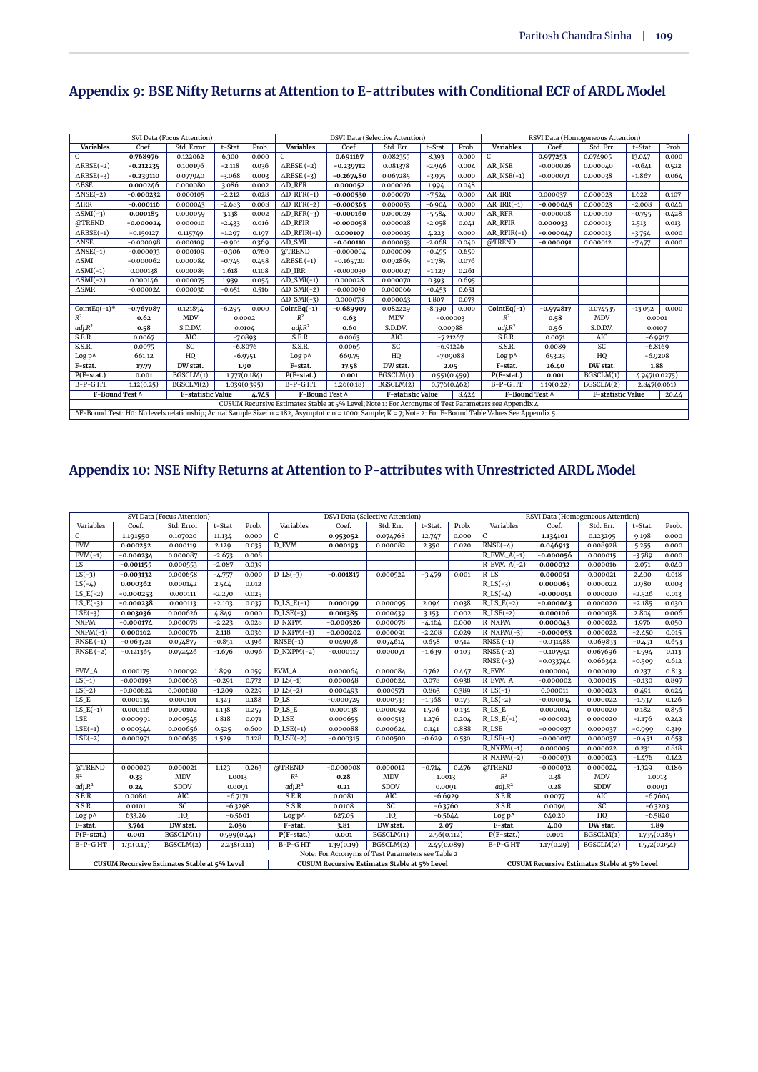|                            |                    | SVI Data (Focus Attention) |              |                                                                             |                                                                                                                                                              |             | <b>DSVI Data (Selective Attention)</b> |              |       |                                     |             | RSVI Data (Homogeneous Attention) |               |       |
|----------------------------|--------------------|----------------------------|--------------|-----------------------------------------------------------------------------|--------------------------------------------------------------------------------------------------------------------------------------------------------------|-------------|----------------------------------------|--------------|-------|-------------------------------------|-------------|-----------------------------------|---------------|-------|
| <b>Variables</b>           | Coef.              | Std. Error                 | t-Stat       | Prob.                                                                       | <b>Variables</b>                                                                                                                                             | Coef.       | Std. Err.                              | t-Stat.      | Prob. | <b>Variables</b>                    | Coef.       | Std. Err.                         | t-Stat.       | Prob. |
| C                          | 0.768976           | 0.122062                   | 6.300        | 0.000                                                                       | $\mathcal{C}$                                                                                                                                                | 0.691167    | 0.082355                               | 8.393        | 0.000 | $\mathcal{C}$                       | 0.977253    | 0.074905                          | 13.047        | 0.000 |
| $\triangle RBSE(-2)$       | $-0.212235$        | 0.100196                   | $-2.118$     | 0.036                                                                       | $\triangle$ RBSE $(-2)$                                                                                                                                      | $-0.239712$ | 0.081378                               | $-2.946$     | 0.004 | $\triangle$ R NSE                   | $-0.000026$ | 0.000040                          | $-0.641$      | 0.522 |
| $\triangle RBSE(-3)$       | $-0.239110$        | 0.077940                   | $-3.068$     | 0.003                                                                       | $\triangle$ RBSE (-3)                                                                                                                                        | $-0.267480$ | 0.067285                               | $-3.975$     | 0.000 | $\triangle R$ <sub>NSE</sub> $(-1)$ | $-0.000071$ | 0.000038                          | $-1.867$      | 0.064 |
| $\triangle$ BSE            | 0.000246           | 0.000080                   | 3.086        | 0.002                                                                       | $AD$ RFR                                                                                                                                                     | 0.000052    | 0.000026                               | 1.994        | 0.048 |                                     |             |                                   |               |       |
| $\triangle$ NSE(-2)        | $-0.000232$        | 0.000105                   | $-2.212$     | 0.028                                                                       | $\triangle D_RFR(-1)$                                                                                                                                        | $-0.000530$ | 0.000070                               | $-7.524$     | 0.000 | $\triangle R$ IRR                   | 0.000037    | 0.000023                          | 1.622         | 0.107 |
| $\triangle$ IRR            | $-0.000116$        | 0.000043                   | $-2.683$     | 0.008                                                                       | $\overline{\Delta D}$ <sub>RFR(-2)</sub>                                                                                                                     | $-0.000363$ | 0.000053                               | $-6.904$     | 0.000 | $\triangle R$ IRR(-1)               | $-0.000045$ | 0.000023                          | $-2.008$      | 0.046 |
| $\triangle$ SMI(-3)        | 0.000185           | 0.000059                   | 3.138        | 0.002                                                                       | $\triangle D_RFR(-3)$                                                                                                                                        | $-0.000160$ | 0.000029                               | $-5.584$     | 0.000 | $\triangle R$ <sub>RFR</sub>        | $-0.000008$ | 0.000010                          | $-0.795$      | 0.428 |
| @TREND                     | $-0.000024$        | 0.000010                   | $-2.433$     | 0.016                                                                       | $AD$ RFIR                                                                                                                                                    | $-0.000058$ | 0.000028                               | $-2.058$     | 0.041 | $\triangle$ R RFIR                  | 0.000033    | 0.000013                          | 2.513         | 0.013 |
| $\triangle RBSE(-1)$       | $-0.150127$        | 0.115749                   | $-1.297$     | 0.197                                                                       | $\Delta$ D_RFIR(-1)                                                                                                                                          | 0.000107    | 0.000025                               | 4.223        | 0.000 | $\triangle$ R_RFIR(-1)              | $-0.000047$ | 0.000013                          | $-3.754$      | 0.000 |
| $\triangle$ NSE            | $-0.000098$        | 0.000109                   | $-0.901$     | 0.369                                                                       | $AD$ SMI                                                                                                                                                     | $-0.000110$ | 0.000053                               | $-2.068$     | 0.040 | @TREND                              | $-0.000091$ | 0.000012                          | $-7.477$      | 0.000 |
| $\triangle \text{NSE}(-1)$ | $-0.000033$        | 0.000109                   | $-0.306$     | 0.760                                                                       | @TREND                                                                                                                                                       | $-0.000004$ | 0.000009                               | $-0.455$     | 0.650 |                                     |             |                                   |               |       |
| $\triangle$ SMI            | $-0.000062$        | 0.000084                   | $-0.745$     | 0.458                                                                       | $\triangle$ RBSE (-1)                                                                                                                                        | $-0.165720$ | 0.092865                               | $-1.785$     | 0.076 |                                     |             |                                   |               |       |
| $\triangle$ SMI(-1)        | 0.000138           | 0.000085                   | 1.618        | 0.108                                                                       | $\triangle$ D_IRR                                                                                                                                            | $-0.000030$ | 0.000027                               | $-1.129$     | 0.261 |                                     |             |                                   |               |       |
| $\triangle$ SMI(-2)        | 0.000146           | 0.000075                   | 1.939        | 0.054                                                                       | $\triangle$ D_SMI(-1)                                                                                                                                        | 0.000028    | 0.000070                               | 0.393        | 0.695 |                                     |             |                                   |               |       |
| $\triangle$ SMR            | $-0.00002\text{Å}$ | 0.000036                   | $-0.651$     | 0.516                                                                       | $\triangle$ D_SMI(-2)                                                                                                                                        | $-0.000030$ | 0.000066                               | $-0.453$     | 0.651 |                                     |             |                                   |               |       |
|                            |                    |                            |              |                                                                             | $\Delta D$ _SMI(-3)                                                                                                                                          | 0.000078    | 0.000043                               | 1.807        | 0.073 |                                     |             |                                   |               |       |
| CointEq $(-1)^*$           | $-0.767087$        | 0.121854                   | $-6.295$     | 0.000                                                                       | $CointEq(-1)$                                                                                                                                                | $-0.689907$ | 0.082229                               | $-8.390$     | 0.000 | $CointEq(-1)$                       | $-0.972817$ | 0.074535                          | $-13.052$     | 0.000 |
| $R^2$                      | 0.62               | <b>MDV</b>                 | 0.0002       |                                                                             | $R^2$                                                                                                                                                        | 0.63        | <b>MDV</b>                             | $-0.00003$   |       | $R^2$                               | 0.58        | <b>MDV</b>                        | 0.0001        |       |
| adj.R <sup>2</sup>         | 0.58               | S.D.D.V.                   | 0.0104       |                                                                             | adj.R <sup>2</sup>                                                                                                                                           | 0.60        | S.D.D.V.                               | 0.00988      |       | adj.R <sup>2</sup>                  | 0.56        | S.D.D.V.                          | 0.0107        |       |
| S.E.R.                     | 0.0067             | AIC                        | $-7.0893$    |                                                                             | S.E.R.                                                                                                                                                       | 0.0063      | AIC                                    | $-7.21267$   |       | S.E.R.                              | 0.0071      | AIC                               | $-6.9917$     |       |
| S.S.R.                     | 0.0075             | SC                         | $-6.8076$    |                                                                             | S.S.R.                                                                                                                                                       | 0.0065      | SC                                     | $-6.91226$   |       | S.S.R.                              | 0.0089      | <b>SC</b>                         | $-6.8169$     |       |
| Log p^                     | 661.12             | HQ                         |              | HQ<br>HQ<br>$-6.9751$<br>$-7.09088$<br>Log p^<br>669.75<br>Log p^<br>653.23 |                                                                                                                                                              |             |                                        |              |       |                                     | $-6.9208$   |                                   |               |       |
| F-stat.                    | 17.77              | DW stat.                   | 1.90         |                                                                             | F-stat.                                                                                                                                                      | 17.58       | DW stat.                               | 2.05         |       | F-stat.                             | 26.40       | DW stat.                          | 1.88          |       |
| $P(F-stat.)$               | 0.001              | BGSCLM(1)                  | 1.777(0.184) |                                                                             | $P(F-stat.)$                                                                                                                                                 | 0.001       | BGSCLM(1)                              | 0.551(0.459) |       | $P(F-stat.)$                        | 0.001       | BGSCLM(1)                         | 4.947(0.0275) |       |
| B-P-GHT                    | 1.12(0.25)         | BGSCLM(2)                  | 1.039(0.395) |                                                                             | $B-P-GHT$                                                                                                                                                    | 1.26(0.18)  | BGSCLM(2)                              | 0.776(0.462) |       | B-P-GHT                             | 1.19(0.22)  | BGSCLM(2)                         | 2.847(0.061)  |       |
| F-Bound Test ^             |                    | F-statistic Value          |              | 4.745                                                                       | F-Bound Test ^                                                                                                                                               |             | F-statistic Value                      |              | 8.424 | F-Bound Test ^                      |             | F-statistic Value                 |               | 20.44 |
|                            |                    |                            |              |                                                                             | CUSUM Recursive Estimates Stable at 5% Level: Note 1: For Acronyms of Test Parameters see Appendix 4                                                         |             |                                        |              |       |                                     |             |                                   |               |       |
|                            |                    |                            |              |                                                                             | AF-Bound Test: Ho: No levels relationship; Actual Sample Size: n = 182, Asymptotic n = 1000; Sample; K = 7; Note 2: For F-Bound Table Values See Appendix 5. |             |                                        |              |       |                                     |             |                                   |               |       |

# **Appendix 9: BSE Nifty Returns at Attention to E-attributes with Conditional ECF of ARDL Model**

# **Appendix 10: NSE Nifty Returns at Attention to P-attributes with Unrestricted ARDL Model**

|                                        |             | SVI Data (Focus Attention)                          |             | DSVI Data (Selective Attention) |                                                     |             |            |             |       |                                                     |             | RSVI Data (Homogeneous Attention) |              |       |
|----------------------------------------|-------------|-----------------------------------------------------|-------------|---------------------------------|-----------------------------------------------------|-------------|------------|-------------|-------|-----------------------------------------------------|-------------|-----------------------------------|--------------|-------|
| Variables                              | Coef.       | Std. Error                                          | t-Stat      | Prob.                           | Variables                                           | Coef.       | Std. Err.  | t-Stat.     | Prob. | Variables                                           | Coef.       | Std. Err.                         | t-Stat.      | Prob. |
| C                                      | 1.191550    | 0.107020                                            | 11.134      | 0.000                           | $\mathsf{C}$                                        | 0.953052    | 0.074768   | 12.747      | 0.000 | $\mathsf{C}$                                        | 1.134101    | 0.123295                          | 9.198        | 0.000 |
| <b>EVM</b>                             | 0.000252    | 0.000119                                            | 2.129       | 0.035                           | D_EVM                                               | 0.000193    | 0.000082   | 2.350       | 0.020 | $RNSE(-4)$                                          | 0.046913    | 0.008928                          | 5.255        | 0.000 |
| $EVM(-1)$                              | $-0.000234$ | 0.000087                                            | $-2.673$    | 0.008                           |                                                     |             |            |             |       | $R$ _EVM_A(-1)                                      | $-0.000056$ | 0.000015                          | $-3.789$     | 0.000 |
| LS.                                    | $-0.001155$ | 0.000553                                            | $-2.087$    | 0.039                           |                                                     |             |            |             |       | $R$ _EVM_A(-2)                                      | 0.000032    | 0.000016                          | 2.071        | 0.040 |
| $LS(-3)$                               | $-0.003132$ | 0.000658                                            | $-4.757$    | 0.000                           | $D$ <sub>LS</sub> $(-3)$                            | $-0.001817$ | 0.000522   | $-3.479$    | 0.001 | $R$ <sub>LS</sub>                                   | 0.000051    | 0.000021                          | 2.400        | 0.018 |
| $LS(-4)$                               | 0.000362    | 0.000142                                            | 2.544       | 0.012                           |                                                     |             |            |             |       | $R$ <sub>LS</sub> $(-3)$                            | 0.000065    | 0.000022                          | 2.980        | 0.003 |
| $LS_E(-2)$                             | $-0.000253$ | 0.000111                                            | $-2.270$    | 0.025                           |                                                     |             |            |             |       | $R$ <sub>LS</sub> $(-4)$                            | $-0.000051$ | 0.000020                          | $-2.526$     | 0.013 |
| $\overline{\text{LS}_{-}\text{E}(-3)}$ | $-0.000238$ | 0.000113                                            | $-2.103$    | 0.037                           | $D$ <sub>LS</sub> $E(-1)$                           | 0.000199    | 0.000095   | 2.094       | 0.038 | $R$ <sub>LS</sub> $E(-2)$                           | $-0.000043$ | 0.000020                          | $-2.185$     | 0.030 |
| $LSE(-3)$                              | 0.003036    | 0.000626                                            | 4.849       | 0.000                           | $D$ <sub>LSE</sub> $(-3)$                           | 0.001385    | 0.000439   | 3.153       | 0.002 | $R$ <sub>LSE</sub> $(-2)$                           | 0.000106    | 0.000038                          | 2.804        | 0.006 |
| <b>NXPM</b>                            | $-0.000174$ | 0.000078                                            | $-2.223$    | 0.028                           | D_NXPM                                              | $-0.000326$ | 0.000078   | $-4.164$    | 0.000 | R NXPM                                              | 0.000043    | 0.000022                          | 1.976        | 0.050 |
| $NXPM(-1)$                             | 0.000162    | 0.000076                                            | 2.118       | 0.036                           | $D_NXPM(-1)$                                        | $-0.000202$ | 0.000091   | $-2.208$    | 0.029 | $R_NXPM(-3)$                                        | $-0.000053$ | 0.000022                          | $-2.450$     | 0.015 |
| $RNSE(-1)$                             | $-0.063721$ | 0.074877                                            | $-0.851$    | 0.396                           | $RNSE(-1)$                                          | 0.049078    | 0.074614   | 0.658       | 0.512 | $RNSE(-1)$                                          | $-0.031488$ | 0.069833                          | $-0.451$     | 0.653 |
| $RNSE(-2)$                             | $-0.121365$ | 0.072426                                            | $-1.676$    | 0.096                           | $D$ NXPM $(-2)$                                     | $-0.000117$ | 0.000071   | $-1.639$    | 0.103 | $RNSE(-2)$                                          | $-0.107941$ | 0.067696                          | $-1.594$     | 0.113 |
|                                        |             |                                                     |             |                                 |                                                     |             |            |             |       | $RNSE(-3)$                                          | $-0.033744$ | 0.066342                          | $-0.509$     | 0.612 |
| EVM_A                                  | 0.000175    | 0.000092                                            | 1.899       | 0.059                           | EVM_A                                               | 0.000064    | 0.000084   | 0.762       | 0.447 | <b>R_EVM</b>                                        | 0.000004    | 0.000019                          | 0.237        | 0.813 |
| $LS(-1)$                               | $-0.000193$ | 0.000663                                            | $-0.291$    | 0.772                           | $D$ <sub>LS</sub> $(-1)$                            | 0.000048    | 0.000624   | 0.078       | 0.938 | <b>R_EVM_A</b>                                      | $-0.000002$ | 0.000015                          | $-0.130$     | 0.897 |
| $\overline{LS}(-2)$                    | $-0.000822$ | 0.000680                                            | $-1.209$    | 0.229                           | $D$ <sub>LS</sub> $(-2)$                            | 0.000493    | 0.000571   | 0.863       | 0.389 | $R$ <sub>LS</sub> $(-1)$                            | 0.000011    | 0.000023                          | 0.491        | 0.624 |
| LS_E                                   | 0.000134    | 0.000101                                            | 1.323       | 0.188                           | D LS                                                | $-0.000729$ | 0.000533   | $-1.368$    | 0.173 | $R$ <sub>LS</sub> $(-2)$                            | $-0.000034$ | 0.000022                          | $-1.537$     | 0.126 |
| $LS_E(-1)$                             | 0.000116    | 0.000102                                            | 1.138       | 0.257                           | D_LS_E                                              | 0.000138    | 0.000092   | 1.506       | 0.134 | R_LS_E                                              | 0.000004    | 0.000020                          | 0.182        | 0.856 |
| <b>LSE</b>                             | 0.000991    | 0.000545                                            | 1.818       | 0.071                           | D_LSE                                               | 0.000655    | 0.000513   | 1.276       | 0.204 | $R$ <sub>LS</sub> $_E(-1)$                          | $-0.000023$ | 0.000020                          | $-1.176$     | 0.242 |
| $LSE(-1)$                              | 0.000344    | 0.000656                                            | 0.525       | 0.600                           | $D$ <sub>LSE</sub> $(-1)$                           | 0.000088    | 0.000624   | 0.141       | 0.888 | R_LSE                                               | $-0.000037$ | 0.000037                          | $-0.999$     | 0.319 |
| $LSE(-2)$                              | 0.000971    | 0.000635                                            | 1.529       | 0.128                           | $D$ <sub>LSE</sub> $(-2)$                           | $-0.000315$ | 0.000500   | $-0.629$    | 0.530 | $R$ <sub>LSE</sub> $(-1)$                           | $-0.000017$ | 0.000037                          | $-0.451$     | 0.653 |
|                                        |             |                                                     |             |                                 |                                                     |             |            |             |       | $R_NXPM(-1)$                                        | 0.000005    | 0.000022                          | 0.231        | 0.818 |
|                                        |             |                                                     |             |                                 |                                                     |             |            |             |       | $R_NXPM(-2)$                                        | $-0.000033$ | 0.000023                          | $-1.476$     | 0.142 |
| @TREND                                 | 0.000023    | 0.000021                                            | 1.123       | 0.263                           | @TREND                                              | $-0.000008$ | 0.000012   | $-0.714$    | 0.476 | @TREND                                              | $-0.000032$ | 0.000024                          | $-1.329$     | 0.186 |
| $R^2$                                  | 0.33        | MDV                                                 | 1.0013      |                                 | $R^2$                                               | 0.28        | MDV        | 1.0013      |       | $R^2$                                               | 0.38        | <b>MDV</b>                        | 1.0013       |       |
| adj.R <sup>2</sup>                     | 0.24        | <b>SDDV</b>                                         | 0.0091      |                                 | adj.R <sup>2</sup>                                  | 0.21        | SDDV       | 0.0091      |       | adj.R <sup>2</sup>                                  | 0.28        | SDDV                              | 0.0091       |       |
| S.E.R.                                 | 0.0080      | AIC                                                 | $-6.7171$   |                                 | S.E.R.                                              | 0.0081      | <b>AIC</b> | $-6.6929$   |       | S.E.R.                                              | 0.0077      | AIC                               | $-6.7604$    |       |
| S.S.R.                                 | 0.0101      | SC                                                  | $-6.3298$   |                                 | S.S.R.                                              | 0.0108      | SC         | $-6.3760$   |       | S.S.R.                                              | 0.0094      | SC                                | $-6.3203$    |       |
| Log p^                                 | 633.26      | HQ                                                  | $-6.5601$   |                                 | Log p^                                              | 627.05      | HQ         | $-6.5644$   |       | Log p^                                              | 640.20      | HQ                                | $-6.5820$    |       |
| F-stat.                                | 3.761       | DW stat.                                            | 2.036       |                                 | F-stat.                                             | 3.81        | DW stat.   | 2.07        |       | F-stat.                                             | 4.00        | DW stat.                          | 1.89         |       |
| $P(F-stat.)$                           | 0.001       | BGSCLM(1)                                           | 0.599(0.44) |                                 | $\overline{P(F-stat.)}$                             | 0.001       | BGSCLM(1)  | 2.56(0.112) |       | $P(F-stat.)$                                        | 0.001       | BGSCLM(1)                         | 1.735(0.189) |       |
| B-P-GHT                                | 1.31(0.17)  | BGSCLM(2)                                           | 2.238(0.11) |                                 | BGSCLM(2)<br>B-P-GHT<br>1.39(0.19)<br>2.45(0.089)   |             |            |             |       | B-P-GHT<br>BGSCLM(2)<br>1.17(0.29)<br>1.572(0.054)  |             |                                   |              |       |
|                                        |             |                                                     |             |                                 | Note: For Acronyms of Test Parameters see Table 2   |             |            |             |       |                                                     |             |                                   |              |       |
|                                        |             | <b>CUSUM Recursive Estimates Stable at 5% Level</b> |             |                                 | <b>CUSUM Recursive Estimates Stable at 5% Level</b> |             |            |             |       | <b>CUSUM Recursive Estimates Stable at 5% Level</b> |             |                                   |              |       |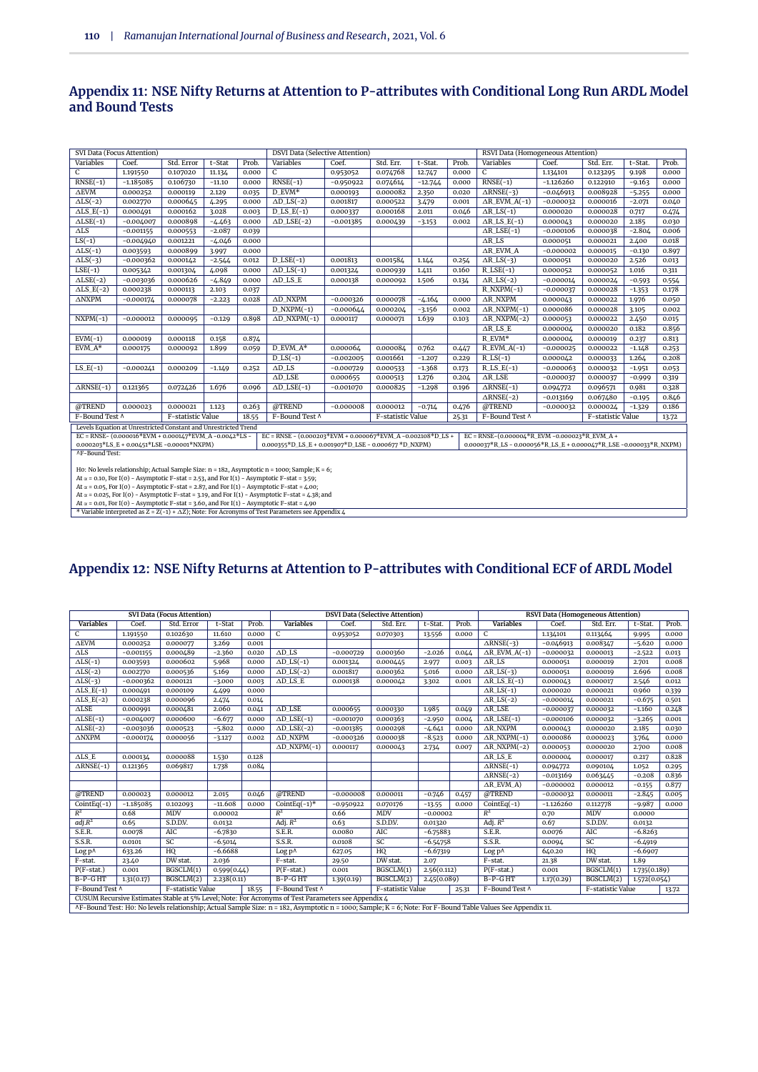#### **Appendix 11: NSE Nifty Returns at Attention to P-attributes with Conditional Long Run ARDL Model and Bound Tests**

| SVI Data (Focus Attention) |                                                                                                                                                                                                                                 |                   |          |       | <b>DSVI Data (Selective Attention)</b>                                                                  |             |                   |           |       | RSVI Data (Homogeneous Attention)             |             |                   |          |       |
|----------------------------|---------------------------------------------------------------------------------------------------------------------------------------------------------------------------------------------------------------------------------|-------------------|----------|-------|---------------------------------------------------------------------------------------------------------|-------------|-------------------|-----------|-------|-----------------------------------------------|-------------|-------------------|----------|-------|
| Variables                  | Coef.                                                                                                                                                                                                                           | Std. Error        | t-Stat   | Prob. | Variables                                                                                               | Coef.       | Std. Err.         | t-Stat.   | Prob. | Variables                                     | Coef.       | Std. Err.         | t-Stat.  | Prob. |
| C                          | 1.191550                                                                                                                                                                                                                        | 0.107020          | 11.134   | 0.000 | $\mathsf{C}$                                                                                            | 0.953052    | 0.074768          | 12.747    | 0.000 | C                                             | 1.134101    | 0.123295          | 9.198    | 0.000 |
| $RNSE(-1)$                 | $-1.185085$                                                                                                                                                                                                                     | 0.106730          | $-11.10$ | 0.000 | $RNSE(-1)$                                                                                              | $-0.950922$ | 0.074614          | $-12.744$ | 0.000 | $RNSE(-1)$                                    | $-1.126260$ | 0.122910          | $-9.163$ | 0.000 |
| $\Delta \text{EVM}$        | 0.000252                                                                                                                                                                                                                        | 0.000119          | 2.129    | 0.035 | D EVM*                                                                                                  | 0.000193    | 0.000082          | 2.350     | 0.020 | $\triangle$ RNSE(-3)                          | $-0.046913$ | 0.008928          | $-5.255$ | 0.000 |
| $\Delta LS$ (-2)           | 0.002770                                                                                                                                                                                                                        | 0.000645          | 4.295    | 0.000 | $\Delta D$ <sub>LS</sub> $(-2)$                                                                         | 0.001817    | 0.000522          | 3.479     | 0.001 | $AR$ EVM $A(-1)$                              | $-0.000032$ | 0.000016          | $-2.071$ | 0.040 |
| $\triangle$ LS_E(-1)       | 0.000491                                                                                                                                                                                                                        | 0.000162          | 3.028    | 0.003 | $D$ <sub>LS</sub> $E(-1)$                                                                               | 0.000337    | 0.000168          | 2.011     | 0.046 | $\triangle R$ <sub>LS</sub> $(-1)$            | 0.000020    | 0.000028          | 0.717    | 0.474 |
| $\triangle LSE(-1)$        | $-0.004007$                                                                                                                                                                                                                     | 0.000898          | $-4.463$ | 0.000 | $AD$ LSE(-2)                                                                                            | $-0.001385$ | 0.000439          | $-3.153$  | 0.002 | $\triangle R$ <sub>LS</sub> $E(-1)$           | 0.000043    | 0.000020          | 2.185    | 0.030 |
| $\overline{\Delta}$ LS     | $-0.001155$                                                                                                                                                                                                                     | 0.000553          | $-2.087$ | 0.039 |                                                                                                         |             |                   |           |       | $\triangle R$ _LSE(-1)                        | $-0.000106$ | 0.000038          | $-2.804$ | 0.006 |
| $LS(-1)$                   | $-0.004940$                                                                                                                                                                                                                     | 0.001221          | $-4.046$ | 0.000 |                                                                                                         |             |                   |           |       | $\triangle R$ <sub>LS</sub>                   | 0.000051    | 0.000021          | 2.400    | 0.018 |
| $\Delta LS$ (-1)           | 0.003593                                                                                                                                                                                                                        | 0.000899          | 3.997    | 0.000 |                                                                                                         |             |                   |           |       | $AR$ EVM $A$                                  | $-0.000002$ | 0.000015          | $-0.130$ | 0.897 |
| $\triangle LS$ (-3)        | $-0.000362$                                                                                                                                                                                                                     | 0.000142          | $-2.544$ | 0.012 | $D$ <sub>LSE</sub> $(-1)$                                                                               | 0.001813    | 0.001584          | 1.144     | 0.254 | $ARLS(-3)$                                    | 0.000051    | 0.000020          | 2.526    | 0.013 |
| $LSE(-1)$                  | 0.005342                                                                                                                                                                                                                        | 0.001304          | 4.098    | 0.000 | $AD$ <sub>LS</sub> $(-1)$                                                                               | 0.001324    | 0.000939          | 1.411     | 0.160 | $R$ <sub>LSE</sub> $(-1)$                     | 0.000052    | 0.000052          | 1.016    | 0.311 |
| $\triangle LSE(-2)$        | $-0.003036$                                                                                                                                                                                                                     | 0.000626          | $-4.849$ | 0.000 | $AD$ LS E                                                                                               | 0.000138    | 0.000092          | 1.506     | 0.134 | $ARLS(-2)$                                    | $-0.000014$ | 0.000024          | $-0.593$ | 0.554 |
| $\triangle$ LS_E(-2)       | 0.000238                                                                                                                                                                                                                        | 0.000113          | 2.103    | 0.037 |                                                                                                         |             |                   |           |       | $R_NXPM(-1)$                                  | $-0.000037$ | 0.000028          | $-1.353$ | 0.178 |
| $\Delta \text{NXPM}$       | $-0.000174$                                                                                                                                                                                                                     | 0.000078          | $-2.223$ | 0.028 | $\Delta \rm{D\_NXPM}$                                                                                   | $-0.000326$ | 0.000078          | $-4.164$  | 0.000 | $\triangle$ R_NXPM                            | 0.000043    | 0.000022          | 1.976    | 0.050 |
|                            |                                                                                                                                                                                                                                 |                   |          |       | $D_NXPM(-1)$                                                                                            | $-0.000644$ | 0.000204          | $-3.156$  | 0.002 | $\triangle$ R_NXPM(-1)                        | 0.000086    | 0.000028          | 3.105    | 0.002 |
| $NXPM(-1)$                 | $-0.000012$                                                                                                                                                                                                                     | 0.000095          | $-0.129$ | 0.898 | $\triangle$ D_NXPM(-1)                                                                                  | 0.000117    | 0.000071          | 1.639     | 0.103 | $\triangle$ R_NXPM(-2)                        | 0.000053    | 0.000022          | 2.450    | 0.015 |
|                            |                                                                                                                                                                                                                                 |                   |          |       | $AR$ LS E<br>0.182<br>0.000004<br>0.000020                                                              |             |                   |           |       |                                               |             |                   | 0.856    |       |
| $EVM(-1)$                  | 0.000019                                                                                                                                                                                                                        | 0.000118          | 0.158    | 0.874 |                                                                                                         |             |                   |           |       | $R$ EVM*                                      | 0.000004    | 0.000019          | 0.237    | 0.813 |
| $EVM_A*$                   | 0.000175                                                                                                                                                                                                                        | 0.000092          | 1.899    | 0.059 | D_EVM_A*                                                                                                | 0.000064    | 0.000084          | 0.762     | 0.447 | $R$ _EVM_A(-1)                                | $-0.000025$ | 0.000022          | $-1.148$ | 0.253 |
|                            |                                                                                                                                                                                                                                 |                   |          |       | $D$ <sub>LS</sub> $(-1)$                                                                                | $-0.002005$ | 0.001661          | $-1.207$  | 0.229 | $R$ <sub>LS</sub> $(-1)$                      | 0.000042    | 0.000033          | 1.264    | 0.208 |
| $LS_E(-1)$                 | $-0.000241$                                                                                                                                                                                                                     | 0.000209          | $-1.149$ | 0.252 | $AD$ LS                                                                                                 | $-0.000729$ | 0.000533          | $-1.368$  | 0.173 | $R$ <sub>LS</sub> $E(-1)$                     | $-0.000063$ | 0.000032          | $-1.951$ | 0.053 |
|                            |                                                                                                                                                                                                                                 |                   |          |       | $AD$ LSE                                                                                                | 0.000655    | 0.000513          | 1.276     | 0.204 | $\Delta R$ LSE                                | $-0.000037$ | 0.000037          | $-0.999$ | 0.319 |
| $\triangle$ RNSE(-1)       | 0.121365                                                                                                                                                                                                                        | 0.072426          | 1.676    | 0.096 | $AD$ <sub>LSE</sub> $(-1)$                                                                              | $-0.001070$ | 0.000825          | $-1.298$  | 0.196 | $\overline{\triangle$ RNSE(-1)                | 0.094772    | 0.096571          | 0.981    | 0.328 |
|                            |                                                                                                                                                                                                                                 |                   |          |       |                                                                                                         |             |                   |           |       | $\triangle$ RNSE(-2)                          | $-0.013169$ | 0.067480          | $-0.195$ | 0.846 |
| @TREND                     | 0.000023                                                                                                                                                                                                                        | 0.000021          | 1.123    | 0.263 | @TREND                                                                                                  | $-0.000008$ | 0.000012          | $-0.714$  | 0.476 | @TREND                                        | $-0.000032$ | 0.000024          | $-1.329$ | 0.186 |
| F-Bound Test ^             |                                                                                                                                                                                                                                 | F-statistic Value |          | 18.55 | F-Bound Test ^                                                                                          |             | F-statistic Value |           | 25.31 | F-Bound Test ^                                |             | F-statistic Value |          | 13.72 |
|                            | Levels Equation at Unrestricted Constant and Unrestricted Trend                                                                                                                                                                 |                   |          |       |                                                                                                         |             |                   |           |       |                                               |             |                   |          |       |
|                            | EC = RNSE-(0.000016*EVM + 0.000147*EVM_A-0.0042*LS-                                                                                                                                                                             |                   |          |       | EC = RNSE - (0.000203*EVM + 0.000067*EVM_A -0.002108*D_LS +                                             |             |                   |           |       | EC = RNSE-(0.000004*R_EVM -0.000023*R_EVM_A + |             |                   |          |       |
|                            | $0.000203*LS_E + 0.00451*LSE - 0.00001*NXPM)$<br>$0.000355*D$ <sub>LS</sub> E + $0.001907*D$ <sub>LSE</sub> - $0.000677*D$ <sub>NXPM</sub> )<br>$0.000037*R$ _LS - $0.000056*R$ _LS_E + $0.000047*R$ _LSE - $0.000033*R$ _NXPM) |                   |          |       |                                                                                                         |             |                   |           |       |                                               |             |                   |          |       |
|                            | <b>AF-Bound Test:</b>                                                                                                                                                                                                           |                   |          |       |                                                                                                         |             |                   |           |       |                                               |             |                   |          |       |
|                            | Ho: No levels relationship; Actual Sample Size: $n = 182$ , Asymptotic $n = 1000$ ; Sample; $K = 6$ ;                                                                                                                           |                   |          |       |                                                                                                         |             |                   |           |       |                                               |             |                   |          |       |
|                            |                                                                                                                                                                                                                                 |                   |          |       | At $\alpha$ = 0.10, For I(0) - Asymptotic F-stat = 2.53, and For I(1) - Asymptotic F-stat = 3.59;       |             |                   |           |       |                                               |             |                   |          |       |
|                            |                                                                                                                                                                                                                                 |                   |          |       | At $\alpha$ = 0.05, For I(0) - Asymptotic F-stat = 2.87, and For I(1) - Asymptotic F-stat = 4.00;       |             |                   |           |       |                                               |             |                   |          |       |
|                            |                                                                                                                                                                                                                                 |                   |          |       | At $\alpha$ = 0.025, For I(0) - Asymptotic F-stat = 3.19, and For I(1) - Asymptotic F-stat = 4.38; and  |             |                   |           |       |                                               |             |                   |          |       |
|                            |                                                                                                                                                                                                                                 |                   |          |       | At $\alpha$ = 0.01, For I(0) – Asymptotic F-stat = 3.60, and For I(1) – Asymptotic F-stat = 4.90        |             |                   |           |       |                                               |             |                   |          |       |
|                            |                                                                                                                                                                                                                                 |                   |          |       | * Variable interpreted as $Z = Z(-1) + \Delta Z$ ; Note: For Acronyms of Test Parameters see Appendix 4 |             |                   |           |       |                                               |             |                   |          |       |

# **Appendix 12: NSE Nifty Returns at Attention to P-attributes with Conditional ECF of ARDL Model**

|                      |             | <b>SVI Data (Focus Attention)</b> |             |       |                                                                                                    |             | <b>DSVI Data (Selective Attention)</b>                  |             |       |                                                                                                                                                             |             | <b>RSVI Data (Homogeneous Attention)</b> |              |       |  |  |
|----------------------|-------------|-----------------------------------|-------------|-------|----------------------------------------------------------------------------------------------------|-------------|---------------------------------------------------------|-------------|-------|-------------------------------------------------------------------------------------------------------------------------------------------------------------|-------------|------------------------------------------|--------------|-------|--|--|
| <b>Variables</b>     | Coef.       | Std. Error                        | t-Stat      | Prob. | <b>Variables</b>                                                                                   | Coef.       | Std. Err.                                               | t-Stat.     | Prob. | <b>Variables</b>                                                                                                                                            | Coef.       | Std. Err.                                | t-Stat.      | Prob. |  |  |
| $\mathsf{C}$         | 1.191550    | 0.102630                          | 11.610      | 0.000 | $\mathsf{C}$                                                                                       | 0.953052    | 0.070303                                                | 13.556      | 0.000 | $\mathcal{C}$                                                                                                                                               | 1.134101    | 0.113464                                 | 9.995        | 0.000 |  |  |
| $\Delta \text{EVM}$  | 0.000252    | 0.000077                          | 3.269       | 0.001 |                                                                                                    |             |                                                         |             |       | $\triangle$ RNSE(-3)                                                                                                                                        | $-0.046913$ | 0.008347                                 | $-5.620$     | 0.000 |  |  |
| $\Delta LS$          | $-0.001155$ | 0.000489                          | $-2.360$    | 0.020 | $AD$ LS                                                                                            | $-0.000729$ | 0.000360                                                | $-2.026$    | 0.044 | $AR$ _EVM_A(-1)                                                                                                                                             | $-0.000032$ | 0.000013                                 | $-2.522$     | 0.013 |  |  |
| $\Delta LS$ (-1)     | 0.003593    | 0.000602                          | 5.968       | 0.000 | $\Delta D$ <sub>LS</sub> $(-1)$                                                                    | 0.001324    | 0.000445                                                | 2.977       | 0.003 | $\Delta \text{R}\_\text{LS}$                                                                                                                                | 0.000051    | 0.000019                                 | 2.701        | 0.008 |  |  |
| $\triangle LS$ (-2)  | 0.002770    | 0.000536                          | 5.169       | 0.000 | $\Delta D$ <sub>LS</sub> $(-2)$                                                                    | 0.001817    | 0.000362                                                | 5.016       | 0.000 | $ARLS(-3)$                                                                                                                                                  | 0.000051    | 0.000019                                 | 2.696        | 0.008 |  |  |
| $\Delta LS$ (-3)     | $-0.000362$ | 0.000121                          | $-3.000$    | 0.003 | $AD$ LS E                                                                                          | 0.000138    | 0.000042                                                | 3.302       | 0.001 | $\triangle$ R LS E(-1)                                                                                                                                      | 0.000043    | 0.000017                                 | 2.546        | 0.012 |  |  |
| $\triangle$ LS_E(-1) | 0.000491    | 0.000109                          | 4.499       | 0.000 |                                                                                                    |             |                                                         |             |       | $\triangle R$ <sub>LS</sub> $(-1)$                                                                                                                          | 0.000020    | 0.000021                                 | 0.960        | 0.339 |  |  |
| $\triangle$ LS_E(-2) | 0.000238    | 0.000096                          | 2.474       | 0.014 |                                                                                                    |             |                                                         |             |       | $ARLS(-2)$                                                                                                                                                  | $-0.000014$ | 0.000021                                 | $-0.675$     | 0.501 |  |  |
| $\Delta{\rm LSE}$    | 0.000991    | 0.000481                          | 2.060       | 0.041 | $AD$ LSE                                                                                           | 0.000655    | 0.000330                                                | 1.985       | 0.049 | $\Delta$ R_LSE                                                                                                                                              | $-0.000037$ | 0.000032                                 | $-1.160$     | 0.248 |  |  |
| $\triangle LSE(-1)$  | $-0.004007$ | 0.000600                          | $-6.677$    | 0.000 | $\triangle D$ <sub>LSE</sub> $(-1)$                                                                | $-0.001070$ | 0.000363                                                | $-2.950$    | 0.004 | $\triangle R$ <sub>LSE</sub> $(-1)$                                                                                                                         | $-0.000106$ | 0.000032                                 | $-3.265$     | 0.001 |  |  |
| $\triangle LSE(-2)$  | $-0.003036$ | 0.000523                          | $-5.802$    | 0.000 | $\triangle$ D_LSE(-2)                                                                              | $-0.001385$ | 0.000298                                                | $-4.641$    | 0.000 | $\Delta$ RNXPM                                                                                                                                              | 0.000043    | 0.000020                                 | 2.185        | 0.030 |  |  |
| $\Delta \text{NXPM}$ | $-0.000174$ | 0.000056                          | $-3.127$    | 0.002 | $\Delta \rm{D\_NXPM}$                                                                              | $-0.000326$ | 0.000038                                                | $-8.523$    | 0.000 | $\triangle$ R_NXPM(-1)                                                                                                                                      | 0.000086    | 0.000023                                 | 3.764        | 0.000 |  |  |
|                      |             |                                   |             |       | $\triangle$ D_NXPM(-1)                                                                             | 0.000117    | 0.000043                                                | 2.734       | 0.007 | $\triangle$ R_NXPM(-2)                                                                                                                                      | 0.000053    | 0.000020                                 | 2.700        | 0.008 |  |  |
| $\triangle$ LS_E     | 0.000134    | 0.000088                          | 1.530       | 0.128 |                                                                                                    |             |                                                         |             |       | $AR$ LS E                                                                                                                                                   | 0.000004    | 0.000017                                 | 0.217        | 0.828 |  |  |
| $\triangle$ RNSE(-1) | 0.121365    | 0.069817                          | 1.738       | 0.084 |                                                                                                    |             |                                                         |             |       | $\triangle$ RNSE(-1)                                                                                                                                        | 0.094772    | 0.090104                                 | 1.052        | 0.295 |  |  |
|                      |             |                                   |             |       |                                                                                                    |             |                                                         |             |       | $\triangle$ RNSE(-2)                                                                                                                                        | $-0.013169$ | 0.063445                                 | $-0.208$     | 0.836 |  |  |
|                      |             |                                   |             |       |                                                                                                    |             |                                                         |             |       | $AR$ EVM A)                                                                                                                                                 | $-0.000002$ | 0.000012                                 | $-0.155$     | 0.877 |  |  |
| @TREND               | 0.000023    | 0.000012                          | 2.015       | 0.046 | @TREND                                                                                             | $-0.000008$ | 0.000011                                                | $-0.746$    | 0.457 | @TREND                                                                                                                                                      | $-0.000032$ | 0.000011                                 | $-2.845$     | 0.005 |  |  |
| $CointEq(-1)$        | $-1.185085$ | 0.102093                          | $-11.608$   | 0.000 | CointEq $(-1)^*$                                                                                   | $-0.950922$ | 0.070176                                                | $-13.55$    | 0.000 | $CointEq(-1)$                                                                                                                                               | $-1.126260$ | 0.112778                                 | $-9.987$     | 0.000 |  |  |
| $R^2$                | 0.68        | <b>MDV</b>                        | 0.00002     |       | $R^2$                                                                                              | 0.66        | <b>MDV</b>                                              | $-0.00002$  |       | $R^2$                                                                                                                                                       | 0.70        | <b>MDV</b>                               | 0.0000       |       |  |  |
| adj.R <sup>2</sup>   | 0.65        | S.D.D.V.                          | 0.0132      |       | Adj. $R^2$                                                                                         | 0.63        | S.D.D.V.                                                | 0.01320     |       | Adj. $R^2$                                                                                                                                                  | 0.67        | S.D.D.V.                                 | 0.0132       |       |  |  |
| S.E.R.               | 0.0078      | AIC                               | $-6.7830$   |       | S.E.R.                                                                                             | 0.0080      | AIC                                                     | $-6.75883$  |       | S.E.R.                                                                                                                                                      | 0.0076      | AIC                                      | $-6.8263$    |       |  |  |
| S.S.R.               | 0.0101      | SC                                | $-6.5014$   |       | S.S.R.                                                                                             | 0.0108      | SC                                                      | $-6.54758$  |       | S.S.R.                                                                                                                                                      | 0.0094      | SC                                       | $-6.4919$    |       |  |  |
| Log p^               | 633.26      | HQ                                | $-6.6688$   |       | Log p^                                                                                             | 627.05      | HQ<br>HQ<br>$-6.6907$<br>$-6.67319$<br>Log p^<br>640.20 |             |       |                                                                                                                                                             |             |                                          |              |       |  |  |
| F-stat.              | 23.40       | DW stat.                          | 2.036       |       | F-stat.                                                                                            | 29.50       | DW stat.                                                | 2.07        |       | F-stat.                                                                                                                                                     | 21.38       | DW stat.                                 | 1.89         |       |  |  |
| $P(F-stat.)$         | 0.001       | BGSCLM(1)                         | 0.599(0.44) |       | $P(F-stat.)$                                                                                       | 0.001       | BGSCLM(1)                                               | 2.56(0.112) |       | $P(F-stat.)$                                                                                                                                                | 0.001       | BGSCLM(1)                                | 1.735(0.189) |       |  |  |
| B-P-GHT              | 1.31(0.17)  | BGSCLM(2)                         | 2.238(0.11) |       | B-P-GHT                                                                                            | 1.39(0.19)  | BGSCLM(2)                                               | 2.45(0.089) |       | $B-P-GHT$                                                                                                                                                   | 1.17(0.29)  | BGSCLM(2)                                | 1.572(0.054) |       |  |  |
| F-Bound Test ^       |             | F-statistic Value                 |             | 18.55 | F-Bound Test ^                                                                                     |             | F-statistic Value                                       |             | 25.31 | F-Bound Test ^                                                                                                                                              |             | F-statistic Value                        |              | 13.72 |  |  |
|                      |             |                                   |             |       | CUSUM Recursive Estimates Stable at 5% Level; Note: For Acronyms of Test Parameters see Appendix 4 |             |                                                         |             |       |                                                                                                                                                             |             |                                          |              |       |  |  |
|                      |             |                                   |             |       |                                                                                                    |             |                                                         |             |       | AF-Bound Test: Ho: No levels relationship; Actual Sample Size: n = 182, Asymptotic n = 1000; Sample; K = 6; Note: For F-Bound Table Values See Appendix 11. |             |                                          |              |       |  |  |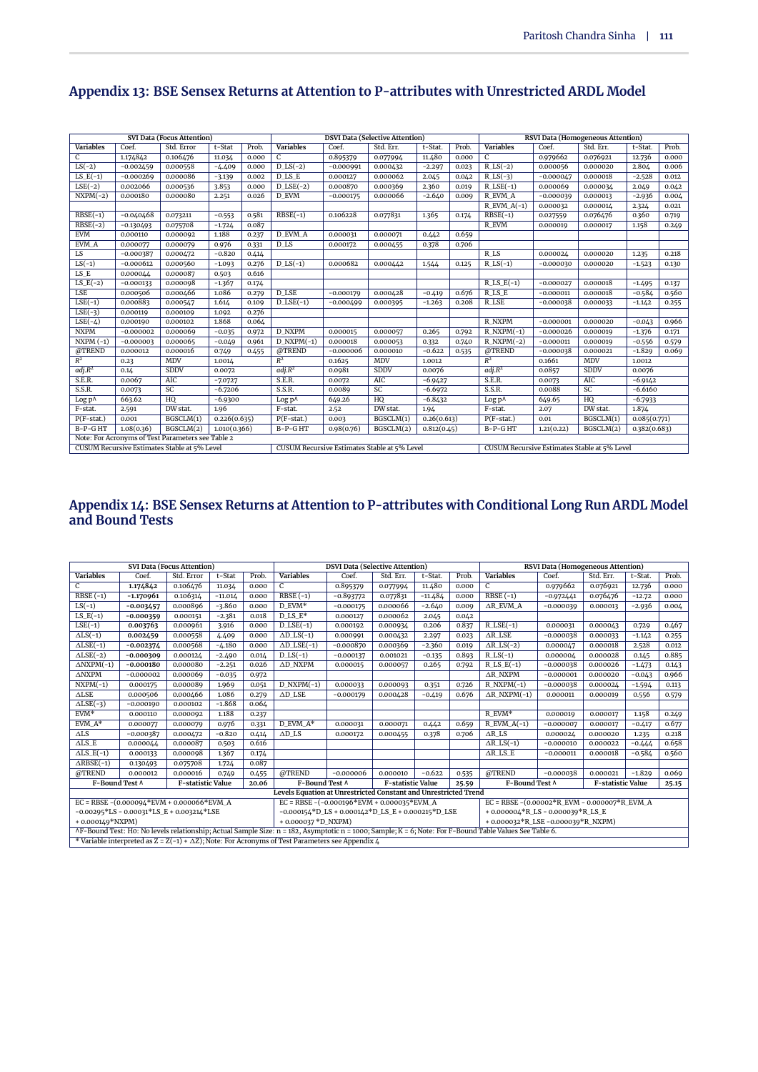|                    |             | <b>SVI Data (Focus Attention)</b>                 |              |       |                           |             | <b>DSVI Data (Selective Attention)</b>       |             |       |                                              |             | <b>RSVI Data (Homogeneous Attention)</b> |              |       |
|--------------------|-------------|---------------------------------------------------|--------------|-------|---------------------------|-------------|----------------------------------------------|-------------|-------|----------------------------------------------|-------------|------------------------------------------|--------------|-------|
| <b>Variables</b>   | Coef.       | Std. Error                                        | t-Stat       | Prob. | <b>Variables</b>          | Coef.       | Std. Err.                                    | t-Stat.     | Prob. | <b>Variables</b>                             | Coef.       | Std. Err.                                | t-Stat.      | Prob. |
| C                  | 1.174842    | 0.106476                                          | 11.034       | 0.000 | C                         | 0.895379    | 0.077994                                     | 11.480      | 0.000 | C                                            | 0.979662    | 0.076921                                 | 12.736       | 0.000 |
| $LS(-2)$           | $-0.002459$ | 0.000558                                          | $-4.409$     | 0.000 | $D$ <sub>LS</sub> $(-2)$  | $-0.000991$ | 0.000432                                     | $-2.297$    | 0.023 | $R$ <sub>LS</sub> $(-2)$                     | 0.000056    | 0.000020                                 | 2.804        | 0.006 |
| $LS_E(-1)$         | $-0.000269$ | 0.000086                                          | $-3.139$     | 0.002 | $D$ <sub>LS</sub> $E$     | 0.000127    | 0.000062                                     | 2.045       | 0.042 | $R$ <sub>LS</sub> $(-3)$                     | $-0.000047$ | 0.000018                                 | $-2.528$     | 0.012 |
| $LSE(-2)$          | 0.002066    | 0.000536                                          | 3.853        | 0.000 | $D$ <sub>LSE</sub> $(-2)$ | 0.000870    | 0.000369                                     | 2.360       | 0.019 | $R$ <sub>LSE</sub> $(-1)$                    | 0.000069    | 0.000034                                 | 2.049        | 0.042 |
| $NXPM(-2)$         | 0.000180    | 0.000080                                          | 2.251        | 0.026 | D EVM                     | $-0.000175$ | 0.000066                                     | $-2.640$    | 0.009 | R EVM A                                      | $-0.000039$ | 0.000013                                 | $-2.936$     | 0.004 |
|                    |             |                                                   |              |       |                           |             |                                              |             |       | $R$ _EVM_A(-1)                               | 0.000032    | 0.000014                                 | 2.324        | 0.021 |
| $RBSE(-1)$         | $-0.040468$ | 0.073211                                          | $-0.553$     | 0.581 | $RBSE(-1)$                | 0.106228    | 0.077831                                     | 1.365       | 0.174 | $RBSE(-1)$                                   | 0.027559    | 0.076476                                 | 0.360        | 0.719 |
| $RBSE(-2)$         | $-0.130493$ | 0.075708                                          | $-1.724$     | 0.087 |                           |             |                                              |             |       | R EVM                                        | 0.000019    | 0.000017                                 | 1.158        | 0.249 |
| <b>EVM</b>         | 0.000110    | 0.000092                                          | 1.188        | 0.237 | <b>D_EVM_A</b>            | 0.000031    | 0.000071                                     | 0.442       | 0.659 |                                              |             |                                          |              |       |
| EVM_A              | 0.000077    | 0.000079                                          | 0.976        | 0.331 | D_LS                      | 0.000172    | 0.000455                                     | 0.378       | 0.706 |                                              |             |                                          |              |       |
| LS                 | $-0.000387$ | 0.000472                                          | $-0.820$     | 0.414 |                           |             |                                              |             |       | R LS                                         | 0.000024    | 0.000020                                 | 1.235        | 0.218 |
| $LS(-1)$           | $-0.000612$ | 0.000560                                          | $-1.093$     | 0.276 | $D$ <sub>LS</sub> $(-1)$  | 0.000682    | 0.000442                                     | 1.544       | 0.125 | $R$ <sub>LS</sub> $(-1)$                     | $-0.000030$ | 0.000020                                 | $-1.523$     | 0.130 |
| LS E               | 0.000044    | 0.000087                                          | 0.503        | 0.616 |                           |             |                                              |             |       |                                              |             |                                          |              |       |
| $LS_E(-2)$         | $-0.000133$ | 0.000098                                          | $-1.367$     | 0.174 |                           |             |                                              |             |       | $R$ <sub>LS</sub> $E(-1)$                    | $-0.000027$ | 0.000018                                 | $-1.495$     | 0.137 |
| <b>LSE</b>         | 0.000506    | 0.000466                                          | 1.086        | 0.279 | D LSE                     | $-0.000179$ | 0.000428                                     | $-0.419$    | 0.676 | RLS E                                        | $-0.000011$ | 0.000018                                 | $-0.584$     | 0.560 |
| $LSE(-1)$          | 0.000883    | 0.000547                                          | 1.614        | 0.109 | $D$ <sub>LSE</sub> $(-1)$ | $-0.000499$ | 0.000395                                     | $-1.263$    | 0.208 | <b>R_LSE</b>                                 | $-0.000038$ | 0.000033                                 | $-1.142$     | 0.255 |
| $LSE(-3)$          | 0.000119    | 0.000109                                          | 1.092        | 0.276 |                           |             |                                              |             |       |                                              |             |                                          |              |       |
| $LSE(-4)$          | 0.000190    | 0.000102                                          | 1.868        | 0.064 |                           |             |                                              |             |       | R NXPM                                       | $-0.000001$ | 0.000020                                 | $-0.043$     | 0.966 |
| <b>NXPM</b>        | $-0.000002$ | 0.000069                                          | $-0.035$     | 0.972 | <b>D NXPM</b>             | 0.000015    | 0.000057                                     | 0.265       | 0.792 | $R$ NXPM $(-1)$                              | $-0.000026$ | 0.000019                                 | $-1.376$     | 0.171 |
| $NXPM(-1)$         | $-0.000003$ | 0.000065                                          | $-0.049$     | 0.961 | $D_NXPM(-1)$              | 0.000018    | 0.000053                                     | 0.332       | 0.740 | $R$ <sub>NXPM</sub> $(-2)$                   | $-0.000011$ | 0.000019                                 | $-0.556$     | 0.579 |
| @TREND             | 0.000012    | 0.000016                                          | 0.749        | 0.455 | @TREND                    | $-0.000006$ | 0.000010                                     | $-0.622$    | 0.535 | @TREND                                       | $-0.000038$ | 0.000021                                 | $-1.829$     | 0.069 |
| $R^2$              | 0.23        | <b>MDV</b>                                        | 1.0014       |       | $R^2$                     | 0.1625      | <b>MDV</b>                                   | 1.0012      |       | $R^2$                                        | 0.1661      | <b>MDV</b>                               | 1.0012       |       |
| adj.R <sup>2</sup> | 0.14        | <b>SDDV</b>                                       | 0.0072       |       | adj.R <sup>2</sup>        | 0.0981      | <b>SDDV</b>                                  | 0.0076      |       | adj.R <sup>2</sup>                           | 0.0857      | <b>SDDV</b>                              | 0.0076       |       |
| S.E.R.             | 0.0067      | <b>AIC</b>                                        | $-7.0727$    |       | S.E.R.                    | 0.0072      | <b>AIC</b>                                   | $-6.9427$   |       | S.E.R.                                       | 0.0073      | AIC                                      | $-6.9142$    |       |
| S.S.R.             | 0.0073      | SC                                                | $-6.7206$    |       | S.S.R.                    | 0.0089      | SC                                           | $-6.6972$   |       | S.S.R.                                       | 0.0088      | SC                                       | $-6.6160$    |       |
| Log p^             | 663.62      | HQ                                                | $-6.9300$    |       | Log p^                    | 649.26      | HQ                                           | $-6.8432$   |       | Log p^                                       | 649.65      | HQ                                       | $-6.7933$    |       |
| F-stat.            | 2.591       | DW stat.                                          | 1.96         |       | F-stat.                   | 2.52        | DW stat.                                     | 1.94        |       | F-stat.                                      | 2.07        | DW stat.                                 | 1.874        |       |
| $P(F-stat.)$       | 0.001       | BGSCLM(1)                                         | 0.226(0.635) |       | $P(F-stat.)$              | 0.003       | BGSCLM(1)                                    | 0.26(0.613) |       | $P(F-stat.)$                                 | 0.01        | BGSCLM(1)                                | 0.085(0.771) |       |
| $B-P-GHT$          | 1.08(0.36)  | BGSCLM(2)                                         | 1.010(0.366) |       | B-P-GHT                   | 0.98(0.76)  | BGSCLM(2)                                    | 0.812(0.45) |       | $B-P-GHT$                                    | 1,21(0.22)  | BGSCLM(2)                                | 0.382(0.683) |       |
|                    |             | Note: For Acronyms of Test Parameters see Table 2 |              |       |                           |             |                                              |             |       |                                              |             |                                          |              |       |
|                    |             | CUSUM Recursive Estimates Stable at 5% Level      |              |       |                           |             | CUSUM Recursive Estimates Stable at 5% Level |             |       | CUSUM Recursive Estimates Stable at 5% Level |             |                                          |              |       |

# **Appendix 13: BSE Sensex Returns at Attention to P-attributes with Unrestricted ARDL Model**

#### **Appendix 14: BSE Sensex Returns at Attention to P-attributes with Conditional Long Run ARDL Model and Bound Tests**

|                      |                                               | <b>SVI Data (Focus Attention)</b> |                  |       |                                                                                                          | <b>DSVI Data (Selective Attention)</b> |                          |           |       |                                                                                                                                                         | <b>RSVI Data (Homogeneous Attention)</b> |                   |          |       |
|----------------------|-----------------------------------------------|-----------------------------------|------------------|-------|----------------------------------------------------------------------------------------------------------|----------------------------------------|--------------------------|-----------|-------|---------------------------------------------------------------------------------------------------------------------------------------------------------|------------------------------------------|-------------------|----------|-------|
| <b>Variables</b>     | Coef.                                         | Std. Error                        | t-Stat           | Prob. | <b>Variables</b>                                                                                         | Coef.                                  | Std. Err.                | t-Stat.   | Prob. | <b>Variables</b>                                                                                                                                        | Coef.                                    | Std. Err.         | t-Stat.  | Prob. |
| C                    | 1.174842                                      | 0.106476                          | 11.034           | 0.000 | C                                                                                                        | 0.895379                               | 0.077994                 | 11.480    | 0.000 | C                                                                                                                                                       | 0.979662                                 | 0.076921          | 12.736   | 0.000 |
| $RBSE(-1)$           | $-1.170961$                                   | 0.106314                          | $-11.01\text{Å}$ | 0.000 | $RBSE(-1)$                                                                                               | $-0.893772$                            | 0.077831                 | $-11.484$ | 0.000 | $RBSE(-1)$                                                                                                                                              | $-0.972441$                              | 0.076476          | $-12.72$ | 0.000 |
| $LS(-1)$             | $-0.003457$                                   | 0.000896                          | $-3.860$         | 0.000 | D EVM*                                                                                                   | $-0.000175$                            | 0.000066                 | $-2.640$  | 0.009 | AR EVM A                                                                                                                                                | $-0.000039$                              | 0.000013          | $-2.936$ | 0.004 |
| $LS_E(-1)$           | $-0.000359$                                   | 0.000151                          | $-2.381$         | 0.018 | $D$ LS $E^*$                                                                                             | 0.000127                               | 0.000062                 | 2.045     | 0.042 |                                                                                                                                                         |                                          |                   |          |       |
| $LSE(-1)$            | 0.003763                                      | 0.000961                          | 3.916            | 0.000 | $D$ <sub>LSE</sub> $(-1)$                                                                                | 0.000192                               | 0.000934                 | 0.206     | 0.837 | $R$ <sub>LSE</sub> $(-1)$                                                                                                                               | 0.000031                                 | 0.000043          | 0.729    | 0.467 |
| $\Delta LS$ (-1)     | 0.002459                                      | 0.000558                          | 4.409            | 0.000 | $\Delta D$ <sub>LS</sub> $(-1)$                                                                          | 0.000991                               | 0.000432                 | 2.297     | 0.023 | $\triangle R$ LSE                                                                                                                                       | $-0.000038$                              | 0.000033          | $-1.142$ | 0.255 |
| $\triangle LSE(-1)$  | $-0.002374$                                   | 0.000568                          | $-L.180$         | 0.000 | $AD$ LSE $(-1)$                                                                                          | $-0.000870$                            | 0.000369                 | $-2.360$  | 0.019 | $ARLS(-2)$                                                                                                                                              | 0.000047                                 | 0.000018          | 2.528    | 0.012 |
| $\triangle LSE(-2)$  | $-0.000309$                                   | 0.000124                          | $-2.490$         | 0.014 | $D$ <sub>LS</sub> $(-1)$                                                                                 | $-0.000137$                            | 0.001021                 | $-0.135$  | 0.893 | $R$ <sub>LS</sub> $(-1)$                                                                                                                                | 0.000004                                 | 0.000028          | 0.145    | 0.885 |
| $\triangle$ NXPM(-1) | $-0.000180$                                   | 0.000080                          | $-2.251$         | 0.026 | $AD$ NXPM                                                                                                | 0.000015                               | 0.000057                 | 0.265     | 0.792 | $R$ <sub>LS</sub> $E(-1)$                                                                                                                               | $-0.000038$                              | 0.000026          | $-1.473$ | 0.143 |
| $\triangle$ NXPM     | $-0.000002$                                   | 0.000069                          | $-0.035$         | 0.972 |                                                                                                          |                                        |                          |           |       | $\triangle$ R NXPM                                                                                                                                      | $-0.000001$                              | 0.000020          | $-0.043$ | 0.966 |
| $NXPM(-1)$           | 0.000175                                      | 0.000089                          | 1.969            | 0.051 | $D$ NXPM $(-1)$                                                                                          | 0.000033                               | 0.000093                 | 0.351     | 0.726 | $R$ NXPM $(-1)$                                                                                                                                         | $-0.000038$                              | 0.000024          | $-1.594$ | 0.113 |
| $\triangle$ LSE      | 0.000506                                      | 0.000466                          | 1.086            | 0.279 | $AD$ LSE                                                                                                 | $-0.000179$                            | 0.000428                 | $-0.419$  | 0.676 | $\triangle$ R NXPM $(-1)$                                                                                                                               | 0.000011                                 | 0.000019          | 0.556    | 0.579 |
| $\triangle LSE(-3)$  | $-0.000190$                                   | 0.000102                          | $-1.868$         | 0.064 |                                                                                                          |                                        |                          |           |       |                                                                                                                                                         |                                          |                   |          |       |
| $EVM*$               | 0.000110                                      | 0.000092                          | 1.188            | 0.237 |                                                                                                          |                                        |                          |           |       | R EVM*                                                                                                                                                  | 0.000019                                 | 0.000017          | 1.158    | 0.249 |
| EVM_A*               | 0.000077                                      | 0.000079                          | 0.976            | 0.331 | D_EVM_A*                                                                                                 | 0.000031                               | 0.000071                 | 0.442     | 0.659 | $R$ _EVM_A(-1)                                                                                                                                          | $-0.000007$                              | 0.000017          | $-0.417$ | 0.677 |
| $\triangle$ LS       | $-0.000387$                                   | 0.000472                          | $-0.820$         | 0.414 | $AD$ LS                                                                                                  | 0.000172                               | 0.000455                 | 0.378     | 0.706 | $\triangle$ R LS                                                                                                                                        | 0.000024                                 | 0.000020          | 1.235    | 0.218 |
| $\Delta$ LS E        | 0.000044                                      | 0.000087                          | 0.503            | 0.616 |                                                                                                          |                                        |                          |           |       | $\triangle R$ <sub>LS</sub> $(-1)$                                                                                                                      | $-0.000010$                              | 0.000022          | $-0.444$ | 0.658 |
| $\triangle$ LS_E(-1) | 0.000133                                      | 0.000098                          | 1.367            | 0.174 |                                                                                                          |                                        |                          |           |       | $\triangle$ R_LS_E                                                                                                                                      | $-0.000011$                              | 0.000018          | $-0.584$ | 0.560 |
| $\triangle RBSE(-1)$ | 0.130493                                      | 0.075708                          | 1.724            | 0.087 |                                                                                                          |                                        |                          |           |       |                                                                                                                                                         |                                          |                   |          |       |
| @TREND               | 0.000012                                      | 0.000016                          | 0.749            | 0.455 | @TREND                                                                                                   | $-0.000006$                            | 0.000010                 | $-0.622$  | 0.535 | @TREND                                                                                                                                                  | $-0.000038$                              | 0.000021          | $-1.829$ | 0.069 |
| F-Bound Test ^       |                                               | F-statistic Value                 |                  | 20.06 | F-Bound Test A                                                                                           |                                        | <b>F-statistic Value</b> |           | 25.59 | F-Bound Test ^                                                                                                                                          |                                          | F-statistic Value |          | 25.15 |
|                      |                                               |                                   |                  |       | Levels Equation at Unrestricted Constant and Unrestricted Trend                                          |                                        |                          |           |       |                                                                                                                                                         |                                          |                   |          |       |
|                      | $EC = RBSE - (0.000094*EVM + 0.000066*EVM_A)$ |                                   |                  |       | EC = RBSE -(-0.000196*EVM + 0.000035*EVM_A                                                               |                                        |                          |           |       | $EC = RBSE - (0.00002 * R_EVM - 0.000007 * R_EVM_A)$                                                                                                    |                                          |                   |          |       |
|                      | $-0.00295*LS - 0.00031*LS E + 0.003214*LSE$   |                                   |                  |       | $-0.000154*D$ LS + 0.000142*D LS E + 0.000215*D LSE                                                      |                                        |                          |           |       | $+0.0000004*R$ LS - 0.000039*R LS E                                                                                                                     |                                          |                   |          |       |
| +0.000149*NXPM)      |                                               |                                   |                  |       | $+0.000037$ <sup>*</sup> D NXPM)                                                                         |                                        |                          |           |       | +0.000032*R_LSE -0.000039*R_NXPM)                                                                                                                       |                                          |                   |          |       |
|                      |                                               |                                   |                  |       |                                                                                                          |                                        |                          |           |       | AF-Bound Test: Ho: No levels relationship; Actual Sample Size: n = 182, Asymptotic n = 1000; Sample; K = 6; Note: For F-Bound Table Values See Table 6. |                                          |                   |          |       |
|                      |                                               |                                   |                  |       | * Variable interpreted as $Z = Z(-1) + \Delta Z$ ; Note: For Acronyms of Test Parameters see Appendix 4. |                                        |                          |           |       |                                                                                                                                                         |                                          |                   |          |       |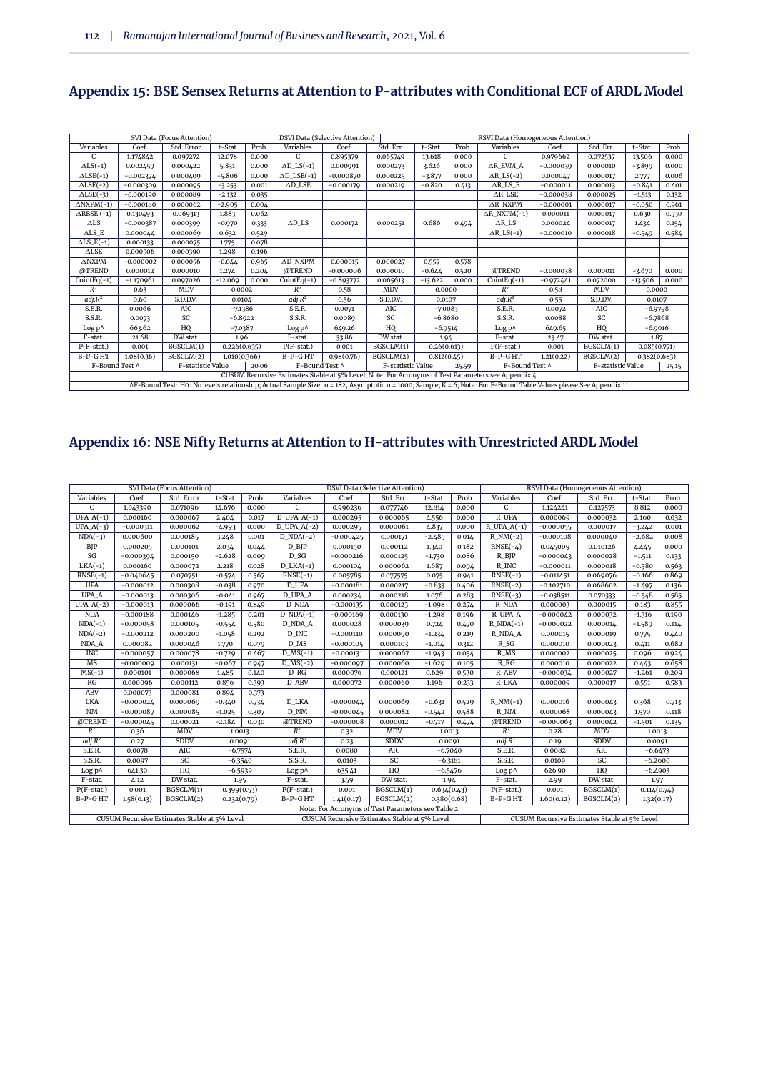# **Appendix 15: BSE Sensex Returns at Attention to P-attributes with Conditional ECF of ARDL Model**

|                       |             | SVI Data (Focus Attention) |              |       |                       | DSVI Data (Selective Attention) |                   |             |       | RSVI Data (Homogeneous Attention)                                                                                                                                 |             |                   |              |       |
|-----------------------|-------------|----------------------------|--------------|-------|-----------------------|---------------------------------|-------------------|-------------|-------|-------------------------------------------------------------------------------------------------------------------------------------------------------------------|-------------|-------------------|--------------|-------|
| Variables             | Coef.       | Std. Error                 | t-Stat       | Prob. | Variables             | Coef.                           | Std. Err.         | t-Stat.     | Prob. | Variables                                                                                                                                                         | Coef.       | Std. Err.         | t-Stat.      | Prob. |
| C                     | 1.174842    | 0.097272                   | 12.078       | 0.000 | $\mathcal{C}$         | 0.895379                        | 0.065749          | 13.618      | 0.000 | $\mathsf{C}$                                                                                                                                                      | 0.979662    | 0.072537          | 13.506       | 0.000 |
| $\Delta LS$ (-1)      | 0.002459    | 0.000422                   | 5.831        | 0.000 | $\triangle$ D_LS(-1)  | 0.000991                        | 0.000273          | 3.626       | 0.000 | AR_EVM_A                                                                                                                                                          | $-0.000039$ | 0.000010          | $-3.899$     | 0.000 |
| $\triangle LSE(-1)$   | $-0.002374$ | 0.000409                   | $-5.806$     | 0.000 | $\triangle$ D_LSE(-1) | $-0.000870$                     | 0.000225          | $-3.877$    | 0.000 | $ARLS(-2)$                                                                                                                                                        | 0.000047    | 0.000017          | 2.777        | 0.006 |
| $\triangle LSE(-2)$   | $-0.000309$ | 0.000095                   | $-3.253$     | 0.001 | $AD$ LSE              | $-0.000179$                     | 0.000219          | $-0.820$    | 0.413 | $\triangle$ R_LS_E                                                                                                                                                | $-0.000011$ | 0.000013          | $-0.841$     | 0.401 |
| $\triangle LSE(-3)$   | $-0.000190$ | 0.000089                   | $-2.132$     | 0.035 |                       |                                 |                   |             |       | $\triangle$ R LSE                                                                                                                                                 | $-0.000038$ | 0.000025          | $-1.513$     | 0.132 |
| $\triangle$ NXPM(-1)  | $-0.000180$ | 0.000062                   | $-2.905$     | 0.004 |                       |                                 |                   |             |       | $\triangle$ R_NXPM                                                                                                                                                | $-0.000001$ | 0.000017          | $-0.050$     | 0.961 |
| $\triangle$ RBSE (-1) | 0.130493    | 0.069313                   | 1.883        | 0.062 |                       |                                 |                   |             |       | $\triangle R$ NXPM(-1)                                                                                                                                            | 0.000011    | 0.000017          | 0.630        | 0.530 |
| $\triangle$ LS        | $-0.000387$ | 0.000399                   | $-0.970$     | 0.333 | $AD$ LS               | 0.000172                        | 0.000251          | 0.686       | 0.494 | $\triangle$ R LS                                                                                                                                                  | 0.000024    | 0.000017          | 1.434        | 0.154 |
| $\triangle$ LS_E      | 0.000044    | 0.000069                   | 0.632        | 0.529 |                       |                                 |                   |             |       | $\triangle R$ <sub>LS</sub> $(-1)$                                                                                                                                | $-0.000010$ | 0.000018          | $-0.549$     | 0.584 |
| $\triangle$ LS_E(-1)  | 0.000133    | 0.000075                   | 1.775        | 0.078 |                       |                                 |                   |             |       |                                                                                                                                                                   |             |                   |              |       |
| $\triangle$ LSE       | 0.000506    | 0.000390                   | 1.298        | 0.196 |                       |                                 |                   |             |       |                                                                                                                                                                   |             |                   |              |       |
| $\triangle$ NXPM      | $-0.000002$ | 0.000056                   | $-0.044$     | 0.965 | AD NXPM               | 0.000015                        | 0.000027          | 0.557       | 0.578 |                                                                                                                                                                   |             |                   |              |       |
| @TREND                | 0.000012    | 0.000010                   | 1.274        | 0.204 | @TREND                | $-0.000006$                     | 0.000010          | $-0.644$    | 0.520 | @TREND                                                                                                                                                            | $-0.000038$ | 0.000011          | $-3.670$     | 0.000 |
| $CointEq(-1)$         | $-1.170961$ | 0.097026                   | $-12.069$    | 0.000 | $CointEq(-1)$         | $-0.893772$                     | 0.065613          | $-13.622$   | 0.000 | $CointEq(-1)$                                                                                                                                                     | $-0.972441$ | 0.072000          | $-13.506$    | 0.000 |
| $R^2$                 | 0.63        | <b>MDV</b>                 | 0.0002       |       | $R^2$                 | 0.58                            | <b>MDV</b>        | 0.0000      |       | $R^2$                                                                                                                                                             | 0.58        | <b>MDV</b>        | 0.0000       |       |
| adj.R <sup>2</sup>    | 0.60        | S.D.D.V.                   | 0.0104       |       | $adj.R^2$             | 0.56                            | S.D.D.V.          | 0.0107      |       | $adj.R^2$                                                                                                                                                         | 0.55        | S.D.D.V.          | 0.0107       |       |
| S.E.R.                | 0.0066      | AIC                        | $-7.1386$    |       | S.E.R.                | 0.0071                          | AIC               | $-7.0083$   |       | S.E.R.                                                                                                                                                            | 0.0072      | AIC               | $-6.9798$    |       |
| S.S.R.                | 0.0073      | SC                         | $-6.8922$    |       | S.S.R.                | 0.0089                          | SC                | $-6.8680$   |       | S.S.R.                                                                                                                                                            | 0.0088      | SC                | $-6.7868$    |       |
| $Log p^{\Lambda}$     | 663.62      | HQ                         | $-7.0387$    |       | Log p^                | 649.26                          | HQ                | $-6.9514$   |       | Log p^                                                                                                                                                            | 649.65      | HQ                | $-6.9016$    |       |
| F-stat.               | 21.68       | DW stat.                   | 1.96         |       | F-stat.               | 33.86                           | DW stat.          | 1.94        |       | F-stat.                                                                                                                                                           | 23.47       | DW stat.          | 1.87         |       |
| $P(F-stat.)$          | 0.001       | BGSCLM(1)                  | 0.226(0.635) |       | $P(F-stat.)$          | 0.001                           | BGSCLM(1)         | 0.26(0.613) |       | $P(F-stat.)$                                                                                                                                                      | 0.001       | BGSCLM(1)         | 0.085(0.771) |       |
| $B-P-GHT$             | 1.08(0.36)  | BGSCLM(2)                  | 1.010(0.366) |       | B-P-GHT               | 0.98(0.76)                      | BGSCLM(2)         | 0.812(0.45) |       | B-P-GHT                                                                                                                                                           | 1.21(0.22)  | BGSCLM(2)         | 0.382(0.683) |       |
| F-Bound Test ^        |             | F-statistic Value          |              | 20.06 | F-Bound Test A        |                                 | F-statistic Value |             | 25.59 | F-Bound Test ^                                                                                                                                                    |             | F-statistic Value |              | 25.15 |
|                       |             |                            |              |       |                       |                                 |                   |             |       | CUSUM Recursive Estimates Stable at 5% Level; Note: For Acronyms of Test Parameters see Appendix 4                                                                |             |                   |              |       |
|                       |             |                            |              |       |                       |                                 |                   |             |       | AF-Bound Test: Ho: No levels relationship; Actual Sample Size: n = 182, Asymptotic n = 1000; Sample; K = 6; Note: For F-Bound Table Values please See Appendix 11 |             |                   |              |       |

# **Appendix 16: NSE Nifty Returns at Attention to H-attributes with Unrestricted ARDL Model**

|                        |             | SVI Data (Focus Attention)                   |             |       |                          |             | <b>DSVI Data (Selective Attention)</b>            |             |           |                    |             | RSVI Data (Homogeneous Attention)            |             |       |
|------------------------|-------------|----------------------------------------------|-------------|-------|--------------------------|-------------|---------------------------------------------------|-------------|-----------|--------------------|-------------|----------------------------------------------|-------------|-------|
| Variables              | Coef.       | Std. Error                                   | t-Stat      | Prob. | Variables                | Coef.       | Std. Err.                                         | t-Stat.     | Prob.     | Variables          | Coef.       | Std. Err.                                    | t-Stat.     | Prob. |
| $\mathsf{C}$           | 1.043390    | 0.071096                                     | 14.676      | 0.000 | C                        | 0.996236    | 0.077746                                          | 12.814      | 0.000     | $\mathsf{C}$       | 1.124241    | 0.127573                                     | 8.812       | 0.000 |
| $UPA.A(-1)$            | 0.000160    | 0.000067                                     | 2.404       | 0.017 | $D$ _UPA_A(-1)           | 0.000295    | 0.000065                                          | 4.556       | 0.000     | R UPA              | 0.000069    | 0.000032                                     | 2.160       | 0.032 |
| $UPA.A(-3)$            | $-0.000311$ | 0.000062                                     | $-4.993$    | 0.000 | $D_UPA_A(-2)$            | 0.000295    | 0.000061                                          | 4.837       | 0.000     | $R_UPA_A(-1)$      | $-0.000055$ | 0.000017                                     | $-3.242$    | 0.001 |
| $NDA(-3)$              | 0.000600    | 0.000185                                     | 3.248       | 0.001 | $D_NDA(-2)$              | $-0.000425$ | 0.000171                                          | $-2.485$    | 0.014     | $R_NM(-2)$         | $-0.000108$ | 0.000040                                     | $-2.682$    | 0.008 |
| BJP                    | 0.000205    | 0.000101                                     | 2.034       | 0.044 | D_BJP                    | 0.000150    | 0.000112                                          | 1.340       | 0.182     | $RNSE(-4)$         | 0.045009    | 0.010126                                     | 4.445       | 0.000 |
| SG                     | $-0.000394$ | 0.000150                                     | $-2.628$    | 0.009 | D SG                     | $-0.000216$ | 0.000125                                          | $-1.730$    | 0.086     | R BIP              | $-0.000043$ | 0.000028                                     | $-1.511$    | 0.133 |
| $LKA(-1)$              | 0.000160    | 0.000072                                     | 2.218       | 0.028 | $D_LKA(-1)$              | 0.000104    | 0.000062                                          | 1.687       | 0.094     | R_INC              | $-0.000011$ | 0.000018                                     | $-0.580$    | 0.563 |
| $RNSE(-1)$             | $-0.040645$ | 0.070751                                     | $-0.574$    | 0.567 | $RNSE(-1)$               | 0.005785    | 0.077575                                          | 0.075       | 0.941     | $RNSE(-1)$         | $-0.011451$ | 0.069076                                     | $-0.166$    | 0.869 |
| <b>UPA</b>             | $-0.000012$ | 0.000308                                     | $-0.038$    | 0.970 | D UPA                    | $-0.000181$ | 0.000217                                          | $-0.833$    | 0.406     | $RNSE(-2)$         | $-0.102710$ | 0.068602                                     | $-1.497$    | 0.136 |
| UPA_A                  | $-0.000013$ | 0.000306                                     | $-0.041$    | 0.967 | D_UPA_A                  | 0.000234    | 0.000218                                          | 1.076       | 0.283     | $RNSE(-3)$         | $-0.038511$ | 0.070333                                     | $-0.548$    | 0.585 |
| $\overline{UPA.A(-2)}$ | $-0.000013$ | 0.000066                                     | $-0.191$    | 0.849 | D_NDA                    | $-0.000135$ | 0.000123                                          | $-1.098$    | 0.274     | R_NDA              | 0.000003    | 0.000015                                     | 0.183       | 0.855 |
| <b>NDA</b>             | $-0.000188$ | 0.000146                                     | $-1.285$    | 0.201 | $D_NDA(-1)$              | $-0.000169$ | 0.000130                                          | $-1.298$    | 0.196     | R_UPA_A            | $-0.000042$ | 0.000032                                     | $-1.316$    | 0.190 |
| $NDA(-1)$              | $-0.000058$ | 0.000105                                     | $-0.554$    | 0.580 | <b>D_NDA_A</b>           | 0.000028    | 0.000039                                          | 0.724       | 0.470     | $R_NDA(-1)$        | $-0.000022$ | 0.000014                                     | $-1.589$    | 0.114 |
| $NDA(-2)$              | $-0.000212$ | 0.000200                                     | $-1.058$    | 0.292 | D INC                    | $-0.000110$ | 0.000090                                          | $-1.234$    | 0.219     | <b>R_NDA_A</b>     | 0.000015    | 0.000019                                     | 0.775       | 0.440 |
| NDA_A                  | 0.000082    | 0.000046                                     | 1.770       | 0.079 | $D$ <sub>MS</sub>        | $-0.000105$ | 0.000103                                          | $-1.014$    | 0.312     | $R_S$              | 0.000010    | 0.000023                                     | 0.411       | 0.682 |
| <b>INC</b>             | $-0.000057$ | 0.000078                                     | $-0.729$    | 0.467 | $D$ <sub>MS</sub> $(-1)$ | $-0.000131$ | 0.000067                                          | $-1.943$    | 0.054     | R_MS               | 0.000002    | 0.000025                                     | 0.096       | 0.924 |
| MS                     | $-0.000009$ | 0.000131                                     | $-0.067$    | 0.947 | $D$ <sub>MS</sub> $(-2)$ | $-0.000097$ | 0.000060                                          | $-1.629$    | 0.105     | $R_R$              | 0.000010    | 0.000022                                     | 0.443       | 0.658 |
| $MS(-1)$               | 0.000101    | 0.000068                                     | 1.485       | 0.140 | $D_R$ G                  | 0.000076    | 0.000121                                          | 0.629       | 0.530     | <b>R_ABV</b>       | $-0.000034$ | 0.000027                                     | $-1.261$    | 0.209 |
| RG                     | 0.000096    | 0.000112                                     | 0.856       | 0.393 | D ABV                    | 0.000072    | 0.000060                                          | 1.196       | 0.233     | R_LKA              | 0.000009    | 0.000017                                     | 0.551       | 0.583 |
| <b>ABV</b>             | 0.000073    | 0.000081                                     | 0.894       | 0.373 |                          |             |                                                   |             |           |                    |             |                                              |             |       |
| <b>LKA</b>             | $-0.000024$ | 0.000069                                     | $-0.340$    | 0.734 | <b>D_LKA</b>             | $-0.000044$ | 0.000069                                          | $-0.631$    | 0.529     | $R_NM(-1)$         | 0.000016    | 0.000043                                     | 0.368       | 0.713 |
| <b>NM</b>              | $-0.000087$ | 0.000085                                     | $-1.025$    | 0.307 | D NM                     | $-0.000045$ | 0.000082                                          | $-0.542$    | 0.588     | R NM               | 0.000068    | 0.000043                                     | 1.570       | 0.118 |
| @TREND                 | $-0.000045$ | 0.000021                                     | $-2.184$    | 0.030 | @TREND                   | $-0.000008$ | 0.000012                                          | $-0.717$    | 0.474     | @TREND             | $-0.000063$ | 0.000042                                     | $-1.501$    | 0.135 |
| $R^2$                  | 0.36        | <b>MDV</b>                                   | 1.0013      |       | $R^2$                    | 0.32        | <b>MDV</b>                                        | 1.0013      |           | $R^2$              | 0.28        | <b>MDV</b>                                   | 1.0013      |       |
| adj.R <sup>2</sup>     | 0.27        | <b>SDDV</b>                                  | 0.0091      |       | adj.R <sup>2</sup>       | 0.23        | <b>SDDV</b>                                       | 0.0091      |           | adj.R <sup>2</sup> | 0.19        | <b>SDDV</b>                                  | 0.0091      |       |
| S.E.R.                 | 0.0078      | AIC                                          | $-6.7574$   |       | S.E.R.                   | 0.0080      | AIC                                               | $-6.7040$   |           | S.E.R.             | 0.0082      | AIC                                          | $-6.6473$   |       |
| S.S.R.                 | 0.0097      | SC                                           | $-6.3540$   |       | S.S.R.                   | 0.0103      | SC                                                | $-6.3181$   |           | S.S.R.             | 0.0109      | SC                                           | $-6.2600$   |       |
| Log p^                 | 641.30      | HQ                                           | $-6.5939$   |       | Log p^                   | 635.41      | HQ                                                |             | $-6.5476$ | $Log p^{\Lambda}$  | 626.90      | HQ                                           | $-6.4903$   |       |
| F-stat.                | 4.12        | DW stat.                                     | 1.95        |       | F-stat.                  | 3.59        | DW stat.                                          | 1.94        |           | F-stat.            | 2.99        | DW stat.                                     | 1.97        |       |
| $P(F-stat.)$           | 0.001       | BGSCLM(1)                                    | 0.399(0.53) |       | $P(F-stat.)$             | 0.001       | BGSCLM(1)                                         | 0.634(0.43) |           | $P(F-stat.)$       | 0.001       | BGSCLM(1)                                    | 0.114(0.74) |       |
| B-P-GHT                | 1.58(0.13)  | BGSCLM(2)                                    | 0.232(0.79) |       | B-P-GHT                  | 1.41(0.17)  | BGSCLM(2)                                         | 0.380(0.68) |           | B-P-GHT            | 1.60(0.12)  | BGSCLM(2)                                    | 1.32(0.17)  |       |
|                        |             |                                              |             |       |                          |             | Note: For Acronyms of Test Parameters see Table 2 |             |           |                    |             |                                              |             |       |
|                        |             | CUSUM Recursive Estimates Stable at 5% Level |             |       |                          |             | CUSUM Recursive Estimates Stable at 5% Level      |             |           |                    |             | CUSUM Recursive Estimates Stable at 5% Level |             |       |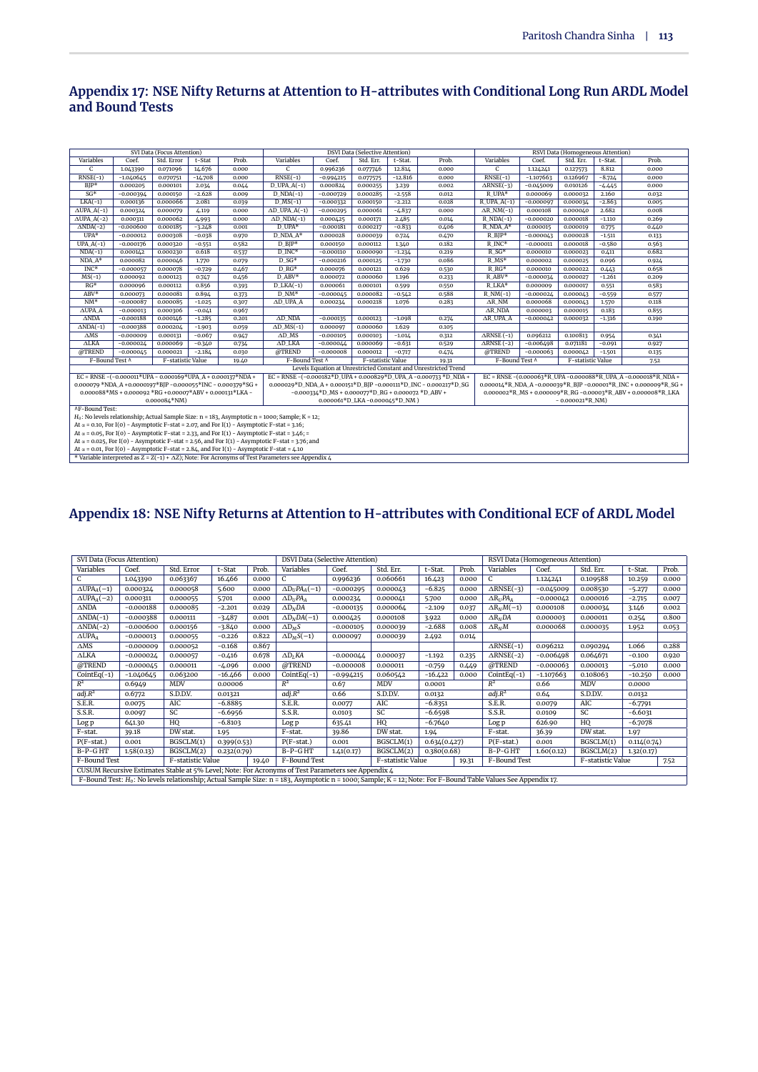#### **Appendix 17: NSE Nifty Returns at Attention to H-attributes with Conditional Long Run ARDL Model and Bound Tests**

|                       |                                                                                                                                                                                                                   | SVI Data (Focus Attention) |           |                                                                                                   |                                                                                                            |                                                       | <b>DSVI Data (Selective Attention)</b> |           |                                                                   |                         |             | RSVI Data (Homogeneous Attention) |          |                                                                 |
|-----------------------|-------------------------------------------------------------------------------------------------------------------------------------------------------------------------------------------------------------------|----------------------------|-----------|---------------------------------------------------------------------------------------------------|------------------------------------------------------------------------------------------------------------|-------------------------------------------------------|----------------------------------------|-----------|-------------------------------------------------------------------|-------------------------|-------------|-----------------------------------|----------|-----------------------------------------------------------------|
| Variables             | Coef.                                                                                                                                                                                                             | Std. Error                 | t-Stat    | Prob.                                                                                             | Variables                                                                                                  | Coef.                                                 | Std. Err.                              | t-Stat.   | Prob.                                                             | Variables               | Coef.       | Std. Err.                         | t-Stat.  | Prob.                                                           |
| $\overline{C}$        | 1.043390                                                                                                                                                                                                          | 0.071096                   | 14.676    | 0.000                                                                                             | $\overline{C}$                                                                                             | 0.996236                                              | 0.077746                               | 12.814    | 0.000                                                             | $\overline{c}$          | 1.12/2/1    | 0.127573                          | 8.812    | 0.000                                                           |
| $RNSE(-1)$            | $-1.040645$                                                                                                                                                                                                       | 0.070751                   | $-14.708$ | 0.000                                                                                             | $RNSE(-1)$                                                                                                 | $-0.994215$                                           | 0.077575                               | $-12.816$ | 0.000                                                             | $RNSE(-1)$              | $-1.107663$ | 0.126967                          | $-8.724$ | 0.000                                                           |
| $BIP*$                | 0.000205                                                                                                                                                                                                          | 0.000101                   | 2.034     | 0.044                                                                                             | $D_{UPA(A(-1))}$                                                                                           | 0.000824                                              | 0.000255                               | 3.239     | 0.002                                                             | $ARNSE(-3)$             | $-0.045009$ | 0.010126                          | $-4.445$ | 0.000                                                           |
| $SG*$                 | $-0.000394$                                                                                                                                                                                                       | 0.000150                   | $-2.628$  | 0.009                                                                                             | $D$ NDA $(-1)$                                                                                             | $-0.000729$                                           | 0.000285                               | $-2.558$  | 0.012                                                             | $R$ UPA*                | 0.000069    | 0.000032                          | 2.160    | 0.032                                                           |
| $LKA(-1)$             | 0.000136                                                                                                                                                                                                          | 0.000066                   | 2.081     | 0.039                                                                                             | $D$ <sub>MS</sub> $(-1)$                                                                                   | $-0.000332$                                           | 0.000150                               | $-2.212$  | 0.028                                                             | $R$ _UPA_A(-1)          | $-0.000097$ | 0.000034                          | $-2.863$ | 0.005                                                           |
| $\triangle$ UPA_A(-1) | 0.000324                                                                                                                                                                                                          | 0.000079                   | 4.119     | 0.000                                                                                             | $AD$ _UPA_A(-1)                                                                                            | $-0.000295$                                           | 0.000061                               | $-4.837$  | 0.000                                                             | $\triangle$ R_NM(-1)    | 0.000108    | 0.000040                          | 2.682    | 0.008                                                           |
| $\triangle$ UPA_A(-2) | 0.000311                                                                                                                                                                                                          | 0.000062                   | 4.993     | 0.000                                                                                             | $AD_NDA(-1)$                                                                                               | 0.000425                                              | 0.000171                               | 2.485     | 0.014                                                             | $R_NDA(-1)$             | $-0.000020$ | 0.000018                          | $-1.110$ | 0.269                                                           |
| $\triangle NDA(-2)$   | $-0.000600$                                                                                                                                                                                                       | 0.000185                   | $-3.248$  | 0.001                                                                                             | $D$ UPA*                                                                                                   | $-0.000181$                                           | 0.000217                               | $-0.833$  | 0.406                                                             | R_NDA_A*                | 0.000015    | 0.000019                          | 0.775    | 0.440                                                           |
| $UPA*$                | $-0.000012$                                                                                                                                                                                                       | 0.000308                   | $-0.038$  | 0.970                                                                                             | $D$ NDA $A^*$                                                                                              | 0.000028                                              | 0.000039                               | 0.724     | 0.470                                                             | $R_BIP*$                | $-0.000043$ | 0.000028                          | $-1.511$ | 0.133                                                           |
| $UPA.A(-1)$           | $-0.000176$                                                                                                                                                                                                       | 0.000320                   | $-0.551$  | 0.582                                                                                             | $D$ BIP*                                                                                                   | 0.000150                                              | 0.000112                               | 1.340     | 0.182                                                             | $R$ <sub>INC</sub> *    | $-0.000011$ | 0.000018                          | $-0.580$ | 0.563                                                           |
| $NDA(-1)$             | 0.000142                                                                                                                                                                                                          | 0.000230                   | 0.618     | 0.537                                                                                             | D INC*                                                                                                     | $-0.000110$                                           | 0.000090                               | $-1.234$  | 0.219                                                             | $R_S$ G*                | 0.000010    | 0.000023                          | 0.411    | 0.682                                                           |
| $NDA A*$              | 0.000082                                                                                                                                                                                                          | 0.000046                   | 1.770     | 0.079                                                                                             | $D SG*$                                                                                                    | $-0.000216$                                           | 0.000125                               | $-1.730$  | 0.086                                                             | $R$ MS*                 | 0.000002    | 0.000025                          | 0.096    | 0.924                                                           |
| $INC*$                | $-0.000057$                                                                                                                                                                                                       | 0.000078                   | $-0.729$  | 0.467                                                                                             | $D$ RG*                                                                                                    | 0.000076                                              | 0.000121                               | 0.629     | 0.530                                                             | $R$ <sub>RG</sub> *     | 0.000010    | 0.000022                          | 0.443    | 0.658                                                           |
| $MS(-1)$              | $D$ ABV*<br>$R$ ABV*<br>0.456<br>$-1.261$<br>0.000092<br>0.000123<br>0.000072<br>0.000060<br>1.196<br>0.233<br>$-0.000034$<br>0.000027<br>0.209<br>0.747<br>$RG*$<br>$R$ LKA*<br>0.000112<br>0.000061<br>0.000101 |                            |           |                                                                                                   |                                                                                                            |                                                       |                                        |           |                                                                   |                         |             |                                   |          |                                                                 |
|                       | 0.000096                                                                                                                                                                                                          |                            | 0.856     | 0.393                                                                                             | $D_LKA(-1)$                                                                                                |                                                       |                                        | 0.599     | 0.550                                                             |                         | 0.000009    | 0.000017                          | 0.551    | 0.583                                                           |
| $ABV*$                | 0.000073                                                                                                                                                                                                          | 0.000081                   | 0.894     | 0.373                                                                                             | $D$ NM*                                                                                                    | $-0.000045$                                           | 0.000082                               | $-0.542$  | 0.588                                                             | $R_NM(-1)$              | $-0.000024$ | 0.000043                          | $-0.559$ | 0.577                                                           |
| $NM^*$                | $-0.000087$                                                                                                                                                                                                       | 0.000085                   | $-1.025$  | 0.307                                                                                             | AD UPA A                                                                                                   | 0.000234                                              | 0.000218                               | 1.076     | 0.283                                                             | $\triangle R$ NM        | 0.000068    | 0.000043                          | 1.570    | 0.118                                                           |
| $\triangle$ UPA A     | $-0.000013$                                                                                                                                                                                                       | 0.000306                   | $-0.041$  | 0.967                                                                                             |                                                                                                            |                                                       |                                        |           |                                                                   | AR NDA                  | 0.000003    | 0.000015                          | 0.183    | 0.855                                                           |
| $\triangle NDA$       | $-0.000188$                                                                                                                                                                                                       | 0.000146                   | $-1.285$  | 0.201                                                                                             | $AD$ NDA                                                                                                   | $-0.000135$                                           | 0.000123                               | $-1.098$  | 0.274                                                             | $AR$ UPA $A$            | $-0.000042$ | 0.000032                          | $-1.316$ | 0.190                                                           |
| $\triangle NDA(-1)$   | $-0.000388$                                                                                                                                                                                                       | 0.000204                   | $-1.903$  | 0.059                                                                                             | $AD_MS(-1)$                                                                                                | 0.000097                                              | 0.000060                               | 1.629     | 0.105                                                             |                         |             |                                   |          |                                                                 |
| $\Delta MS$           | $-0.000009$                                                                                                                                                                                                       | 0.000131                   | $-0.067$  | 0.947                                                                                             | $AD$ <sub>MS</sub>                                                                                         | $-0.000105$                                           | 0.000103                               | $-1.014$  | 0.312                                                             | $\triangle$ RNSE $(-1)$ | 0.096212    | 0.100813                          | 0.954    | 0.341                                                           |
| $\triangle$ LKA       | $-0.000024$                                                                                                                                                                                                       | 0.000069                   | $-0.340$  | 0.734                                                                                             | $AD_LKA$                                                                                                   | $-0.000044$                                           | 0.000069                               | $-0.631$  | 0.529                                                             | $\triangle$ RNSE $(-2)$ | $-0.006498$ | 0.071181                          | $-0.091$ | 0.927                                                           |
| @TREND                | $-0.000045$                                                                                                                                                                                                       | 0.000021                   | $-2.184$  | 0.030                                                                                             | @TREND                                                                                                     | $-0.000008$                                           | 0.000012                               | $-0.717$  | 0.474                                                             | @TREND                  | $-0.000063$ | 0.000042                          | $-1.501$ | 0.135                                                           |
| F-Bound Test A        |                                                                                                                                                                                                                   | F-statistic Value          |           | 19.40                                                                                             | F-Bound Test A                                                                                             |                                                       | F-statistic Value                      |           | 19.31                                                             | F-Bound Test ^          |             | F-statistic Value                 |          | 7.52                                                            |
|                       |                                                                                                                                                                                                                   |                            |           |                                                                                                   |                                                                                                            |                                                       |                                        |           | Levels Equation at Unrestricted Constant and Unrestricted Trend   |                         |             |                                   |          |                                                                 |
|                       | EC = RNSE -(-0.000011*UPA - 0.000169*UPA_A + 0.000137*NDA +                                                                                                                                                       |                            |           |                                                                                                   |                                                                                                            |                                                       |                                        |           | EC = RNSE -(-0.000182*D_UPA + 0.000829*D_UPA_A -0.000733 *D_NDA + |                         |             |                                   |          | EC = RNSE -(0.000063*R_UPA -0.000088*R_UPA_A -0.000018*R_NDA +  |
|                       |                                                                                                                                                                                                                   |                            |           | 0.000079 *NDA A +0.0000197*BIP -0.000055*INC - 0.000379*SG +                                      |                                                                                                            |                                                       |                                        |           | 0.000029*D_NDA_A + 0.000151*D_BJP -0.000111*D_INC - 0.000217*D_SG |                         |             |                                   |          | 0.000014*R_NDA_A-0.000039*R_BJP-0.00001*R_INC + 0.000009*R_SG + |
|                       | $0.000088*MS + 0.000092*RG + 0.00007*ABV + 0.000131*LKA -$                                                                                                                                                        |                            |           |                                                                                                   |                                                                                                            | $-0.000334*D$ _MS + 0.000077*D_RG + 0.000072 *D_ABV + |                                        |           |                                                                   |                         |             |                                   |          | 0.000002*R_MS + 0.000009*R_RG -0.00003*R_ABV + 0.000008*R_LKA   |
|                       |                                                                                                                                                                                                                   | $0.000084*NM$              |           |                                                                                                   |                                                                                                            |                                                       | 0.000061*D_LKA-0.000045*D_NM)          |           |                                                                   |                         |             | $-0.000021*R_NM$                  |          |                                                                 |
| <b>AF-Bound Test:</b> |                                                                                                                                                                                                                   |                            |           |                                                                                                   |                                                                                                            |                                                       |                                        |           |                                                                   |                         |             |                                   |          |                                                                 |
|                       |                                                                                                                                                                                                                   |                            |           |                                                                                                   | $H_0$ : No levels relationship; Actual Sample Size: $n = 183$ , Asymptotic $n = 1000$ ; Sample; $K = 12$ ; |                                                       |                                        |           |                                                                   |                         |             |                                   |          |                                                                 |
|                       |                                                                                                                                                                                                                   |                            |           | At $\alpha$ = 0.10, For I(0) - Asymptotic F-stat = 2.07, and For I(1) - Asymptotic F-stat = 3.16; |                                                                                                            |                                                       |                                        |           |                                                                   |                         |             |                                   |          |                                                                 |
|                       |                                                                                                                                                                                                                   |                            |           |                                                                                                   | At $\alpha$ = 0.05, For I(0) - Asymptotic F-stat = 2.33, and For I(1) - Asymptotic F-stat = 3.46; =        |                                                       |                                        |           |                                                                   |                         |             |                                   |          |                                                                 |
|                       |                                                                                                                                                                                                                   |                            |           |                                                                                                   | At $\alpha$ = 0.025, For I(0) - Asymptotic F-stat = 2.56, and For I(1) - Asymptotic F-stat = 3.76; and     |                                                       |                                        |           |                                                                   |                         |             |                                   |          |                                                                 |
|                       |                                                                                                                                                                                                                   |                            |           | At $\alpha$ = 0.01, For I(0) - Asymptotic F-stat = 2.84, and For I(1) - Asymptotic F-stat = 4.10  |                                                                                                            |                                                       |                                        |           |                                                                   |                         |             |                                   |          |                                                                 |
|                       |                                                                                                                                                                                                                   |                            |           |                                                                                                   | * Variable interpreted as $Z = Z(-1) + \Delta Z$ ; Note: For Acronyms of Test Parameters see Appendix 4    |                                                       |                                        |           |                                                                   |                         |             |                                   |          |                                                                 |

# **Appendix 18: NSE Nifty Returns at Attention to H-attributes with Conditional ECF of ARDL Model**

| SVI Data (Focus Attention)          |             |                   |             |                                                                                                                              | <b>DSVI Data (Selective Attention)</b>                                                                                                                                   |             |                   |              |       |                               | RSVI Data (Homogeneous Attention) |                   |             |       |
|-------------------------------------|-------------|-------------------|-------------|------------------------------------------------------------------------------------------------------------------------------|--------------------------------------------------------------------------------------------------------------------------------------------------------------------------|-------------|-------------------|--------------|-------|-------------------------------|-----------------------------------|-------------------|-------------|-------|
| Variables                           | Coef.       | Std. Error        | t-Stat      | Prob.                                                                                                                        | Variables                                                                                                                                                                | Coef.       | Std. Err.         | t-Stat.      | Prob. | Variables                     | Coef.                             | Std. Err.         | t-Stat.     | Prob. |
| C                                   | 1.043390    | 0.063367          | 16.466      | 0.000                                                                                                                        |                                                                                                                                                                          | 0.996236    | 0.060661          | 16.423       | 0.000 | C                             | 1.124241                          | 0.109588          | 10.259      | 0.000 |
| $\triangle$ UPA <sub>A</sub> $(-1)$ | 0.000324    | 0.000058          | 5.600       | 0.000                                                                                                                        | $\Delta D_{II}PA_{A}(-1)$                                                                                                                                                | $-0.000295$ | 0.000043          | $-6.825$     | 0.000 | $\triangle$ RNSE(-3)          | $-0.045009$                       | 0.008530          | $-5.277$    | 0.000 |
| $\triangle$ UPA <sub>A</sub> $(-2)$ | 0.000311    | 0.000055          | 5.701       | 0.000                                                                                                                        | $\Delta D_{IJ}PA_A$                                                                                                                                                      | 0.000234    | 0.000041          | 5.700        | 0.000 | $\Delta R_{II}PA_A$           | $-0.000042$                       | 0.000016          | $-2.715$    | 0.007 |
| $\Delta \text{NDA}$                 | $-0.000188$ | 0.000085          | $-2.201$    | 0.029                                                                                                                        | $\Delta D_NDA$                                                                                                                                                           | $-0.000135$ | 0.000064          | $-2.109$     | 0.037 | $\Delta R_N M(-1)$            | 0.000108                          | 0.000034          | 3.146       | 0.002 |
| $\triangle NDA(-1)$                 | $-0.000388$ | 0.000111          | $-3.487$    | 0.001                                                                                                                        | $\Delta D_NDA(-1)$                                                                                                                                                       | 0.000425    | 0.000108          | 3.922        | 0.000 | $\triangle$ R <sub>N</sub> DA | 0.000003                          | 0.000011          | 0.254       | 0.800 |
| $\triangle NDA(-2)$                 | $-0.000600$ | 0.000156          | $-3.840$    | 0.000                                                                                                                        | $\Delta D_M S$                                                                                                                                                           | $-0.000105$ | 0.000039          | $-2.688$     | 0.008 | $\Delta R_N M$                | 0.000068                          | 0.000035          | 1.952       | 0.053 |
| $\triangle$ UPA <sub>A</sub>        | $-0.000013$ | 0.000055          | $-0.226$    | 0.822                                                                                                                        | $\Delta D_M S(-1)$                                                                                                                                                       | 0.000097    | 0.000039          | 2.492        | 0.014 |                               |                                   |                   |             |       |
| $\Delta MS$                         | $-0.000009$ | 0.000052          | $-0.168$    | 0.867                                                                                                                        |                                                                                                                                                                          |             |                   |              |       | $\triangle$ RNSE(-1)          | 0.096212                          | 0.090294          | 1.066       | 0.288 |
| ∆LKA                                | $-0.000024$ | 0.000057          | $-0.416$    | 0.678<br>$\Delta D_L K A$<br>$\triangle$ RNSE(-2)<br>0.064671<br>$-0.006498$<br>$-0.000044$<br>0.000037<br>$-1.192$<br>0.235 |                                                                                                                                                                          |             |                   |              |       |                               |                                   |                   | $-0.100$    | 0.920 |
| @TREND                              | $-0.000045$ | 0.000011          | -4.096      | 0.000                                                                                                                        | @TREND                                                                                                                                                                   | $-0.000008$ | 0.000011          | $-0.759$     | 0.449 | @TREND                        | $-0.000063$                       | 0.000013          | $-5.010$    | 0.000 |
| $CointEq(-1)$                       | $-1.040645$ | 0.063200          | $-16.466$   | 0.000                                                                                                                        | $CointEq(-1)$                                                                                                                                                            | $-0.994215$ | 0.060542          | $-16.422$    | 0.000 | $CointEq(-1)$                 | $-1.107663$                       | 0.108063          | $-10.250$   | 0.000 |
| $R^2$                               | 0.6949      | <b>MDV</b>        | 0.00006     |                                                                                                                              | $R^2$                                                                                                                                                                    | 0.67        | <b>MDV</b>        | 0.0001       |       | $R^2$                         | 0.66                              | <b>MDV</b>        | 0.0000      |       |
| adj.R <sup>2</sup>                  | 0.6772      | S.D.D.V.          | 0.01321     |                                                                                                                              | adj.R <sup>2</sup>                                                                                                                                                       | 0.66        | S.D.D.V.          | 0.0132       |       | adj.R <sup>2</sup>            | 0.64                              | S.D.D.V.          | 0.0132      |       |
| S.E.R.                              | 0.0075      | AIC               | $-6.8885$   |                                                                                                                              | S.E.R.                                                                                                                                                                   | 0.0077      | AIC               | $-6.8351$    |       | S.E.R.                        | 0.0079                            | AIC               | $-6.7791$   |       |
| S.S.R.                              | 0.0097      | SC                | $-6.6956$   |                                                                                                                              | S.S.R.                                                                                                                                                                   | 0.0103      | SC                | $-6.6598$    |       | S.S.R.                        | 0.0109                            | SC                | $-6.6031$   |       |
| Log p                               | 641.30      | HQ                | $-6.8103$   |                                                                                                                              | Log p                                                                                                                                                                    | 635.41      | HQ                | $-6.7640$    |       | Log p                         | 626.90                            | HQ                | $-6.7078$   |       |
| F-stat.                             | 39.18       | DW stat.          | 1.95        |                                                                                                                              | F-stat.                                                                                                                                                                  | 39.86       | DW stat.          | 1.94         |       | F-stat.                       | 36.39                             | DW stat.          | 1.97        |       |
| $P(F-stat.)$                        | 0.001       | BGSCLM(1)         | 0.399(0.53) |                                                                                                                              | $P(F-stat.)$                                                                                                                                                             | 0.001       | BGSCLM(1)         | 0.634(0.427) |       | $P(F-stat.)$                  | 0.001                             | BGSCLM(1)         | 0.114(0.74) |       |
| $B-P-GHT$                           | 1.58(0.13)  | BGSCLM(2)         | 0.232(0.79) |                                                                                                                              | B-P-GHT                                                                                                                                                                  | 1.41(0.17)  | BGSCLM(2)         | 0.380(0.68)  |       | B-P-GHT                       | 1.60(0.12)                        | BGSCLM(2)         | 1.32(0.17)  |       |
| F-Bound Test                        |             | F-statistic Value |             | 19.40                                                                                                                        | F-Bound Test                                                                                                                                                             |             | F-statistic Value |              | 19.31 | F-Bound Test                  |                                   | F-statistic Value |             | 7.52  |
|                                     |             |                   |             |                                                                                                                              | CUSUM Recursive Estimates Stable at 5% Level; Note: For Acronyms of Test Parameters see Appendix 4                                                                       |             |                   |              |       |                               |                                   |                   |             |       |
|                                     |             |                   |             |                                                                                                                              | F-Bound Test: H <sub>0</sub> : No levels relationship; Actual Sample Size: n = 183, Asymptotic n = 1000; Sample; K = 12; Note: For F-Bound Table Values See Appendix 17. |             |                   |              |       |                               |                                   |                   |             |       |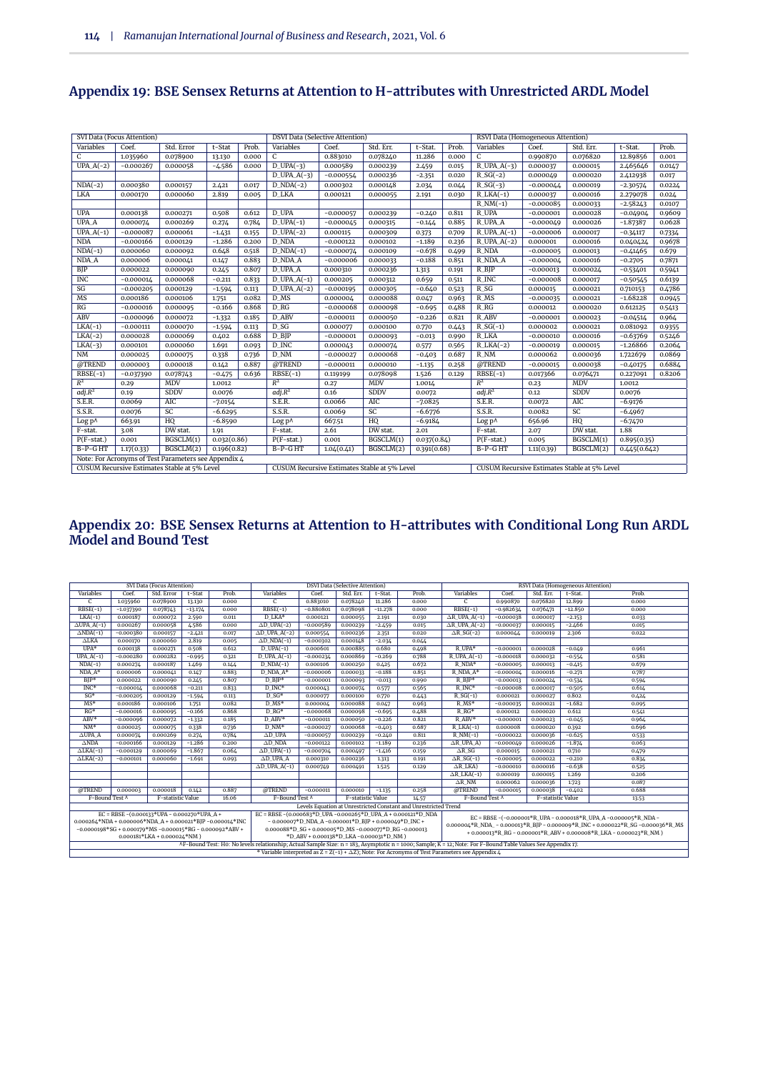|                    | SVI Data (Focus Attention) |                                                      |             |       | <b>DSVI Data (Selective Attention)</b>       |             |             |             |       | RSVI Data (Homogeneous Attention)            |             |             |              |        |
|--------------------|----------------------------|------------------------------------------------------|-------------|-------|----------------------------------------------|-------------|-------------|-------------|-------|----------------------------------------------|-------------|-------------|--------------|--------|
| Variables          | Coef.                      | Std. Error                                           | t-Stat      | Prob. | Variables                                    | Coef.       | Std. Err.   | t-Stat.     | Prob. | Variables                                    | Coef.       | Std. Err.   | t-Stat.      | Prob.  |
| C                  | 1.035960                   | 0.078900                                             | 13.130      | 0.000 | C                                            | 0.883010    | 0.078240    | 11.286      | 0.000 | $\mathsf C$                                  | 0.990870    | 0.076820    | 12.89856     | 0.001  |
| $UPA.A(-2)$        | $-0.000267$                | 0.000058                                             | $-4.586$    | 0.000 | $D_{UPA(-3)}$                                | 0.000589    | 0.000239    | 2.459       | 0.015 | $R_UPA_A(-3)$                                | 0.000037    | 0.000015    | 2.465646     | 0.0147 |
|                    |                            |                                                      |             |       | $D_UPA_A(-3)$                                | $-0.000554$ | 0.000236    | $-2.351$    | 0.020 | $R_S(G(-2)$                                  | 0.000049    | 0.000020    | 2.412938     | 0.017  |
| $NDA(-2)$          | 0.000380                   | 0.000157                                             | 2.421       | 0.017 | $D_NDA(-2)$                                  | 0.000302    | 0.000148    | 2.034       | 0.044 | $R_S(G(-3))$                                 | $-0.000044$ | 0.000019    | $-2.30574$   | 0.0224 |
| LKA                | 0.000170                   | 0.000060                                             | 2.819       | 0.005 | D LKA                                        | 0.000121    | 0.000055    | 2.191       | 0.030 | $R_LKA(-1)$                                  | 0.000037    | 0.000016    | 2.279078     | 0.024  |
|                    |                            |                                                      |             |       |                                              |             |             |             |       | $R_NM(-1)$                                   | $-0.000085$ | 0.000033    | $-2.58243$   | 0.0107 |
| <b>UPA</b>         | 0.000138                   | 0.000271                                             | 0.508       | 0.612 | D UPA                                        | $-0.000057$ | 0.000239    | $-0.240$    | 0.811 | R UPA                                        | $-0.000001$ | 0.000028    | $-0.04904$   | 0.9609 |
| <b>UPA A</b>       | 0.000074                   | 0.000269                                             | 0.274       | 0.784 | $D_UPA(-1)$                                  | $-0.000045$ | 0.000315    | $-0.144$    | 0.885 | R_UPA_A                                      | $-0.000049$ | 0.000026    | $-1.87387$   | 0.0628 |
| $UPA.A(-1)$        | $-0.000087$                | 0.000061                                             | $-1.431$    | 0.155 | $D_UPA(-2)$                                  | 0.000115    | 0.000309    | 0.373       | 0.709 | $R$ _UPA_A(-1)                               | $-0.000006$ | 0.000017    | $-0.34117$   | 0.7334 |
| <b>NDA</b>         | $-0.000166$                | 0.000129                                             | $-1.286$    | 0.200 | D_NDA                                        | $-0.000122$ | 0.000102    | $-1.189$    | 0.236 | $R_UPA_A(-2)$                                | 0.000001    | 0.000016    | 0.040424     | 0.9678 |
| $NDA(-1)$          | 0.000060                   | 0.000092                                             | 0.648       | 0.518 | $D_NDA(-1)$                                  | $-0.000074$ | 0.000109    | $-0.678$    | 0.499 | R NDA                                        | $-0.000005$ | 0.000013    | $-0.41465$   | 0.679  |
| NDA_A              | 0.000006                   | 0.000041                                             | 0.147       | 0.883 | D NDA A                                      | $-0.000006$ | 0.000033    | $-0.188$    | 0.851 | R NDA A                                      | $-0.000004$ | 0.000016    | $-0.2705$    | 0.7871 |
| <b>BJP</b>         | 0.000022                   | 0.000090                                             | 0.245       | 0.807 | D UPA A                                      | 0.000310    | 0.000236    | 1.313       | 0.191 | $R$ <sub>BJP</sub>                           | $-0.000013$ | 0.000024    | $-0.53401$   | 0.5941 |
| <b>INC</b>         | $-0.000014$                | 0.000068                                             | $-0.211$    | 0.833 | $D_{UPA.A(-1)}$                              | 0.000205    | 0.000312    | 0.659       | 0.511 | R_INC                                        | $-0.000008$ | 0.000017    | $-0.50545$   | 0.6139 |
| SG                 | $-0.000205$                | 0.000129                                             | $-1.594$    | 0.113 | $D_UPA_A(-2)$                                | $-0.000195$ | 0.000305    | $-0.640$    | 0.523 | $R_S$                                        | 0.000015    | 0.000021    | 0.710153     | 0.4786 |
| MS                 | 0.000186                   | 0.000106                                             | 1.751       | 0.082 | D MS                                         | 0.000004    | 0.000088    | 0.047       | 0.963 | $R$ <sub>MS</sub>                            | $-0.000035$ | 0.000021    | $-1.68228$   | 0.0945 |
| RG                 | $-0.000016$                | 0.000095                                             | $-0.166$    | 0.868 | D <sub>RG</sub>                              | $-0.000068$ | 0.000098    | $-0.695$    | 0.488 | $R_R$                                        | 0.000012    | 0.000020    | 0.612125     | 0.5413 |
| <b>ABV</b>         | $-0.000096$                | 0.000072                                             | $-1.332$    | 0.185 | D ABV                                        | $-0.000011$ | 0.000050    | $-0.226$    | 0.821 | R ABV                                        | $-0.000001$ | 0.000023    | $-0.04514$   | 0.964  |
| $LKA(-1)$          | $-0.000111$                | 0.000070                                             | $-1.594$    | 0.113 | $D_S$                                        | 0.000077    | 0.000100    | 0.770       | 0.443 | $R_S(G(-1))$                                 | 0.000002    | 0.000021    | 0.081092     | 0.9355 |
| $LKA(-2)$          | 0.000028                   | 0.000069                                             | 0.402       | 0.688 | $D$ <sub>BJP</sub>                           | $-0.000001$ | 0.000093    | $-0.013$    | 0.990 | R_LKA                                        | $-0.000010$ | 0.000016    | $-0.63769$   | 0.5246 |
| $LKA(-3)$          | 0.000101                   | 0.000060                                             | 1.691       | 0.093 | D_INC                                        | 0.000043    | 0.000074    | 0.577       | 0.565 | $R_LKA(-2)$                                  | $-0.000019$ | 0.000015    | $-1.26866$   | 0.2064 |
| <b>NM</b>          | 0.000025                   | 0.000075                                             | 0.338       | 0.736 | $D_NM$                                       | $-0.000027$ | 0.000068    | $-0.403$    | 0.687 | R_NM                                         | 0.000062    | 0.000036    | 1.722679     | 0.0869 |
| @TREND             | 0.000003                   | 0.000018                                             | 0.142       | 0.887 | @TREND                                       | $-0.000011$ | 0.000010    | $-1.135$    | 0.258 | @TREND                                       | $-0.000015$ | 0.000038    | $-0.40175$   | 0.6884 |
| $RBSE(-1)$         | $-0.037390$                | 0.078743                                             | $-0.475$    | 0.636 | $RBSE(-1)$                                   | 0.119199    | 0.078098    | 1.526       | 0.129 | $RBSE(-1)$                                   | 0.017366    | 0.076471    | 0.227091     | 0.8206 |
| $R^2$              | 0.29                       | MDV                                                  | 1.0012      |       | $R^2$                                        | 0.27        | MDV         | 1.0014      |       | $R^2$                                        | 0.23        | <b>MDV</b>  | 1.0012       |        |
| adj.R <sup>2</sup> | 0.19                       | <b>SDDV</b>                                          | 0.0076      |       | adj.R <sup>2</sup>                           | 0.16        | <b>SDDV</b> | 0.0072      |       | adj.R <sup>2</sup>                           | 0.12        | <b>SDDV</b> | 0.0076       |        |
| S.E.R.             | 0.0069                     | AIC                                                  | $-7.0154$   |       | S.E.R.                                       | 0.0066      | AIC         | $-7.0825$   |       | S.E.R.                                       | 0.0072      | AIC         | $-6.9176$    |        |
| S.S.R.             | 0.0076                     | $\overline{SC}$                                      | $-6.6295$   |       | S.S.R.                                       | 0.0069      | SC          | $-6.6776$   |       | S.S.R.                                       | 0.0082      | SC          | $-6.4967$    |        |
| Log p^             | 663.91                     | HQ                                                   | $-6.8590$   |       | Log p^                                       | 667.51      | HQ          | $-6.9184$   |       | Log p^                                       | 656.96      | HQ          | $-6.7470$    |        |
| F-stat.            | 3.08                       | DW stat.                                             | 1.91        |       | F-stat.                                      | 2.61        | DW stat.    | 2.01        |       | F-stat.                                      | 2.07        | DW stat.    | 1.88         |        |
| $P(F-stat.)$       | 0.001                      | BGSCLM(1)                                            | 0.032(0.86) |       | $P(F-stat.)$                                 | 0.001       | BGSCLM(1)   | 0.037(0.84) |       | $P(F-stat.)$                                 | 0.005       | BGSCLM(1)   | 0.895(0.35)  |        |
| B-P-GHT            | 1.17(0.33)                 | BGSCLM(2)                                            | 0.196(0.82) |       | B-P-GHT                                      | 1.04(0.41)  | BGSCLM(2)   | 0.391(0.68) |       | B-P-GHT                                      | 1.11(0.39)  | BGSCLM(2)   | 0.445(0.642) |        |
|                    |                            | Note: For Acronyms of Test Parameters see Appendix 4 |             |       |                                              |             |             |             |       |                                              |             |             |              |        |
|                    |                            | CUSUM Recursive Estimates Stable at 5% Level         |             |       | CUSUM Recursive Estimates Stable at 5% Level |             |             |             |       | CUSUM Recursive Estimates Stable at 5% Level |             |             |              |        |

## **Appendix 19: BSE Sensex Returns at Attention to H-attributes with Unrestricted ARDL Model**

#### **Appendix 20: BSE Sensex Returns at Attention to H-attributes with Conditional Long Run ARDL Model and Bound Test**

|                                                               |                                                              | SVI Data (Focus Attention)    |           |       |                                                                                                                                                              |                                                        | <b>DSVI Data (Selective Attention)</b> |           |                                                                 |                                                                                                         |             | RSVI Data (Homogeneous Attention) |           |                                                                                              |  |  |
|---------------------------------------------------------------|--------------------------------------------------------------|-------------------------------|-----------|-------|--------------------------------------------------------------------------------------------------------------------------------------------------------------|--------------------------------------------------------|----------------------------------------|-----------|-----------------------------------------------------------------|---------------------------------------------------------------------------------------------------------|-------------|-----------------------------------|-----------|----------------------------------------------------------------------------------------------|--|--|
| Variables                                                     | Coef.                                                        | Std. Error                    | t-Stat    | Prob. | Variables                                                                                                                                                    | Coef.                                                  | Std. Err.                              | t-Stat.   | Prob.                                                           | Variables                                                                                               | Coef.       | Std. Err.                         | t-Stat.   | Prob.                                                                                        |  |  |
| $\overline{c}$                                                | 1.035960                                                     | 0.078900                      | 13.130    | 0.000 | $\overline{C}$                                                                                                                                               | 0.883010                                               | 0.078240                               | 11.286    | 0.000                                                           | $\overline{C}$                                                                                          | 0.990870    | 0.076820                          | 12,899    | 0.000                                                                                        |  |  |
| $RBSE(-1)$                                                    | $-1.037390$                                                  | 0.078743                      | $-13.174$ | 0.000 | $RBSE(-1)$                                                                                                                                                   | $-0.880801$                                            | 0.078098                               | $-11.278$ | 0.000                                                           | $RBSE(-1)$                                                                                              | $-0.982634$ | 0.076471                          | $-12.850$ | 0.000                                                                                        |  |  |
| $LKA(-1)$                                                     | 0.000187                                                     | 0.000072                      | 2.590     | 0.011 | D LKA*                                                                                                                                                       | 0.000121                                               | 0.000055                               | 2.191     | 0.030                                                           | $\triangle$ R_UPA_A(-1)                                                                                 | $-0.000038$ | 0.000017                          | $-2.153$  | 0.033                                                                                        |  |  |
| $\triangle$ UPA_A(-1)                                         | 0.000267                                                     | 0.000058                      | 4.586     | 0.000 | $\Delta$ D_UPA(-2)                                                                                                                                           | $-0.000589$                                            | 0.000239                               | $-2.459$  | 0.015                                                           | $\triangle$ R_UPA_A(-2)                                                                                 | $-0.000037$ | 0.000015                          | $-2.466$  | 0.015                                                                                        |  |  |
| $\triangle NDA(-1)$                                           | $-0.000380$                                                  | 0.000157                      | $-2.421$  | 0.017 | $\triangle$ D_UPA_A(-2)                                                                                                                                      | 0.000554                                               | 0.000236                               | 2.351     | 0.020                                                           | $\Delta$ R_SG(-2)                                                                                       | 0.000044    | 0.000019                          | 2.306     | 0.022                                                                                        |  |  |
| $\Delta$ LKA                                                  | 0.000170                                                     | 0.000060                      | 2.819     | 0.005 | $\Delta D_NDA(-1)$                                                                                                                                           | $-0.000302$                                            | 0.000148                               | $-2.034$  | 0.044                                                           |                                                                                                         |             |                                   |           |                                                                                              |  |  |
| $UPA*$                                                        | 0.000138                                                     | 0.000271                      | 0.508     | 0.612 | $D_UPA(-1)$                                                                                                                                                  | 0.000601                                               | 0.000885                               | 0.680     | 0.498                                                           | R UPA*                                                                                                  | $-0.000001$ | 0.000028                          | $-0.049$  | 0.961                                                                                        |  |  |
| $UPA.A(-1)$                                                   | $-0.000280$                                                  | 0.000282                      | $-0.995$  | 0.321 | $D_{UPA.A(-1)}$                                                                                                                                              | $-0.000234$                                            | 0.000869                               | $-0.269$  | 0.788                                                           | $R$ _UPA_A(-1)                                                                                          | $-0.000018$ | 0.000032                          | $-0.554$  | 0.581                                                                                        |  |  |
| $NDA(-1)$                                                     | 0.000274                                                     | 0.000187                      | 1.469     | 0.144 | $D_NDA(-1)$                                                                                                                                                  | 0.000106                                               | 0.000250                               | 0.425     | 0.672                                                           | $R$ NDA*                                                                                                | $-0.000005$ | 0.000013                          | $-0.415$  | 0.679                                                                                        |  |  |
| $NDA A*$                                                      | 0.000006                                                     | 0.000041                      | 0.147     | 0.883 | $D$ NDA $A^*$                                                                                                                                                | $-0.000006$                                            | 0.000033                               | $-0.188$  | 0.851                                                           | $R$ NDA $A^*$                                                                                           | $-0.000004$ | 0.000016                          | $-0.271$  | 0.787                                                                                        |  |  |
| $BIP*$                                                        | 0.000022                                                     | 0.000090                      | 0.245     | 0.807 | $D$ BIP*                                                                                                                                                     | $-0.000001$                                            | 0.000093                               | $-0.013$  | 0.990                                                           | $R$ BIP*                                                                                                | $-0.000013$ | 0.000024                          | $-0.534$  | 0.594                                                                                        |  |  |
| $INC*$                                                        | $-0.00001\text{Å}$                                           | 0.000068                      | $-0.211$  | 0.833 | D INC*                                                                                                                                                       | 0.000043                                               | 0.000074                               | 0.577     | 0.565                                                           | R INC*                                                                                                  | $-0.000008$ | 0.000017                          | $-0.505$  | 0.614                                                                                        |  |  |
| $SG*$                                                         | $-0.000205$                                                  | 0.000129                      | $-1.594$  | 0.113 | $D SG*$<br>$R_S(G(-1))$<br>0.000100<br>0.000027<br>0.802<br>0.000077<br>0.770<br>0.443<br>0.000021<br>0.424                                                  |                                                        |                                        |           |                                                                 |                                                                                                         |             |                                   |           |                                                                                              |  |  |
| $MS*$                                                         | 0.000186                                                     | 0.000106                      | 1.751     | 0.082 | $R$ MS*<br>D MS*<br>$-1.682$<br>0.000088<br>0.047<br>0.963<br>$-0.000035$<br>0.000021<br>0.000004<br>0.095                                                   |                                                        |                                        |           |                                                                 |                                                                                                         |             |                                   |           |                                                                                              |  |  |
| $RG*$                                                         | $-0.000016$                                                  | 0.000095                      | $-0.166$  | 0.868 | $D$ RG*                                                                                                                                                      | $-0.000068$                                            | 0.000098                               | $-0.695$  | 0.488                                                           | $R$ <sub>RG</sub> *                                                                                     | 0.000012    | 0.000020                          | 0.612     | 0.541                                                                                        |  |  |
| ABV*                                                          | $-0.000096$                                                  | 0.000072                      | $-1.332$  | 0.185 | D ABV*                                                                                                                                                       | $-0.000011$                                            | 0.000050                               | $-0.226$  | 0.821                                                           | R ABV*                                                                                                  | $-0.000001$ | 0.000023                          | $-0.045$  | 0.964                                                                                        |  |  |
| $NM^*$                                                        | 0.000025                                                     | 0.000075                      | 0.338     | 0.736 | $D_NM^*$                                                                                                                                                     | $-0.000027$                                            | 0.000068                               | $-0.403$  | 0.687                                                           | $R_LKA(-1)$                                                                                             | 0.000008    | 0.000020                          | 0.392     | 0.696                                                                                        |  |  |
| $\triangle$ UPA_A                                             | 0.000074                                                     | 0.000269                      | 0.274     | 0.784 | $AD$ UPA                                                                                                                                                     | $-0.000057$                                            | 0.000239                               | $-0.240$  | 0.811                                                           | $R_NM(-1)$                                                                                              | $-0.000022$ | 0.000036                          | $-0.625$  | 0.533                                                                                        |  |  |
| $\triangle NDA$                                               | $-0.000166$                                                  | 0.000129                      | $-1.286$  | 0.200 | $\Delta$ D NDA                                                                                                                                               | $-0.000122$                                            | 0.000102                               | $-1.189$  | 0.236                                                           | $\triangle$ R_UPA_A)                                                                                    | $-0.000049$ | 0.000026                          | $-1.874$  | 0.063                                                                                        |  |  |
| $\triangle LKA(-1)$                                           | $-0.000129$                                                  | 0.000069                      | $-1.867$  | 0.064 | $\Delta D$ _UPA(-1)                                                                                                                                          | $-0.000704$                                            | 0.000497                               | $-1.416$  | 0.159                                                           | $\triangle R\_SG$                                                                                       | 0.000015    | 0.000021                          | 0.710     | 0.479                                                                                        |  |  |
| $\triangle LKA(-2)$                                           | $-0.000101$                                                  | 0.000060                      | $-1.691$  | 0.093 | $AD$ UPA $A$                                                                                                                                                 | 0.000310                                               | 0.000236                               | 1.313     | 0.191                                                           | $\Delta R_S(G(-1))$                                                                                     | $-0.000005$ | 0.000022                          | $-0.210$  | 0.834                                                                                        |  |  |
|                                                               |                                                              |                               |           |       | $\triangle$ D UPA A(-1)                                                                                                                                      | 0.000749                                               | 0.000491                               | 1.525     | 0.129                                                           | $\Delta R$ LKA)                                                                                         | $-0.000010$ | 0.000016                          | $-0.638$  | 0.525                                                                                        |  |  |
|                                                               |                                                              |                               |           |       |                                                                                                                                                              |                                                        |                                        |           |                                                                 | $\Delta R$ _LKA(-1)                                                                                     | 0.000019    | 0.000015                          | 1.269     | 0.206                                                                                        |  |  |
|                                                               |                                                              |                               |           |       |                                                                                                                                                              |                                                        |                                        |           |                                                                 | $\triangle$ R NM                                                                                        | 0.000062    | 0.000036                          | 1.723     | 0.087                                                                                        |  |  |
| @TREND                                                        | 0.000003                                                     | 0.000018                      | 0.142     | 0.887 | @TREND                                                                                                                                                       | $-0.000011$                                            | 0.000010                               | $-1.135$  | 0.258                                                           | @TREND                                                                                                  | $-0.000015$ | 0.000038                          | $-0.402$  | 0.688                                                                                        |  |  |
| F-Bound Test A                                                |                                                              | F-statistic Value             |           | 16.06 | F-Bound Test ^                                                                                                                                               |                                                        | F-statistic Value                      |           | 14.57                                                           | F-Bound Test ^                                                                                          |             | F-statistic Value                 |           | 13.53                                                                                        |  |  |
|                                                               |                                                              |                               |           |       |                                                                                                                                                              |                                                        |                                        |           | Levels Equation at Unrestricted Constant and Unrestricted Trend |                                                                                                         |             |                                   |           |                                                                                              |  |  |
|                                                               | EC = RBSE - $(0.000133*UPA - 0.000270*UPA A +$               |                               |           |       | EC = RBSE - $(0.000683*D$ UPA - $0.000265*D$ UPA A + $0.000121*D$ NDA                                                                                        |                                                        |                                        |           |                                                                 |                                                                                                         |             |                                   |           | EC = RBSE -(-0.000001*R_UPA - 0.000018*R_UPA_A -0.000005*R_NDA -                             |  |  |
| $0.000264*NDA + 0.000006*NDA_A + 0.000021*BJP - 0.000014*INC$ |                                                              |                               |           |       |                                                                                                                                                              | $-0.000007*D_NDA_A - 0.000001*D_BJP + 0.000049*D_NC +$ |                                        |           |                                                                 |                                                                                                         |             |                                   |           | $0.000000\&*R$ NDA - $0.000013*R$ BIP - $0.000009*R$ INC + $0.000022*R$ SG - $0.000036*R$ MS |  |  |
|                                                               | $-0.0000198*SG + 0.000179*MS - 0.000015*RG - 0.000092*ABV +$ |                               |           |       |                                                                                                                                                              | 0.000088*D SG + 0.000005*D MS -0.000077*D RG -0.000013 |                                        |           |                                                                 |                                                                                                         |             |                                   |           | + 0.000013*R RG - 0.000001*R ABV + 0.000008*R LKA - 0.000023*R NM )                          |  |  |
|                                                               |                                                              | $0.000181*LKA + 0.000024*NM)$ |           |       |                                                                                                                                                              | *D ABV + 0.000138*D LKA -0.000031*D NM )               |                                        |           |                                                                 |                                                                                                         |             |                                   |           |                                                                                              |  |  |
|                                                               |                                                              |                               |           |       | AF-Bound Test: Ho: No levels relationship; Actual Sample Size: n = 183, Asymptotic n = 1000; Sample; K = 12; Note: For F-Bound Table Values See Appendix 17. |                                                        |                                        |           |                                                                 |                                                                                                         |             |                                   |           |                                                                                              |  |  |
|                                                               |                                                              |                               |           |       |                                                                                                                                                              |                                                        |                                        |           |                                                                 | * Variable interpreted as $Z = Z(-1) + \Delta Z$ ; Note: For Acronyms of Test Parameters see Appendix 4 |             |                                   |           |                                                                                              |  |  |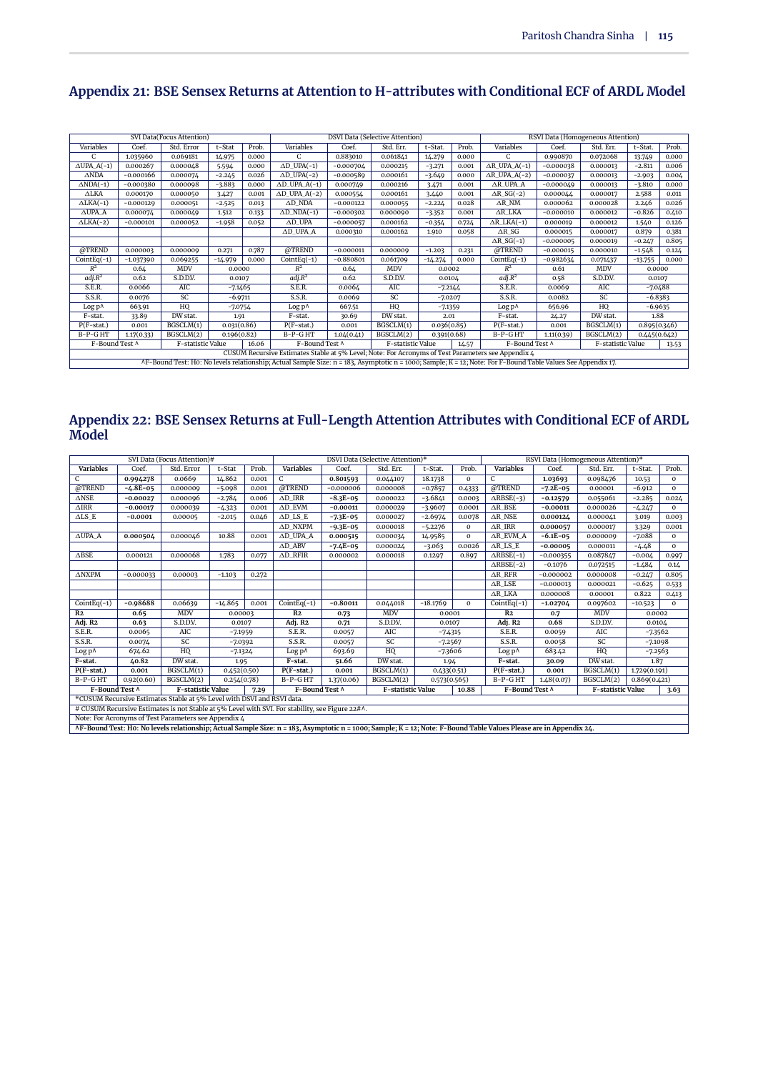|                       |             | SVI Data(Focus Attention) |             |       |                                                                                                                                                                                                                                                                                                                                           |                 | <b>DSVI Data (Selective Attention)</b> |             |       |                         |             | RSVI Data (Homogeneous Attention) |              |       |
|-----------------------|-------------|---------------------------|-------------|-------|-------------------------------------------------------------------------------------------------------------------------------------------------------------------------------------------------------------------------------------------------------------------------------------------------------------------------------------------|-----------------|----------------------------------------|-------------|-------|-------------------------|-------------|-----------------------------------|--------------|-------|
| Variables             | Coef.       | Std. Error                | t-Stat      | Prob. | Variables                                                                                                                                                                                                                                                                                                                                 | Coef.           | Std. Err.                              | t-Stat.     | Prob. | Variables               | Coef.       | Std. Err.                         | t-Stat.      | Prob. |
| C                     | 1.035960    | 0.069181                  | 14.975      | 0.000 | C                                                                                                                                                                                                                                                                                                                                         | 0.883010        | 0.061841                               | 14.279      | 0.000 | C                       | 0.990870    | 0.072068                          | 13.749       | 0.000 |
| $\triangle$ UPA_A(-1) | 0.000267    | 0.000048                  | 5.594       | 0.000 | $\Delta D$ _UPA(-1)                                                                                                                                                                                                                                                                                                                       | $-0.000704$     | 0.000215                               | $-3.271$    | 0.001 | $AR$ UPA $A(-1)$        | $-0.000038$ | 0.000013                          | $-2.811$     | 0.006 |
| $\triangle NDA$       | $-0.000166$ | 0.000074                  | $-2.245$    | 0.026 | $\Delta D$ _UPA(-2)                                                                                                                                                                                                                                                                                                                       | $-0.000589$     | 0.000161                               | $-3.649$    | 0.000 | $\triangle$ R_UPA_A(-2) | $-0.000037$ | 0.000013                          | $-2.903$     | 0.004 |
| $\triangle NDA(-1)$   | $-0.000380$ | 0.000098                  | $-3.883$    | 0.000 | $\triangle$ D_UPA_A(-1)                                                                                                                                                                                                                                                                                                                   | 0.000749        | 0.000216                               | 3.471       | 0.001 | ∆R_UPA_A                | $-0.000049$ | 0.000013                          | $-3.810$     | 0.000 |
| $\triangle$ LKA       | 0.000170    | 0.000050                  | 3.427       | 0.001 | $\triangle$ D_UPA_A(-2)                                                                                                                                                                                                                                                                                                                   | 0.000554        | 0.000161                               | 3.440       | 0.001 | $\triangle R_S(G(-2)$   | 0.000044    | 0.000017                          | 2.588        | 0.011 |
| $\triangle LKA(-1)$   | $-0.000129$ | 0.000051                  | $-2.525$    | 0.013 | $AD$ NDA                                                                                                                                                                                                                                                                                                                                  | $-0.000122$     | 0.000055                               | $-2.224$    | 0.028 | $\triangle R$ NM        | 0.000062    | 0.000028                          | 2.246        | 0.026 |
| $\triangle$ UPA A     | 0.000074    | 0.000049                  | 1.512       | 0.133 | $\triangle$ D_NDA(-1)                                                                                                                                                                                                                                                                                                                     | $-0.000302$     | 0.000090                               | $-3.352$    | 0.001 | ∆R_LKA                  | $-0.000010$ | 0.000012                          | $-0.826$     | 0.410 |
| $\triangle LKA(-2)$   | $-0.000101$ | 0.000052                  | $-1.958$    | 0.052 | $\Delta$ D_UPA                                                                                                                                                                                                                                                                                                                            | $-0.000057$     | 0.000162                               | $-0.354$    | 0.724 | $\triangle R$ _LKA(-1)  | 0.000019    | 0.000012                          | 1.540        | 0.126 |
|                       |             |                           |             |       | $\triangle$ D_UPA_A                                                                                                                                                                                                                                                                                                                       | 0.000310        | 0.000162                               | 1.910       | 0.058 | $\Delta R\_SG$          | 0.000015    | 0.000017                          | 0.879        | 0.381 |
|                       |             |                           |             |       |                                                                                                                                                                                                                                                                                                                                           |                 |                                        |             |       | $\triangle R_S(G(-1))$  | $-0.000005$ | 0.000019                          | $-0.247$     | 0.805 |
| @TREND                | 0.000003    | 0.000009                  | 0.271       | 0.787 | @TREND                                                                                                                                                                                                                                                                                                                                    | $-0.000011$     | 0.000009                               | $-1.203$    | 0.231 | @TREND                  | $-0.000015$ | 0.000010                          | $-1.548$     | 0.124 |
| $CointEq(-1)$         | $-1.037390$ | 0.069255                  | $-14.979$   | 0.000 | $CointEq(-1)$                                                                                                                                                                                                                                                                                                                             | $-0.880801$     | 0.061709                               | $-14.274$   | 0.000 | $CointEq(-1)$           | $-0.982634$ | 0.071437                          | $-13.755$    | 0.000 |
| $R^2$                 | 0.64        | <b>MDV</b>                | 0.0000      |       | $R^2$                                                                                                                                                                                                                                                                                                                                     | 0.64            | MDV                                    | 0.0002      |       | $R^2$                   | 0.61        | <b>MDV</b>                        | 0.0000       |       |
| adj.R <sup>2</sup>    | 0.62        | S.D.D.V.                  | 0.0107      |       | adj.R <sup>2</sup>                                                                                                                                                                                                                                                                                                                        | 0.62            | S.D.D.V.                               | 0.0104      |       | adj.R <sup>2</sup>      | 0.58        | S.D.D.V.                          | 0.0107       |       |
| S.E.R.                | 0.0066      | AIC                       | -7.1465     |       | S.E.R.                                                                                                                                                                                                                                                                                                                                    | $0.006\text{Å}$ | AIC                                    | $-7.2144$   |       | S.E.R.                  | 0.0069      | AIC                               | $-7.0488$    |       |
| S.S.R.                | 0.0076      | SC                        | $-6.9711$   |       | S.S.R.                                                                                                                                                                                                                                                                                                                                    | 0.0069          | SC                                     | $-7.0207$   |       | S.S.R.                  | 0.0082      | SC                                | $-6.8383$    |       |
| Log p^                | 663.91      | HQ                        | -7.0754     |       | $Log p^{\Lambda}$                                                                                                                                                                                                                                                                                                                         | 667.51          | HQ                                     | $-7.1359$   |       | Log p <sub>0</sub>      | 656.96      | HQ                                | $-6.9635$    |       |
| F-stat.               | 33.89       | DW stat.                  | 1.91        |       | F-stat.                                                                                                                                                                                                                                                                                                                                   | 30.69           | DW stat.                               | 2.01        |       | F-stat.                 | 24.27       | DW stat.                          | 1.88         |       |
| $P(F-stat.)$          | 0.001       | BGSCLM(1)                 | 0.031(0.86) |       | $P(F-stat.)$                                                                                                                                                                                                                                                                                                                              | 0.001           | BGSCLM(1)                              | 0.036(0.85) |       | $P(F-stat.)$            | 0.001       | BGSCLM(1)                         | 0.895(0.346) |       |
| $B-P-GHT$             | 1.17(0.33)  | BGSCLM(2)                 | 0.196(0.82) |       | $B-P-GHT$                                                                                                                                                                                                                                                                                                                                 | 1.04(0.41)      | BGSCLM(2)                              | 0.391(0.68) |       | $B-P-GHT$               | 1.11(0.39)  | BGSCLM(2)                         | 0.445(0.642) |       |
| F-Bound Test ^        |             | F-statistic Value         |             | 16.06 | F-Bound Test ^                                                                                                                                                                                                                                                                                                                            |                 | F-statistic Value                      |             | 14.57 | F-Bound Test ^          |             | F-statistic Value                 |              | 13.53 |
|                       |             |                           |             |       | CUSUM Recursive Estimates Stable at 5% Level; Note: For Acronyms of Test Parameters see Appendix 4                                                                                                                                                                                                                                        |                 |                                        |             |       |                         |             |                                   |              |       |
|                       |             |                           |             |       | $\mathbf{A} \mathbf{P}$ , $\mathbf{D}$ , and $\mathbf{D}$ , $\mathbf{A}$ , $\mathbf{A}$ , $\mathbf{A}$ , $\mathbf{A}$ , $\mathbf{A}$ , $\mathbf{A}$ , $\mathbf{A}$ , $\mathbf{A}$ , $\mathbf{A}$ , $\mathbf{A}$ , $\mathbf{A}$ , $\mathbf{A}$ , $\mathbf{A}$ , $\mathbf{A}$ , $\mathbf{A}$ , $\mathbf{A}$ , $\mathbf{A}$ , $\mathbf{A}$ , |                 |                                        |             |       |                         |             |                                   |              |       |

## **Appendix 21: BSE Sensex Returns at Attention to H-attributes with Conditional ECF of ARDL Model**

^F-Bound Test: H0: No levels relationship; Actual Sample Size: n = 183, Asymptotic n = 1000; Sample; K = 12; Note: For F-Bound Table Values See Appendix 17.

#### **Appendix 22: BSE Sensex Returns at Full-Length Attention Attributes with Conditional ECF of ARDL Model**

|                            |             | SVI Data (Focus Attention)#                                            |             |       |                                                                                                 |              | DSVI Data (Selective Attention)* |              |              |                                                                                                                                                                    |             | RSVI Data (Homogeneous Attention)* |              |              |
|----------------------------|-------------|------------------------------------------------------------------------|-------------|-------|-------------------------------------------------------------------------------------------------|--------------|----------------------------------|--------------|--------------|--------------------------------------------------------------------------------------------------------------------------------------------------------------------|-------------|------------------------------------|--------------|--------------|
| <b>Variables</b>           | Coef.       | Std. Error                                                             | t-Stat      | Prob. | <b>Variables</b>                                                                                | Coef.        | Std. Err.                        | t-Stat.      | Prob.        | <b>Variables</b>                                                                                                                                                   | Coef.       | Std. Err.                          | t-Stat.      | Prob.        |
| C                          | 0.994278    | 0.0669                                                                 | 14.862      | 0.001 | C                                                                                               | 0.801593     | 0.044107                         | 18.1738      | $\mathbf 0$  | C                                                                                                                                                                  | 1.03693     | 0.098476                           | 10.53        | $\mathbf{o}$ |
| @TREND                     | $-4.8E-05$  | 0.000009                                                               | $-5.098$    | 0.001 | @TREND                                                                                          | $-0.000006$  | 0.000008                         | $-0.7857$    | 0.4333       | @TREND                                                                                                                                                             | $-7.2E-05$  | 0.00001                            | $-6.912$     | $\Omega$     |
| $\Delta \text{NSE}$        | $-0.00027$  | 0.000096                                                               | $-2.784$    | 0.006 | $AD$ IRR                                                                                        | $-8.3E-05$   | 0.000022                         | $-3.6841$    | 0.0003       | $\overline{\triangle}RBSE(-3)$                                                                                                                                     | $-0.12579$  | 0.055061                           | $-2.285$     | 0.024        |
| $\overline{\triangle IRR}$ | $-0.00017$  | 0.000039                                                               | $-4.323$    | 0.001 | $AD$ EVM                                                                                        | $-0.00011$   | 0.000029                         | $-3.9607$    | 0.0001       | $\triangle R$ _BSE                                                                                                                                                 | $-0.00011$  | 0.000026                           | $-4.247$     | $\Omega$     |
| $\triangle$ LSE            | $-0.0001$   | 0.00005                                                                | $-2.015$    | 0.046 | $AD$ LS E                                                                                       | $-7.3E - 05$ | 0.000027                         | $-2.6974$    | 0.0078       | $\triangle$ R NSE                                                                                                                                                  | 0.000124    | 0.000041                           | 3.019        | 0.003        |
|                            |             |                                                                        |             |       | $\Delta$ D_NXPM                                                                                 | $-9.3E-05$   | 0.000018                         | $-5.2276$    | $\mathbf{O}$ | $\triangle R$ IRR                                                                                                                                                  | 0.000057    | 0.000017                           | 3.329        | 0.001        |
| $\triangle$ UPA_A          | 0.000504    | 0.000046                                                               | 10.88       | 0.001 | $AD$ UPA A                                                                                      | 0.000515     | 0.000034                         | 14.9585      | $\mathbf{o}$ | AR_EVM_A                                                                                                                                                           | $-6.1E-05$  | 0.000009                           | $-7.088$     | $\mathbf{o}$ |
|                            |             |                                                                        |             |       | $AD$ ABV                                                                                        | $-7.4E-05$   | 0.000024                         | $-3.063$     | 0.0026       | $AR$ LS E                                                                                                                                                          | $-0.00005$  | 0.000011                           | $-4.48$      | $\Omega$     |
| $\triangle BSE$            | 0.000121    | 0.000068                                                               | 1.783       | 0.077 | $AD_RFIR$                                                                                       | 0.000002     | 0.000018                         | 0.1297       | 0.897        | $\triangle RBSE(-1)$                                                                                                                                               | $-0.000355$ | 0.087847                           | $-0.004$     | 0.997        |
|                            |             |                                                                        |             |       |                                                                                                 |              |                                  |              |              | $\triangle RBSE(-2)$                                                                                                                                               | $-0.1076$   | 0.072515                           | $-1.484$     | 0.14         |
| $\triangle$ NXPM           | $-0.000033$ | 0.00003                                                                | $-1.103$    | 0.272 |                                                                                                 |              |                                  |              |              | $\triangle R$ <sub>RFR</sub>                                                                                                                                       | $-0.000002$ | 0.000008                           | $-0.247$     | 0.805        |
|                            |             |                                                                        |             |       |                                                                                                 |              |                                  |              |              | $\Delta R$ LSE                                                                                                                                                     | $-0.000013$ | 0.000021                           | $-0.625$     | 0.533        |
|                            |             |                                                                        |             |       |                                                                                                 |              |                                  |              |              | $\triangle$ R LKA                                                                                                                                                  | 0.000008    | 0.00001                            | 0.822        | 0.413        |
| $CointEq(-1)$              | $-0.98688$  | 0.06639                                                                | $-14.865$   | 0.001 | $CointEq(-1)$                                                                                   | $-0.80011$   | 0.044018                         | $-18.1769$   | $\mathbf{O}$ | $CointEq(-1)$                                                                                                                                                      | $-1.02704$  | 0.097602                           | $-10.523$    | $\Omega$     |
| R <sub>2</sub>             | 0.65        | <b>MDV</b>                                                             | 0.00003     |       | R <sub>2</sub>                                                                                  | 0.73         | <b>MDV</b>                       | 0.0001       |              | R <sub>2</sub>                                                                                                                                                     | 0.7         | <b>MDV</b>                         | 0.0002       |              |
| Adj. R2                    | 0.63        | S.D.D.V.                                                               | 0.0107      |       | Adj. R2                                                                                         | 0.71         | S.D.D.V.                         | 0.0107       |              | Adj. R2                                                                                                                                                            | 0.68        | S.D.D.V.                           | 0.0104       |              |
| S.E.R.                     | 0.0065      | AIC                                                                    | $-7.1959$   |       | S.E.R.                                                                                          | 0.0057       | <b>AIC</b>                       | $-7.4315$    |              | S.E.R.                                                                                                                                                             | 0.0059      | AIC                                | $-7.3562$    |              |
| S.S.R.                     | 0.0074      | SC                                                                     | $-7.0392$   |       | S.S.R.                                                                                          | 0.0057       | SC                               | $-7.2567$    |              | S.S.R.                                                                                                                                                             | 0.0058      | SC                                 | $-7.1098$    |              |
| Log p^                     | 674.62      | HQ                                                                     | $-7.1324$   |       | Log p^                                                                                          | 693.69       | HQ                               | $-7.3606$    |              | $Log p^{\Lambda}$                                                                                                                                                  | 683.42      | HQ                                 | $-7.2563$    |              |
| F-stat.                    | 40.82       | DW stat.                                                               | 1.95        |       | F-stat.                                                                                         | 51.66        | DW stat.                         | 1.94         |              | F-stat.                                                                                                                                                            | 30.09       | DW stat.                           | 1.87         |              |
| $P(F-stat.)$               | 0.001       | $\overline{\text{BGSCLM}(1)}$                                          | 0.452(0.50) |       | $P(F-stat.)$                                                                                    | 0.001        | BGSCLM(1)                        | 0.433(0.51)  |              | $P(F-stat.)$                                                                                                                                                       | 0.001       | BGSCLM(1)                          | 1.729(0.191) |              |
| B-P-GHT                    | 0.92(0.60)  | BGSCLM(2)                                                              | 0.254(0.78) |       | $B-P-GHT$                                                                                       | 1.37(0.06)   | BGSCLM(2)                        | 0.573(0.565) |              | B-P-GHT                                                                                                                                                            | 1.48(0.07)  | BGSCLM(2)                          | 0.869(0.421) |              |
| F-Bound Test ^             |             | <b>F-statistic Value</b>                                               |             | 7.29  | F-Bound Test ^                                                                                  |              | F-statistic Value                |              | 10.88        | F-Bound Test ^                                                                                                                                                     |             | F-statistic Value                  |              | 3.63         |
|                            |             | *CUSUM Recursive Estimates Stable at 5% Level with DSVI and RSVI data. |             |       |                                                                                                 |              |                                  |              |              |                                                                                                                                                                    |             |                                    |              |              |
|                            |             |                                                                        |             |       | # CUSUM Recursive Estimates is not Stable at 5% Level with SVI. For stability, see Figure 22#^. |              |                                  |              |              |                                                                                                                                                                    |             |                                    |              |              |
|                            |             | Note: For Acronyms of Test Parameters see Appendix 4                   |             |       |                                                                                                 |              |                                  |              |              |                                                                                                                                                                    |             |                                    |              |              |
|                            |             |                                                                        |             |       |                                                                                                 |              |                                  |              |              | AF-Bound Test: Ho: No levels relationship; Actual Sample Size: n = 183, Asymptotic n = 1000; Sample; K = 12; Note: F-Bound Table Values Please are in Appendix 24. |             |                                    |              |              |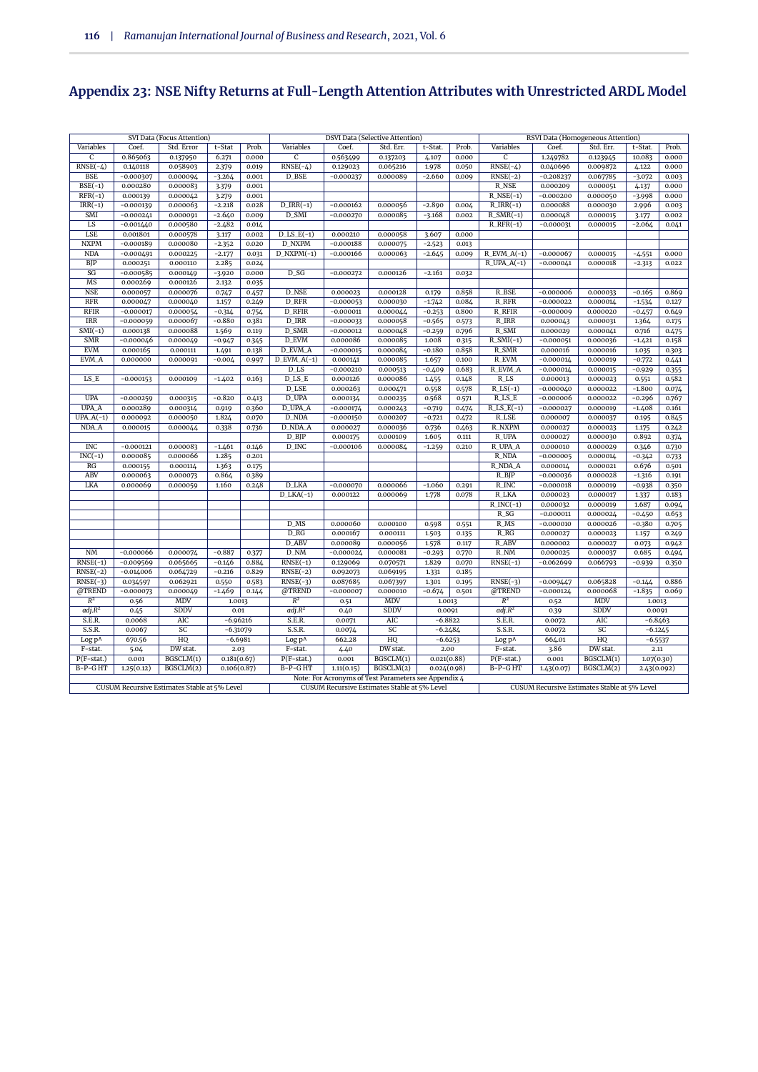# **Appendix 23: NSE Nifty Returns at Full-Length Attention Attributes with Unrestricted ARDL Model**

|                                           |                         | SVI Data (Focus Attention)                   |                      |                |                               |                            | <b>DSVI Data (Selective Attention)</b>               |                      |                |                                                      |                            | RSVI Data (Homogeneous Attention)            |                   |                |
|-------------------------------------------|-------------------------|----------------------------------------------|----------------------|----------------|-------------------------------|----------------------------|------------------------------------------------------|----------------------|----------------|------------------------------------------------------|----------------------------|----------------------------------------------|-------------------|----------------|
| Variables                                 | Coef.                   | Std. Error                                   | t-Stat               | Prob.          | Variables                     | Coef.                      | Std. Err.                                            | t-Stat.              | Prob.          | Variables                                            | Coef.                      | Std. Err.                                    | t-Stat.           | Prob.          |
| C                                         | 0.865063                | 0.137950                                     | 6.271                | 0.000          | $\overline{C}$                | 0.563499                   | 0.137203                                             | 4.107                | 0.000          | $\overline{c}$                                       | 1.249782                   | 0.123945                                     | 10.083            | 0.000          |
| $RNSE(-4)$                                | 0.140118                | 0.058903                                     | 2.379                | 0.019          | $RNSE(-4)$                    | 0.129023                   | 0.065216                                             | 1.978                | 0.050          | $RNSE(-4)$                                           | 0.040696                   | 0.009872                                     | 4.122             | 0.000          |
| <b>BSE</b>                                | $-0.000307$             | 0.000094                                     | $-3.264$             | 0.001          | D_BSE                         | $-0.000237$                | 0.000089                                             | $-2.660$             | 0.009          | $RNSE(-2)$                                           | $-0.208237$                | 0.067785                                     | $-3.072$          | 0.003          |
| $BSE(-1)$                                 | 0.000280                | 0.000083                                     | 3.379                | 0.001          |                               |                            |                                                      |                      |                | <b>R_NSE</b>                                         | 0.000209                   | 0.000051                                     | 4.137             | 0.000          |
| $RFR(-1)$                                 | 0.000139                | 0.000042                                     | 3.279                | 0.001          |                               |                            |                                                      |                      |                | $R$ <sub>NSE</sub> $(-1)$                            | $-0.000200$                | 0.000050                                     | $-3.998$          | 0.000          |
| $IRR(-1)$                                 | $-0.000139$             | 0.000063                                     | $-2.218$             | 0.028          | $D_IRR(-1)$                   | $-0.000162$                | 0.000056                                             | $-2.890$             | 0.004          | $R_IRR(-1)$                                          | 0.000088                   | 0.000030                                     | 2.996             | 0.003          |
| SMI                                       | $-0.000241$             | 0.000091                                     | $-2.640$             | 0.009          | D_SMI                         | $-0.000270$                | 0.000085                                             | $-3.168$             | 0.002          | $R\_SMR(-1)$                                         | 0.000048                   | 0.000015                                     | 3.177             | 0.002          |
| LS                                        | $-0.001440$             | 0.000580                                     | $-2.482$             | 0.014          |                               |                            |                                                      |                      |                | $R_RFR(-1)$                                          | $-0.000031$                | 0.000015                                     | $-2.064$          | 0.041          |
| <b>LSE</b>                                | 0.001801                | 0.000578                                     | 3.117                | 0.002          | $D$ <sub>LS</sub> $E(-1)$     | 0.000210                   | 0.000058                                             | 3.607                | 0.000          |                                                      |                            |                                              |                   |                |
| <b>NXPM</b>                               | $-0.000189$             | 0.000080                                     | $-2.352$             | 0.020          | <b>D_NXPM</b>                 | $-0.000188$                | 0.000075                                             | $-2.523$             | 0.013          |                                                      |                            |                                              |                   |                |
| <b>NDA</b>                                | $-0.000491$             | 0.000225                                     | $-2.177$             | 0.031          | $D_NXPM(-1)$                  | $-0.000166$                | 0.000063                                             | $-2.645$             | 0.009          | $R$ _EVM_A(-1)                                       | $-0.000067$                | 0.000015                                     | $-4.551$          | 0.000          |
| <b>BJP</b>                                | 0.000251                | 0.000110                                     | 2.285                | 0.024          |                               |                            |                                                      |                      |                | $R_UPA_A(-1)$                                        | $-0.000041$                | 0.000018                                     | $-2.313$          | 0.022          |
| SG                                        | $-0.000585$             | 0.000149                                     | $-3.920$             | 0.000          | $D_S$                         | $-0.000272$                | 0.000126                                             | $-2.161$             | 0.032          |                                                      |                            |                                              |                   |                |
| MS<br><b>NSE</b>                          | 0.000269                | 0.000126                                     | 2.132                | 0.035          | <b>D_NSE</b>                  |                            |                                                      |                      |                | R_BSE                                                |                            |                                              |                   |                |
| <b>RFR</b>                                | 0.000057                | 0.000076<br>0.000040                         | 0.747                | 0.457          | D_RFR                         | 0.000023<br>$-0.000053$    | 0.000128<br>0.000030                                 | 0.179                | 0.858<br>0.084 | <b>R_RFR</b>                                         | $-0.000006$<br>$-0.000022$ | 0.000033<br>0.000014                         | $-0.165$          | 0.869<br>0.127 |
| <b>RFIR</b>                               | 0.000047                |                                              | 1.157                | 0.249          | <b>D_RFIR</b>                 | $-0.000011$                |                                                      | $-1.742$             | 0.800          | <b>R_RFIR</b>                                        | $-0.000009$                | 0.000020                                     | $-1.534$          |                |
| <b>IRR</b>                                | $-0.000017$             | 0.000054                                     | $-0.314$<br>$-0.880$ | 0.754          | D_IRR                         |                            | 0.000044                                             | $-0.253$             |                | R_IRR                                                | 0.000043                   |                                              | $-0.457$          | 0.649          |
|                                           | $-0.000059$             | 0.000067<br>0.000088                         |                      | 0.381          |                               | $-0.000033$<br>$-0.000012$ | 0.000058                                             | $-0.565$             | 0.573          |                                                      |                            | 0.000031                                     | 1.364             | 0.175          |
| $\overline{\text{SMI}}(-1)$<br><b>SMR</b> | 0.000138                |                                              | 1.569                | 0.119          | D_SMR<br>D_EVM                | 0.000086                   | 0.000048                                             | $-0.259$             | 0.796          | R_SMI<br>$R\_SMI(-1)$                                | 0.000029<br>$-0.000051$    | 0.000041                                     | 0.716             | 0.475          |
| <b>EVM</b>                                | $-0.000046$<br>0.000165 | 0.000049<br>0.000111                         | $-0.947$             | 0.345<br>0.138 | D_EVM_A                       | $-0.000015$                | 0.000085<br>0.000084                                 | 1.008<br>$-0.180$    | 0.315<br>0.858 | R_SMR                                                | 0.000016                   | 0.000036<br>0.000016                         | $-1.421$          | 0.158          |
|                                           |                         |                                              | 1.491                |                |                               |                            |                                                      |                      |                |                                                      |                            |                                              | 1.035             | 0.303          |
| EVM_A                                     | 0.000000                | 0.000091                                     | $-0.004$             | 0.997          | $D$ _EVM_A(-1)                | 0.000141                   | 0.000085                                             | 1.657                | 0.100          | <b>R_EVM</b>                                         | $-0.000014$                | 0.000019                                     | $-0.772$          | 0.441          |
| $_{\rm LS\_E}$                            |                         |                                              |                      |                | D_LS<br>$D$ <sub>LS</sub> $E$ | $-0.000210$                | 0.000513                                             | $-0.409$             | 0.683<br>0.148 | <b>R_EVM_A</b><br>$R$ <sub>LS</sub>                  | $-0.000014$                | 0.000015                                     | $-0.929$          | 0.355          |
|                                           | $-0.000153$             | 0.000109                                     | $-1.402$             | 0.163          | $D$ <sub>LSE</sub>            | 0.000126<br>0.000263       | 0.000086<br>0.000471                                 | 1.455                | 0.578          | $R$ <sub>LS</sub> $(-1)$                             | 0.000013<br>$-0.000040$    | 0.000023<br>0.000022                         | 0.551<br>$-1.800$ | 0.582<br>0.074 |
|                                           |                         |                                              |                      |                | D_UPA                         |                            |                                                      | 0.558                |                |                                                      |                            |                                              |                   |                |
| <b>UPA</b><br>UPA_A                       | $-0.000259$             | 0.000315                                     | $-0.820$             | 0.413          | D_UPA_A                       | 0.000134                   | 0.000235                                             | 0.568                | 0.571          | $R$ <sub>LS</sub> $_E$<br>$R$ <sub>LS</sub> $_E(-1)$ | $-0.000006$                | 0.000022                                     | $-0.296$          | 0.767<br>0.161 |
| $UPA.A(-1)$                               | 0.000289<br>0.000092    | 0.000314<br>0.000050                         | 0.919<br>1.824       | 0.360<br>0.070 | D_NDA                         | $-0.000174$<br>$-0.000150$ | 0.000243<br>0.000207                                 | $-0.719$<br>$-0.721$ | 0.474<br>0.472 | R_LSE                                                | $-0.000027$<br>0.000007    | 0.000019<br>0.000037                         | $-1.408$<br>0.195 | 0.845          |
| NDA A                                     | 0.000015                | 0.000044                                     | 0.338                | 0.736          | <b>D_NDA_A</b>                | 0.000027                   | 0.000036                                             | 0.736                | 0.463          | <b>R_NXPM</b>                                        | 0.000027                   | 0.000023                                     |                   | 0.242          |
|                                           |                         |                                              |                      |                | $D$ $B$ $IP$                  | 0.000175                   | 0.000109                                             | 1.605                | 0.111          | R_UPA                                                | 0.000027                   | 0.000030                                     | 1.175<br>0.892    |                |
| <b>INC</b>                                | $-0.000121$             | 0.000083                                     | $-1.461$             | 0.146          | D_INC                         | $-0.000106$                | 0.000084                                             |                      | 0.210          | R_UPA_A                                              | 0.000010                   | 0.000029                                     | 0.346             | 0.374          |
| $INC(-1)$                                 | 0.000085                | 0.000066                                     | 1.285                | 0.201          |                               |                            |                                                      | $-1.259$             |                | R_NDA                                                | $-0.000005$                | 0.000014                                     | $-0.342$          | 0.730          |
| RG                                        | 0.000155                | 0.000114                                     | 1.363                | 0.175          |                               |                            |                                                      |                      |                | R_NDA_A                                              | 0.000014                   | 0.000021                                     | 0.676             | 0.733<br>0.501 |
| ABV                                       | 0.000063                | 0.000073                                     | 0.864                | 0.389          |                               |                            |                                                      |                      |                | $R$ BJP                                              | $-0.000036$                | 0.000028                                     | $-1.316$          | 0.191          |
| LKA                                       | 0.000069                | 0.000059                                     | 1.160                | 0.248          | D_LKA                         | $-0.000070$                | 0.000066                                             | $-1.060$             | 0.291          | R_INC                                                | $-0.000018$                | 0.000019                                     | $-0.938$          | 0.350          |
|                                           |                         |                                              |                      |                | $D_LKA(-1)$                   | 0.000122                   | 0.000069                                             | 1.778                | 0.078          | <b>R_LKA</b>                                         | 0.000023                   | 0.000017                                     | 1.337             | 0.183          |
|                                           |                         |                                              |                      |                |                               |                            |                                                      |                      |                | $R$ <sub>INC</sub> $(-1)$                            | 0.000032                   | 0.000019                                     | 1.687             | 0.094          |
|                                           |                         |                                              |                      |                |                               |                            |                                                      |                      |                | $R_S$                                                | $-0.000011$                | 0.000024                                     | $-0.450$          | 0.653          |
|                                           |                         |                                              |                      |                | $D$ <sub>MS</sub>             | 0.000060                   | 0.000100                                             | 0.598                | 0.551          | $R$ <sub>MS</sub>                                    | $-0.000010$                | 0.000026                                     | $-0.380$          | 0.705          |
|                                           |                         |                                              |                      |                | D_RG                          | 0.000167                   | 0.000111                                             | 1.503                | 0.135          | $R_R$                                                | 0.000027                   | 0.000023                                     | 1.157             | 0.249          |
|                                           |                         |                                              |                      |                | D_ABV                         | 0.000089                   | 0.000056                                             | 1.578                | 0.117          | R_ABV                                                | 0.000002                   | 0.000027                                     | 0.073             | 0.942          |
| $\rm{N}\rm{M}$                            | $-0.000066$             | 0.000074                                     | $-0.887$             | 0.377          | $D_NM$                        | $-0.000024$                | 0.000081                                             | $-0.293$             | 0.770          | R_NM                                                 | 0.000025                   | 0.000037                                     | 0.685             | 0.494          |
| $RNSE(-1)$                                | $-0.009569$             | 0.065665                                     | $-0.146$             | 0.884          | $RNSE(-1)$                    | 0.129069                   | 0.070571                                             | 1.829                | 0.070          | $RNSE(-1)$                                           | $-0.062699$                | 0.066793                                     | $-0.939$          | 0.350          |
| $RNSE(-2)$                                | $-0.014006$             | 0.064729                                     | $-0.216$             | 0.829          | $RNSE(-2)$                    | 0.092073                   | 0.069195                                             | 1.331                | 0.185          |                                                      |                            |                                              |                   |                |
| $RNSE(-3)$                                | 0.034597                | 0.062921                                     | 0.550                | 0.583          | $RNSE(-3)$                    | 0.087685                   | 0.067397                                             | 1.301                | 0.195          | $RNSE(-3)$                                           | $-0.009447$                | 0.065828                                     | $-0.144$          | 0.886          |
| @TREND                                    | $-0.000073$             | 0.000049                                     | $-1.469$             | 0.144          | @TREND                        | $-0.000007$                | 0.000010                                             | $-0.674$             | 0.501          | @TREND                                               | $-0.000124$                | 0.000068                                     | $-1.835$          | 0.069          |
| $R^2$                                     | 0.56                    | <b>MDV</b>                                   | 1.0013               |                | $R^2$                         | 0.51                       | MDV                                                  | 1.0013               |                | $R^2$                                                | 0.52                       | MDV                                          | 1.0013            |                |
| adj.R <sup>2</sup>                        | 0.45                    | SDDV                                         | 0.01                 |                | adj.R <sup>2</sup>            | 0.40                       | SDDV                                                 | 0.0091               |                | adj.R <sup>2</sup>                                   | 0.39                       | SDDV                                         | 0.0091            |                |
| S.E.R.                                    | 0.0068                  | AIC                                          | $-6.96216$           |                | S.E.R.                        | 0.0071                     | AIC                                                  | $-6.8822$            |                | S.E.R.                                               | 0.0072                     | AIC                                          | $-6.8463$         |                |
| S.S.R.                                    | 0.0067                  | SC                                           | $-6.31079$           |                | S.S.R.                        | 0.0074                     | SC                                                   | $-6.2484$            |                | S.S.R.                                               | 0.0072                     | SC                                           | $-6.1245$         |                |
| Log p^                                    | 670.56                  | HQ                                           | $-6.6981$            |                | Log p^                        | 662.28                     | HQ                                                   | $-6.6253$            |                | Log p^                                               | 664.01                     | HQ                                           | $-6.5537$         |                |
| F-stat.                                   | 5.04                    | DW stat.                                     | 2.03                 |                | F-stat.                       | 4.40                       | DW stat.                                             | 2.00                 |                | $F$ -stat.                                           | 3.86                       | DW stat.                                     | 2.11              |                |
| $P(F-stat.)$                              | 0.001                   | BGSCLM(1)                                    | 0.181(0.67)          |                | $P(F-stat.)$                  | 0.001                      | BGSCLM(1)                                            | 0.021(0.88)          |                | $P(F-stat.)$                                         | 0.001                      | BGSCLM(1)                                    | 1.07(0.30)        |                |
| B-P-GHT                                   | 1.25(0.12)              | BGSCLM(2)                                    | 0.106(0.87)          |                | B-P-GHT                       | 1.11(0.15)                 | BGSCLM(2)                                            | 0.024(0.98)          |                | B-P-GHT                                              | 1.43(0.07)                 | BGSCLM(2)                                    | 2.43(0.092)       |                |
|                                           |                         |                                              |                      |                |                               |                            | Note: For Acronyms of Test Parameters see Appendix 4 |                      |                |                                                      |                            |                                              |                   |                |
|                                           |                         | CUSUM Recursive Estimates Stable at 5% Level |                      |                |                               |                            | CUSUM Recursive Estimates Stable at 5% Level         |                      |                |                                                      |                            | CUSUM Recursive Estimates Stable at 5% Level |                   |                |
|                                           |                         |                                              |                      |                |                               |                            |                                                      |                      |                |                                                      |                            |                                              |                   |                |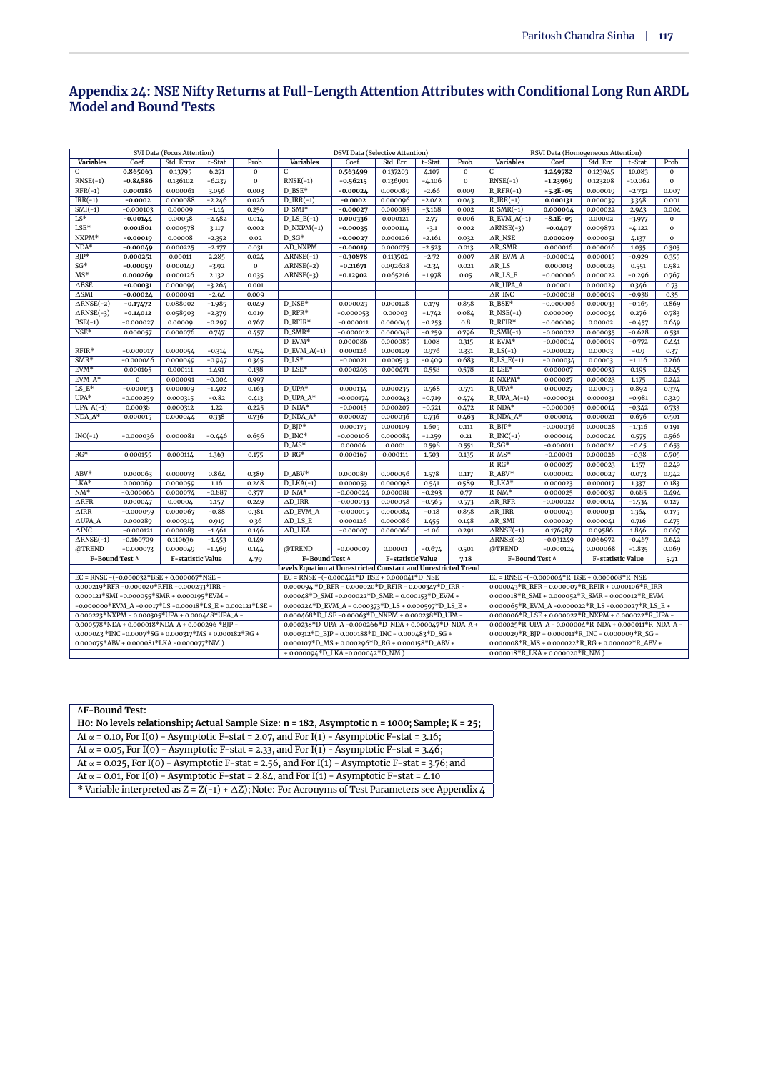#### **Appendix 24: NSE Nifty Returns at Full-Length Attention Attributes with Conditional Long Run ARDL Model and Bound Tests**

|                      |                                                                        | SVI Data (Focus Attention) |          |              |                                                                                                                           | <b>DSVI Data (Selective Attention)</b> |                   |          |          |                                                                 | RSVI Data (Homogeneous Attention) |                   |           |               |
|----------------------|------------------------------------------------------------------------|----------------------------|----------|--------------|---------------------------------------------------------------------------------------------------------------------------|----------------------------------------|-------------------|----------|----------|-----------------------------------------------------------------|-----------------------------------|-------------------|-----------|---------------|
| <b>Variables</b>     | Coef.                                                                  | Std. Error                 | t-Stat   | Prob.        | <b>Variables</b>                                                                                                          | Coef.                                  | Std. Err.         | t-Stat.  | Prob.    | <b>Variables</b>                                                | Coef.                             | Std. Err.         | t-Stat.   | Prob.         |
| $\mathbf{C}$         | 0.865063                                                               | 0.13795                    | 6.271    | $\mathbf{o}$ | C                                                                                                                         | 0.563499                               | 0.137203          | 4.107    | $\Omega$ | $\mathsf{C}$                                                    | 1.249782                          | 0.123945          | 10.083    | $\mathbf 0$   |
| $RNSE(-1)$           | $-0.84886$                                                             | 0.136102                   | $-6.237$ | $\Omega$     | $RNSE(-1)$                                                                                                                | $-0.56215$                             | 0.136901          | $-4.106$ | $\Omega$ | $RNSE(-1)$                                                      | $-1.23969$                        | 0.123208          | $-10.062$ | $\Omega$      |
| $RFR(-1)$            | 0.000186                                                               | 0.000061                   | 3.056    | 0.003        | D_BSE*                                                                                                                    | $-0.00024$                             | 0.000089          | $-2.66$  | 0.009    | $R_RFR(-1)$                                                     | $-5.3E-05$                        | 0.000019          | $-2.732$  | 0.007         |
| $IRR(-1)$            | $-0.0002$                                                              | 0.000088                   | $-2.246$ | 0.026        | $D_IRR(-1)$                                                                                                               | $-0.0002$                              | 0.000096          | $-2.042$ | 0.043    | $R_{IRR(-1)}$                                                   | 0.000131                          | 0.000039          | 3.348     | 0.001         |
| $SMI(-1)$            | $-0.000103$                                                            | 0.00009                    | $-1.14$  | 0.256        | $D$ _SMI*                                                                                                                 | $-0.00027$                             | 0.000085          | $-3.168$ | 0.002    | $R\_SMR(-1)$                                                    | 0.000064                          | 0.000022          | 2.943     | 0.004         |
| $LS*$                | $-0.00144$                                                             | 0.00058                    | $-2.482$ | 0.014        | $D$ <sub>LS</sub> $E(-1)$                                                                                                 | 0.000336                               | 0.000121          | 2.77     | 0.006    | $R$ _EVM_A(-1)                                                  | $-8.1E-05$                        | 0.00002           | $-3.977$  | $\mathbf 0$   |
| $LSE*$               | 0.001801                                                               | 0.000578                   | 3.117    | 0.002        | $D_NXPM(-1)$                                                                                                              | $-0.00035$                             | 0.000114          | $-3.1$   | 0.002    | $\overline{\triangle$ RNSE(-3)                                  | $-0.0407$                         | 0.009872          | $-4.122$  | $\mathbf 0$   |
| $NXPM*$              | $-0.00019$                                                             | 0.00008                    | $-2.352$ | 0.02         | $D SG*$                                                                                                                   | $-0.00027$                             | 0.000126          | $-2.161$ | 0.032    | $\triangle R$ <sub>NSE</sub>                                    | 0.000209                          | 0.000051          | 4.137     | $\mathbf{o}$  |
| $NDA*$               | $-0.00049$                                                             | 0.000225                   | $-2.177$ | 0.031        | AD_NXPM                                                                                                                   | $-0.00019$                             | 0.000075          | $-2.523$ | 0.013    | $AR$ SMR                                                        | 0.000016                          | 0.000016          | 1.035     | 0.303         |
| $BIP*$               | 0.000251                                                               | 0.00011                    | 2.285    | 0.024        | $\triangle$ RNSE(-1)                                                                                                      | $-0.30878$                             | 0.113502          | $-2.72$  | 0.007    | $AR$ EVM $A$                                                    | $-0.000014$                       | 0.000015          | $-0.929$  | 0.355         |
| $SG*$                | $-0.00059$                                                             | 0.000149                   | $-3.92$  | $\mathbf{0}$ | $\triangle$ RNSE(-2)                                                                                                      | $-0.21671$                             | 0.092628          | $-2.34$  | 0.021    | $AR$ LS                                                         | 0.000013                          | 0.000023          | 0.551     | 0.582         |
| $MS*$                | 0.000269                                                               | 0.000126                   | 2.132    | 0.035        | $\triangle$ RNSE(-3)                                                                                                      | $-0.12902$                             | 0.065216          | $-1.978$ | 0.05     | $\triangle$ R_LS_E                                              | $-0.000006$                       | 0.000022          | $-0.296$  | 0.767         |
| $\Delta \text{BSE}$  | $-0.00031$                                                             | 0.000094                   | $-3.264$ | 0.001        |                                                                                                                           |                                        |                   |          |          | AR_UPA_A                                                        | 0.00001                           | 0.000029          | 0.346     | 0.73          |
| $\Delta \text{SMI}$  | $-0.00024$                                                             | 0.000091                   | $-2.64$  | 0.009        |                                                                                                                           |                                        |                   |          |          | $\triangle R$ _INC                                              | $-0.000018$                       | 0.000019          | $-0.938$  | 0.35          |
| $\triangle$ RNSE(-2) | $-0.17472$                                                             | 0.088002                   | $-1.985$ | 0.049        | $D$ <sub>NSE</sub> *                                                                                                      | 0.000023                               | 0.000128          | 0.179    | 0.858    | $R$ BSE*                                                        | $-0.000006$                       | 0.000033          | $-0.165$  | 0.869         |
| $\triangle$ RNSE(-3) | $-0.14012$                                                             | 0.058903                   | $-2.379$ | 0.019        | D_RFR*                                                                                                                    | $-0.000053$                            | 0.00003           | $-1.742$ | 0.084    | $R$ <sub>NSE</sub> $(-1)$                                       | 0.000009                          | 0.000034          | 0.276     | 0.783         |
| $BSE(-1)$            | $-0.000027$                                                            | 0.00009                    | $-0.297$ | 0.767        | D_RFIR*                                                                                                                   | $-0.000011$                            | 0.000044          | $-0.253$ | 0.8      | R_RFIR*                                                         | $-0.000009$                       | 0.00002           | $-0.457$  | 0.649         |
| $NSE*$               | 0.000057                                                               | 0.000076                   | 0.747    | 0.457        | $D$ SMR*                                                                                                                  | $-0.000012$                            | 0.000048          | $-0.259$ | 0.796    | $R\_SMI(-1)$                                                    | $-0.000022$                       | 0.000035          | $-0.628$  | 0.531         |
|                      |                                                                        |                            |          |              | $D_EVM*$                                                                                                                  | 0.000086                               | 0.000085          | 1.008    | 0.315    | R_EVM*                                                          | $-0.000014$                       | 0.000019          | $-0.772$  | 0.441         |
| $RFIR*$              |                                                                        |                            |          |              | $R$ <sub>LS</sub> $(-1)$<br>$D_EVM_A(-1)$<br>0.000126<br>0.000129<br>0.976<br>$-0.000027$<br>0.00003<br>$-0.9$<br>0.331   |                                        |                   |          |          |                                                                 |                                   |                   |           |               |
| $SMR*$               | $-0.000017$<br>$-0.000046$                                             | 0.000054<br>0.000049       | $-0.314$ | 0.754        | $D$ <sub>LS</sub> *<br>$R$ _LS_E(-1)<br>$-0.00021$<br>0.000513<br>$-0.409$<br>0.683<br>$-0.000034$<br>0.00003<br>$-1.116$ |                                        |                   |          |          |                                                                 |                                   |                   |           | 0.37<br>0.266 |
| $EVM*$               |                                                                        |                            | $-0.947$ | 0.345        | $D$ <sub>LSE</sub> *<br>$R$ <sub>LSE</sub> *<br>0.000263<br>0.000471<br>0.558<br>0.578<br>0.000007                        |                                        |                   |          |          |                                                                 |                                   |                   |           |               |
|                      | 0.000165                                                               | 0.000111                   | 1.491    | 0.138        |                                                                                                                           |                                        |                   |          |          |                                                                 |                                   | 0.000037          | 0.195     | 0.845         |
| EVM_A*               | $\mathbf{o}$                                                           | 0.000091                   | $-0.004$ | 0.997        |                                                                                                                           |                                        |                   |          |          | R_NXPM*                                                         | 0.000027                          | 0.000023          | 1.175     | 0.242         |
| $LS_E*$              | $-0.000153$                                                            | 0.000109                   | $-1.402$ | 0.163        | D_UPA*                                                                                                                    | 0.000134                               | 0.000235          | 0.568    | 0.571    | R_UPA*                                                          | 0.000027                          | 0.00003           | 0.892     | 0.374         |
| $UPA*$               | $-0.000259$                                                            | 0.000315                   | $-0.82$  | 0.413        | D_UPA_A*                                                                                                                  | $-0.000174$                            | 0.000243          | $-0.719$ | 0.474    | $R$ _UPA_A(-1)                                                  | $-0.000031$                       | 0.000031          | $-0.981$  | 0.329         |
| $UPA.A(-1)$          | 0.00038                                                                | 0.000312                   | 1.22     | 0.225        | $D_NDA*$                                                                                                                  | $-0.00015$                             | 0.000207          | $-0.721$ | 0.472    | $R_NDA*$                                                        | $-0.000005$                       | 0.000014          | $-0.342$  | 0.733         |
| $NDA A*$             | 0.000015                                                               | 0.000044                   | 0.338    | 0.736        | D NDA A*                                                                                                                  | 0.000027                               | 0.000036          | 0.736    | 0.463    | R NDA A*                                                        | 0.000014                          | 0.000021          | 0.676     | 0.501         |
|                      |                                                                        |                            |          |              | $D_BIP^*$                                                                                                                 | 0.000175                               | 0.000109          | 1.605    | 0.111    | $R_BIP*$                                                        | $-0.000036$                       | 0.000028          | $-1.316$  | 0.191         |
| $INC(-1)$            | $-0.000036$                                                            | 0.000081                   | $-0.446$ | 0.656        | $D$ INC*                                                                                                                  | $-0.000106$                            | 0.000084          | $-1.259$ | 0.21     | $R$ <sub>INC</sub> $(-1)$                                       | 0.000014                          | 0.000024          | 0.575     | 0.566         |
|                      |                                                                        |                            |          |              | $D$ <sub>MS</sub> *                                                                                                       | 0.00006                                | 0.0001            | 0.598    | 0.551    | $R_S$ G*                                                        | $-0.000011$                       | 0.000024          | $-0.45$   | 0.653         |
| $RG*$                | 0.000155                                                               | 0.000114                   | 1.363    | 0.175        | $D_RG^*$                                                                                                                  | 0.000167                               | 0.000111          | 1.503    | 0.135    | $R$ <sub>MS</sub> *                                             | $-0.00001$                        | 0.000026          | $-0.38$   | 0.705         |
|                      |                                                                        |                            |          |              |                                                                                                                           |                                        |                   |          |          | $R_R$ G*                                                        | 0.000027                          | 0.000023          | 1.157     | 0.249         |
| ABV*                 | 0.000063                                                               | 0.000073                   | 0.864    | 0.389        | D_ABV*                                                                                                                    | 0.000089                               | 0.000056          | 1.578    | 0.117    | $R$ ABV*                                                        | 0.000002                          | 0.000027          | 0.073     | 0.942         |
| LKA*                 | 0.000069                                                               | 0.000059                   | 1.16     | 0.248        | $D_LKA(-1)$                                                                                                               | 0.000053                               | 0.000098          | 0.541    | 0.589    | R_LKA*                                                          | 0.000023                          | 0.000017          | 1.337     | 0.183         |
| $NM*$                | $-0.000066$                                                            | 0.000074                   | $-0.887$ | 0.377        | $D_NM^*$                                                                                                                  | $-0.000024$                            | 0.000081          | $-0.293$ | 0.77     | $R_NM^*$                                                        | 0.000025                          | 0.000037          | 0.685     | 0.494         |
| $\triangle$ RFR      | 0.000047                                                               | 0.00004                    | 1.157    | 0.249        | $AD$ IRR                                                                                                                  | $-0.000033$                            | 0.000058          | $-0.565$ | 0.573    | $\triangle$ R RFR                                               | $-0.000022$                       | 0.000014          | $-1.534$  | 0.127         |
| $\triangle$ IRR      | $-0.000059$                                                            | 0.000067                   | $-0.88$  | 0.381        | $AD$ EVM $A$                                                                                                              | $-0.000015$                            | 0.000084          | $-0.18$  | 0.858    | $\triangle R$ IRR                                               | 0.000043                          | 0.000031          | 1.364     | 0.175         |
| $\triangle$ UPA A    | 0.000289                                                               | 0.000314                   | 0.919    | 0.36         | $AD$ <sub>LS</sub> $E$                                                                                                    | 0.000126                               | 0.000086          | 1.455    | 0.148    | $\Delta R$ _SMI                                                 | 0.000029                          | 0.000041          | 0.716     | 0.475         |
| $\Delta \text{INC}$  | $-0.000121$                                                            | 0.000083                   | $-1.461$ | 0.146        | $\Delta$ D_LKA                                                                                                            | $-0.00007$                             | 0.000066          | $-1.06$  | 0.291    | $\triangle$ RNSE(-1)                                            | 0.176987                          | 0.09586           | 1.846     | 0.067         |
| $\triangle$ RNSE(-1) | $-0.160709$                                                            | 0.110636                   | $-1.453$ | 0.149        |                                                                                                                           |                                        |                   |          |          | $\triangle$ RNSE(-2)                                            | $-0.031249$                       | 0.066972          | $-0.467$  | 0.642         |
| @TREND               | $-0.000073$                                                            | 0.000049                   | $-1.469$ | 0.144        | @TREND                                                                                                                    | $-0.000007$                            | 0.00001           | $-0.674$ | 0.501    | @TREND                                                          | $-0.000124$                       | 0.000068          | $-1.835$  | 0.069         |
| F-Bound Test ^       |                                                                        | F-statistic Value          |          | 4.79         | F-Bound Test ^                                                                                                            |                                        | F-statistic Value |          | 7.18     | F-Bound Test ^                                                  |                                   | F-statistic Value |           | 5.71          |
|                      |                                                                        |                            |          |              | Levels Equation at Unrestricted Constant and Unrestricted Trend                                                           |                                        |                   |          |          |                                                                 |                                   |                   |           |               |
|                      | EC = RNSE - $(-0.000032*BSE + 0.000067*NSE +$                          |                            |          |              | $EC = RNSE - (-0.000421 * D_BSE + 0.000041 * D_NSE$                                                                       |                                        |                   |          |          | $EC = RNSE - (-0.000004 * R_BSE + 0.000008 * R_NSE$             |                                   |                   |           |               |
|                      | 0.000219*RFR -0.000020*RFIR -0.000233*IRR -                            |                            |          |              | 0.000094 *D RFR - 0.000020*D RFIR - 0.000347*D IRR -                                                                      |                                        |                   |          |          | 0.000043*R_RFR - 0.000007*R_RFIR + 0.000106*R_IRR               |                                   |                   |           |               |
|                      | $0.000121*SMI - 0.000055*SMR + 0.000195*EWM -$                         |                            |          |              | 0.00048*D_SMI -0.000022*D_SMR + 0.000153*D_EVM +                                                                          |                                        |                   |          |          | 0.000018*R_SMI + 0.000052*R_SMR - 0.000012*R_EVM                |                                   |                   |           |               |
|                      | $-0.000000*$ EVM A $-0.0017*$ LS $-0.00018*$ LS E $+0.002121*$ LSE $-$ |                            |          |              | $0.000224*D$ EVM_A - $0.000373*D$ LS + $0.000597*D$ LS E +                                                                |                                        |                   |          |          | 0.000065*R_EVM_A-0.000022*R_LS-0.000027*R_LS_E+                 |                                   |                   |           |               |
|                      | $0.000223*NXPM - 0.000305*UPA + 0.000448*UPA_A -$                      |                            |          |              | 0.000468*D_LSE -0.00063*D_NXPM + 0.000238*D_UPA -                                                                         |                                        |                   |          |          | 0.000006*R_LSE + 0.000022*R_NXPM + 0.000022*R_UPA -             |                                   |                   |           |               |
|                      | $0.000578*NDA + 0.000018*NDA_A + 0.000296*BP -$                        |                            |          |              | $0.000238 * D$ _UPA_A - $0.000266 * D$ _NDA + $0.000047 * D$ _NDA_A +                                                     |                                        |                   |          |          | $0.000025*$ R_UPA_A - $0.000004*$ R_NDA + $0.000011*$ R_NDA_A - |                                   |                   |           |               |
|                      | $0.000043$ *INC -0.0007*SG + 0.000317*MS + 0.000182*RG +               |                            |          |              | 0.000312*D_BJP - 0.000188*D_INC - 0.000483*D_SG +                                                                         |                                        |                   |          |          | 0.000029*R_BJP + 0.000011*R_INC - 0.000009*R_SG -               |                                   |                   |           |               |
|                      | $0.000075*ABV + 0.000081*LKA - 0.000077*NM)$                           |                            |          |              | $0.000107^*D$ _MS + $0.000296^*D$ _RG + $0.000158^*D$ _ABV +                                                              |                                        |                   |          |          | $0.000008*R\_MS + 0.000022*R\_RG + 0.000002*R\_ABV +$           |                                   |                   |           |               |
|                      |                                                                        |                            |          |              | +0.000094*D_LKA-0.000042*D_NM)                                                                                            |                                        |                   |          |          | $0.000018*$ R_LKA + $0.000020*$ R_NM)                           |                                   |                   |           |               |
|                      |                                                                        |                            |          |              |                                                                                                                           |                                        |                   |          |          |                                                                 |                                   |                   |           |               |

| <b>^F-Bound Test:</b>                                                                                   |
|---------------------------------------------------------------------------------------------------------|
| Ho: No levels relationship; Actual Sample Size: $n = 182$ , Asymptotic $n = 1000$ ; Sample; $K = 25$ ;  |
| At $\alpha$ = 0.10, For I(0) – Asymptotic F-stat = 2.07, and For I(1) – Asymptotic F-stat = 3.16;       |
| At $\alpha$ = 0.05, For I(0) – Asymptotic F-stat = 2.33, and For I(1) – Asymptotic F-stat = 3.46;       |
| At $\alpha$ = 0.025, For I(0) - Asymptotic F-stat = 2.56, and For I(1) - Asymptotic F-stat = 3.76; and  |
| At $\alpha$ = 0.01, For I(0) - Asymptotic F-stat = 2.84, and For I(1) - Asymptotic F-stat = 4.10        |
| * Variable interpreted as $Z = Z(-1) + \Delta Z$ ; Note: For Acronyms of Test Parameters see Appendix 4 |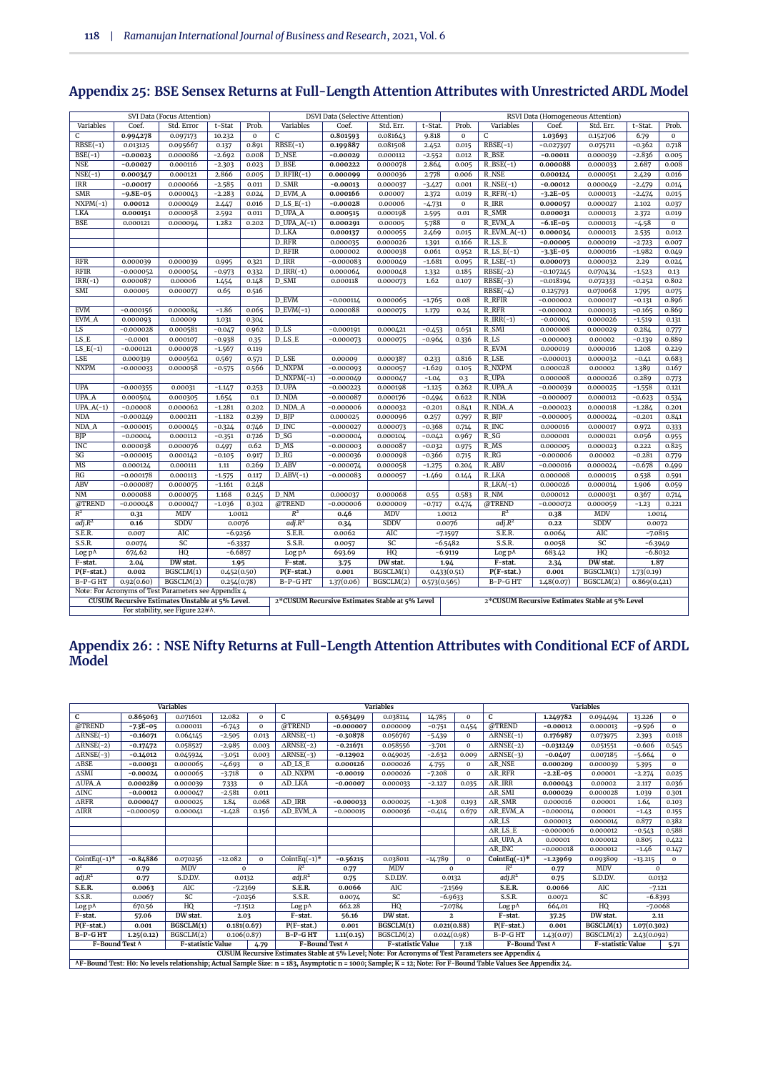| SVI Data (Focus Attention) |             |                                                      |             |             |                                                | <b>DSVI Data (Selective Attention)</b> |                                                |                                                             | RSVI Data (Homogeneous Attention) |                           |             |                                                |              |                |  |
|----------------------------|-------------|------------------------------------------------------|-------------|-------------|------------------------------------------------|----------------------------------------|------------------------------------------------|-------------------------------------------------------------|-----------------------------------|---------------------------|-------------|------------------------------------------------|--------------|----------------|--|
| Variables                  | Coef.       | Std. Error                                           | t-Stat      | Prob.       | Variables                                      | Coef.                                  | Std. Err.                                      | t-Stat.                                                     | Prob.                             | Variables                 | Coef.       | Std. Err.                                      | t-Stat.      | Prob.          |  |
| C                          | 0.994278    | 0.097173                                             | 10.232      | $\mathbf 0$ | C                                              | 0.801593                               | 0.081643                                       | 9.818                                                       | $\mathbf 0$                       | $\mathsf{C}$              | 1.03693     | 0.152706                                       | 6.79         | 0              |  |
| $RBSE(-1)$                 | 0.013125    | 0.095667                                             | 0.137       | 0.891       | $RBSE(-1)$                                     | 0.199887                               | 0.081508                                       | 2.452                                                       | 0.015                             | $RBSE(-1)$                | $-0.027397$ | 0.075711                                       | $-0.362$     | 0.718          |  |
| $BSE(-1)$                  | $-0.00023$  | 0.000086                                             | $-2.692$    | 0.008       | <b>D_NSE</b>                                   | $-0.00029$                             | 0.000112                                       | $-2.552$                                                    | 0.012                             | R_BSE                     | $-0.00011$  | 0.000039                                       | $-2.836$     | 0.005          |  |
| <b>NSE</b>                 | $-0.00027$  | 0.000116                                             | $-2.303$    | 0.023       | D_BSE                                          | 0.000222                               | 0.000078                                       | 2.864                                                       | 0.005                             | $R$ _BSE $(-1)$           | 0.000088    | 0.000033                                       | 2.687        | 0.008          |  |
| $NSE(-1)$                  | 0.000347    | 0.000121                                             | 2.866       | 0.005       | $D_RFIR(-1)$                                   | 0.000099                               | 0.000036                                       | 2.778                                                       | 0.006                             | <b>R_NSE</b>              | 0.000124    | 0.000051                                       | 2.429        | 0.016          |  |
| <b>IRR</b>                 | $-0.00017$  | 0.000066                                             | $-2.585$    | 0.011       | <b>D_SMR</b>                                   | $-0.00013$                             | 0.000037                                       | $-3.427$                                                    | 0.001                             | $R$ <sub>NSE</sub> $(-1)$ | $-0.00012$  | 0.000049                                       | $-2.479$     | 0.014          |  |
| <b>SMR</b>                 | $-9.8E-05$  | 0.000043                                             | $-2.283$    | 0.024       | D_EVM_A                                        | 0.000166                               | 0.00007                                        | 2.372                                                       | 0.019                             | $R_RFR(-1)$               | $-3.2E-05$  | 0.000013                                       | $-2.474$     | 0.015          |  |
| $NXPM(-1)$                 | 0.00012     | 0.000049                                             | 2.447       | 0.016       | $D$ <sub>LS</sub> $E(-1)$                      | $-0.00028$                             | 0.00006                                        | $-4.731$                                                    | $\mathbf{0}$                      | $R$ IRR                   | 0.000057    | 0.000027                                       | 2.102        | 0.037          |  |
| LKA                        | 0.000151    | 0.000058                                             | 2.592       | 0.011       | <b>D_UPA_A</b>                                 | 0.000515                               | 0.000198                                       | 2.595                                                       | 0.01                              | R_SMR                     | 0.000031    | 0.000013                                       | 2.372        | 0.019          |  |
| <b>BSE</b>                 | 0.000121    | 0.000094                                             | 1.282       | 0.202       | $D_UPA_A(-1)$                                  | 0.000291                               | 0.00005                                        | 5.788                                                       | $\mathbf{o}$                      | <b>R_EVM_A</b>            | $-6.1E-05$  | 0.000013                                       | $-4.58$      | $\mathbf 0$    |  |
|                            |             |                                                      |             |             | <b>D_LKA</b>                                   | 0.000137                               | 0.000055                                       | 2.469                                                       | 0.015                             | $R$ _EVM_A(-1)            | 0.000034    | 0.000013                                       | 2.535        | 0.012          |  |
|                            |             |                                                      |             |             | D_RFR                                          | 0.000035                               | 0.000026                                       | 1.391                                                       | 0.166                             | R_LS_E                    | $-0.00005$  | 0.000019                                       | $-2.723$     | 0.007          |  |
|                            |             |                                                      |             |             | D_RFIR                                         | 0.000002                               | 0.000038                                       | 0.061                                                       | 0.952                             | $R$ _LS_E(-1)             | $-3.3E-05$  | 0.000016                                       | $-1.982$     | 0.049          |  |
| <b>RFR</b>                 | 0.000039    | 0.000039                                             | 0.995       | 0.321       | D_IRR                                          | $-0.000083$                            | 0.000049                                       | $-1.681$                                                    | 0.095                             | $R$ <sub>LSE</sub> $(-1)$ | 0.000073    | 0.000032                                       | 2.29         | 0.024          |  |
| <b>RFIR</b>                | $-0.000052$ | 0.000054                                             | $-0.973$    | 0.332       | $D_IRR(-1)$                                    | 0.000064                               | 0.000048                                       | 1.332                                                       | 0.185                             | $RBSE(-2)$                | $-0.107245$ | 0.070434                                       | $-1.523$     | 0.13           |  |
| $IRR(-1)$                  | 0.000087    | 0.00006                                              | 1.454       | 0.148       | D_SMI                                          | 0.000118                               | 0.000073                                       | 1.62                                                        | 0.107                             | $RBSE(-3)$                | $-0.018194$ | 0.072333                                       | $-0.252$     | 0.802          |  |
| SMI                        | 0.00005     | 0.000077                                             | 0.65        | 0.516       |                                                |                                        |                                                |                                                             |                                   | $RBSE(-4)$                | 0.125793    | 0.070068                                       | 1.795        | 0.075          |  |
|                            |             |                                                      |             |             | D EVM                                          | $-0.000114$                            | 0.000065                                       | $-1.765$                                                    | 0.08                              | <b>R_RFIR</b>             | $-0.000002$ | 0.000017                                       | $-0.131$     | 0.896          |  |
| <b>EVM</b>                 | $-0.000156$ | 0.000084                                             | $-1.86$     | 0.065       | $D$ _EVM $(-1)$                                | 0.000088                               | 0.000075                                       | 1.179                                                       | 0.24                              | <b>R_RFR</b>              | $-0.000002$ | 0.000013                                       | $-0.165$     | 0.869          |  |
| EVM_A                      | 0.000093    | 0.00009                                              | 1.031       | 0.304       |                                                |                                        |                                                |                                                             |                                   | $R_IRR(-1)$               | $-0.00004$  | 0.000026                                       | $-1.519$     | 0.131          |  |
| $_{\rm LS}$                | $-0.000028$ |                                                      |             |             | $D$ <sub>LS</sub>                              | $-0.000191$                            |                                                |                                                             |                                   | $R\_SMI$                  | 0.000008    |                                                |              |                |  |
| LS_E                       | $-0.0001$   | 0.000581                                             | $-0.047$    | 0.962       | $D$ <sub>LS</sub> $E$                          |                                        | 0.000421                                       | $-0.453$                                                    | 0.651                             | R_LS                      |             | 0.000029                                       | 0.284        | 0.777<br>0.889 |  |
| $LS_E(-1)$                 |             | 0.000107                                             | $-0.938$    | 0.35        |                                                | $-0.000073$                            | 0.000075                                       | $-0.964$                                                    | 0.336                             | R_EVM                     | $-0.000003$ | 0.00002                                        | $-0.139$     |                |  |
|                            | $-0.000121$ | 0.000078                                             | $-1.567$    | 0.119       |                                                |                                        |                                                |                                                             |                                   |                           | 0.000019    | 0.000016                                       | 1.208        | 0.229          |  |
| LSE                        | 0.000319    | 0.000562                                             | 0.567       | 0.571       | D_LSE                                          | 0.00009                                | 0.000387                                       | 0.233                                                       | 0.816                             | $R$ <sub>LSE</sub>        | $-0.000013$ | 0.000032                                       | $-0.41$      | 0.683          |  |
| <b>NXPM</b>                | $-0.000033$ | 0.000058                                             | $-0.575$    | 0.566       | <b>D NXPM</b>                                  | $-0.000093$                            | 0.000057                                       | $-1.629$                                                    | 0.105                             | R NXPM                    | 0.000028    | 0.00002                                        | 1.389        | 0.167          |  |
|                            |             |                                                      |             |             | $D_NXPM(-1)$                                   | $-0.000049$                            | 0.000047                                       | $-1.04$                                                     | 0.3                               | R_UPA                     | 0.000008    | 0.000026                                       | 0.289        | 0.773          |  |
| <b>UPA</b>                 | $-0.000355$ | 0.00031                                              | $-1.147$    | 0.253       | D_UPA                                          | $-0.000223$                            | 0.000198                                       | $-1.125$                                                    | 0.262                             | R_UPA_A                   | $-0.000039$ | 0.000025                                       | $-1.558$     | 0.121          |  |
| UPA_A                      | 0.000504    | 0.000305                                             | 1.654       | 0.1         | D_NDA                                          | $-0.000087$                            | 0.000176                                       | $-0.494$                                                    | 0.622                             | R_NDA                     | $-0.000007$ | 0.000012                                       | $-0.623$     | 0.534          |  |
| $UPA.A(-1)$                | $-0.00008$  | 0.000062                                             | $-1.281$    | 0.202       | <b>D_NDA_A</b>                                 | $-0.000006$                            | 0.000032                                       | $-0.201$                                                    | 0.841                             | $R$ <sub>NDA</sub> $A$    | $-0.000023$ | 0.000018                                       | $-1.284$     | 0.201          |  |
| <b>NDA</b>                 | $-0.000249$ | 0.000211                                             | $-1.182$    | 0.239       | $D$ $B$ $IP$                                   | 0.000025                               | 0.000096                                       | 0.257                                                       | 0.797                             | $R$ <sub>BIP</sub>        | $-0.000005$ | 0.000024                                       | $-0.201$     | 0.841          |  |
| NDA_A                      | $-0.000015$ | 0.000045                                             | $-0.324$    | 0.746       | D_INC                                          | $-0.000027$                            | 0.000073                                       | $-0.368$                                                    | 0.714                             | $R$ <sub>INC</sub>        | 0.000016    | 0.000017                                       | 0.972        | 0.333          |  |
| BIP                        | $-0.00004$  | 0.000112                                             | $-0.351$    | 0.726       | $D$ SG                                         | $-0.000004$                            | 0.000104                                       | $-0.042$                                                    | 0.967                             | $R_S$                     | 0.000001    | 0.000021                                       | 0.056        | 0.955          |  |
| <b>INC</b>                 | 0.000038    | 0.000076                                             | 0.497       | 0.62        | $D$ <sub>MS</sub>                              | $-0.000003$                            | 0.000087                                       | $-0.032$                                                    | 0.975                             | $R$ <sub>MS</sub>         | 0.000005    | 0.000023                                       | 0.222        | 0.825          |  |
| SG                         | $-0.000015$ | 0.000142                                             | $-0.105$    | 0.917       | D_RG                                           | $-0.000036$                            | 0.000098                                       | $-0.366$                                                    | 0.715                             | $R_R$                     | $-0.000006$ | 0.00002                                        | $-0.281$     | 0.779          |  |
| MS                         | 0.000124    | 0.000111                                             | 1.11        | 0.269       | D_ABV                                          | $-0.000074$                            | 0.000058                                       | $-1.275$                                                    | 0.204                             | <b>R_ABV</b>              | $-0.000016$ | 0.000024                                       | $-0.678$     | 0.499          |  |
| RG                         | $-0.000178$ | 0.000113                                             | $-1.575$    | 0.117       | $D$ <sub>ABV</sub> $(-1)$                      | $-0.000083$                            | 0.000057                                       | $-1.469$                                                    | 0.144                             | R_LKA                     | 0.000008    | 0.000015                                       | 0.538        | 0.591          |  |
| ABV                        | $-0.000087$ | 0.000075                                             | $-1.161$    | 0.248       |                                                |                                        |                                                |                                                             |                                   | $R_LKA(-1)$               | 0.000026    | 0.000014                                       | 1.906        | 0.059          |  |
| $\overline{\text{NM}}$     | 0.000088    | 0.000075                                             | 1.168       | 0.245       | D_NM                                           | 0.000037                               | 0.000068                                       | 0.55                                                        | 0.583                             | $R_NM$                    | 0.000012    | 0.000031                                       | 0.367        | 0.714          |  |
| @TREND                     | $-0.000048$ | 0.000047                                             | $-1.036$    | 0.302       | @TREND                                         | $-0.000006$                            | 0.000009                                       | $-0.717$                                                    | 0.474                             | @TREND                    | $-0.000072$ | 0.000059                                       | $-1.23$      | 0.221          |  |
| $R^2$                      | 0.31        | MDV                                                  | 1.0012      |             | $R^2$                                          | 0.46                                   | MDV                                            | 1.0012                                                      |                                   | $\mathbb{R}^2$            | 0.38        | MDV                                            | 1.0014       |                |  |
| adj.R <sup>2</sup>         | 0.16        | <b>SDDV</b>                                          | 0.0076      |             | adj.R <sup>2</sup>                             | 0.34                                   | SDDV                                           | 0.0076                                                      |                                   | adj.R <sup>2</sup>        | 0.22        | SDDV                                           | 0.0072       |                |  |
| S.E.R.                     | 0.007       | <b>AIC</b>                                           | $-6.9256$   |             | S.E.R.                                         | 0.0062                                 | AIC                                            |                                                             | $-7.1597$                         | S.E.R.                    | 0.0064      | AIC                                            | $-7.0815$    |                |  |
| S.S.R.                     | 0.0074      | SC                                                   | $-6.3337$   |             | S.S.R.                                         | 0.0057                                 |                                                | $\ensuremath{\mathsf{SC}}$<br>$-6.5482$<br>S.S.R.<br>0.0058 |                                   |                           | SC          | $-6.3949$                                      |              |                |  |
| Log p^                     | 674.62      | HQ                                                   | $-6.6857$   |             | Log p^                                         | 693.69                                 | HQ                                             |                                                             | $-6.9119$                         | Log p^                    | 683.42      | HQ                                             | $-6.8032$    |                |  |
| F-stat.                    | 2.04        | DW stat.                                             | 1.95        |             | F-stat.<br>DW stat.<br>3.75<br>1.94<br>F-stat. |                                        | 2.34                                           | DW stat.                                                    | 1.87                              |                           |             |                                                |              |                |  |
| $P(F-stat.)$               | 0.002       | BGSCLM(1)                                            | 0.452(0.50) |             | $\overline{P(F-stat.)}$                        | 0.001                                  | BGSCLM(1)                                      | 0.433(0.51)                                                 |                                   | $P(F-stat.)$              | 0.001       | BGSCLM(1)                                      | 1.73(0.19)   |                |  |
| B-P-GHT                    | 0.92(0.60)  | BGSCLM(2)                                            | 0.254(0.78) |             | B-P-GHT                                        | 1.37(0.06)                             | BGSCLM(2)                                      | 0.573(0.565)                                                |                                   | B-P-GHT                   | 1.48(0.07)  | BGSCLM(2)                                      | 0.869(0.421) |                |  |
|                            |             | Note: For Acronyms of Test Parameters see Appendix 4 |             |             |                                                |                                        |                                                |                                                             |                                   |                           |             |                                                |              |                |  |
|                            |             | CUSUM Recursive Estimates Unstable at 5% Level.      |             |             |                                                |                                        | 2*CUSUM Recursive Estimates Stable at 5% Level |                                                             |                                   |                           |             | 2*CUSUM Recursive Estimates Stable at 5% Level |              |                |  |
|                            |             | For stability, see Figure 22#^.                      |             |             |                                                |                                        |                                                |                                                             |                                   |                           |             |                                                |              |                |  |
|                            |             |                                                      |             |             |                                                |                                        |                                                |                                                             |                                   |                           |             |                                                |              |                |  |

# **Appendix 25: BSE Sensex Returns at Full-Length Attention Attributes with Unrestricted ARDL Model**

#### **Appendix 26: : NSE Nifty Returns at Full-Length Attention Attributes with Conditional ECF of ARDL Model**

| <b>Variables</b>                                                                                   |                 |                   |             |              |                                |             | <b>Variables</b>  | <b>Variables</b> |              |                                                                                                                                                              |             |                    |                                  |          |  |
|----------------------------------------------------------------------------------------------------|-----------------|-------------------|-------------|--------------|--------------------------------|-------------|-------------------|------------------|--------------|--------------------------------------------------------------------------------------------------------------------------------------------------------------|-------------|--------------------|----------------------------------|----------|--|
| C                                                                                                  | 0.865063        | 0.071601          | 12.082      | $\mathbf 0$  | C                              | 0.563499    | 0.038114          | 14.785           | $\mathbf 0$  | C                                                                                                                                                            | 1.249782    | 0.094494<br>13.226 |                                  |          |  |
| @TREND                                                                                             | $-7.3E-05$      | 0.000011          | $-6.743$    | $\Omega$     | @TREND                         | $-0.000007$ | 0.000009          | $-0.751$         | 0.454        | @TREND                                                                                                                                                       | $-0.00012$  | 0.000013           | $-9.596$                         | $\Omega$ |  |
| $\triangle$ RNSE(-1)                                                                               | $-0.16071$      | 0.064145          | $-2.505$    | 0.013        | $\triangle$ RNSE $(-1)$        | $-0.30878$  | 0.056767          | $-5.439$         | $\Omega$     | $\triangle$ RNSE(-1)                                                                                                                                         | 0.176987    | 0.073975           | 2.393                            | 0.018    |  |
| $\triangle$ RNSE(-2)                                                                               | $-0.17472$      | 0.058527          | $-2.985$    | 0.003        | $\triangle$ RNSE(-2)           | $-0.21671$  | 0.058556          | $-3.701$         | $\Omega$     | $\triangle$ RNSE(-2)                                                                                                                                         | $-0.031249$ | 0.051551           | $-0.606$                         | 0.545    |  |
| $\triangle$ RNSE(-3)                                                                               | $-0.14012$      | 0.045924          | $-3.051$    | 0.003        | $\overline{\triangle$ RNSE(-3) | $-0.12902$  | 0.049025          | $-2.632$         | 0.009        | $\overline{\triangle$ RNSE(-3)                                                                                                                               | $-0.0407$   | 0.007185           | $-5.664$                         | $\Omega$ |  |
| $\triangle BSE$                                                                                    | $-0.00031$      | 0.000065          | $-4.693$    | $\mathbf{o}$ | $AD$ LS_E                      | 0.000126    | 0.000026          | 4.755            | $\mathbf 0$  | $\Delta$ R NSE                                                                                                                                               | 0.000209    | 0.000039           | 5.395                            | $\Omega$ |  |
| $\triangle$ SMI                                                                                    | $-0.0002\Delta$ | 0.000065          | $-3.718$    | $\mathbf{o}$ | AD NXPM                        | $-0.00019$  | 0.000026          | $-7.208$         | $\mathbf{o}$ | $\triangle$ R RFR                                                                                                                                            | $-2.2E-05$  | 0.00001            | $-2.274$                         | 0.025    |  |
| $\overline{\triangle}$ UPA_A                                                                       | 0.000289        | 0.000039          | 7.333       | $\Omega$     | AD LKA                         | $-0.00007$  | 0.000033          | $-2.127$         | 0.035        | $\triangle$ R IRR                                                                                                                                            | 0.000043    | 0.00002            | 2.117                            | 0.036    |  |
| $\triangle$ INC                                                                                    | $-0.00012$      | 0.000047          | $-2.581$    | 0.011        |                                |             |                   |                  |              | $\Delta R\_SMI$                                                                                                                                              | 0.000029    | 0.000028           | 1.039<br>0.301                   |          |  |
| $\triangle$ <sub>RFR</sub>                                                                         | 0.000047        | 0.000025          | 1.84        | 0.068        | $AD$ IRR                       | $-0.000033$ | 0.000025          | $-1.308$         | 0.193        | $\Delta$ R SMR                                                                                                                                               | 0.000016    | 0.00001            | 1.64                             | 0.103    |  |
| $\Delta \text{IRR}$                                                                                | $-0.000059$     | 0.000041          | $-1.428$    | 0.156        | AD_EVM_A                       | $-0.000015$ | 0.000036          | $-0.414$         | 0.679        | AR_EVM_A                                                                                                                                                     | $-0.000014$ | 0.00001            | $-1.43$                          | 0.155    |  |
|                                                                                                    |                 |                   |             |              |                                |             |                   |                  |              | $\triangle$ R LS                                                                                                                                             | 0.000013    | 0.000014           | 0.877                            | 0.382    |  |
|                                                                                                    |                 |                   |             |              |                                |             |                   |                  |              | $\triangle R$ LS_E                                                                                                                                           | $-0.000006$ | 0.000012           | $-0.543$                         | 0.588    |  |
|                                                                                                    |                 |                   |             |              |                                |             |                   |                  |              | AR UPA A                                                                                                                                                     | 0.00001     | 0.000012           | 0.805                            | 0.422    |  |
|                                                                                                    |                 |                   |             |              |                                |             |                   |                  |              | $\triangle$ R INC                                                                                                                                            | $-0.000018$ | 0.000012           | $-1.46$                          | 0.147    |  |
| CointEq $(-1)^*$                                                                                   | $-0.84886$      | 0.070256          | $-12.082$   | $\Omega$     | CointEq $(-1)^*$               | $-0.56215$  | 0.038011          | $-14.789$        | $\Omega$     | CointEq $(-1)^*$                                                                                                                                             | $-1.23969$  | 0.093809           | $-13.215$                        | $\Omega$ |  |
| $R^2$                                                                                              | 0.79            | MDV               | $\Omega$    |              | $R^2$                          | 0.77        | MDV               | $\Omega$         |              | $R^2$                                                                                                                                                        | 0.77        | MDV                | $\Omega$                         |          |  |
| adj.R <sup>2</sup>                                                                                 | 0.77            | S.D.D.V.          | 0.0132      |              | adj.R <sup>2</sup>             | 0.75        | S.D.D.V.          | 0.0132           |              | adj.R <sup>2</sup>                                                                                                                                           | 0.75        | S.D.D.V.           | 0.0132                           |          |  |
| S.E.R.                                                                                             | 0.0063          | <b>AIC</b>        | $-7.2369$   |              | S.E.R.                         | 0.0066      | AIC               | $-7.1569$        |              | S.E.R.                                                                                                                                                       | 0.0066      | AIC                | $-7.121$                         |          |  |
| S.S.R.                                                                                             | 0.0067          | SC                | $-7.0256$   |              | S.S.R.                         | 0.0074      | SC                | $-6.9633$        |              | S.S.R.                                                                                                                                                       | 0.0072      | SC                 | $-6.8393$                        |          |  |
| Log p^                                                                                             | 670.56          | HQ                | $-7.1512$   |              | Log p^                         | 662.28      | HQ                | $-7.0784$        |              | Log p^                                                                                                                                                       | 664.01      | HQ                 | $-7.0068$                        |          |  |
| F-stat.                                                                                            | 57.06           | DW stat.          | 2.03        |              | F-stat.                        | 56.16       | DW stat.          | $\mathbf{2}$     |              | F-stat.                                                                                                                                                      | 37.25       | DW stat.           | 2.11                             |          |  |
| $P(F-stat.)$                                                                                       | 0.001           | BGSCLM(1)         | 0.181(0.67) |              | $P(F-stat.)$                   | 0.001       | BGSCLM(1)         | 0.021(0.88)      |              | $P(F-stat.)$                                                                                                                                                 | 0.001       | BGSCLM(1)          | 1.07(0.302)                      |          |  |
| B-P-GHT                                                                                            | 1.25(0.12)      | BGSCLM(2)         | 0.106(0.87) |              | B-P-GHT                        | 1.11(0.15)  | BGSCLM(2)         | 0.024(0.98)      |              | B-P-GHT                                                                                                                                                      | 1.43(0.07)  | BGSCLM(2)          | 2.43(0.092)                      |          |  |
| F-Bound Test A                                                                                     |                 | F-statistic Value |             | 4.79         | F-Bound Test A                 |             | F-statistic Value |                  | 7.18         | F-Bound Test A                                                                                                                                               |             |                    | <b>F-statistic Value</b><br>5.71 |          |  |
| CUSUM Recursive Estimates Stable at 5% Level; Note: For Acronyms of Test Parameters see Appendix 4 |                 |                   |             |              |                                |             |                   |                  |              |                                                                                                                                                              |             |                    |                                  |          |  |
|                                                                                                    |                 |                   |             |              |                                |             |                   |                  |              | AF-Bound Test: Ho: No levels relationship; Actual Sample Size: n = 183, Asymptotic n = 1000; Sample; K = 12; Note: For F-Bound Table Values See Appendix 24. |             |                    |                                  |          |  |

**^F-Bound Test: H0: No levels relationship; Actual Sample Size: n = 183, Asymptotic n = 1000; Sample; K = 12; Note: For F-Bound Table Values See Appendix 24.**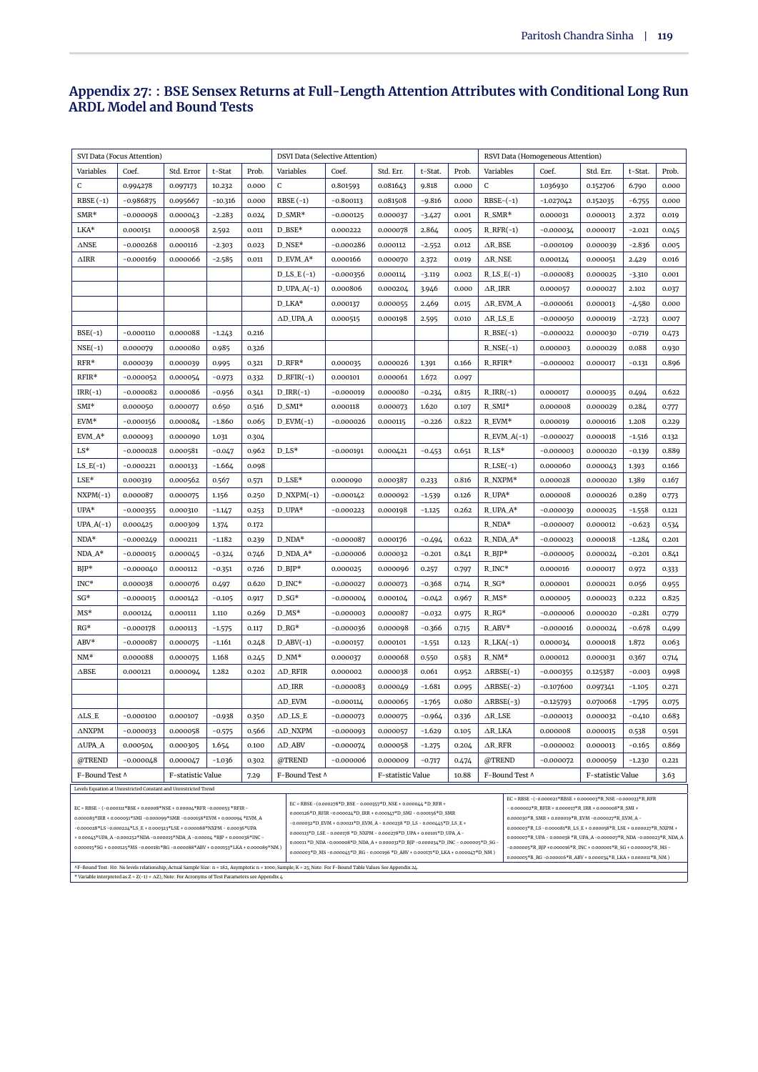#### **Appendix 27: : BSE Sensex Returns at Full-Length Attention Attributes with Conditional Long Run ARDL Model and Bound Tests**

|                       | SVI Data (Focus Attention)                                                |                   |           | <b>DSVI Data (Selective Attention)</b> |                              |             | RSVI Data (Homogeneous Attention) |                                                                                                                                                                                                                                                                               |       |                               |             |                   |          |       |
|-----------------------|---------------------------------------------------------------------------|-------------------|-----------|----------------------------------------|------------------------------|-------------|-----------------------------------|-------------------------------------------------------------------------------------------------------------------------------------------------------------------------------------------------------------------------------------------------------------------------------|-------|-------------------------------|-------------|-------------------|----------|-------|
| Variables             | Coef.                                                                     | Std. Error        | t-Stat    | Prob.                                  | Variables                    | Coef.       | Std. Err.                         | t-Stat.                                                                                                                                                                                                                                                                       | Prob. | Variables                     | Coef.       | Std. Err.         | t-Stat.  | Prob. |
| C                     | 0.994278                                                                  | 0.097173          | 10.232    | 0.000                                  | C                            | 0.801593    | 0.081643                          | 9.818                                                                                                                                                                                                                                                                         | 0.000 | C                             | 1.036930    | 0.152706          | 6.790    | 0.000 |
| $RBSE(-1)$            | $-0.986875$                                                               | 0.095667          | $-10.316$ | 0.000                                  | $RBSE(-1)$                   | $-0.800113$ | 0.081508                          | $-9.816$                                                                                                                                                                                                                                                                      | 0.000 | $RBSE-(-1)$                   | $-1.027042$ | 0.152035          | $-6.755$ | 0.000 |
| $SMR*$                | $-0.000098$                                                               | 0.000043          | $-2.283$  | 0.024                                  | $D\_SMR*$                    | $-0.000125$ | 0.000037                          | $-3.427$                                                                                                                                                                                                                                                                      | 0.001 | $R\_SMR*$                     | 0.000031    | 0.000013          | 2.372    | 0.019 |
| LKA*                  | 0.000151                                                                  | 0.000058          | 2.592     | 0.011                                  | D_BSE*                       | 0.000222    | 0.000078                          | 2.864                                                                                                                                                                                                                                                                         | 0.005 | $R_RFR(-1)$                   | $-0.000034$ | 0.000017          | $-2.021$ | 0.045 |
| $\triangle$ NSE       | $-0.000268$                                                               | 0.000116          | $-2.303$  | 0.023                                  | D_NSE*                       | $-0.000286$ | 0.000112                          | $-2.552$                                                                                                                                                                                                                                                                      | 0.012 | $\triangle R$ _BSE            | $-0.000109$ | 0.000039          | $-2.836$ | 0.005 |
| $\Delta \text{IRR}$   | $-0.000169$                                                               | 0.000066          | $-2.585$  | 0.011                                  | D_EVM_A*                     | 0.000166    | 0.000070                          | 2.372                                                                                                                                                                                                                                                                         | 0.019 | $\Delta$ R_NSE                | 0.000124    | 0.000051          | 2.429    | 0.016 |
|                       |                                                                           |                   |           |                                        | $D$ <sub>LS</sub> $E$ $(-1)$ | $-0.000356$ | 0.000114                          | $-3.119$                                                                                                                                                                                                                                                                      | 0.002 | $R$ <sub>LS</sub> $_E(-1)$    | $-0.000083$ | 0.000025          | $-3.310$ | 0.001 |
|                       |                                                                           |                   |           |                                        | $D_UPA_A(-1)$                | 0.000806    | 0.000204                          | 3.946                                                                                                                                                                                                                                                                         | 0.000 | $\triangle R$ _IRR            | 0.000057    | 0.000027          | 2.102    | 0.037 |
|                       |                                                                           |                   |           |                                        | D_LKA*                       | 0.000137    | 0.000055                          | 2.469                                                                                                                                                                                                                                                                         | 0.015 | AR_EVM_A                      | $-0.000061$ | 0.000013          | -4.580   | 0.000 |
|                       |                                                                           |                   |           |                                        | $\triangle$ D_UPA_A          | 0.000515    | 0.000198                          | 2.595                                                                                                                                                                                                                                                                         | 0.010 | $\triangle$ R_LS_E            | $-0.000050$ | 0.000019          | $-2.723$ | 0.007 |
| $BSE(-1)$             | $-0.000110$                                                               | 0.000088          | $-1.243$  | 0.216                                  |                              |             |                                   |                                                                                                                                                                                                                                                                               |       | $R_BSE(-1)$                   | $-0.000022$ | 0.000030          | $-0.719$ | 0.473 |
| $NSE(-1)$             | 0.000079                                                                  | 0.000080          | 0.985     | 0.326                                  |                              |             |                                   |                                                                                                                                                                                                                                                                               |       | $R$ <sub>NSE</sub> $(-1)$     | 0.000003    | 0.000029          | 0.088    | 0.930 |
| $RFR*$                | 0.000039                                                                  | 0.000039          | 0.995     | 0.321                                  | $D_RFR*$                     | 0.000035    | 0.000026                          | 1.391                                                                                                                                                                                                                                                                         | 0.166 | R_RFIR*                       | $-0.000002$ | 0.000017          | $-0.131$ | 0.896 |
| RFIR*                 | $-0.000052$                                                               | 0.000054          | $-0.973$  | 0.332                                  | $D_RFIR(-1)$                 | 0.000101    | 0.000061                          | 1.672                                                                                                                                                                                                                                                                         | 0.097 |                               |             |                   |          |       |
| $IRR(-1)$             | $-0.000082$                                                               | 0.000086          | $-0.956$  | 0.341                                  | $D_IRR(-1)$                  | $-0.000019$ | 0.000080                          | $-0.234$                                                                                                                                                                                                                                                                      | 0.815 | $R_{IRR(-1)}$                 | 0.000017    | 0.000035          | 0.494    | 0.622 |
| $SMI*$                | 0.000050                                                                  | 0.000077          | 0.650     | 0.516                                  | D_SMI*                       | 0.000118    | 0.000073                          | 1.620                                                                                                                                                                                                                                                                         | 0.107 | R_SMI*                        | 0.000008    | 0.000029          | 0.284    | 0.777 |
| EVM*                  | $-0.000156$                                                               | 0.000084          | $-1.860$  | 0.065                                  | $D$ _EVM $(-1)$              | $-0.000026$ | 0.000115                          | $-0.226$                                                                                                                                                                                                                                                                      | 0.822 | R_EVM*                        | 0.000019    | 0.000016          | 1.208    | 0.229 |
| $EVM_A*$              | 0.000093                                                                  | 0.000090          | 1.031     | 0.304                                  |                              |             |                                   |                                                                                                                                                                                                                                                                               |       | $R$ _EVM_A(-1)                | $-0.000027$ | 0.000018          | $-1.516$ | 0.132 |
| LS*                   | $-0.000028$                                                               | 0.000581          | $-0.047$  | 0.962                                  | $D$ <sub>LS</sub> *          | $-0.000191$ | 0.000421                          | $-0.453$                                                                                                                                                                                                                                                                      | 0.651 | $R$ <sub>LS</sub> *           | $-0.000003$ | 0.000020          | $-0.139$ | 0.889 |
| $LS_E(-1)$            | $-0.000221$                                                               | 0.000133          | $-1.664$  | 0.098                                  |                              |             |                                   |                                                                                                                                                                                                                                                                               |       | $R$ <sub>LSE</sub> $(-1)$     | 0.000060    | 0.000043          | 1.393    | 0.166 |
| $LSE*$                | 0.000319                                                                  | 0.000562          | 0.567     | 0.571                                  | $D$ <sub>LSE</sub> *         | 0.000090    | 0.000387                          | 0.233                                                                                                                                                                                                                                                                         | 0.816 | R_NXPM*                       | 0.000028    | 0.000020          | 1.389    | 0.167 |
| $NXPM(-1)$            | 0.000087                                                                  | 0.000075          | 1.156     | 0.250                                  | $D_NXPM(-1)$                 | $-0.000142$ | 0.000092                          | $-1.539$                                                                                                                                                                                                                                                                      | 0.126 | R_UPA*                        | 0.000008    | 0.000026          | 0.289    | 0.773 |
| UPA*                  | $-0.000355$                                                               | 0.000310          | $-1.147$  | 0.253                                  | D_UPA*                       | $-0.000223$ | 0.000198                          | $-1.125$                                                                                                                                                                                                                                                                      | 0.262 | R_UPA_A*                      | $-0.000039$ | 0.000025          | $-1.558$ | 0.121 |
| $UPA_A(-1)$           | 0.000425                                                                  | 0.000309          | 1.374     | 0.172                                  |                              |             |                                   |                                                                                                                                                                                                                                                                               |       | R_NDA*                        | $-0.000007$ | 0.000012          | $-0.623$ | 0.534 |
| $NDA*$                | $-0.000249$                                                               | 0.000211          | $-1.182$  | 0.239                                  | D_NDA*                       | $-0.000087$ | 0.000176                          | $-0.494$                                                                                                                                                                                                                                                                      | 0.622 | R_NDA_A*                      | $-0.000023$ | 0.000018          | $-1.284$ | 0.201 |
| NDA_A*                | $-0.000015$                                                               | 0.000045          | $-0.324$  | 0.746                                  | D_NDA_A*                     | $-0.000006$ | 0.000032                          | $-0.201$                                                                                                                                                                                                                                                                      | 0.841 | $R$ _BJ $P^*$                 | $-0.000005$ | 0.000024          | $-0.201$ | 0.841 |
| BJP*                  | $-0.000040$                                                               | 0.000112          | $-0.351$  | 0.726                                  | $D_BJP^*$                    | 0.000025    | 0.000096                          | 0.257                                                                                                                                                                                                                                                                         | 0.797 | R_INC*                        | 0.000016    | 0.000017          | 0.972    | 0.333 |
| $INC*$                | 0.000038                                                                  | 0.000076          | 0.497     | 0.620                                  | D_INC*                       | $-0.000027$ | 0.000073                          | $-0.368$                                                                                                                                                                                                                                                                      | 0.714 | $R_S$ G*                      | 0.000001    | 0.000021          | 0.056    | 0.955 |
| $SG*$                 | $-0.000015$                                                               | 0.000142          | $-0.105$  | 0.917                                  | $D_S G^*$                    | $-0.000004$ | 0.000104                          | $-0.042$                                                                                                                                                                                                                                                                      | 0.967 | $R$ <sub>MS</sub> *           | 0.000005    | 0.000023          | 0.222    | 0.825 |
| $MS*$                 | 0.000124                                                                  | 0.000111          | 1.110     | 0.269                                  | $D$ <sub>MS</sub> *          | $-0.000003$ | 0.000087                          | $-0.032$                                                                                                                                                                                                                                                                      | 0.975 | $R_R$ G*                      | $-0.000006$ | 0.000020          | $-0.281$ | 0.779 |
| $RG*$                 | $-0.000178$                                                               | 0.000113          | $-1.575$  | 0.117                                  | $D_RG^*$                     | $-0.000036$ | 0.000098                          | $-0.366$                                                                                                                                                                                                                                                                      | 0.715 | R_ABV*                        | $-0.000016$ | 0.000024          | $-0.678$ | 0.499 |
| ABV*                  | $-0.000087$                                                               | 0.000075          | $-1.161$  | 0.248                                  | $D$ <sub>ABV</sub> $(-1)$    | $-0.000157$ | 0.000101                          | $-1.551$                                                                                                                                                                                                                                                                      | 0.123 | $R$ <sub>LKA</sub> $(-1)$     | 0.000034    | 0.000018          | 1.872    | 0.063 |
| $NM*$                 | 0.000088                                                                  | 0.000075          | 1.168     | 0.245                                  | $D_NM^*$                     | 0.000037    | 0.000068                          | 0.550                                                                                                                                                                                                                                                                         | 0.583 | $R_NM^*$                      | 0.000012    | 0.000031          | 0.367    | 0.714 |
| $\triangle BSE$       | 0.000121                                                                  | 0.000094          | 1.282     | 0.202                                  | $\triangle$ D_RFIR           | 0.000002    | 0.000038                          | 0.061                                                                                                                                                                                                                                                                         | 0.952 | $\triangle RBSE(-1)$          | $-0.000355$ | 0.125387          | $-0.003$ | 0.998 |
|                       |                                                                           |                   |           |                                        | $\Delta$ D_IRR               | $-0.000083$ | 0.000049                          | $-1.681$                                                                                                                                                                                                                                                                      | 0.095 | $\triangle RBSE(-2)$          | $-0.107600$ | 0.097341          | $-1.105$ | 0.271 |
|                       |                                                                           |                   |           |                                        | $\Delta$ D_EVM               | $-0.000114$ | 0.000065                          | $-1.765$                                                                                                                                                                                                                                                                      | 0.080 | $\triangle RBSE(-3)$          | $-0.125793$ | 0.070068          | $-1.795$ | 0.075 |
| $\Delta \text{LS\_E}$ | $-0.000100$                                                               | 0.000107          | $-0.938$  | $0.350\,$                              | $\Delta\rm{D}\_{LS\_E}$      | $-0.000073$ | 0.000075                          | 0.964                                                                                                                                                                                                                                                                         | 0.336 | $\Delta \text{R}\_\text{LSE}$ | $-0.000013$ | 0.000032          | 0.410    | 0.683 |
| $\Delta \text{NXPM}$  | $-0.000033$                                                               | 0.000058          | $-0.575$  | 0.566                                  | $\Delta$ D_NXPM              | $-0.000093$ | 0.000057                          | $-1.629$                                                                                                                                                                                                                                                                      | 0.105 | ∆R_LKA                        | 0.000008    | 0.000015          | 0.538    | 0.591 |
| $\triangle$ UPA_A     | 0.000504                                                                  | 0.000305          | 1.654     | 0.100                                  | $\Delta D$ _ABV              | $-0.000074$ | 0.000058                          | $-1.275$                                                                                                                                                                                                                                                                      | 0.204 | $\Delta$ R_RFR                | $-0.000002$ | 0.000013          | $-0.165$ | 0.869 |
| @TREND                | $-0.000048$                                                               | 0.000047          | $-1.036$  | 0.302                                  | @TREND                       | $-0.000006$ | 0.000009                          | $-0.717$                                                                                                                                                                                                                                                                      | 0.474 | @TREND                        | $-0.000072$ | 0.000059          | $-1.230$ | 0.221 |
| F-Bound Test ^        |                                                                           | F-statistic Value |           | 7.29                                   | F-Bound Test ^               |             | F-statistic Value                 |                                                                                                                                                                                                                                                                               | 10.88 | F-Bound Test ^                |             | F-statistic Value |          | 3.63  |
|                       | Levels Equation at Unrestricted Constant and Unrestricted Trend           |                   |           |                                        |                              |             |                                   |                                                                                                                                                                                                                                                                               |       |                               |             |                   |          |       |
|                       | EC = RBSE - $(-0.000111*BSE + 0.00008*NSE + 0.00004*RFR - 0.000053*RFR -$ |                   |           |                                        |                              |             |                                   | EC = RBSE -(-0.000021*RBSE + 0.000003*R_NSE -0.000033*R_RFR<br>EC = RBSE -(0.000278*D_BSE - 0.000357*D_NSE + 0.000044 *D_RFR +<br>$-$ 0.000002*R_RFIR + 0.000017*R_IRR + 0.000008*R_SMI +<br>$0.000126 * D\_RFIR - 0.000024 * D\_IRR + 0.000147 * D\_SMI - 0.000156 * D\_SMR$ |       |                               |             |                   |          |       |

0.000083\*IRR + 0.000051\*SMI -0.000099\*SMR -0.000158\*EVM + 0.000094 \*EVM\_A -0.000028\*LS -0.000224\*LS\_E + 0.000323\*LSE + 0.000088\*NXPM - 0.00036\*UPA

+ 0.00043\*UPA\_A -0.000252\*NDA -0.000015\*NDA\_A -0.00004 \*BJP + 0.000038\*INC -

 $0.000015^{*}\mathrm{SG} + 0.000125^{*}\mathrm{MS} - 0.000181^{*}\mathrm{RG} - 0.000088^{*}\mathrm{ABV} + 0.000153^{*}\mathrm{LKA} + 0.000089^{*}\mathrm{NM} \,)$ 

 $0.000126\!\,^{\text{*}}\mathrm{D\_RFIR}$   $-0.000024\!\,^{\text{*}}\mathrm{D\_IRR}$   $+$   $0.000147\!\,^{\text{*}}\mathrm{D\_SMI}$   $0.000156\!\,^{\text{*}}\mathrm{D\_SMR}$  $-0.000032*D$  EVM + 0.00021\*D\_EVM\_A - 0.000238 \*D\_LS - 0.000445\*D\_LS\_E +  $0.000113^{\textstyle \ast} \text{D\_USE - 0.000178} \text{ } ^{\textstyle \ast} \text{D\_NXPM - 0.000278} \text{ } ^{\textstyle \ast} \text{D\_UPA + 0.00101} \text{ } ^{\textstyle \ast} \text{D\_UPA - 0.000178} \text{ } ^{\textstyle \ast} \text{D\_UPA - 0.000178} \text{ } ^{\textstyle \ast} \text{D\_UPA - 0.000178} \text{ } ^{\textstyle \ast} \text{D\_UPA - 0.000178} \text{ } ^{\textstyle \ast} \text{$  $0.00011 \text{\texttt{*D\_NDA -}} 0.000008 \text{\texttt{*D\_NDA\_A +}} 0.000031 \text{\texttt{*D\_BJP -}} 0.000034 \text{\texttt{*D\_INC -}} 0.000005 \text{\texttt{*D\_SG -}} 0.000005 \text{\texttt{*D\_NDA -}} 0.000008 \text{\texttt{*D\_NDA -}} 0.000008 \text{\texttt{*D\_NDA -}} 0.000008 \text{\texttt{*D\_NDA -}} 0.000008 \text{\texttt{*D\_NDA -}} 0.000008 \text{\$ 0.000003\*D\_MS -0.000045\*D\_RG - 0.000196 \*D\_ABV + 0.000171\*D\_LKA + 0.000047\*D\_NM )

 $0.000030^{\pm}\mathrm{R\_SMR} + 0.000019^{\pm}\mathrm{R\_EVM} - 0.000027^{\pm}\mathrm{R\_EVM} \textcolor{black}{A} - 0.0000027^{\pm}\mathrm{R\_NNPM} + 0.00000027^{\pm}\mathrm{R\_NNPM} + 0.0000027^{\pm}\mathrm{R\_NNPM} + 0.0000027^{\pm}\mathrm{R\_NNPM} + 0.0000027^{\pm}\mathrm{R\_NNPM} + 0.000027^{\pm}\mathrm{R\_NNPM} + 0.000027^{\pm}\mathrm{R\_NN$ 0.000007\*R\_UPA - 0.000038 \*R\_UPA\_A -0.000007\*R\_NDA -0.000023\*R\_NDA\_A

-0.000005\*R\_BJP +0.000016\*R\_INC + 0.000001\*R\_SG + 0.000005\*R\_MS -  $0.000005^{\text{\texttt{*R}}}.$  RG  $-0.000016^{\text{\texttt{*R}}}.$  ABV +  $0.000034^{\text{\texttt{*R}}}.$  LKA +  $0.000011^{\text{\texttt{*R}}}.$  NM  $)$ 

^F-Bound Test: H0: No levels relationship; Actual Sample Size: n = 182, Asymptotic n = 1000; Sample; K = 25; Note: For F-Bound Table Values See Appendix 24. \* Variable interpreted as Z = Z(-1) + <sup>∆</sup>Z); Note: For Acronyms of Test Parameters see Appendix 4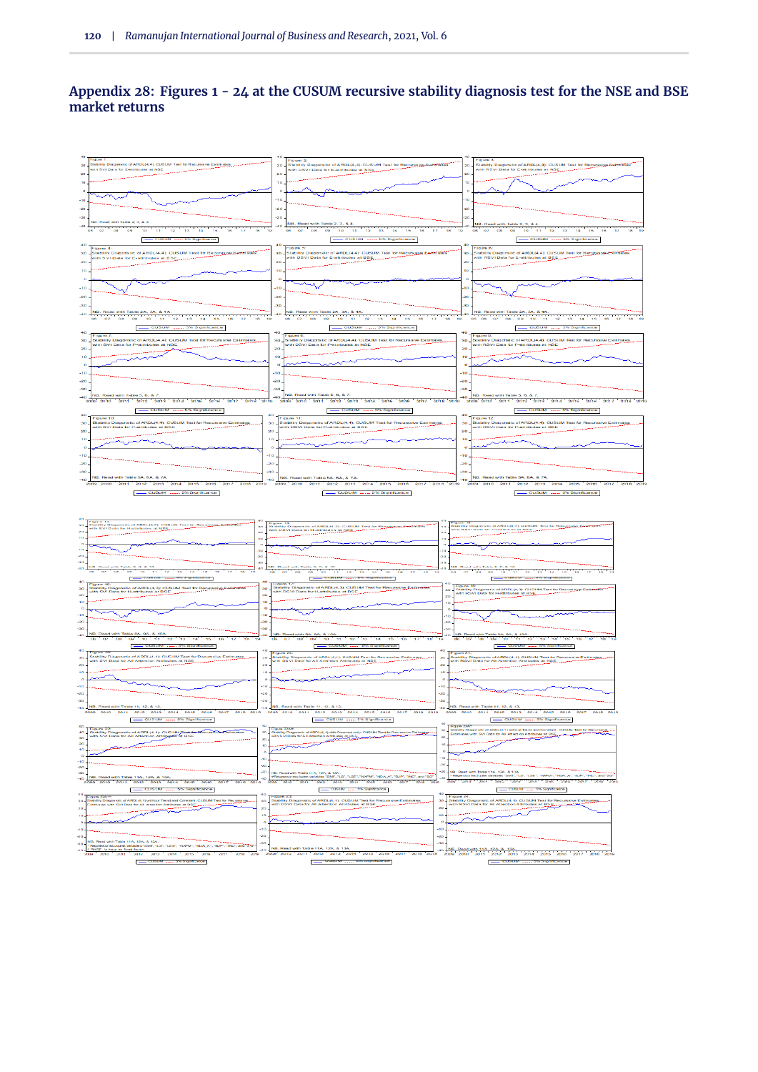## **Appendix 28: Figures 1 - 24 at the CUSUM recursive stability diagnosis test for the NSE and BSE market returns**